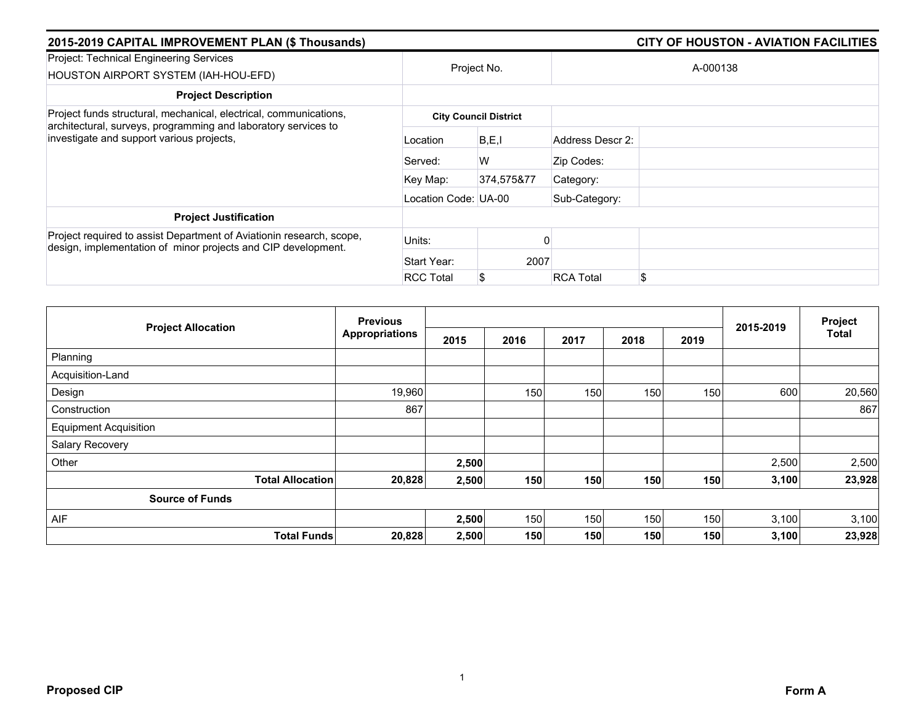| 2015-2019 CAPITAL IMPROVEMENT PLAN (\$ Thousands)                                                                                     |                      | <b>CITY OF HOUSTON - AVIATION FACILITIES</b> |                  |               |  |  |  |  |
|---------------------------------------------------------------------------------------------------------------------------------------|----------------------|----------------------------------------------|------------------|---------------|--|--|--|--|
| Project: Technical Engineering Services<br>HOUSTON AIRPORT SYSTEM (IAH-HOU-EFD)                                                       |                      | Project No.                                  | A-000138         |               |  |  |  |  |
| <b>Project Description</b>                                                                                                            |                      |                                              |                  |               |  |  |  |  |
| Project funds structural, mechanical, electrical, communications,                                                                     |                      | <b>City Council District</b>                 |                  |               |  |  |  |  |
| architectural, surveys, programming and laboratory services to<br>investigate and support various projects,                           | Location             | B, E, I                                      | Address Descr 2: |               |  |  |  |  |
|                                                                                                                                       | Served:              | W                                            | Zip Codes:       |               |  |  |  |  |
|                                                                                                                                       | Key Map:             | 374.575&77                                   | Category:        |               |  |  |  |  |
|                                                                                                                                       | Location Code: UA-00 |                                              | Sub-Category:    |               |  |  |  |  |
| <b>Project Justification</b>                                                                                                          |                      |                                              |                  |               |  |  |  |  |
| Project required to assist Department of Aviationin research, scope,<br>design, implementation of minor projects and CIP development. | Units:               |                                              |                  |               |  |  |  |  |
|                                                                                                                                       | Start Year:          | 2007                                         |                  |               |  |  |  |  |
|                                                                                                                                       | <b>RCC Total</b>     |                                              | <b>RCA Total</b> | <sup>\$</sup> |  |  |  |  |

| <b>Project Allocation</b>    | <b>Previous</b>       |       |      |      |      | Project |           |        |
|------------------------------|-----------------------|-------|------|------|------|---------|-----------|--------|
|                              | <b>Appropriations</b> | 2015  | 2016 | 2017 | 2018 | 2019    | 2015-2019 | Total  |
| Planning                     |                       |       |      |      |      |         |           |        |
| Acquisition-Land             |                       |       |      |      |      |         |           |        |
| Design                       | 19,960                |       | 150  | 150  | 150  | 150     | 600       | 20,560 |
| Construction                 | 867                   |       |      |      |      |         |           | 867    |
| <b>Equipment Acquisition</b> |                       |       |      |      |      |         |           |        |
| Salary Recovery              |                       |       |      |      |      |         |           |        |
| Other                        |                       | 2,500 |      |      |      |         | 2,500     | 2,500  |
| <b>Total Allocation</b>      | 20,828                | 2,500 | 150  | 150  | 150  | 150     | 3,100     | 23,928 |
| <b>Source of Funds</b>       |                       |       |      |      |      |         |           |        |
| AIF                          |                       | 2,500 | 150  | 150  | 150  | 150     | 3,100     | 3,100  |
| <b>Total Funds</b>           | 20,828                | 2,500 | 150  | 150  | 150  | 150     | 3,100     | 23,928 |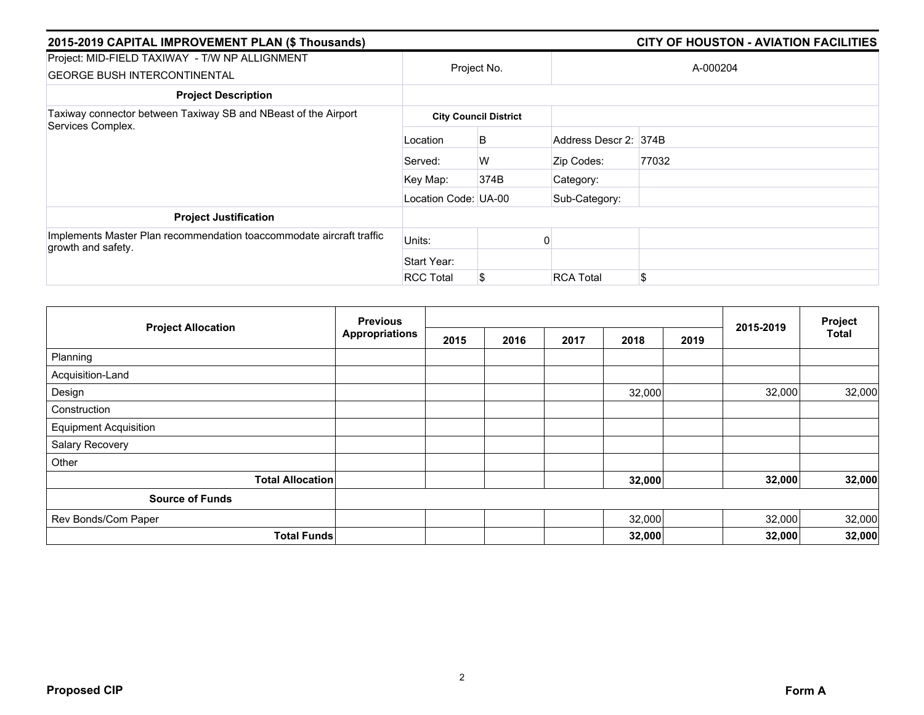| 2015-2019 CAPITAL IMPROVEMENT PLAN (\$ Thousands)                                          |                      |                              |                       | <b>CITY OF HOUSTON - AVIATION FACILITIES</b> |  |
|--------------------------------------------------------------------------------------------|----------------------|------------------------------|-----------------------|----------------------------------------------|--|
| Project: MID-FIELD TAXIWAY - T/W NP ALLIGNMENT<br><b>GEORGE BUSH INTERCONTINENTAL</b>      |                      | Project No.                  | A-000204              |                                              |  |
| <b>Project Description</b>                                                                 |                      |                              |                       |                                              |  |
| Taxiway connector between Taxiway SB and NBeast of the Airport                             |                      | <b>City Council District</b> |                       |                                              |  |
| Services Complex.                                                                          | Location             | B                            | Address Descr 2: 374B |                                              |  |
|                                                                                            | Served:              | W                            | Zip Codes:            | 77032                                        |  |
|                                                                                            | Key Map:             | 374B                         | Category:             |                                              |  |
|                                                                                            | Location Code: UA-00 |                              | Sub-Category:         |                                              |  |
| <b>Project Justification</b>                                                               |                      |                              |                       |                                              |  |
| Implements Master Plan recommendation toaccommodate aircraft traffic<br>growth and safety. | Units:               |                              |                       |                                              |  |
|                                                                                            | Start Year:          |                              |                       |                                              |  |
|                                                                                            | <b>RCC Total</b>     | \$                           | <b>RCA Total</b>      | \$.                                          |  |

| <b>Project Allocation</b>    | <b>Previous</b>       |      |      |      |        |      |           | Project      |
|------------------------------|-----------------------|------|------|------|--------|------|-----------|--------------|
|                              | <b>Appropriations</b> | 2015 | 2016 | 2017 | 2018   | 2019 | 2015-2019 | <b>Total</b> |
| Planning                     |                       |      |      |      |        |      |           |              |
| Acquisition-Land             |                       |      |      |      |        |      |           |              |
| Design                       |                       |      |      |      | 32,000 |      | 32,000    | 32,000       |
| Construction                 |                       |      |      |      |        |      |           |              |
| <b>Equipment Acquisition</b> |                       |      |      |      |        |      |           |              |
| Salary Recovery              |                       |      |      |      |        |      |           |              |
| Other                        |                       |      |      |      |        |      |           |              |
| <b>Total Allocation</b>      |                       |      |      |      | 32,000 |      | 32,000    | 32,000       |
| <b>Source of Funds</b>       |                       |      |      |      |        |      |           |              |
| Rev Bonds/Com Paper          |                       |      |      |      | 32,000 |      | 32,000    | 32,000       |
| <b>Total Funds</b>           |                       |      |      |      | 32,000 |      | 32,000    | 32,000       |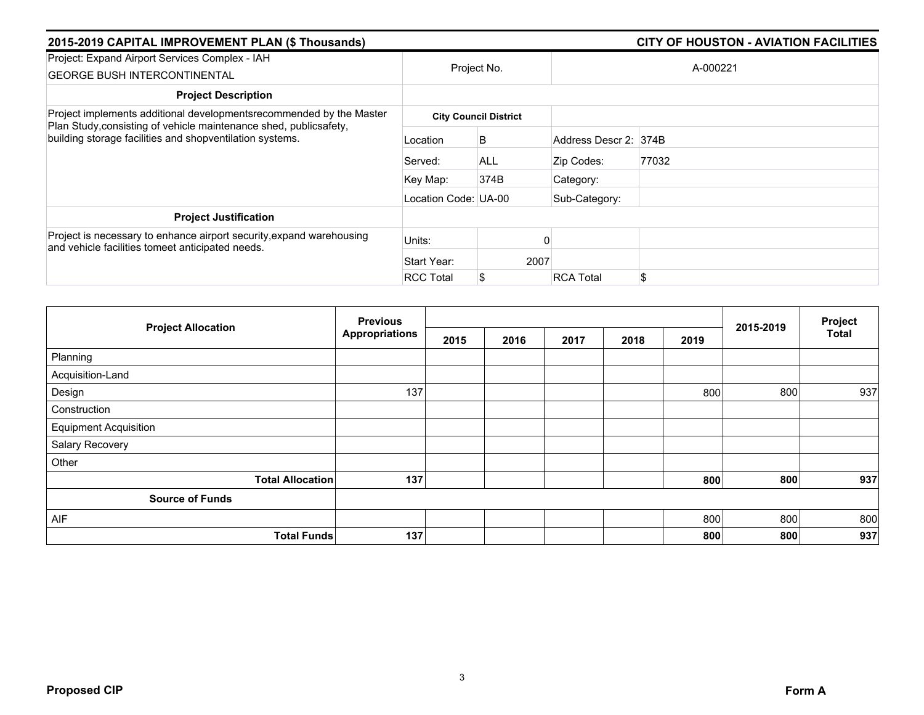| 2015-2019 CAPITAL IMPROVEMENT PLAN (\$ Thousands)                                                                             |                      |                              |                       | <b>CITY OF HOUSTON - AVIATION FACILITIES</b> |
|-------------------------------------------------------------------------------------------------------------------------------|----------------------|------------------------------|-----------------------|----------------------------------------------|
| Project: Expand Airport Services Complex - IAH<br><b>GEORGE BUSH INTERCONTINENTAL</b>                                         | Project No.          |                              |                       | A-000221                                     |
| <b>Project Description</b>                                                                                                    |                      |                              |                       |                                              |
| Project implements additional developmentsrecommended by the Master                                                           |                      | <b>City Council District</b> |                       |                                              |
| Plan Study, consisting of vehicle maintenance shed, publicsafety,<br>building storage facilities and shopventilation systems. | Location             | B                            | Address Descr 2: 374B |                                              |
|                                                                                                                               | Served:              | <b>ALL</b>                   | Zip Codes:            | 77032                                        |
|                                                                                                                               | Key Map:             | 374B                         | Category:             |                                              |
|                                                                                                                               | Location Code: UA-00 |                              | Sub-Category:         |                                              |
| <b>Project Justification</b>                                                                                                  |                      |                              |                       |                                              |
| Project is necessary to enhance airport security, expand warehousing<br>and vehicle facilities tomeet anticipated needs.      | Units:               |                              |                       |                                              |
|                                                                                                                               | Start Year:          | 2007                         |                       |                                              |
|                                                                                                                               | <b>RCC Total</b>     | S                            | <b>RCA Total</b>      | \$                                           |

| <b>Project Allocation</b>    | <b>Previous</b>       |      |      |      | 2015-2019 | Project |     |              |
|------------------------------|-----------------------|------|------|------|-----------|---------|-----|--------------|
|                              | <b>Appropriations</b> | 2015 | 2016 | 2017 | 2018      | 2019    |     | <b>Total</b> |
| Planning                     |                       |      |      |      |           |         |     |              |
| Acquisition-Land             |                       |      |      |      |           |         |     |              |
| Design                       | 137                   |      |      |      |           | 800     | 800 | 937          |
| Construction                 |                       |      |      |      |           |         |     |              |
| <b>Equipment Acquisition</b> |                       |      |      |      |           |         |     |              |
| Salary Recovery              |                       |      |      |      |           |         |     |              |
| Other                        |                       |      |      |      |           |         |     |              |
| <b>Total Allocation</b>      | 137                   |      |      |      |           | 800     | 800 | 937          |
| <b>Source of Funds</b>       |                       |      |      |      |           |         |     |              |
| AIF                          |                       |      |      |      |           | 800     | 800 | 800          |
| <b>Total Funds</b>           | 137                   |      |      |      |           | 800     | 800 | 937          |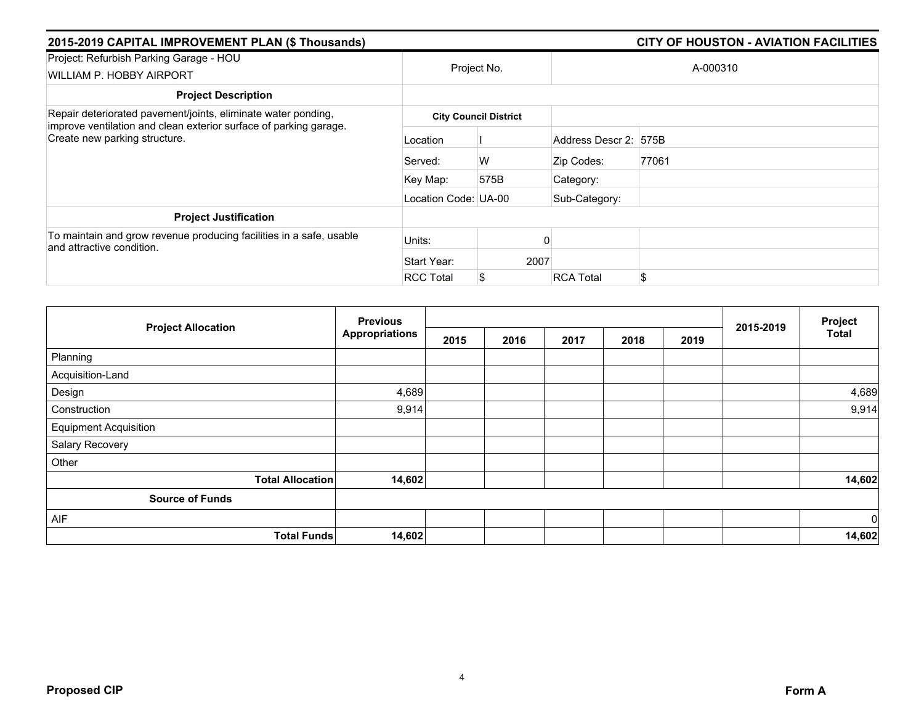| 2015-2019 CAPITAL IMPROVEMENT PLAN (\$ Thousands)                                                  |                      | <b>CITY OF HOUSTON - AVIATION FACILITIES</b> |                       |          |  |  |  |  |
|----------------------------------------------------------------------------------------------------|----------------------|----------------------------------------------|-----------------------|----------|--|--|--|--|
| Project: Refurbish Parking Garage - HOU<br>WILLIAM P. HOBBY AIRPORT                                |                      | Project No.                                  |                       | A-000310 |  |  |  |  |
| <b>Project Description</b>                                                                         |                      |                                              |                       |          |  |  |  |  |
| Repair deteriorated pavement/joints, eliminate water ponding,                                      |                      | <b>City Council District</b>                 |                       |          |  |  |  |  |
| improve ventilation and clean exterior surface of parking garage.<br>Create new parking structure. | Location             |                                              | Address Descr 2: 575B |          |  |  |  |  |
|                                                                                                    | Served:              | W                                            | Zip Codes:            | 77061    |  |  |  |  |
|                                                                                                    | Key Map:             | 575B                                         | Category:             |          |  |  |  |  |
|                                                                                                    | Location Code: UA-00 |                                              | Sub-Category:         |          |  |  |  |  |
| <b>Project Justification</b>                                                                       |                      |                                              |                       |          |  |  |  |  |
| To maintain and grow revenue producing facilities in a safe, usable<br>and attractive condition.   | Units:               |                                              |                       |          |  |  |  |  |
|                                                                                                    | Start Year:          |                                              | 2007                  |          |  |  |  |  |
|                                                                                                    | <b>RCC Total</b>     |                                              | <b>RCA Total</b>      | \$       |  |  |  |  |

| <b>Project Allocation</b>    | <b>Previous</b>       |      |      |      |      |      | Project   |        |
|------------------------------|-----------------------|------|------|------|------|------|-----------|--------|
|                              | <b>Appropriations</b> | 2015 | 2016 | 2017 | 2018 | 2019 | 2015-2019 | Total  |
| Planning                     |                       |      |      |      |      |      |           |        |
| Acquisition-Land             |                       |      |      |      |      |      |           |        |
| Design                       | 4,689                 |      |      |      |      |      |           | 4,689  |
| Construction                 | 9,914                 |      |      |      |      |      |           | 9,914  |
| <b>Equipment Acquisition</b> |                       |      |      |      |      |      |           |        |
| Salary Recovery              |                       |      |      |      |      |      |           |        |
| Other                        |                       |      |      |      |      |      |           |        |
| <b>Total Allocation</b>      | 14,602                |      |      |      |      |      |           | 14,602 |
| <b>Source of Funds</b>       |                       |      |      |      |      |      |           |        |
| AIF                          |                       |      |      |      |      |      |           | 0      |
| <b>Total Funds</b>           | 14,602                |      |      |      |      |      |           | 14,602 |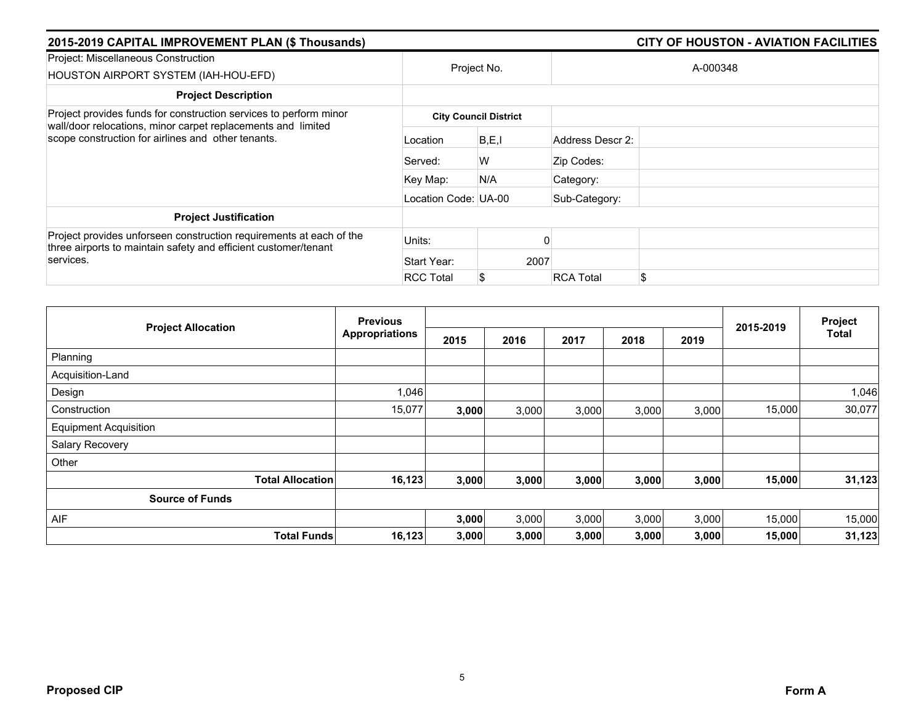| 2015-2019 CAPITAL IMPROVEMENT PLAN (\$ Thousands)                                                                                                   |                      |                              |                  | <b>CITY OF HOUSTON - AVIATION FACILITIES</b> |  |  |  |  |
|-----------------------------------------------------------------------------------------------------------------------------------------------------|----------------------|------------------------------|------------------|----------------------------------------------|--|--|--|--|
| Project: Miscellaneous Construction<br>HOUSTON AIRPORT SYSTEM (IAH-HOU-EFD)                                                                         |                      | Project No.                  |                  | A-000348                                     |  |  |  |  |
| <b>Project Description</b>                                                                                                                          |                      |                              |                  |                                              |  |  |  |  |
| Project provides funds for construction services to perform minor                                                                                   |                      | <b>City Council District</b> |                  |                                              |  |  |  |  |
| wall/door relocations, minor carpet replacements and limited<br>scope construction for airlines and other tenants.                                  | Location             | B.E.I                        | Address Descr 2: |                                              |  |  |  |  |
|                                                                                                                                                     | Served:              | W                            | Zip Codes:       |                                              |  |  |  |  |
|                                                                                                                                                     | Key Map:             | N/A                          | Category:        |                                              |  |  |  |  |
|                                                                                                                                                     | Location Code: UA-00 |                              | Sub-Category:    |                                              |  |  |  |  |
| <b>Project Justification</b>                                                                                                                        |                      |                              |                  |                                              |  |  |  |  |
| Project provides unforseen construction requirements at each of the<br>three airports to maintain safety and efficient customer/tenant<br>services. | Units:               |                              |                  |                                              |  |  |  |  |
|                                                                                                                                                     | Start Year:          |                              | 2007             |                                              |  |  |  |  |
|                                                                                                                                                     | <b>RCC Total</b>     |                              | <b>RCA Total</b> | \$                                           |  |  |  |  |

| <b>Project Allocation</b>    |                         | <b>Previous</b>       |       |       | 2015-2019 | Project |       |        |              |
|------------------------------|-------------------------|-----------------------|-------|-------|-----------|---------|-------|--------|--------------|
|                              |                         | <b>Appropriations</b> | 2015  | 2016  | 2017      | 2018    | 2019  |        | <b>Total</b> |
| Planning                     |                         |                       |       |       |           |         |       |        |              |
| Acquisition-Land             |                         |                       |       |       |           |         |       |        |              |
| Design                       |                         | 1,046                 |       |       |           |         |       |        | 1,046        |
| Construction                 |                         | 15,077                | 3,000 | 3,000 | 3,000     | 3,000   | 3,000 | 15,000 | 30,077       |
| <b>Equipment Acquisition</b> |                         |                       |       |       |           |         |       |        |              |
| Salary Recovery              |                         |                       |       |       |           |         |       |        |              |
| Other                        |                         |                       |       |       |           |         |       |        |              |
|                              | <b>Total Allocation</b> | 16,123                | 3,000 | 3,000 | 3,000     | 3,000   | 3,000 | 15,000 | 31,123       |
| <b>Source of Funds</b>       |                         |                       |       |       |           |         |       |        |              |
| AIF                          |                         |                       | 3,000 | 3,000 | 3,000     | 3,000   | 3,000 | 15,000 | 15,000       |
|                              | <b>Total Funds</b>      | 16,123                | 3,000 | 3,000 | 3,000     | 3,000   | 3,000 | 15,000 | 31,123       |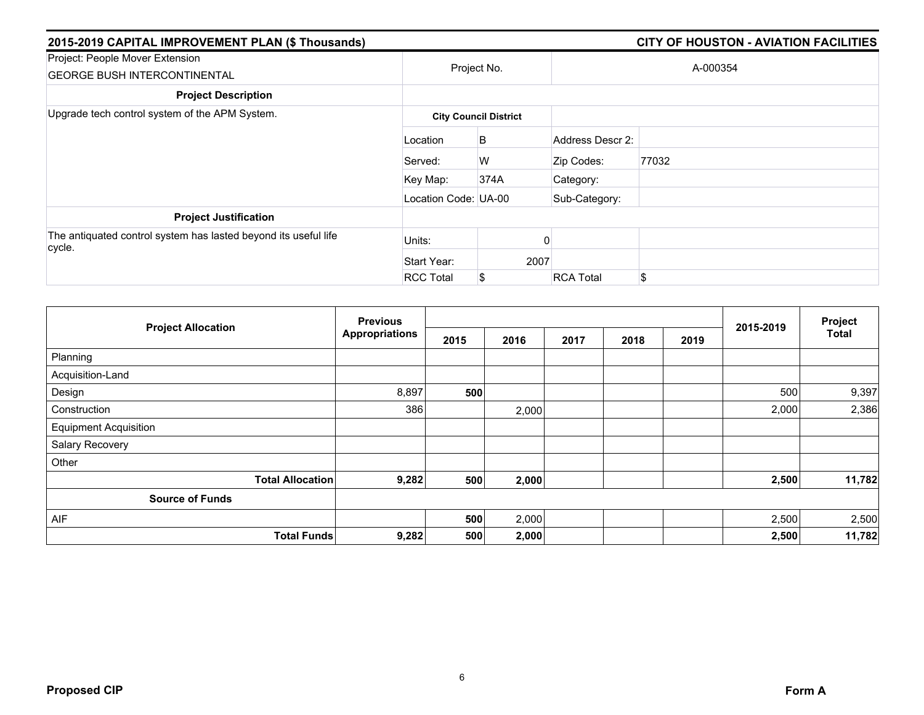| 2015-2019 CAPITAL IMPROVEMENT PLAN (\$ Thousands)                         |                      |                              |                  | <b>CITY OF HOUSTON - AVIATION FACILITIES</b> |
|---------------------------------------------------------------------------|----------------------|------------------------------|------------------|----------------------------------------------|
| Project: People Mover Extension<br><b>GEORGE BUSH INTERCONTINENTAL</b>    |                      | Project No.                  |                  | A-000354                                     |
| <b>Project Description</b>                                                |                      |                              |                  |                                              |
| Upgrade tech control system of the APM System.                            |                      | <b>City Council District</b> |                  |                                              |
|                                                                           | Location             | B                            | Address Descr 2: |                                              |
|                                                                           | Served:              | W                            | Zip Codes:       | 77032                                        |
|                                                                           | Key Map:             | 374A                         | Category:        |                                              |
|                                                                           | Location Code: UA-00 |                              | Sub-Category:    |                                              |
| <b>Project Justification</b>                                              |                      |                              |                  |                                              |
| The antiquated control system has lasted beyond its useful life<br>cycle. | Units:               |                              |                  |                                              |
|                                                                           | Start Year:          |                              | 2007             |                                              |
|                                                                           | <b>RCC Total</b>     |                              | <b>RCA Total</b> | \$                                           |

|                              | <b>Previous</b>       |      |       |      |      | Project |           |        |
|------------------------------|-----------------------|------|-------|------|------|---------|-----------|--------|
| <b>Project Allocation</b>    | <b>Appropriations</b> | 2015 | 2016  | 2017 | 2018 | 2019    | 2015-2019 | Total  |
| Planning                     |                       |      |       |      |      |         |           |        |
| Acquisition-Land             |                       |      |       |      |      |         |           |        |
| Design                       | 8,897                 | 500  |       |      |      |         | 500       | 9,397  |
| Construction                 | 386                   |      | 2,000 |      |      |         | 2,000     | 2,386  |
| <b>Equipment Acquisition</b> |                       |      |       |      |      |         |           |        |
| Salary Recovery              |                       |      |       |      |      |         |           |        |
| Other                        |                       |      |       |      |      |         |           |        |
| <b>Total Allocation</b>      | 9,282                 | 500  | 2,000 |      |      |         | 2,500     | 11,782 |
| <b>Source of Funds</b>       |                       |      |       |      |      |         |           |        |
| AIF                          |                       | 500  | 2,000 |      |      |         | 2,500     | 2,500  |
| <b>Total Funds</b>           | 9,282                 | 500  | 2,000 |      |      |         | 2,500     | 11,782 |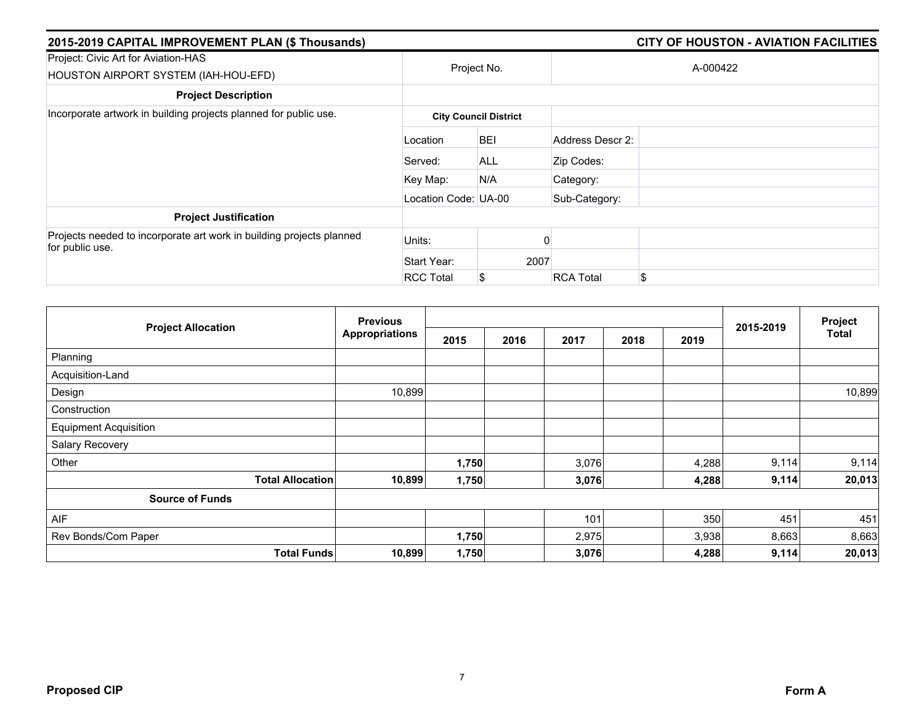| 2015-2019 CAPITAL IMPROVEMENT PLAN (\$ Thousands)                                       |                              | <b>CITY OF HOUSTON - AVIATION FACILITIES</b> |                  |          |  |  |  |  |
|-----------------------------------------------------------------------------------------|------------------------------|----------------------------------------------|------------------|----------|--|--|--|--|
| Project: Civic Art for Aviation-HAS<br>HOUSTON AIRPORT SYSTEM (IAH-HOU-EFD)             |                              | Project No.                                  |                  | A-000422 |  |  |  |  |
| <b>Project Description</b>                                                              |                              |                                              |                  |          |  |  |  |  |
| Incorporate artwork in building projects planned for public use.                        | <b>City Council District</b> |                                              |                  |          |  |  |  |  |
|                                                                                         | Location                     | <b>BEI</b>                                   | Address Descr 2: |          |  |  |  |  |
|                                                                                         | Served:                      | <b>ALL</b>                                   | Zip Codes:       |          |  |  |  |  |
|                                                                                         | Key Map:                     | N/A                                          | Category:        |          |  |  |  |  |
|                                                                                         | Location Code: UA-00         |                                              | Sub-Category:    |          |  |  |  |  |
| <b>Project Justification</b>                                                            |                              |                                              |                  |          |  |  |  |  |
| Projects needed to incorporate art work in building projects planned<br>for public use. | Units:                       |                                              |                  |          |  |  |  |  |
|                                                                                         | Start Year:                  |                                              | 2007             |          |  |  |  |  |
|                                                                                         | <b>RCC Total</b>             | S                                            | <b>RCA Total</b> | \$       |  |  |  |  |

|                              |                         | <b>Previous</b>       |       |      |       |      | Project |           |              |
|------------------------------|-------------------------|-----------------------|-------|------|-------|------|---------|-----------|--------------|
| <b>Project Allocation</b>    |                         | <b>Appropriations</b> | 2015  | 2016 | 2017  | 2018 | 2019    | 2015-2019 | <b>Total</b> |
| Planning                     |                         |                       |       |      |       |      |         |           |              |
| Acquisition-Land             |                         |                       |       |      |       |      |         |           |              |
| Design                       |                         | 10,899                |       |      |       |      |         |           | 10,899       |
| Construction                 |                         |                       |       |      |       |      |         |           |              |
| <b>Equipment Acquisition</b> |                         |                       |       |      |       |      |         |           |              |
| Salary Recovery              |                         |                       |       |      |       |      |         |           |              |
| Other                        |                         |                       | 1,750 |      | 3,076 |      | 4,288   | 9,114     | 9,114        |
|                              | <b>Total Allocation</b> | 10,899                | 1,750 |      | 3,076 |      | 4,288   | 9,114     | 20,013       |
| <b>Source of Funds</b>       |                         |                       |       |      |       |      |         |           |              |
| AIF                          |                         |                       |       |      | 101   |      | 350     | 451       | 451          |
| Rev Bonds/Com Paper          |                         |                       | 1,750 |      | 2,975 |      | 3,938   | 8,663     | 8,663        |
|                              | <b>Total Funds</b>      | 10,899                | 1,750 |      | 3,076 |      | 4,288   | 9,114     | 20,013       |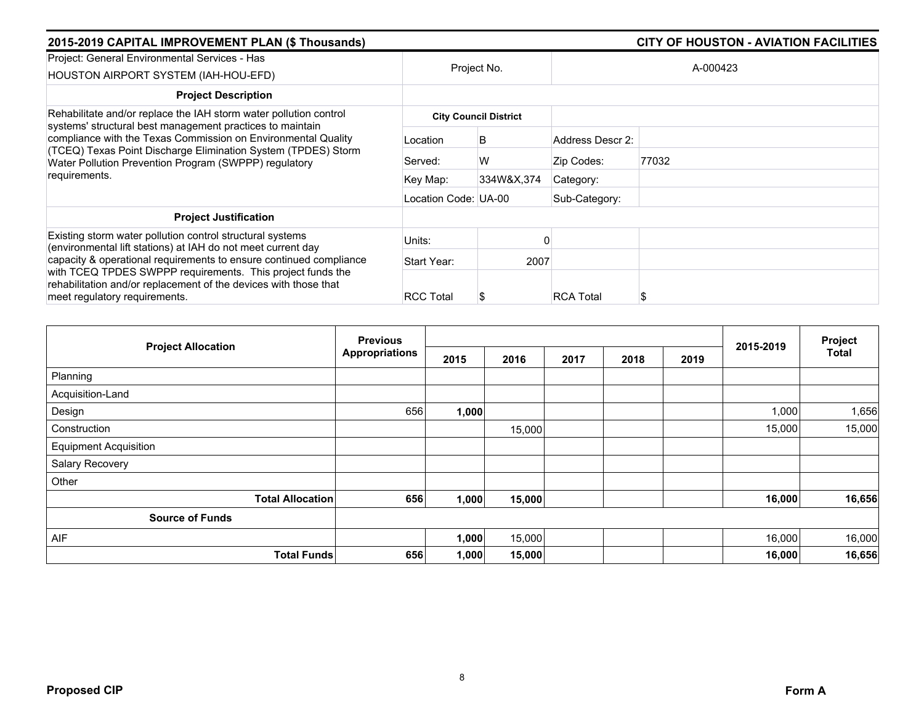| 2015-2019 CAPITAL IMPROVEMENT PLAN (\$ Thousands)                                                                                                                                                                                                                     |                      |                              |                  | CITY OF HOUSTON - AVIATION FACILITIES |  |
|-----------------------------------------------------------------------------------------------------------------------------------------------------------------------------------------------------------------------------------------------------------------------|----------------------|------------------------------|------------------|---------------------------------------|--|
| Project: General Environmental Services - Has<br>HOUSTON AIRPORT SYSTEM (IAH-HOU-EFD)                                                                                                                                                                                 | Project No.          |                              | A-000423         |                                       |  |
| <b>Project Description</b>                                                                                                                                                                                                                                            |                      |                              |                  |                                       |  |
| Rehabilitate and/or replace the IAH storm water pollution control                                                                                                                                                                                                     |                      | <b>City Council District</b> |                  |                                       |  |
| systems' structural best management practices to maintain<br>compliance with the Texas Commission on Environmental Quality<br>(TCEQ) Texas Point Discharge Elimination System (TPDES) Storm<br>Water Pollution Prevention Program (SWPPP) regulatory<br>requirements. | Location             | B                            | Address Descr 2: |                                       |  |
|                                                                                                                                                                                                                                                                       | Served:              | W                            | Zip Codes:       | 77032                                 |  |
|                                                                                                                                                                                                                                                                       | Key Map:             | 334W&X,374                   | Category:        |                                       |  |
|                                                                                                                                                                                                                                                                       | Location Code: UA-00 |                              | Sub-Category:    |                                       |  |
| <b>Project Justification</b>                                                                                                                                                                                                                                          |                      |                              |                  |                                       |  |
| Existing storm water pollution control structural systems<br>(environmental lift stations) at IAH do not meet current day                                                                                                                                             | Units:               |                              |                  |                                       |  |
| capacity & operational requirements to ensure continued compliance<br>with TCEQ TPDES SWPPP requirements. This project funds the<br>rehabilitation and/or replacement of the devices with those that<br>meet regulatory requirements.                                 | Start Year:          | 2007                         |                  |                                       |  |
|                                                                                                                                                                                                                                                                       | <b>RCC Total</b>     | æ                            | <b>RCA Total</b> |                                       |  |

| <b>Project Allocation</b>    |                         | <b>Previous</b>       |       |              |  | 2015-2019 | Project |        |        |
|------------------------------|-------------------------|-----------------------|-------|--------------|--|-----------|---------|--------|--------|
|                              |                         | <b>Appropriations</b> | 2015  | 2016<br>2017 |  | 2018      | 2019    |        | Total  |
| Planning                     |                         |                       |       |              |  |           |         |        |        |
| Acquisition-Land             |                         |                       |       |              |  |           |         |        |        |
| Design                       |                         | 656                   | 1,000 |              |  |           |         | 1,000  | 1,656  |
| Construction                 |                         |                       |       | 15,000       |  |           |         | 15,000 | 15,000 |
| <b>Equipment Acquisition</b> |                         |                       |       |              |  |           |         |        |        |
| Salary Recovery              |                         |                       |       |              |  |           |         |        |        |
| Other                        |                         |                       |       |              |  |           |         |        |        |
|                              | <b>Total Allocation</b> | 656                   | 1,000 | 15,000       |  |           |         | 16,000 | 16,656 |
| <b>Source of Funds</b>       |                         |                       |       |              |  |           |         |        |        |
| AIF                          |                         |                       | 1,000 | 15,000       |  |           |         | 16,000 | 16,000 |
|                              | <b>Total Funds</b>      | 656                   | 1,000 | 15,000       |  |           |         | 16,000 | 16,656 |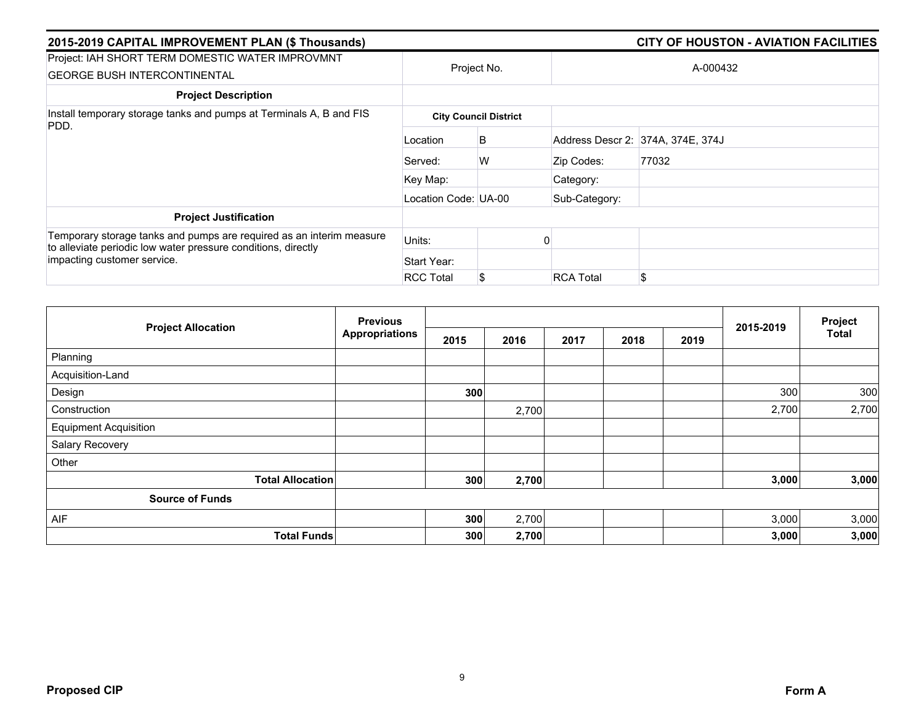| 2015-2019 CAPITAL IMPROVEMENT PLAN (\$ Thousands)                                                                                     |                      |                              |                  | <b>CITY OF HOUSTON - AVIATION FACILITIES</b> |  |  |  |
|---------------------------------------------------------------------------------------------------------------------------------------|----------------------|------------------------------|------------------|----------------------------------------------|--|--|--|
| Project: IAH SHORT TERM DOMESTIC WATER IMPROVMNT<br><b>GEORGE BUSH INTERCONTINENTAL</b>                                               |                      | Project No.                  | A-000432         |                                              |  |  |  |
| <b>Project Description</b>                                                                                                            |                      |                              |                  |                                              |  |  |  |
| Install temporary storage tanks and pumps at Terminals A, B and FIS                                                                   |                      | <b>City Council District</b> |                  |                                              |  |  |  |
| PDD.                                                                                                                                  | Location             | B                            |                  | Address Descr 2: 374A, 374E, 374J            |  |  |  |
|                                                                                                                                       | Served:              | W                            | Zip Codes:       | 77032                                        |  |  |  |
|                                                                                                                                       | Key Map:             |                              | Category:        |                                              |  |  |  |
|                                                                                                                                       | Location Code: UA-00 |                              | Sub-Category:    |                                              |  |  |  |
| <b>Project Justification</b>                                                                                                          |                      |                              |                  |                                              |  |  |  |
| Temporary storage tanks and pumps are required as an interim measure<br>to alleviate periodic low water pressure conditions, directly | Units:               |                              |                  |                                              |  |  |  |
| impacting customer service.                                                                                                           | Start Year:          |                              |                  |                                              |  |  |  |
|                                                                                                                                       | <b>RCC Total</b>     | \$                           | <b>RCA Total</b> | \$.                                          |  |  |  |

| <b>Project Allocation</b>    | <b>Previous</b>       |      |       |      |      | Project |           |              |
|------------------------------|-----------------------|------|-------|------|------|---------|-----------|--------------|
|                              | <b>Appropriations</b> | 2015 | 2016  | 2017 | 2018 | 2019    | 2015-2019 | <b>Total</b> |
| Planning                     |                       |      |       |      |      |         |           |              |
| Acquisition-Land             |                       |      |       |      |      |         |           |              |
| Design                       |                       | 300  |       |      |      |         | 300       | 300          |
| Construction                 |                       |      | 2,700 |      |      |         | 2,700     | 2,700        |
| <b>Equipment Acquisition</b> |                       |      |       |      |      |         |           |              |
| Salary Recovery              |                       |      |       |      |      |         |           |              |
| Other                        |                       |      |       |      |      |         |           |              |
| <b>Total Allocation</b>      |                       | 300  | 2,700 |      |      |         | 3,000     | 3,000        |
| <b>Source of Funds</b>       |                       |      |       |      |      |         |           |              |
| AIF                          |                       | 300  | 2,700 |      |      |         | 3,000     | 3,000        |
| <b>Total Funds</b>           |                       | 300  | 2,700 |      |      |         | 3,000     | 3,000        |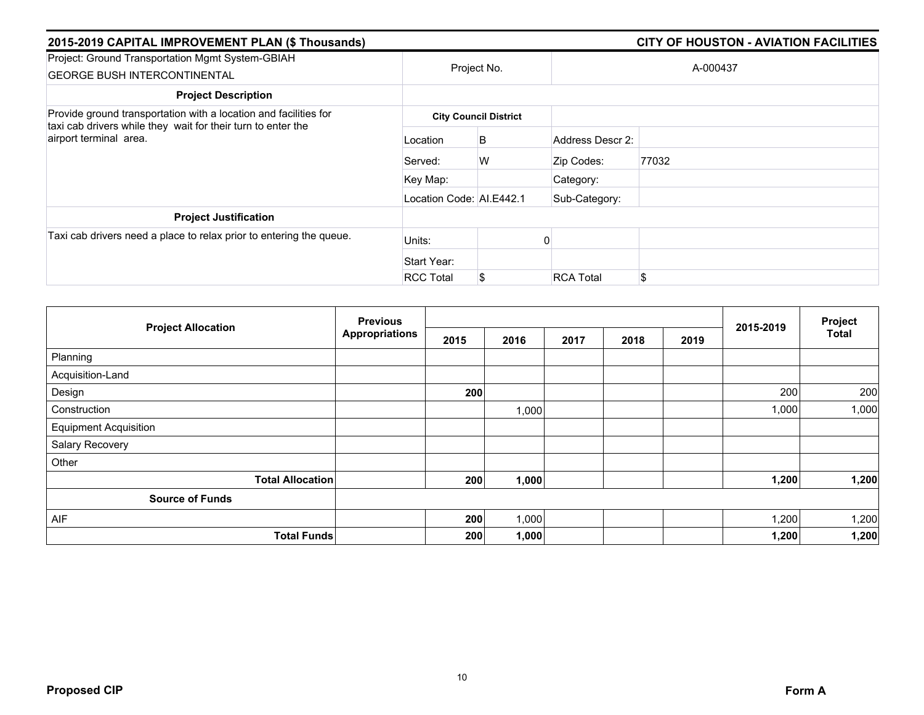| 2015-2019 CAPITAL IMPROVEMENT PLAN (\$ Thousands)                                                                                                          |                          |                              |                  |          |  |  |  |
|------------------------------------------------------------------------------------------------------------------------------------------------------------|--------------------------|------------------------------|------------------|----------|--|--|--|
| Project: Ground Transportation Mgmt System-GBIAH<br><b>GEORGE BUSH INTERCONTINENTAL</b>                                                                    | Project No.              |                              |                  | A-000437 |  |  |  |
| <b>Project Description</b>                                                                                                                                 |                          |                              |                  |          |  |  |  |
| Provide ground transportation with a location and facilities for<br>taxi cab drivers while they wait for their turn to enter the<br>airport terminal area. |                          | <b>City Council District</b> |                  |          |  |  |  |
|                                                                                                                                                            | Location                 | B                            | Address Descr 2: |          |  |  |  |
|                                                                                                                                                            | Served:                  | W                            | Zip Codes:       | 77032    |  |  |  |
|                                                                                                                                                            | Key Map:                 |                              | Category:        |          |  |  |  |
|                                                                                                                                                            | Location Code: AI.E442.1 |                              | Sub-Category:    |          |  |  |  |
| <b>Project Justification</b>                                                                                                                               |                          |                              |                  |          |  |  |  |
| Taxi cab drivers need a place to relax prior to entering the queue.                                                                                        | Units:                   |                              |                  |          |  |  |  |
|                                                                                                                                                            | Start Year:              |                              |                  |          |  |  |  |
|                                                                                                                                                            | <b>RCC Total</b>         | S                            | <b>RCA Total</b> | \$       |  |  |  |

| <b>Project Allocation</b>    | <b>Previous</b><br><b>Appropriations</b> |      |       |      | Project |      |           |              |
|------------------------------|------------------------------------------|------|-------|------|---------|------|-----------|--------------|
|                              |                                          | 2015 | 2016  | 2017 | 2018    | 2019 | 2015-2019 | <b>Total</b> |
| Planning                     |                                          |      |       |      |         |      |           |              |
| Acquisition-Land             |                                          |      |       |      |         |      |           |              |
| Design                       |                                          | 200  |       |      |         |      | 200       | 200          |
| Construction                 |                                          |      | 1,000 |      |         |      | 1,000     | 1,000        |
| <b>Equipment Acquisition</b> |                                          |      |       |      |         |      |           |              |
| Salary Recovery              |                                          |      |       |      |         |      |           |              |
| Other                        |                                          |      |       |      |         |      |           |              |
| <b>Total Allocation</b>      |                                          | 200  | 1,000 |      |         |      | 1,200     | 1,200        |
| <b>Source of Funds</b>       |                                          |      |       |      |         |      |           |              |
| AIF                          |                                          | 200  | 1,000 |      |         |      | 1,200     | 1,200        |
| <b>Total Funds</b>           |                                          | 200  | 1,000 |      |         |      | 1,200     | 1,200        |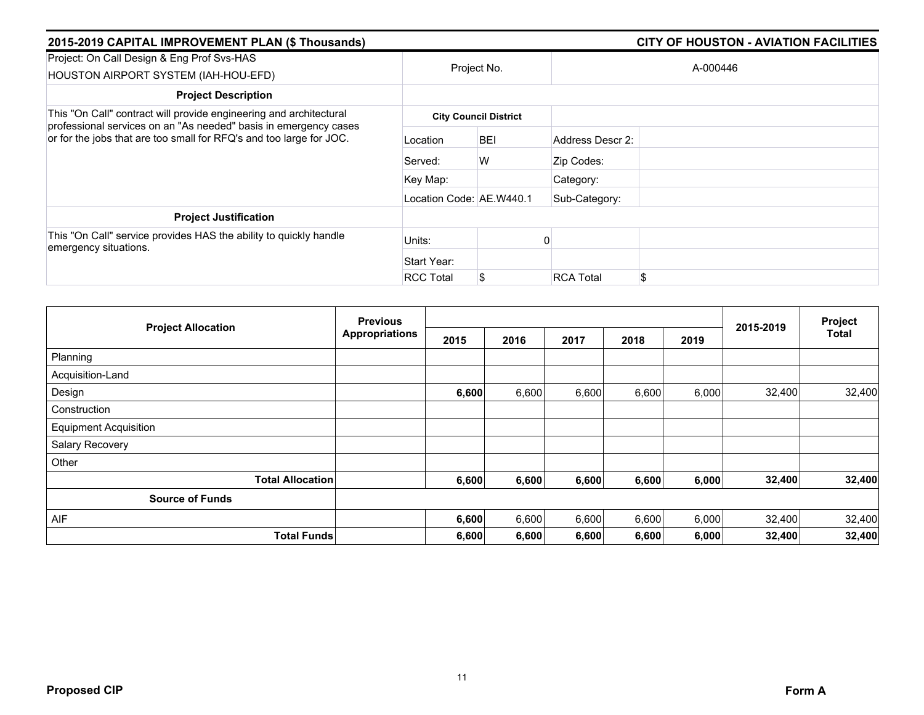| 2015-2019 CAPITAL IMPROVEMENT PLAN (\$ Thousands)                                                                                       |                          |                              |                  |          |  |  |  |  |
|-----------------------------------------------------------------------------------------------------------------------------------------|--------------------------|------------------------------|------------------|----------|--|--|--|--|
| Project: On Call Design & Eng Prof Svs-HAS<br>HOUSTON AIRPORT SYSTEM (IAH-HOU-EFD)                                                      |                          | Project No.                  |                  | A-000446 |  |  |  |  |
| <b>Project Description</b>                                                                                                              |                          |                              |                  |          |  |  |  |  |
| This "On Call" contract will provide engineering and architectural                                                                      |                          | <b>City Council District</b> |                  |          |  |  |  |  |
| professional services on an "As needed" basis in emergency cases<br>or for the jobs that are too small for RFQ's and too large for JOC. | Location                 | <b>BEI</b>                   | Address Descr 2: |          |  |  |  |  |
|                                                                                                                                         | Served:                  | W                            | Zip Codes:       |          |  |  |  |  |
|                                                                                                                                         | Key Map:                 |                              | Category:        |          |  |  |  |  |
|                                                                                                                                         | Location Code: AE.W440.1 |                              | Sub-Category:    |          |  |  |  |  |
| <b>Project Justification</b>                                                                                                            |                          |                              |                  |          |  |  |  |  |
| This "On Call" service provides HAS the ability to quickly handle<br>emergency situations.                                              | Units:                   |                              |                  |          |  |  |  |  |
|                                                                                                                                         | Start Year:              |                              |                  |          |  |  |  |  |
|                                                                                                                                         | <b>RCC Total</b>         |                              | <b>RCA Total</b> | \$       |  |  |  |  |

| <b>Project Allocation</b>    | <b>Previous</b>         |                       |       |       |       | Project |       |           |        |
|------------------------------|-------------------------|-----------------------|-------|-------|-------|---------|-------|-----------|--------|
|                              |                         | <b>Appropriations</b> | 2015  | 2016  | 2017  | 2018    | 2019  | 2015-2019 | Total  |
| Planning                     |                         |                       |       |       |       |         |       |           |        |
| Acquisition-Land             |                         |                       |       |       |       |         |       |           |        |
| Design                       |                         |                       | 6,600 | 6,600 | 6,600 | 6,600   | 6,000 | 32,400    | 32,400 |
| Construction                 |                         |                       |       |       |       |         |       |           |        |
| <b>Equipment Acquisition</b> |                         |                       |       |       |       |         |       |           |        |
| Salary Recovery              |                         |                       |       |       |       |         |       |           |        |
| Other                        |                         |                       |       |       |       |         |       |           |        |
|                              | <b>Total Allocation</b> |                       | 6,600 | 6,600 | 6,600 | 6,600   | 6,000 | 32,400    | 32,400 |
| <b>Source of Funds</b>       |                         |                       |       |       |       |         |       |           |        |
| AIF                          |                         |                       | 6,600 | 6,600 | 6,600 | 6,600   | 6,000 | 32,400    | 32,400 |
|                              | <b>Total Funds</b>      |                       | 6,600 | 6,600 | 6,600 | 6,600   | 6,000 | 32,400    | 32,400 |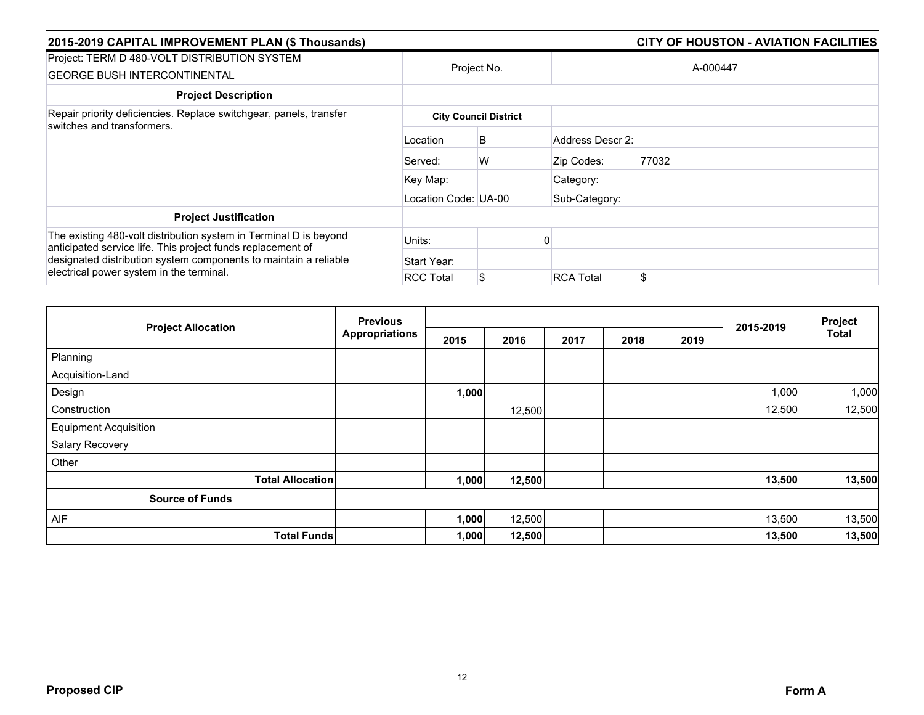| 2015-2019 CAPITAL IMPROVEMENT PLAN (\$ Thousands)                                                                                |                      |                              |                  | <b>CITY OF HOUSTON - AVIATION FACILITIES</b> |  |  |  |
|----------------------------------------------------------------------------------------------------------------------------------|----------------------|------------------------------|------------------|----------------------------------------------|--|--|--|
| Project: TERM D 480-VOLT DISTRIBUTION SYSTEM<br><b>GEORGE BUSH INTERCONTINENTAL</b>                                              | Project No.          |                              |                  | A-000447                                     |  |  |  |
| <b>Project Description</b>                                                                                                       |                      |                              |                  |                                              |  |  |  |
| Repair priority deficiencies. Replace switchgear, panels, transfer<br>switches and transformers.                                 |                      | <b>City Council District</b> |                  |                                              |  |  |  |
|                                                                                                                                  | Location             | B                            | Address Descr 2: |                                              |  |  |  |
|                                                                                                                                  | Served:              | W                            | Zip Codes:       | 77032                                        |  |  |  |
|                                                                                                                                  | Key Map:             |                              | Category:        |                                              |  |  |  |
|                                                                                                                                  | Location Code: UA-00 |                              | Sub-Category:    |                                              |  |  |  |
| <b>Project Justification</b>                                                                                                     |                      |                              |                  |                                              |  |  |  |
| The existing 480-volt distribution system in Terminal D is beyond<br>anticipated service life. This project funds replacement of | Units:               |                              |                  |                                              |  |  |  |
| designated distribution system components to maintain a reliable                                                                 | Start Year:          |                              |                  |                                              |  |  |  |
| electrical power system in the terminal.                                                                                         | <b>RCC Total</b>     | \$                           | <b>RCA Total</b> | \$.                                          |  |  |  |

| <b>Project Allocation</b>    | <b>Previous</b>       |       |        |      | Project |      |           |              |
|------------------------------|-----------------------|-------|--------|------|---------|------|-----------|--------------|
|                              | <b>Appropriations</b> | 2015  | 2016   | 2017 | 2018    | 2019 | 2015-2019 | <b>Total</b> |
| Planning                     |                       |       |        |      |         |      |           |              |
| Acquisition-Land             |                       |       |        |      |         |      |           |              |
| Design                       |                       | 1,000 |        |      |         |      | 1,000     | 1,000        |
| Construction                 |                       |       | 12,500 |      |         |      | 12,500    | 12,500       |
| <b>Equipment Acquisition</b> |                       |       |        |      |         |      |           |              |
| Salary Recovery              |                       |       |        |      |         |      |           |              |
| Other                        |                       |       |        |      |         |      |           |              |
| <b>Total Allocation</b>      |                       | 1,000 | 12,500 |      |         |      | 13,500    | 13,500       |
| <b>Source of Funds</b>       |                       |       |        |      |         |      |           |              |
| AIF                          |                       | 1,000 | 12,500 |      |         |      | 13,500    | 13,500       |
| <b>Total Funds</b>           |                       | 1,000 | 12,500 |      |         |      | 13,500    | 13,500       |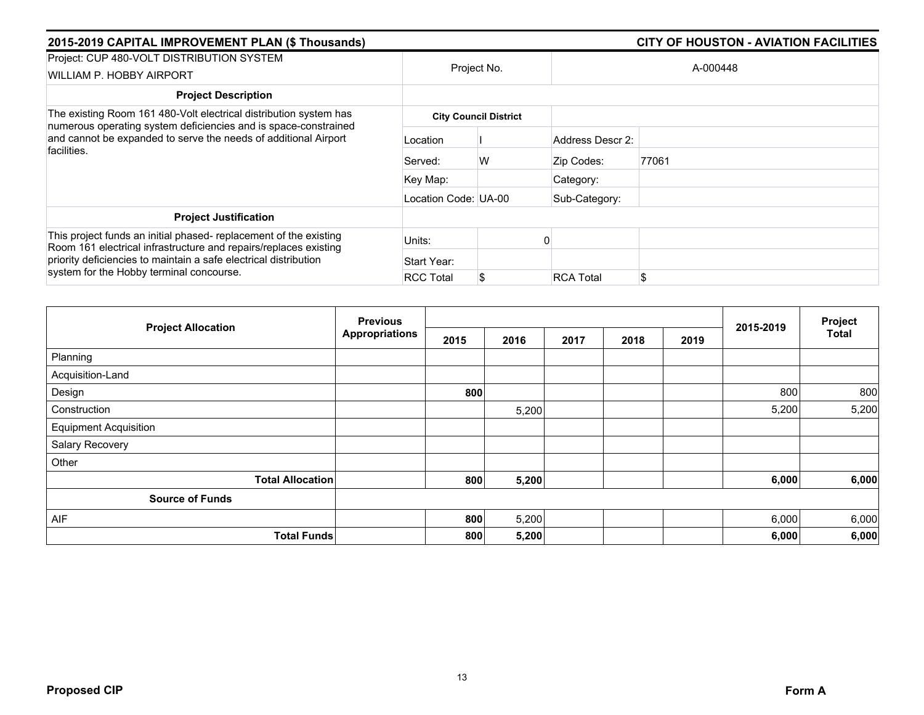| 2015-2019 CAPITAL IMPROVEMENT PLAN (\$ Thousands)                                                                                                                                                         |                      |                              |                  | <b>CITY OF HOUSTON - AVIATION FACILITIES</b> |
|-----------------------------------------------------------------------------------------------------------------------------------------------------------------------------------------------------------|----------------------|------------------------------|------------------|----------------------------------------------|
| Project: CUP 480-VOLT DISTRIBUTION SYSTEM<br>WILLIAM P. HOBBY AIRPORT                                                                                                                                     |                      | Project No.                  |                  | A-000448                                     |
| <b>Project Description</b>                                                                                                                                                                                |                      |                              |                  |                                              |
| The existing Room 161 480-Volt electrical distribution system has                                                                                                                                         |                      | <b>City Council District</b> |                  |                                              |
| numerous operating system deficiencies and is space-constrained<br>and cannot be expanded to serve the needs of additional Airport<br>facilities.                                                         | Location             |                              | Address Descr 2: |                                              |
|                                                                                                                                                                                                           | Served:              | W                            | Zip Codes:       | 77061                                        |
|                                                                                                                                                                                                           | Key Map:             |                              | Category:        |                                              |
|                                                                                                                                                                                                           | Location Code: UA-00 |                              | Sub-Category:    |                                              |
| <b>Project Justification</b>                                                                                                                                                                              |                      |                              |                  |                                              |
| This project funds an initial phased- replacement of the existing<br>Room 161 electrical infrastructure and repairs/replaces existing<br>priority deficiencies to maintain a safe electrical distribution | Units:               |                              |                  |                                              |
|                                                                                                                                                                                                           | Start Year:          |                              |                  |                                              |
| system for the Hobby terminal concourse.                                                                                                                                                                  | <b>RCC Total</b>     | S                            | <b>RCA Total</b> | \$                                           |

|                              | <b>Previous</b>       |      |       |      | 2015-2019 | Project |       |              |
|------------------------------|-----------------------|------|-------|------|-----------|---------|-------|--------------|
| <b>Project Allocation</b>    | <b>Appropriations</b> | 2015 | 2016  | 2017 | 2018      | 2019    |       | <b>Total</b> |
| Planning                     |                       |      |       |      |           |         |       |              |
| Acquisition-Land             |                       |      |       |      |           |         |       |              |
| Design                       |                       | 800  |       |      |           |         | 800   | 800          |
| Construction                 |                       |      | 5,200 |      |           |         | 5,200 | 5,200        |
| <b>Equipment Acquisition</b> |                       |      |       |      |           |         |       |              |
| Salary Recovery              |                       |      |       |      |           |         |       |              |
| Other                        |                       |      |       |      |           |         |       |              |
| <b>Total Allocation</b>      |                       | 800  | 5,200 |      |           |         | 6,000 | 6,000        |
| <b>Source of Funds</b>       |                       |      |       |      |           |         |       |              |
| AIF                          |                       | 800  | 5,200 |      |           |         | 6,000 | 6,000        |
| <b>Total Funds</b>           |                       | 800  | 5,200 |      |           |         | 6,000 | 6,000        |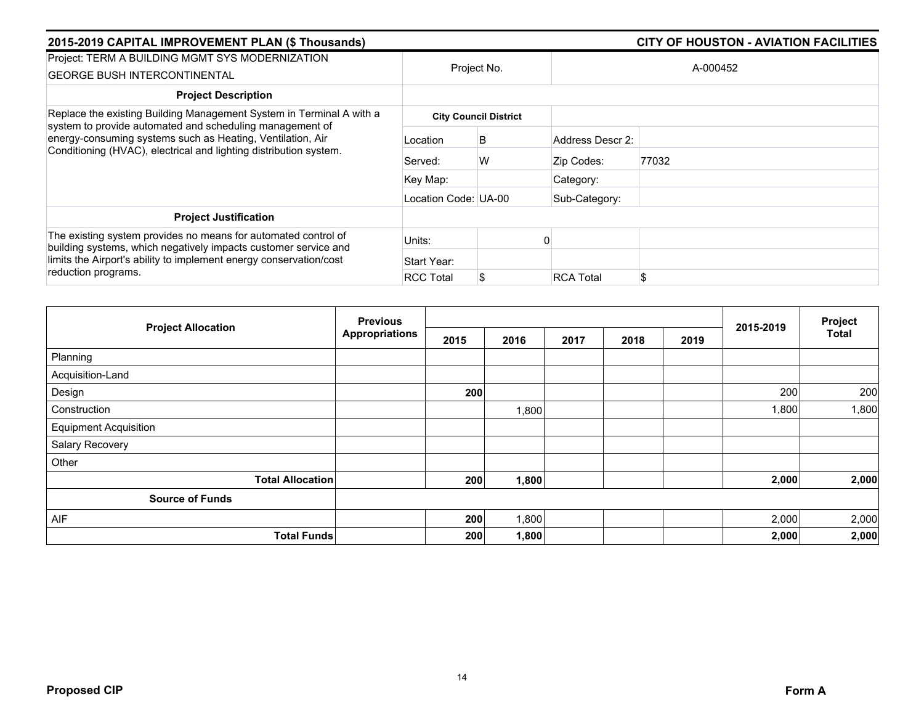| 2015-2019 CAPITAL IMPROVEMENT PLAN (\$ Thousands)                                                                                                                                                       |                      |                              |                  | <b>CITY OF HOUSTON - AVIATION FACILITIES</b> |
|---------------------------------------------------------------------------------------------------------------------------------------------------------------------------------------------------------|----------------------|------------------------------|------------------|----------------------------------------------|
| Project: TERM A BUILDING MGMT SYS MODERNIZATION<br><b>GEORGE BUSH INTERCONTINENTAL</b>                                                                                                                  |                      | Project No.                  |                  | A-000452                                     |
| <b>Project Description</b>                                                                                                                                                                              |                      |                              |                  |                                              |
| Replace the existing Building Management System in Terminal A with a                                                                                                                                    |                      | <b>City Council District</b> |                  |                                              |
| system to provide automated and scheduling management of<br>energy-consuming systems such as Heating, Ventilation, Air<br>Conditioning (HVAC), electrical and lighting distribution system.             | Location             | B                            | Address Descr 2: |                                              |
|                                                                                                                                                                                                         | Served:              | W                            | Zip Codes:       | 77032                                        |
|                                                                                                                                                                                                         | Key Map:             |                              | Category:        |                                              |
|                                                                                                                                                                                                         | Location Code: UA-00 |                              | Sub-Category:    |                                              |
| <b>Project Justification</b>                                                                                                                                                                            |                      |                              |                  |                                              |
| The existing system provides no means for automated control of<br>building systems, which negatively impacts customer service and<br>limits the Airport's ability to implement energy conservation/cost | Units:               |                              |                  |                                              |
|                                                                                                                                                                                                         | Start Year:          |                              |                  |                                              |
| reduction programs.                                                                                                                                                                                     | <b>RCC Total</b>     | S                            | <b>RCA Total</b> | \$.                                          |

|                              | <b>Previous</b>       |      |       | 2015-2019 | Project |      |       |              |
|------------------------------|-----------------------|------|-------|-----------|---------|------|-------|--------------|
| <b>Project Allocation</b>    | <b>Appropriations</b> | 2015 | 2016  | 2017      | 2018    | 2019 |       | <b>Total</b> |
| Planning                     |                       |      |       |           |         |      |       |              |
| Acquisition-Land             |                       |      |       |           |         |      |       |              |
| Design                       |                       | 200  |       |           |         |      | 200   | 200          |
| Construction                 |                       |      | 1,800 |           |         |      | 1,800 | 1,800        |
| <b>Equipment Acquisition</b> |                       |      |       |           |         |      |       |              |
| Salary Recovery              |                       |      |       |           |         |      |       |              |
| Other                        |                       |      |       |           |         |      |       |              |
| <b>Total Allocation</b>      |                       | 200  | 1,800 |           |         |      | 2,000 | 2,000        |
| <b>Source of Funds</b>       |                       |      |       |           |         |      |       |              |
| AIF                          |                       | 200  | 1,800 |           |         |      | 2,000 | 2,000        |
| <b>Total Funds</b>           |                       | 200  | 1,800 |           |         |      | 2,000 | 2,000        |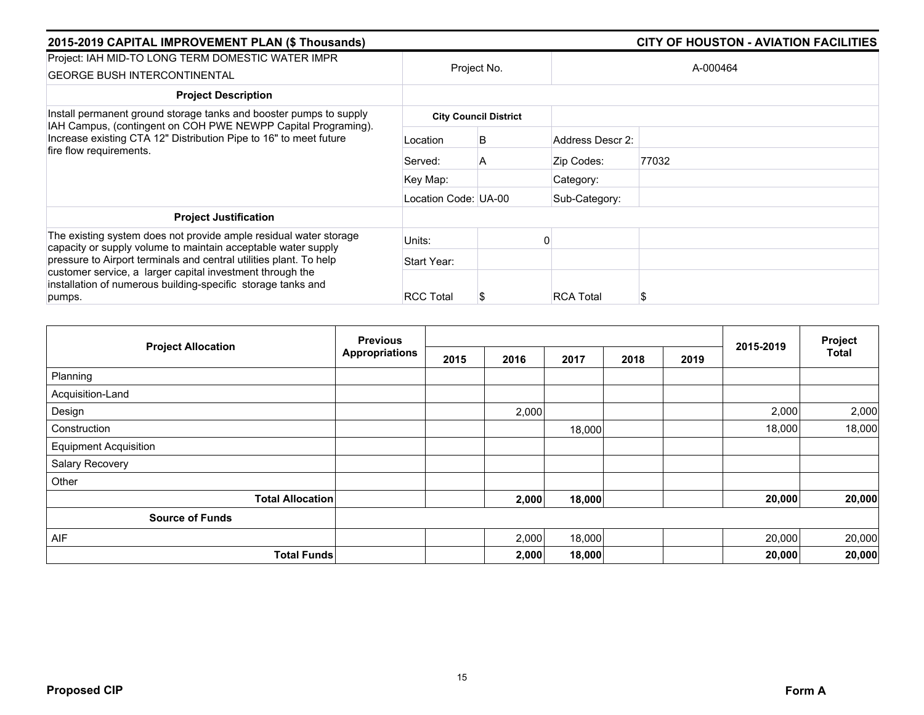| 2015-2019 CAPITAL IMPROVEMENT PLAN (\$ Thousands)                                                                                                             |                      |                              |                  | CITY OF HOUSTON - AVIATION FACILITIES |
|---------------------------------------------------------------------------------------------------------------------------------------------------------------|----------------------|------------------------------|------------------|---------------------------------------|
| Project: IAH MID-TO LONG TERM DOMESTIC WATER IMPR<br><b>GEORGE BUSH INTERCONTINENTAL</b>                                                                      |                      | Project No.                  |                  | A-000464                              |
| <b>Project Description</b>                                                                                                                                    |                      |                              |                  |                                       |
| Install permanent ground storage tanks and booster pumps to supply                                                                                            |                      | <b>City Council District</b> |                  |                                       |
| IAH Campus, (contingent on COH PWE NEWPP Capital Programing).<br>Increase existing CTA 12" Distribution Pipe to 16" to meet future<br>fire flow requirements. | Location             | B                            | Address Descr 2: |                                       |
|                                                                                                                                                               | Served:              | A                            | Zip Codes:       | 77032                                 |
|                                                                                                                                                               | Key Map:             |                              | Category:        |                                       |
|                                                                                                                                                               | Location Code: UA-00 |                              | Sub-Category:    |                                       |
| <b>Project Justification</b>                                                                                                                                  |                      |                              |                  |                                       |
| The existing system does not provide ample residual water storage                                                                                             | Units:               |                              |                  |                                       |
| capacity or supply volume to maintain acceptable water supply<br>pressure to Airport terminals and central utilities plant. To help                           | Start Year:          |                              |                  |                                       |
| customer service, a larger capital investment through the<br>installation of numerous building-specific storage tanks and<br>pumps.                           | <b>RCC Total</b>     | \$                           | <b>RCA Total</b> |                                       |

|                              | <b>Previous</b>       |      |       |        |      | 2015-2019 | Project |              |
|------------------------------|-----------------------|------|-------|--------|------|-----------|---------|--------------|
| <b>Project Allocation</b>    | <b>Appropriations</b> | 2015 | 2016  | 2017   | 2018 | 2019      |         | <b>Total</b> |
| Planning                     |                       |      |       |        |      |           |         |              |
| Acquisition-Land             |                       |      |       |        |      |           |         |              |
| Design                       |                       |      | 2,000 |        |      |           | 2,000   | 2,000        |
| Construction                 |                       |      |       | 18,000 |      |           | 18,000  | 18,000       |
| <b>Equipment Acquisition</b> |                       |      |       |        |      |           |         |              |
| Salary Recovery              |                       |      |       |        |      |           |         |              |
| Other                        |                       |      |       |        |      |           |         |              |
| <b>Total Allocation</b>      |                       |      | 2,000 | 18,000 |      |           | 20,000  | 20,000       |
| <b>Source of Funds</b>       |                       |      |       |        |      |           |         |              |
| <b>AIF</b>                   |                       |      | 2,000 | 18,000 |      |           | 20,000  | 20,000       |
| <b>Total Funds</b>           |                       |      | 2,000 | 18,000 |      |           | 20,000  | 20,000       |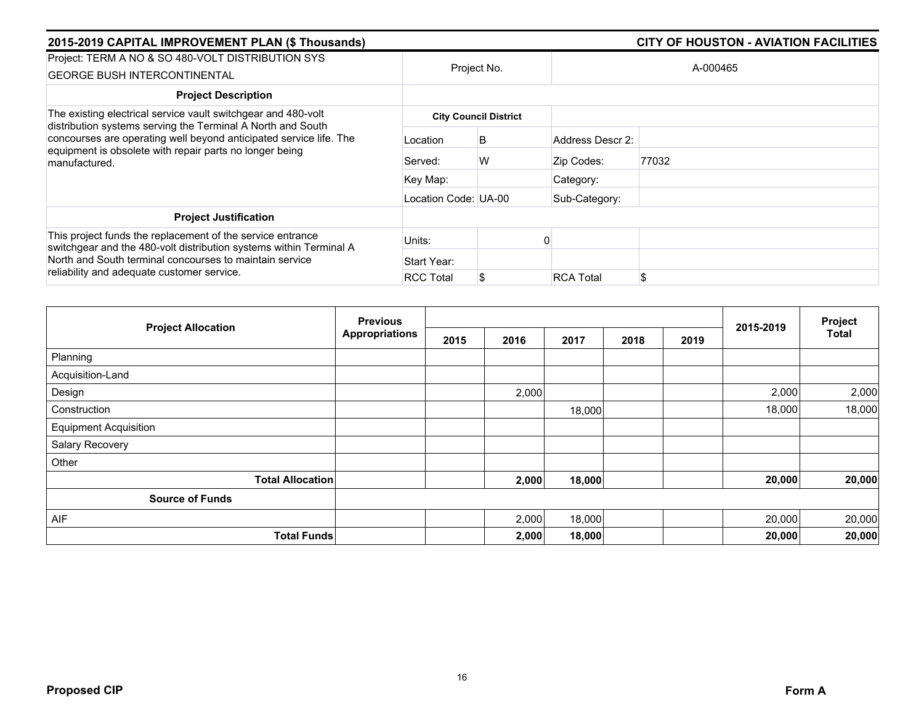| 2015-2019 CAPITAL IMPROVEMENT PLAN (\$ Thousands)                                                                                                                                                             |                      |                              | <b>CITY OF HOUSTON - AVIATION FACILITIES</b> |          |  |  |  |
|---------------------------------------------------------------------------------------------------------------------------------------------------------------------------------------------------------------|----------------------|------------------------------|----------------------------------------------|----------|--|--|--|
| Project: TERM A NO & SO 480-VOLT DISTRIBUTION SYS<br><b>GEORGE BUSH INTERCONTINENTAL</b>                                                                                                                      |                      | Project No.                  |                                              | A-000465 |  |  |  |
| <b>Project Description</b>                                                                                                                                                                                    |                      |                              |                                              |          |  |  |  |
| The existing electrical service vault switchgear and 480-volt                                                                                                                                                 |                      | <b>City Council District</b> |                                              |          |  |  |  |
| distribution systems serving the Terminal A North and South<br>concourses are operating well beyond anticipated service life. The<br>equipment is obsolete with repair parts no longer being<br>manufactured. | Location             | B                            | Address Descr 2:                             |          |  |  |  |
|                                                                                                                                                                                                               | Served:              | W                            | Zip Codes:                                   | 77032    |  |  |  |
|                                                                                                                                                                                                               | Key Map:             |                              | Category:                                    |          |  |  |  |
|                                                                                                                                                                                                               | Location Code: UA-00 |                              | Sub-Category:                                |          |  |  |  |
| <b>Project Justification</b>                                                                                                                                                                                  |                      |                              |                                              |          |  |  |  |
| This project funds the replacement of the service entrance<br>switchgear and the 480-volt distribution systems within Terminal A                                                                              | Units:               |                              |                                              |          |  |  |  |
| North and South terminal concourses to maintain service                                                                                                                                                       | Start Year:          |                              |                                              |          |  |  |  |
| reliability and adequate customer service.                                                                                                                                                                    | <b>RCC Total</b>     |                              | <b>RCA Total</b>                             | \$       |  |  |  |

|                              | <b>Previous</b>       |      |       |        |      |      | 2015-2019 | Project<br><b>Total</b> |
|------------------------------|-----------------------|------|-------|--------|------|------|-----------|-------------------------|
| <b>Project Allocation</b>    | <b>Appropriations</b> | 2015 | 2016  | 2017   | 2018 | 2019 |           |                         |
| Planning                     |                       |      |       |        |      |      |           |                         |
| Acquisition-Land             |                       |      |       |        |      |      |           |                         |
| Design                       |                       |      | 2,000 |        |      |      | 2,000     | 2,000                   |
| Construction                 |                       |      |       | 18,000 |      |      | 18,000    | 18,000                  |
| <b>Equipment Acquisition</b> |                       |      |       |        |      |      |           |                         |
| Salary Recovery              |                       |      |       |        |      |      |           |                         |
| Other                        |                       |      |       |        |      |      |           |                         |
| <b>Total Allocation</b>      |                       |      | 2,000 | 18,000 |      |      | 20,000    | 20,000                  |
| <b>Source of Funds</b>       |                       |      |       |        |      |      |           |                         |
| AIF                          |                       |      | 2,000 | 18,000 |      |      | 20,000    | 20,000                  |
|                              | <b>Total Funds</b>    |      | 2,000 | 18,000 |      |      | 20,000    | 20,000                  |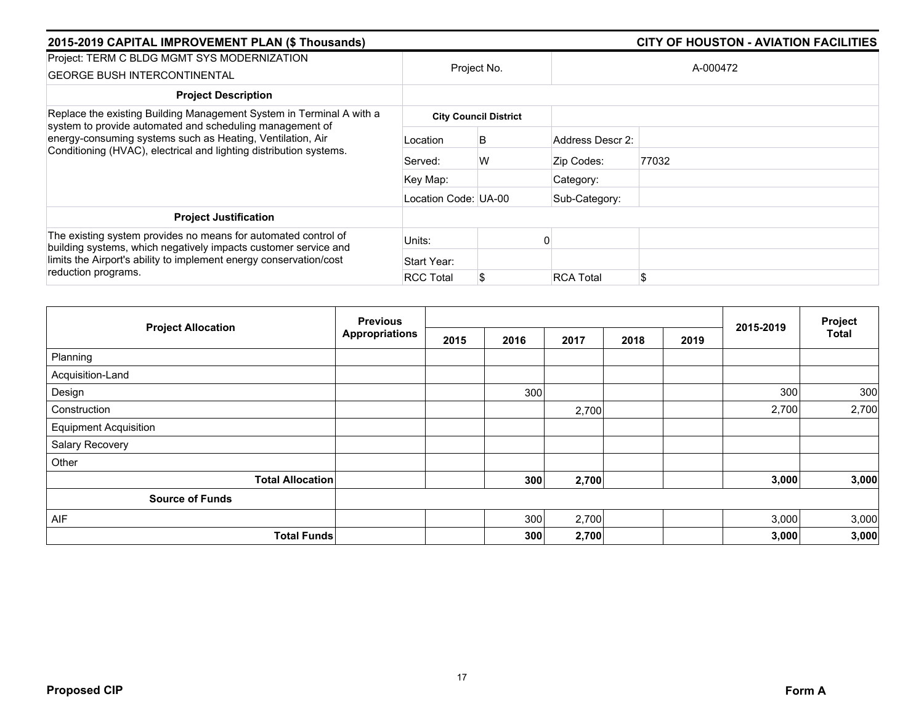| 2015-2019 CAPITAL IMPROVEMENT PLAN (\$ Thousands)                                                                                                                                                       |                      |                              | <b>CITY OF HOUSTON - AVIATION FACILITIES</b> |          |  |  |  |
|---------------------------------------------------------------------------------------------------------------------------------------------------------------------------------------------------------|----------------------|------------------------------|----------------------------------------------|----------|--|--|--|
| Project: TERM C BLDG MGMT SYS MODERNIZATION<br><b>GEORGE BUSH INTERCONTINENTAL</b>                                                                                                                      |                      | Project No.                  |                                              | A-000472 |  |  |  |
| <b>Project Description</b>                                                                                                                                                                              |                      |                              |                                              |          |  |  |  |
| Replace the existing Building Management System in Terminal A with a                                                                                                                                    |                      | <b>City Council District</b> |                                              |          |  |  |  |
| system to provide automated and scheduling management of<br>energy-consuming systems such as Heating, Ventilation, Air<br>Conditioning (HVAC), electrical and lighting distribution systems.            | Location             | B                            | Address Descr 2:                             |          |  |  |  |
|                                                                                                                                                                                                         | Served:              | W                            | Zip Codes:                                   | 77032    |  |  |  |
|                                                                                                                                                                                                         | Key Map:             |                              | Category:                                    |          |  |  |  |
|                                                                                                                                                                                                         | Location Code: UA-00 |                              | Sub-Category:                                |          |  |  |  |
| <b>Project Justification</b>                                                                                                                                                                            |                      |                              |                                              |          |  |  |  |
| The existing system provides no means for automated control of<br>building systems, which negatively impacts customer service and<br>limits the Airport's ability to implement energy conservation/cost | Units:               |                              |                                              |          |  |  |  |
|                                                                                                                                                                                                         | Start Year:          |                              |                                              |          |  |  |  |
| reduction programs.                                                                                                                                                                                     | <b>RCC Total</b>     |                              | <b>RCA Total</b>                             | \$       |  |  |  |

| <b>Project Allocation</b>    | <b>Previous</b><br><b>Appropriations</b> |      |      |       | 2015-2019 | Project |       |              |
|------------------------------|------------------------------------------|------|------|-------|-----------|---------|-------|--------------|
|                              |                                          | 2015 | 2016 | 2017  | 2018      | 2019    |       | <b>Total</b> |
| Planning                     |                                          |      |      |       |           |         |       |              |
| Acquisition-Land             |                                          |      |      |       |           |         |       |              |
| Design                       |                                          |      | 300  |       |           |         | 300   | 300          |
| Construction                 |                                          |      |      | 2,700 |           |         | 2,700 | 2,700        |
| <b>Equipment Acquisition</b> |                                          |      |      |       |           |         |       |              |
| Salary Recovery              |                                          |      |      |       |           |         |       |              |
| Other                        |                                          |      |      |       |           |         |       |              |
| <b>Total Allocation</b>      |                                          |      | 300  | 2,700 |           |         | 3,000 | 3,000        |
| <b>Source of Funds</b>       |                                          |      |      |       |           |         |       |              |
| AIF                          |                                          |      | 300  | 2,700 |           |         | 3,000 | 3,000        |
| <b>Total Funds</b>           |                                          |      | 300  | 2,700 |           |         | 3,000 | 3,000        |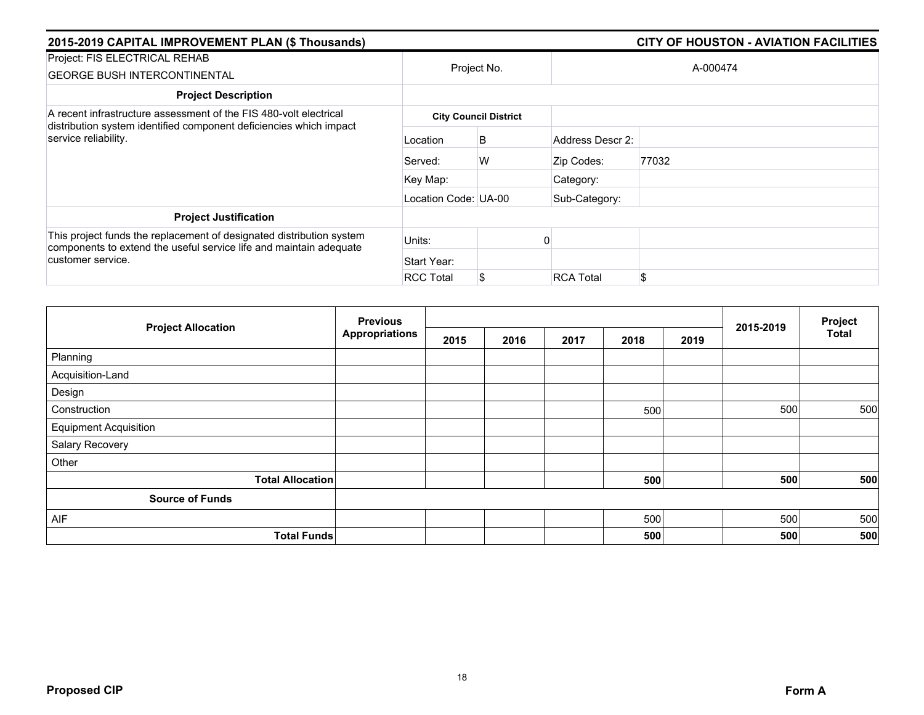| 2015-2019 CAPITAL IMPROVEMENT PLAN (\$ Thousands)                                                                                                               |                      |                              |                  | <b>CITY OF HOUSTON - AVIATION FACILITIES</b> |
|-----------------------------------------------------------------------------------------------------------------------------------------------------------------|----------------------|------------------------------|------------------|----------------------------------------------|
| Project: FIS ELECTRICAL REHAB<br><b>GEORGE BUSH INTERCONTINENTAL</b>                                                                                            |                      | Project No.                  |                  | A-000474                                     |
| <b>Project Description</b>                                                                                                                                      |                      |                              |                  |                                              |
| A recent infrastructure assessment of the FIS 480-volt electrical<br>distribution system identified component deficiencies which impact<br>service reliability. |                      | <b>City Council District</b> |                  |                                              |
|                                                                                                                                                                 | Location             | B                            | Address Descr 2: |                                              |
|                                                                                                                                                                 | Served:              | W                            | Zip Codes:       | 77032                                        |
|                                                                                                                                                                 | Key Map:             |                              | Category:        |                                              |
|                                                                                                                                                                 | Location Code: UA-00 |                              | Sub-Category:    |                                              |
| <b>Project Justification</b>                                                                                                                                    |                      |                              |                  |                                              |
| This project funds the replacement of designated distribution system<br>components to extend the useful service life and maintain adequate                      | Units:               |                              |                  |                                              |
| customer service.                                                                                                                                               | Start Year:          |                              |                  |                                              |
|                                                                                                                                                                 | <b>RCC Total</b>     |                              | <b>RCA Total</b> | \$                                           |

|                              | <b>Previous</b><br><b>Appropriations</b> |      |      |      | 2015-2019 | Project |     |              |
|------------------------------|------------------------------------------|------|------|------|-----------|---------|-----|--------------|
| <b>Project Allocation</b>    |                                          | 2015 | 2016 | 2017 | 2018      | 2019    |     | <b>Total</b> |
| Planning                     |                                          |      |      |      |           |         |     |              |
| Acquisition-Land             |                                          |      |      |      |           |         |     |              |
| Design                       |                                          |      |      |      |           |         |     |              |
| Construction                 |                                          |      |      |      | 500       |         | 500 | 500          |
| <b>Equipment Acquisition</b> |                                          |      |      |      |           |         |     |              |
| Salary Recovery              |                                          |      |      |      |           |         |     |              |
| Other                        |                                          |      |      |      |           |         |     |              |
| <b>Total Allocation</b>      |                                          |      |      |      | 500       |         | 500 | 500          |
| <b>Source of Funds</b>       |                                          |      |      |      |           |         |     |              |
| AIF                          |                                          |      |      |      | 500       |         | 500 | 500          |
| <b>Total Funds</b>           |                                          |      |      |      | 500       |         | 500 | 500          |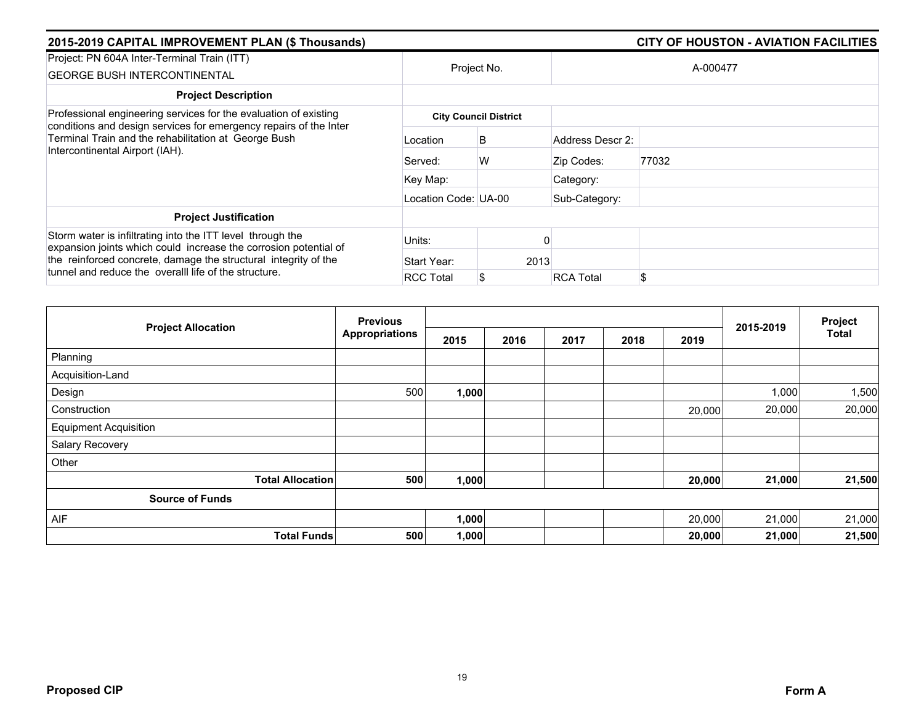| 2015-2019 CAPITAL IMPROVEMENT PLAN (\$ Thousands)                                                                                                                                                 |                      |                              |                  | <b>CITY OF HOUSTON - AVIATION FACILITIES</b> |  |  |  |  |
|---------------------------------------------------------------------------------------------------------------------------------------------------------------------------------------------------|----------------------|------------------------------|------------------|----------------------------------------------|--|--|--|--|
| Project: PN 604A Inter-Terminal Train (ITT)<br><b>GEORGE BUSH INTERCONTINENTAL</b>                                                                                                                |                      | Project No.                  |                  | A-000477                                     |  |  |  |  |
| <b>Project Description</b>                                                                                                                                                                        |                      |                              |                  |                                              |  |  |  |  |
| Professional engineering services for the evaluation of existing                                                                                                                                  |                      | <b>City Council District</b> |                  |                                              |  |  |  |  |
| conditions and design services for emergency repairs of the Inter<br>Terminal Train and the rehabilitation at George Bush<br>Intercontinental Airport (IAH).                                      | Location             | B                            | Address Descr 2: |                                              |  |  |  |  |
|                                                                                                                                                                                                   | Served:              | W                            | Zip Codes:       | 77032                                        |  |  |  |  |
|                                                                                                                                                                                                   | Key Map:             |                              | Category:        |                                              |  |  |  |  |
|                                                                                                                                                                                                   | Location Code: UA-00 |                              | Sub-Category:    |                                              |  |  |  |  |
| <b>Project Justification</b>                                                                                                                                                                      |                      |                              |                  |                                              |  |  |  |  |
| Storm water is infiltrating into the ITT level through the<br>expansion joints which could increase the corrosion potential of<br>the reinforced concrete, damage the structural integrity of the | Units:               |                              |                  |                                              |  |  |  |  |
|                                                                                                                                                                                                   | Start Year:          | 2013                         |                  |                                              |  |  |  |  |
| tunnel and reduce the overall life of the structure.                                                                                                                                              | <b>RCC Total</b>     |                              | <b>RCA Total</b> | \$                                           |  |  |  |  |

| <b>Previous</b>              |                       |       |      | Project |      |        |           |        |
|------------------------------|-----------------------|-------|------|---------|------|--------|-----------|--------|
| <b>Project Allocation</b>    | <b>Appropriations</b> | 2015  | 2016 | 2017    | 2018 | 2019   | 2015-2019 | Total  |
| Planning                     |                       |       |      |         |      |        |           |        |
| Acquisition-Land             |                       |       |      |         |      |        |           |        |
| Design                       | 500                   | 1,000 |      |         |      |        | 1,000     | 1,500  |
| Construction                 |                       |       |      |         |      | 20,000 | 20,000    | 20,000 |
| <b>Equipment Acquisition</b> |                       |       |      |         |      |        |           |        |
| Salary Recovery              |                       |       |      |         |      |        |           |        |
| Other                        |                       |       |      |         |      |        |           |        |
| <b>Total Allocation</b>      | 500                   | 1,000 |      |         |      | 20,000 | 21,000    | 21,500 |
| <b>Source of Funds</b>       |                       |       |      |         |      |        |           |        |
| AIF                          |                       | 1,000 |      |         |      | 20,000 | 21,000    | 21,000 |
| <b>Total Funds</b>           | 500                   | 1,000 |      |         |      | 20,000 | 21,000    | 21,500 |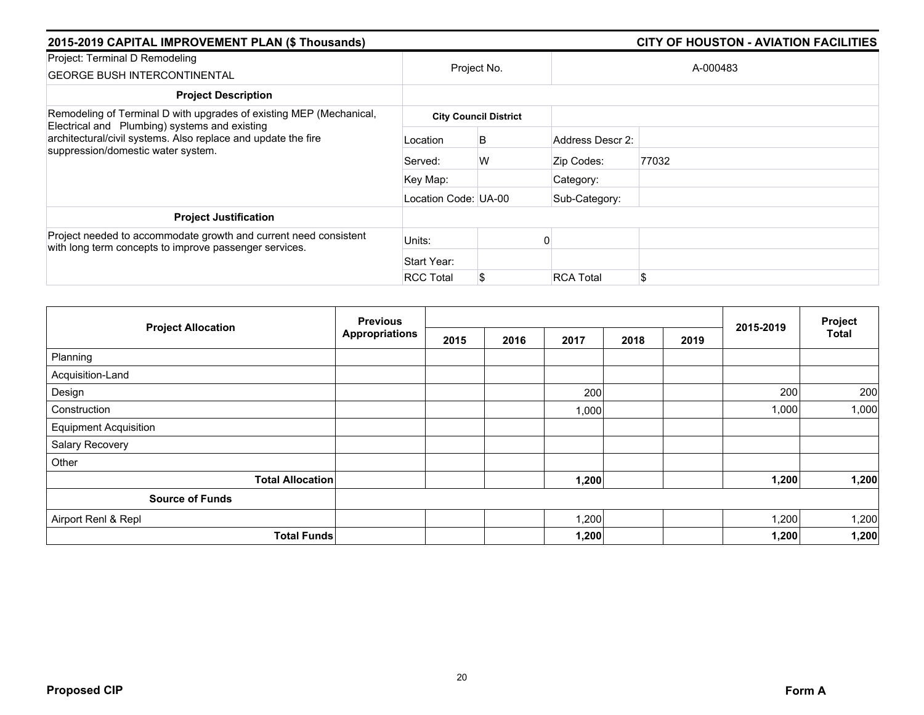| 2015-2019 CAPITAL IMPROVEMENT PLAN (\$ Thousands)                                                                                                                                                                           |                      |                              | <b>CITY OF HOUSTON - AVIATION FACILITIES</b> |          |  |  |  |
|-----------------------------------------------------------------------------------------------------------------------------------------------------------------------------------------------------------------------------|----------------------|------------------------------|----------------------------------------------|----------|--|--|--|
| Project: Terminal D Remodeling<br><b>GEORGE BUSH INTERCONTINENTAL</b>                                                                                                                                                       | Project No.          |                              |                                              | A-000483 |  |  |  |
| <b>Project Description</b>                                                                                                                                                                                                  |                      |                              |                                              |          |  |  |  |
| Remodeling of Terminal D with upgrades of existing MEP (Mechanical,<br>Electrical and Plumbing) systems and existing<br>architectural/civil systems. Also replace and update the fire<br>suppression/domestic water system. |                      | <b>City Council District</b> |                                              |          |  |  |  |
|                                                                                                                                                                                                                             | Location             | B                            | Address Descr 2:                             |          |  |  |  |
|                                                                                                                                                                                                                             | Served:              | W                            | Zip Codes:                                   | 77032    |  |  |  |
|                                                                                                                                                                                                                             | Key Map:             |                              | Category:                                    |          |  |  |  |
|                                                                                                                                                                                                                             | Location Code: UA-00 |                              | Sub-Category:                                |          |  |  |  |
| <b>Project Justification</b>                                                                                                                                                                                                |                      |                              |                                              |          |  |  |  |
| Project needed to accommodate growth and current need consistent<br>with long term concepts to improve passenger services.                                                                                                  | Units:               |                              |                                              |          |  |  |  |
|                                                                                                                                                                                                                             | Start Year:          |                              |                                              |          |  |  |  |
|                                                                                                                                                                                                                             | <b>RCC Total</b>     |                              | <b>RCA Total</b>                             | \$       |  |  |  |

|                              | <b>Previous</b>       |      |      |       |      |      |           | Project      |
|------------------------------|-----------------------|------|------|-------|------|------|-----------|--------------|
| <b>Project Allocation</b>    | <b>Appropriations</b> | 2015 | 2016 | 2017  | 2018 | 2019 | 2015-2019 | <b>Total</b> |
| Planning                     |                       |      |      |       |      |      |           |              |
| Acquisition-Land             |                       |      |      |       |      |      |           |              |
| Design                       |                       |      |      | 200   |      |      | 200       | 200          |
| Construction                 |                       |      |      | 1,000 |      |      | 1,000     | 1,000        |
| <b>Equipment Acquisition</b> |                       |      |      |       |      |      |           |              |
| Salary Recovery              |                       |      |      |       |      |      |           |              |
| Other                        |                       |      |      |       |      |      |           |              |
| <b>Total Allocation</b>      |                       |      |      | 1,200 |      |      | 1,200     | 1,200        |
| <b>Source of Funds</b>       |                       |      |      |       |      |      |           |              |
| Airport Renl & Repl          |                       |      |      | 1,200 |      |      | 1,200     | 1,200        |
| <b>Total Funds</b>           |                       |      |      | 1,200 |      |      | 1,200     | 1,200        |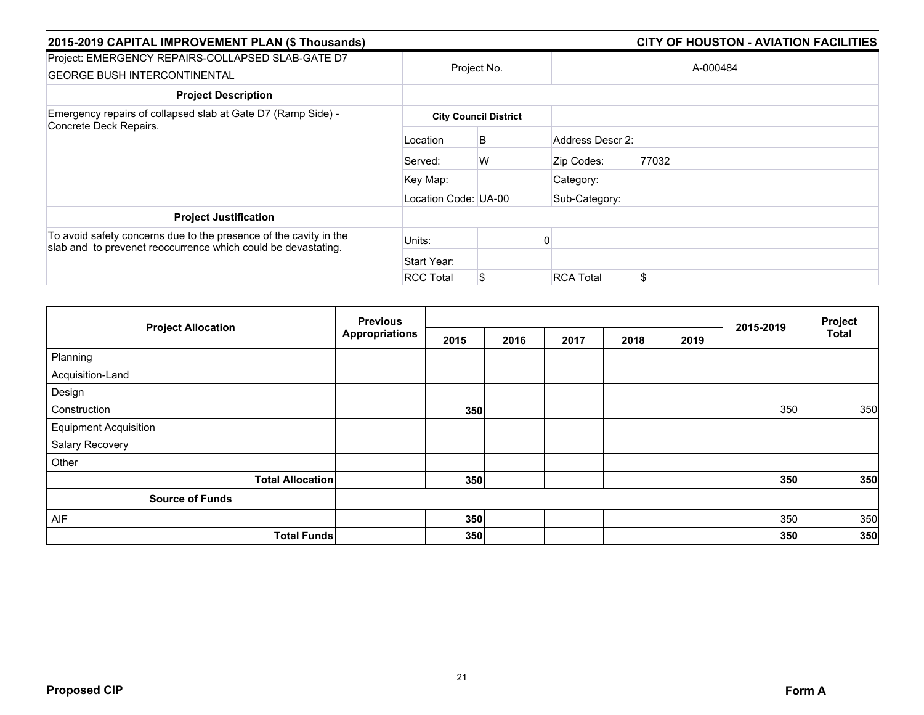| 2015-2019 CAPITAL IMPROVEMENT PLAN (\$ Thousands)                                                                                  |                      |                              |                  | <b>CITY OF HOUSTON - AVIATION FACILITIES</b> |  |  |  |
|------------------------------------------------------------------------------------------------------------------------------------|----------------------|------------------------------|------------------|----------------------------------------------|--|--|--|
| Project: EMERGENCY REPAIRS-COLLAPSED SLAB-GATE D7<br><b>GEORGE BUSH INTERCONTINENTAL</b>                                           | Project No.          |                              | A-000484         |                                              |  |  |  |
| <b>Project Description</b>                                                                                                         |                      |                              |                  |                                              |  |  |  |
| Emergency repairs of collapsed slab at Gate D7 (Ramp Side) -<br>Concrete Deck Repairs.                                             |                      | <b>City Council District</b> |                  |                                              |  |  |  |
|                                                                                                                                    | Location             | B                            | Address Descr 2: |                                              |  |  |  |
|                                                                                                                                    | Served:              | W                            | Zip Codes:       | 77032                                        |  |  |  |
|                                                                                                                                    | Key Map:             |                              | Category:        |                                              |  |  |  |
|                                                                                                                                    | Location Code: UA-00 |                              | Sub-Category:    |                                              |  |  |  |
| <b>Project Justification</b>                                                                                                       |                      |                              |                  |                                              |  |  |  |
| To avoid safety concerns due to the presence of the cavity in the<br>slab and to prevenet reoccurrence which could be devastating. | Units:               |                              |                  |                                              |  |  |  |
|                                                                                                                                    | Start Year:          |                              |                  |                                              |  |  |  |
|                                                                                                                                    | <b>RCC Total</b>     | \$                           | <b>RCA Total</b> | \$                                           |  |  |  |

| <b>Project Allocation</b>    | <b>Previous</b> |      |      |      | 2015-2019 | Project |     |              |
|------------------------------|-----------------|------|------|------|-----------|---------|-----|--------------|
|                              | Appropriations  | 2015 | 2016 | 2017 | 2018      | 2019    |     | <b>Total</b> |
| Planning                     |                 |      |      |      |           |         |     |              |
| Acquisition-Land             |                 |      |      |      |           |         |     |              |
| Design                       |                 |      |      |      |           |         |     |              |
| Construction                 |                 | 350  |      |      |           |         | 350 | 350          |
| <b>Equipment Acquisition</b> |                 |      |      |      |           |         |     |              |
| Salary Recovery              |                 |      |      |      |           |         |     |              |
| Other                        |                 |      |      |      |           |         |     |              |
| <b>Total Allocation</b>      |                 | 350  |      |      |           |         | 350 | 350          |
| <b>Source of Funds</b>       |                 |      |      |      |           |         |     |              |
| AIF                          |                 | 350  |      |      |           |         | 350 | 350          |
| <b>Total Funds</b>           |                 | 350  |      |      |           |         | 350 | 350          |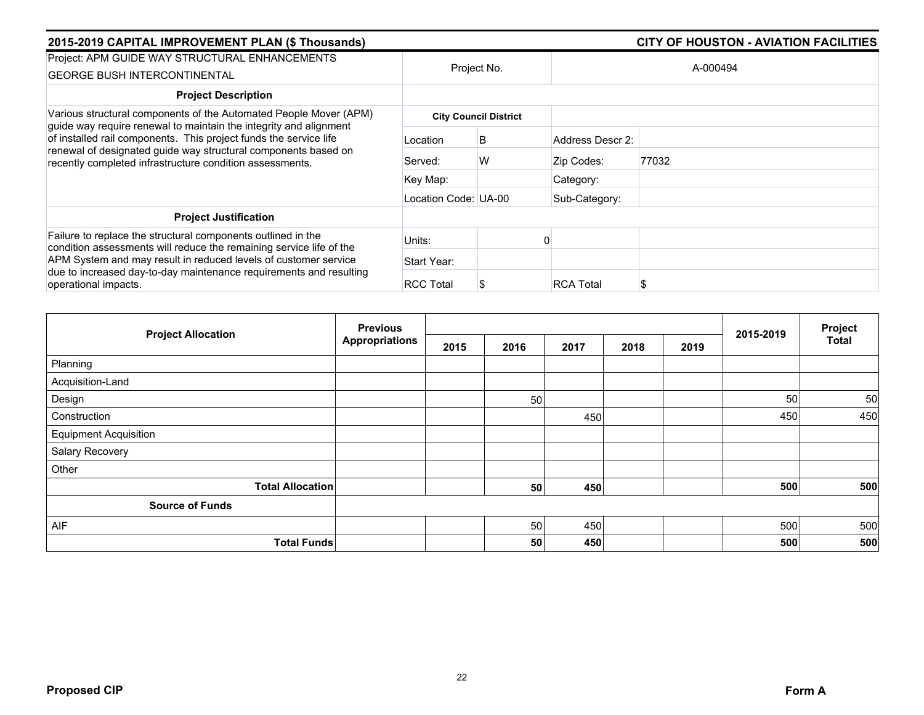| 2015-2019 CAPITAL IMPROVEMENT PLAN (\$ Thousands)                                                                                                                                                                                                                                                                                         |                      |                              |                  | <b>CITY OF HOUSTON - AVIATION FACILITIES</b> |  |
|-------------------------------------------------------------------------------------------------------------------------------------------------------------------------------------------------------------------------------------------------------------------------------------------------------------------------------------------|----------------------|------------------------------|------------------|----------------------------------------------|--|
| Project: APM GUIDE WAY STRUCTURAL ENHANCEMENTS<br><b>GEORGE BUSH INTERCONTINENTAL</b>                                                                                                                                                                                                                                                     | Project No.          |                              | A-000494         |                                              |  |
| <b>Project Description</b>                                                                                                                                                                                                                                                                                                                |                      |                              |                  |                                              |  |
| Various structural components of the Automated People Mover (APM)<br>guide way require renewal to maintain the integrity and alignment<br>of installed rail components. This project funds the service life<br>renewal of designated guide way structural components based on<br>recently completed infrastructure condition assessments. |                      | <b>City Council District</b> |                  |                                              |  |
|                                                                                                                                                                                                                                                                                                                                           | Location             | B                            | Address Descr 2: |                                              |  |
|                                                                                                                                                                                                                                                                                                                                           | Served:              | W                            | Zip Codes:       | 77032                                        |  |
|                                                                                                                                                                                                                                                                                                                                           | Key Map:             |                              | Category:        |                                              |  |
|                                                                                                                                                                                                                                                                                                                                           | Location Code: UA-00 |                              | Sub-Category:    |                                              |  |
| <b>Project Justification</b>                                                                                                                                                                                                                                                                                                              |                      |                              |                  |                                              |  |
| Failure to replace the structural components outlined in the<br>condition assessments will reduce the remaining service life of the                                                                                                                                                                                                       | Units:               |                              |                  |                                              |  |
| APM System and may result in reduced levels of customer service                                                                                                                                                                                                                                                                           | Start Year:          |                              |                  |                                              |  |
| due to increased day-to-day maintenance requirements and resulting<br>operational impacts.                                                                                                                                                                                                                                                | <b>RCC Total</b>     |                              | <b>RCA Total</b> |                                              |  |

| <b>Previous</b><br><b>Project Allocation</b> |                       |      |      |      |      |      | 2015-2019 | Project |
|----------------------------------------------|-----------------------|------|------|------|------|------|-----------|---------|
|                                              | <b>Appropriations</b> | 2015 | 2016 | 2017 | 2018 | 2019 |           | Total   |
| Planning                                     |                       |      |      |      |      |      |           |         |
| Acquisition-Land                             |                       |      |      |      |      |      |           |         |
| Design                                       |                       |      | 50   |      |      |      | 50        | 50      |
| Construction                                 |                       |      |      | 450  |      |      | 450       | 450     |
| <b>Equipment Acquisition</b>                 |                       |      |      |      |      |      |           |         |
| Salary Recovery                              |                       |      |      |      |      |      |           |         |
| Other                                        |                       |      |      |      |      |      |           |         |
| <b>Total Allocation</b>                      |                       |      | 50   | 450  |      |      | 500       | 500     |
| <b>Source of Funds</b>                       |                       |      |      |      |      |      |           |         |
| AIF                                          |                       |      | 50   | 450  |      |      | 500       | 500     |
| <b>Total Funds</b>                           |                       |      | 50   | 450  |      |      | 500       | 500     |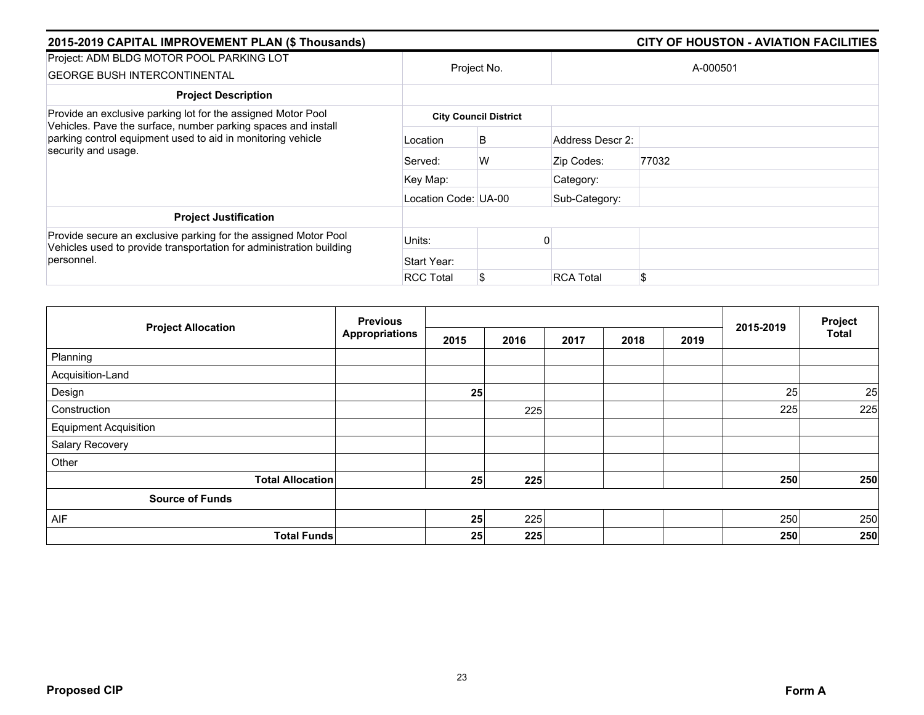| 2015-2019 CAPITAL IMPROVEMENT PLAN (\$ Thousands)                                                                                                   |                      |                              |                  | <b>CITY OF HOUSTON - AVIATION FACILITIES</b> |  |  |  |  |
|-----------------------------------------------------------------------------------------------------------------------------------------------------|----------------------|------------------------------|------------------|----------------------------------------------|--|--|--|--|
| Project: ADM BLDG MOTOR POOL PARKING LOT<br><b>GEORGE BUSH INTERCONTINENTAL</b>                                                                     |                      | Project No.                  |                  | A-000501                                     |  |  |  |  |
| <b>Project Description</b>                                                                                                                          |                      |                              |                  |                                              |  |  |  |  |
| Provide an exclusive parking lot for the assigned Motor Pool                                                                                        |                      | <b>City Council District</b> |                  |                                              |  |  |  |  |
| Vehicles. Pave the surface, number parking spaces and install<br>parking control equipment used to aid in monitoring vehicle<br>security and usage. | Location             | B                            | Address Descr 2: |                                              |  |  |  |  |
|                                                                                                                                                     | Served:              | W                            | Zip Codes:       | 77032                                        |  |  |  |  |
|                                                                                                                                                     | Key Map:             |                              | Category:        |                                              |  |  |  |  |
|                                                                                                                                                     | Location Code: UA-00 |                              | Sub-Category:    |                                              |  |  |  |  |
| <b>Project Justification</b>                                                                                                                        |                      |                              |                  |                                              |  |  |  |  |
| Provide secure an exclusive parking for the assigned Motor Pool<br>Vehicles used to provide transportation for administration building              | Units:               |                              |                  |                                              |  |  |  |  |
| personnel.                                                                                                                                          | Start Year:          |                              |                  |                                              |  |  |  |  |
|                                                                                                                                                     | <b>RCC Total</b>     |                              | <b>RCA Total</b> | \$                                           |  |  |  |  |

|                              | <b>Previous</b>       |      |      |      |      |      |           | Project      |
|------------------------------|-----------------------|------|------|------|------|------|-----------|--------------|
| <b>Project Allocation</b>    | <b>Appropriations</b> | 2015 | 2016 | 2017 | 2018 | 2019 | 2015-2019 | <b>Total</b> |
| Planning                     |                       |      |      |      |      |      |           |              |
| Acquisition-Land             |                       |      |      |      |      |      |           |              |
| Design                       |                       | 25   |      |      |      |      | 25        | 25           |
| Construction                 |                       |      | 225  |      |      |      | 225       | 225          |
| <b>Equipment Acquisition</b> |                       |      |      |      |      |      |           |              |
| Salary Recovery              |                       |      |      |      |      |      |           |              |
| Other                        |                       |      |      |      |      |      |           |              |
| <b>Total Allocation</b>      |                       | 25   | 225  |      |      |      | 250       | 250          |
| <b>Source of Funds</b>       |                       |      |      |      |      |      |           |              |
| AIF                          |                       | 25   | 225  |      |      |      | 250       | 250          |
| <b>Total Funds</b>           |                       | 25   | 225  |      |      |      | 250       | 250          |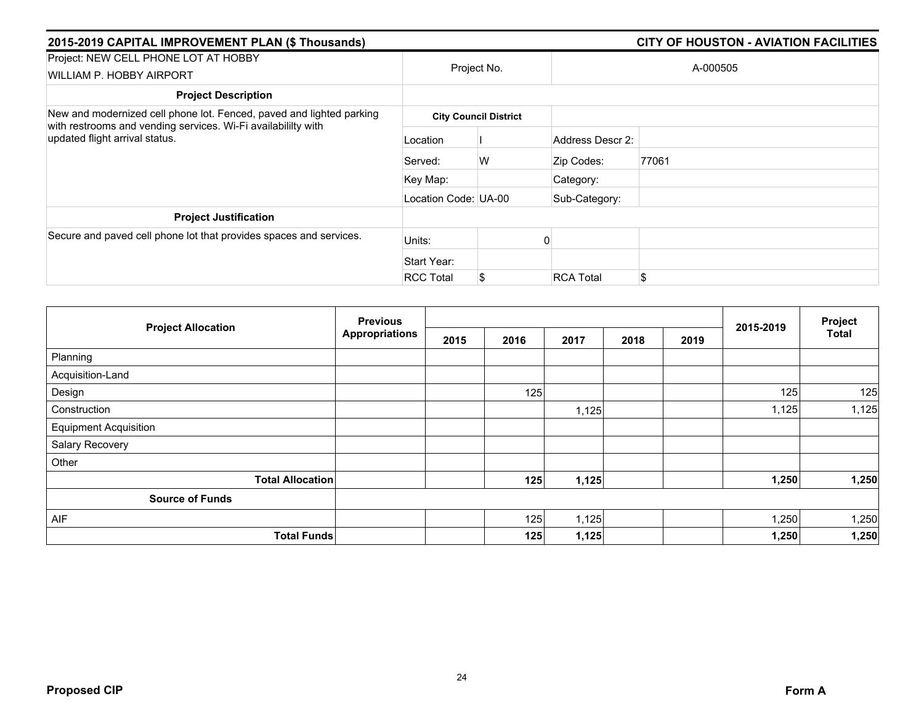| 2015-2019 CAPITAL IMPROVEMENT PLAN (\$ Thousands)                                                                                                                       |                      |                              |                  | <b>CITY OF HOUSTON - AVIATION FACILITIES</b> |  |  |  |
|-------------------------------------------------------------------------------------------------------------------------------------------------------------------------|----------------------|------------------------------|------------------|----------------------------------------------|--|--|--|
| Project: NEW CELL PHONE LOT AT HOBBY<br>WILLIAM P. HOBBY AIRPORT                                                                                                        | Project No.          |                              | A-000505         |                                              |  |  |  |
| <b>Project Description</b>                                                                                                                                              |                      |                              |                  |                                              |  |  |  |
| New and modernized cell phone lot. Fenced, paved and lighted parking<br>with restrooms and vending services. Wi-Fi availabililty with<br>updated flight arrival status. |                      | <b>City Council District</b> |                  |                                              |  |  |  |
|                                                                                                                                                                         | Location             |                              | Address Descr 2: |                                              |  |  |  |
|                                                                                                                                                                         | Served:              | W                            | Zip Codes:       | 77061                                        |  |  |  |
|                                                                                                                                                                         | Key Map:             |                              | Category:        |                                              |  |  |  |
|                                                                                                                                                                         | Location Code: UA-00 |                              | Sub-Category:    |                                              |  |  |  |
| <b>Project Justification</b>                                                                                                                                            |                      |                              |                  |                                              |  |  |  |
| Secure and paved cell phone lot that provides spaces and services.                                                                                                      | Units:               |                              |                  |                                              |  |  |  |
|                                                                                                                                                                         | Start Year:          |                              |                  |                                              |  |  |  |
|                                                                                                                                                                         | <b>RCC Total</b>     | \$                           | <b>RCA Total</b> | \$                                           |  |  |  |

|                              | <b>Previous</b>       |      |      |       |      |      |           | Project      |
|------------------------------|-----------------------|------|------|-------|------|------|-----------|--------------|
| <b>Project Allocation</b>    | <b>Appropriations</b> | 2015 | 2016 | 2017  | 2018 | 2019 | 2015-2019 | <b>Total</b> |
| Planning                     |                       |      |      |       |      |      |           |              |
| Acquisition-Land             |                       |      |      |       |      |      |           |              |
| Design                       |                       |      | 125  |       |      |      | 125       | 125          |
| Construction                 |                       |      |      | 1,125 |      |      | 1,125     | 1,125        |
| <b>Equipment Acquisition</b> |                       |      |      |       |      |      |           |              |
| Salary Recovery              |                       |      |      |       |      |      |           |              |
| Other                        |                       |      |      |       |      |      |           |              |
| <b>Total Allocation</b>      |                       |      | 125  | 1,125 |      |      | 1,250     | 1,250        |
| <b>Source of Funds</b>       |                       |      |      |       |      |      |           |              |
| AIF                          |                       |      | 125  | 1,125 |      |      | 1,250     | 1,250        |
| <b>Total Funds</b>           |                       |      | 125  | 1,125 |      |      | 1,250     | 1,250        |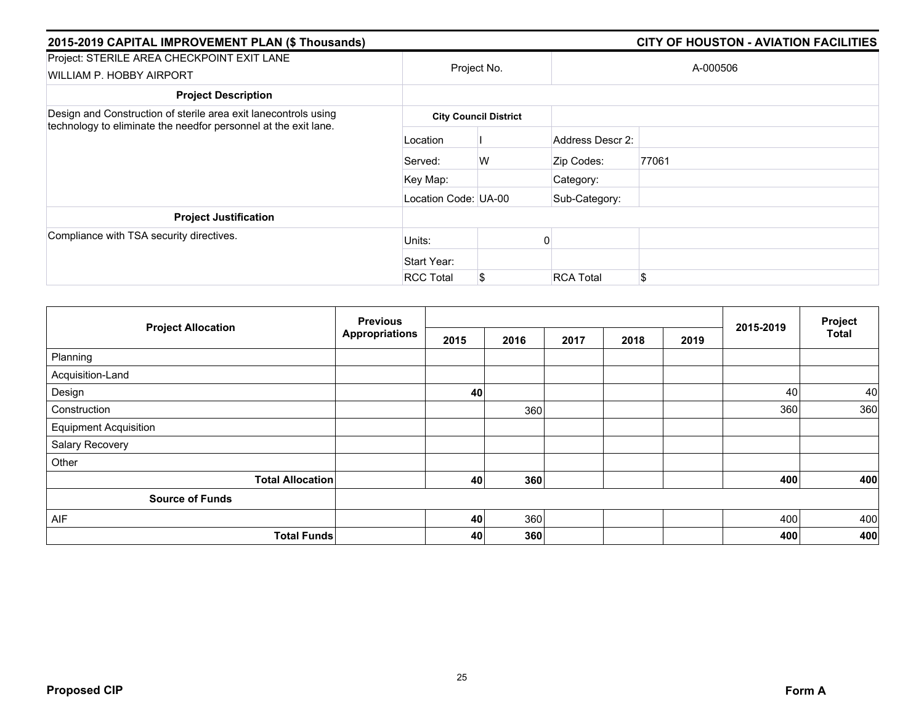| 2015-2019 CAPITAL IMPROVEMENT PLAN (\$ Thousands)                                                                                  |                      | <b>CITY OF HOUSTON - AVIATION FACILITIES</b> |                  |          |  |  |  |  |  |
|------------------------------------------------------------------------------------------------------------------------------------|----------------------|----------------------------------------------|------------------|----------|--|--|--|--|--|
| Project: STERILE AREA CHECKPOINT EXIT LANE<br><b>WILLIAM P. HOBBY AIRPORT</b>                                                      |                      | Project No.                                  |                  | A-000506 |  |  |  |  |  |
| <b>Project Description</b>                                                                                                         |                      |                                              |                  |          |  |  |  |  |  |
| Design and Construction of sterile area exit lanecontrols using<br>technology to eliminate the needfor personnel at the exit lane. |                      | <b>City Council District</b>                 |                  |          |  |  |  |  |  |
|                                                                                                                                    | Location             |                                              | Address Descr 2: |          |  |  |  |  |  |
|                                                                                                                                    | Served:              | W                                            | Zip Codes:       | 77061    |  |  |  |  |  |
|                                                                                                                                    | Key Map:             |                                              | Category:        |          |  |  |  |  |  |
|                                                                                                                                    | Location Code: UA-00 |                                              | Sub-Category:    |          |  |  |  |  |  |
| <b>Project Justification</b>                                                                                                       |                      |                                              |                  |          |  |  |  |  |  |
| Compliance with TSA security directives.                                                                                           | Units:               |                                              |                  |          |  |  |  |  |  |
|                                                                                                                                    | Start Year:          |                                              |                  |          |  |  |  |  |  |
|                                                                                                                                    | <b>RCC Total</b>     | S                                            | <b>RCA Total</b> | \$       |  |  |  |  |  |

| <b>Project Allocation</b>    | <b>Previous</b>       |      |      |      | 2015-2019 | Project |     |              |
|------------------------------|-----------------------|------|------|------|-----------|---------|-----|--------------|
|                              | <b>Appropriations</b> | 2015 | 2016 | 2017 | 2018      | 2019    |     | <b>Total</b> |
| Planning                     |                       |      |      |      |           |         |     |              |
| Acquisition-Land             |                       |      |      |      |           |         |     |              |
| Design                       |                       | 40   |      |      |           |         | 40  | 40           |
| Construction                 |                       |      | 360  |      |           |         | 360 | 360          |
| <b>Equipment Acquisition</b> |                       |      |      |      |           |         |     |              |
| Salary Recovery              |                       |      |      |      |           |         |     |              |
| Other                        |                       |      |      |      |           |         |     |              |
| <b>Total Allocation</b>      |                       | 40   | 360  |      |           |         | 400 | 400          |
| <b>Source of Funds</b>       |                       |      |      |      |           |         |     |              |
| AIF                          |                       | 40   | 360  |      |           |         | 400 | 400          |
| <b>Total Funds</b>           |                       | 40   | 360  |      |           |         | 400 | 400          |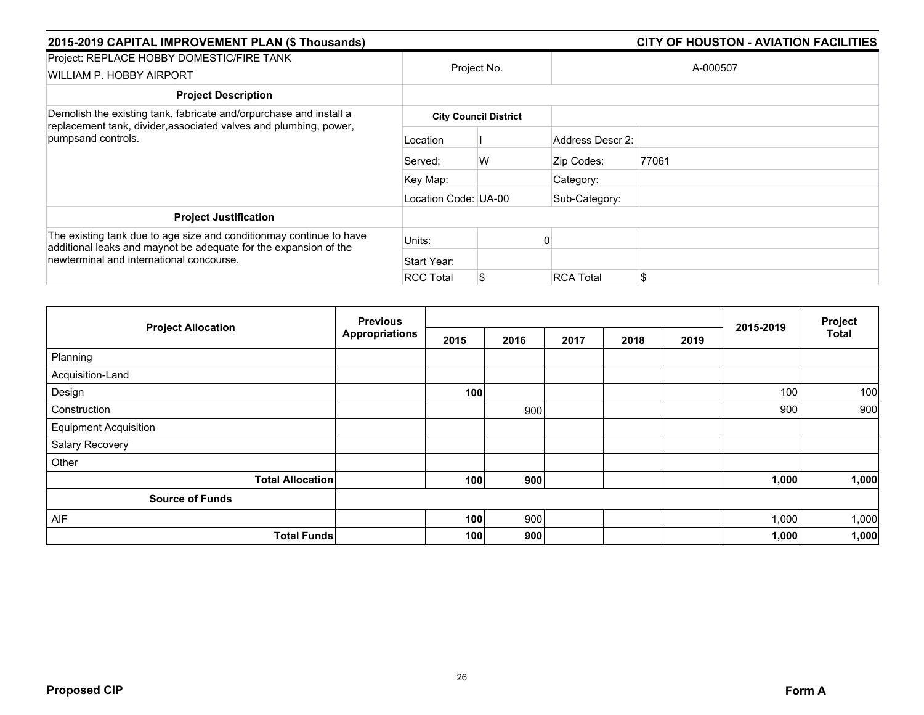| 2015-2019 CAPITAL IMPROVEMENT PLAN (\$ Thousands)                                                                                                                                   |                      |                              |                  |          |
|-------------------------------------------------------------------------------------------------------------------------------------------------------------------------------------|----------------------|------------------------------|------------------|----------|
| Project: REPLACE HOBBY DOMESTIC/FIRE TANK<br>WILLIAM P. HOBBY AIRPORT                                                                                                               |                      | Project No.                  |                  | A-000507 |
| <b>Project Description</b>                                                                                                                                                          |                      |                              |                  |          |
| Demolish the existing tank, fabricate and/orpurchase and install a<br>replacement tank, divider, associated valves and plumbing, power,                                             |                      | <b>City Council District</b> |                  |          |
| pumpsand controls.                                                                                                                                                                  | Location             |                              | Address Descr 2: |          |
|                                                                                                                                                                                     | Served:              | W                            | Zip Codes:       | 77061    |
|                                                                                                                                                                                     | Key Map:             |                              | Category:        |          |
|                                                                                                                                                                                     | Location Code: UA-00 |                              | Sub-Category:    |          |
| <b>Project Justification</b>                                                                                                                                                        |                      |                              |                  |          |
| The existing tank due to age size and conditionmay continue to have<br>additional leaks and maynot be adequate for the expansion of the<br>newterminal and international concourse. | Units:               |                              |                  |          |
|                                                                                                                                                                                     | Start Year:          |                              |                  |          |
|                                                                                                                                                                                     | <b>RCC Total</b>     | S.                           | <b>RCA Total</b> | \$       |

|                              | <b>Previous</b>       |      |      |      | 2015-2019 | Project |       |       |
|------------------------------|-----------------------|------|------|------|-----------|---------|-------|-------|
| <b>Project Allocation</b>    | <b>Appropriations</b> | 2015 | 2016 | 2017 | 2018      | 2019    |       | Total |
| Planning                     |                       |      |      |      |           |         |       |       |
| Acquisition-Land             |                       |      |      |      |           |         |       |       |
| Design                       |                       | 100  |      |      |           |         | 100   | 100   |
| Construction                 |                       |      | 900  |      |           |         | 900   | 900   |
| <b>Equipment Acquisition</b> |                       |      |      |      |           |         |       |       |
| Salary Recovery              |                       |      |      |      |           |         |       |       |
| Other                        |                       |      |      |      |           |         |       |       |
| <b>Total Allocation</b>      |                       | 100  | 900  |      |           |         | 1,000 | 1,000 |
| <b>Source of Funds</b>       |                       |      |      |      |           |         |       |       |
| AIF                          |                       | 100  | 900  |      |           |         | 1,000 | 1,000 |
| <b>Total Funds</b>           |                       | 100  | 900  |      |           |         | 1,000 | 1,000 |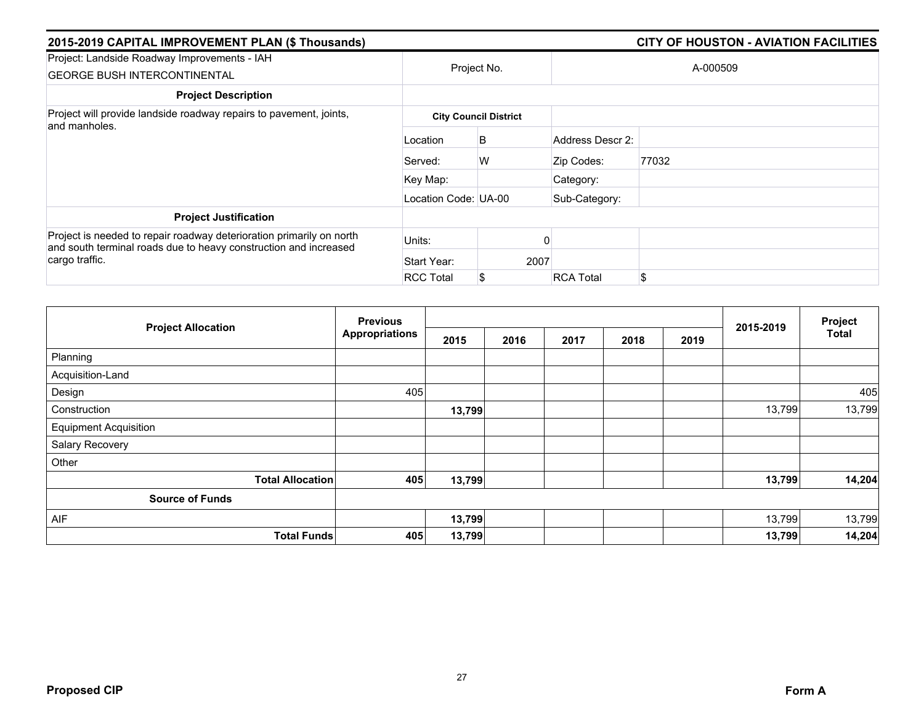| 2015-2019 CAPITAL IMPROVEMENT PLAN (\$ Thousands)                                                                                        |                      |                              |                  |          |  |
|------------------------------------------------------------------------------------------------------------------------------------------|----------------------|------------------------------|------------------|----------|--|
| Project: Landside Roadway Improvements - IAH<br><b>GEORGE BUSH INTERCONTINENTAL</b>                                                      |                      | Project No.                  |                  | A-000509 |  |
| <b>Project Description</b>                                                                                                               |                      |                              |                  |          |  |
| Project will provide landside roadway repairs to pavement, joints,<br>and manholes.                                                      |                      | <b>City Council District</b> |                  |          |  |
|                                                                                                                                          | Location             | B                            | Address Descr 2: |          |  |
|                                                                                                                                          | Served:              | W                            | Zip Codes:       | 77032    |  |
|                                                                                                                                          | Key Map:             |                              | Category:        |          |  |
|                                                                                                                                          | Location Code: UA-00 |                              | Sub-Category:    |          |  |
| <b>Project Justification</b>                                                                                                             |                      |                              |                  |          |  |
| Project is needed to repair roadway deterioration primarily on north<br>and south terminal roads due to heavy construction and increased | Units:               |                              |                  |          |  |
| cargo traffic.                                                                                                                           | Start Year:          | 2007                         |                  |          |  |
|                                                                                                                                          | <b>RCC Total</b>     | S                            | <b>RCA Total</b> | \$       |  |

|                              | <b>Previous</b>       |        |      |      |      |      | Project   |              |
|------------------------------|-----------------------|--------|------|------|------|------|-----------|--------------|
| <b>Project Allocation</b>    | <b>Appropriations</b> | 2015   | 2016 | 2017 | 2018 | 2019 | 2015-2019 | <b>Total</b> |
| Planning                     |                       |        |      |      |      |      |           |              |
| Acquisition-Land             |                       |        |      |      |      |      |           |              |
| Design                       | 405                   |        |      |      |      |      |           | 405          |
| Construction                 |                       | 13,799 |      |      |      |      | 13,799    | 13,799       |
| <b>Equipment Acquisition</b> |                       |        |      |      |      |      |           |              |
| Salary Recovery              |                       |        |      |      |      |      |           |              |
| Other                        |                       |        |      |      |      |      |           |              |
| <b>Total Allocation</b>      | 405                   | 13,799 |      |      |      |      | 13,799    | 14,204       |
| <b>Source of Funds</b>       |                       |        |      |      |      |      |           |              |
| AIF                          |                       | 13,799 |      |      |      |      | 13,799    | 13,799       |
| <b>Total Funds</b>           | 405                   | 13,799 |      |      |      |      | 13,799    | 14,204       |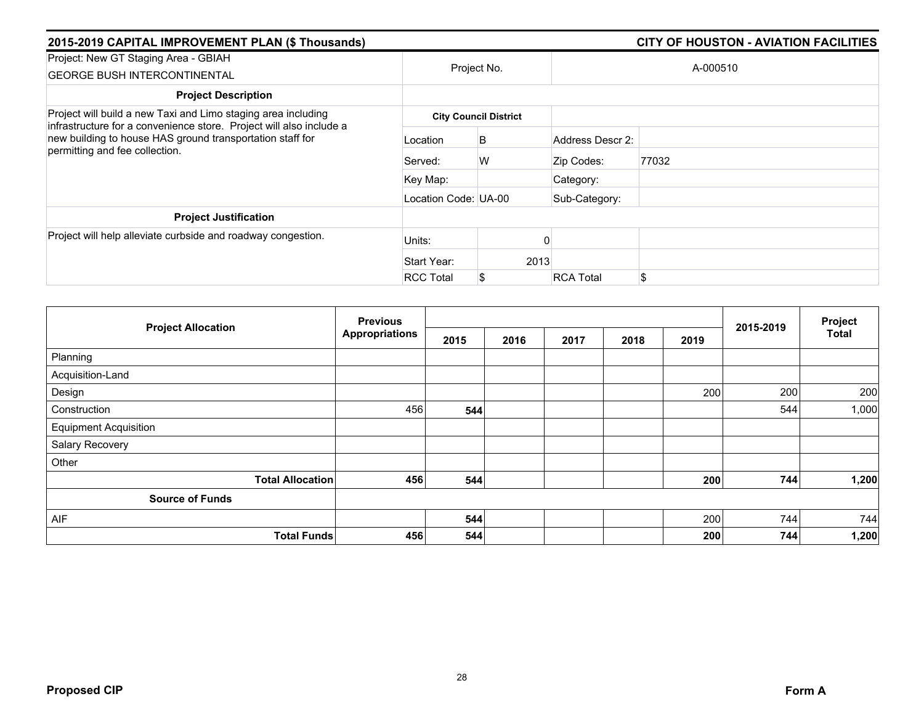| 2015-2019 CAPITAL IMPROVEMENT PLAN (\$ Thousands)                                                                                                                  |                              |             |                  | <b>CITY OF HOUSTON - AVIATION FACILITIES</b> |  |  |  |  |
|--------------------------------------------------------------------------------------------------------------------------------------------------------------------|------------------------------|-------------|------------------|----------------------------------------------|--|--|--|--|
| Project: New GT Staging Area - GBIAH<br><b>GEORGE BUSH INTERCONTINENTAL</b>                                                                                        |                              | Project No. |                  | A-000510                                     |  |  |  |  |
| <b>Project Description</b>                                                                                                                                         |                              |             |                  |                                              |  |  |  |  |
| Project will build a new Taxi and Limo staging area including                                                                                                      | <b>City Council District</b> |             |                  |                                              |  |  |  |  |
| infrastructure for a convenience store. Project will also include a<br>new building to house HAS ground transportation staff for<br>permitting and fee collection. | Location                     | B           | Address Descr 2: |                                              |  |  |  |  |
|                                                                                                                                                                    | Served:                      | W           | Zip Codes:       | 77032                                        |  |  |  |  |
|                                                                                                                                                                    | Key Map:                     |             | Category:        |                                              |  |  |  |  |
|                                                                                                                                                                    | Location Code: UA-00         |             | Sub-Category:    |                                              |  |  |  |  |
| <b>Project Justification</b>                                                                                                                                       |                              |             |                  |                                              |  |  |  |  |
| Project will help alleviate curbside and roadway congestion.                                                                                                       | Units:                       |             |                  |                                              |  |  |  |  |
|                                                                                                                                                                    | Start Year:                  | 2013        |                  |                                              |  |  |  |  |
|                                                                                                                                                                    | <b>RCC Total</b>             |             | <b>RCA Total</b> | \$                                           |  |  |  |  |

|                              | <b>Previous</b>       |      |      |      | 2015-2019 | Project |     |              |
|------------------------------|-----------------------|------|------|------|-----------|---------|-----|--------------|
| <b>Project Allocation</b>    | <b>Appropriations</b> | 2015 | 2016 | 2017 | 2018      | 2019    |     | <b>Total</b> |
| Planning                     |                       |      |      |      |           |         |     |              |
| Acquisition-Land             |                       |      |      |      |           |         |     |              |
| Design                       |                       |      |      |      |           | 200     | 200 | 200          |
| Construction                 | 456                   | 544  |      |      |           |         | 544 | 1,000        |
| <b>Equipment Acquisition</b> |                       |      |      |      |           |         |     |              |
| Salary Recovery              |                       |      |      |      |           |         |     |              |
| Other                        |                       |      |      |      |           |         |     |              |
| <b>Total Allocation</b>      | 456                   | 544  |      |      |           | 200     | 744 | 1,200        |
| <b>Source of Funds</b>       |                       |      |      |      |           |         |     |              |
| AIF                          |                       | 544  |      |      |           | 200     | 744 | 744          |
| <b>Total Funds</b>           | 456                   | 544  |      |      |           | 200     | 744 | 1,200        |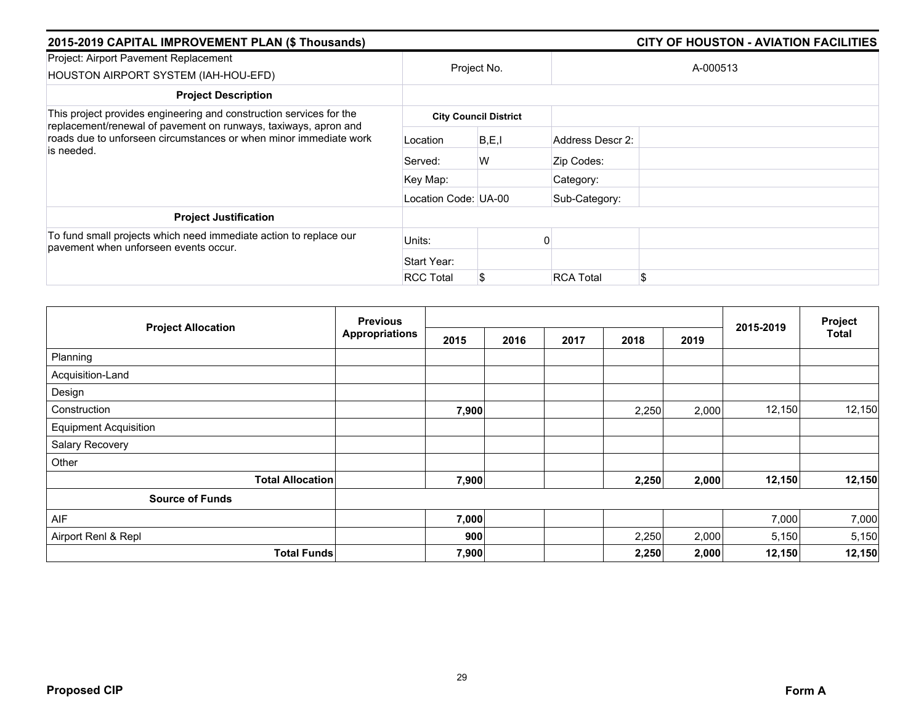| 2015-2019 CAPITAL IMPROVEMENT PLAN (\$ Thousands)                                                                                                                                                                         |                      |                              |                  | <b>CITY OF HOUSTON - AVIATION FACILITIES</b> |
|---------------------------------------------------------------------------------------------------------------------------------------------------------------------------------------------------------------------------|----------------------|------------------------------|------------------|----------------------------------------------|
| Project: Airport Pavement Replacement<br>HOUSTON AIRPORT SYSTEM (IAH-HOU-EFD)                                                                                                                                             |                      | Project No.                  |                  | A-000513                                     |
| <b>Project Description</b>                                                                                                                                                                                                |                      |                              |                  |                                              |
| This project provides engineering and construction services for the<br>replacement/renewal of pavement on runways, taxiways, apron and<br>roads due to unforseen circumstances or when minor immediate work<br>is needed. |                      | <b>City Council District</b> |                  |                                              |
|                                                                                                                                                                                                                           | Location             | B, E, I                      | Address Descr 2: |                                              |
|                                                                                                                                                                                                                           | Served:              | W                            | Zip Codes:       |                                              |
|                                                                                                                                                                                                                           | Key Map:             |                              | Category:        |                                              |
|                                                                                                                                                                                                                           | Location Code: UA-00 |                              | Sub-Category:    |                                              |
| <b>Project Justification</b>                                                                                                                                                                                              |                      |                              |                  |                                              |
| To fund small projects which need immediate action to replace our<br>pavement when unforseen events occur.                                                                                                                | Units:               |                              |                  |                                              |
|                                                                                                                                                                                                                           | Start Year:          |                              |                  |                                              |
|                                                                                                                                                                                                                           | <b>RCC Total</b>     |                              | <b>RCA Total</b> | \$                                           |

|                              | <b>Previous</b>       |       |      |      |       | Project |           |              |
|------------------------------|-----------------------|-------|------|------|-------|---------|-----------|--------------|
| <b>Project Allocation</b>    | <b>Appropriations</b> | 2015  | 2016 | 2017 | 2018  | 2019    | 2015-2019 | <b>Total</b> |
| Planning                     |                       |       |      |      |       |         |           |              |
| Acquisition-Land             |                       |       |      |      |       |         |           |              |
| Design                       |                       |       |      |      |       |         |           |              |
| Construction                 |                       | 7,900 |      |      | 2,250 | 2,000   | 12,150    | 12,150       |
| <b>Equipment Acquisition</b> |                       |       |      |      |       |         |           |              |
| Salary Recovery              |                       |       |      |      |       |         |           |              |
| Other                        |                       |       |      |      |       |         |           |              |
| <b>Total Allocation</b>      |                       | 7,900 |      |      | 2,250 | 2,000   | 12,150    | 12,150       |
| <b>Source of Funds</b>       |                       |       |      |      |       |         |           |              |
| AIF                          |                       | 7,000 |      |      |       |         | 7,000     | 7,000        |
| Airport Renl & Repl          |                       | 900   |      |      | 2,250 | 2,000   | 5,150     | 5,150        |
| <b>Total Funds</b>           |                       | 7,900 |      |      | 2,250 | 2,000   | 12,150    | 12,150       |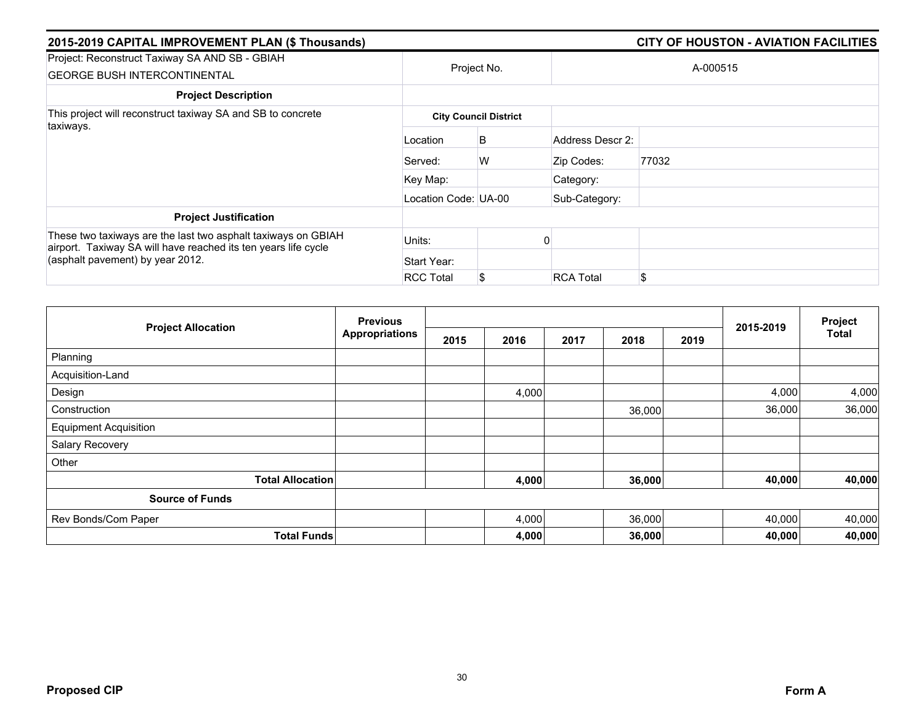| 2015-2019 CAPITAL IMPROVEMENT PLAN (\$ Thousands)                                                                               |                      |                              |                  | <b>CITY OF HOUSTON - AVIATION FACILITIES</b> |
|---------------------------------------------------------------------------------------------------------------------------------|----------------------|------------------------------|------------------|----------------------------------------------|
| Project: Reconstruct Taxiway SA AND SB - GBIAH<br><b>GEORGE BUSH INTERCONTINENTAL</b>                                           |                      | Project No.                  |                  | A-000515                                     |
| <b>Project Description</b>                                                                                                      |                      |                              |                  |                                              |
| This project will reconstruct taxiway SA and SB to concrete                                                                     |                      | <b>City Council District</b> |                  |                                              |
| taxiways.                                                                                                                       | Location             | B                            | Address Descr 2: |                                              |
|                                                                                                                                 | Served:              | W                            | Zip Codes:       | 77032                                        |
|                                                                                                                                 | Key Map:             |                              | Category:        |                                              |
|                                                                                                                                 | Location Code: UA-00 |                              | Sub-Category:    |                                              |
| <b>Project Justification</b>                                                                                                    |                      |                              |                  |                                              |
| These two taxiways are the last two asphalt taxiways on GBIAH<br>airport. Taxiway SA will have reached its ten years life cycle | Units:               |                              |                  |                                              |
| (asphalt pavement) by year 2012.                                                                                                | Start Year:          |                              |                  |                                              |
|                                                                                                                                 | <b>RCC Total</b>     | \$                           | <b>RCA Total</b> | \$                                           |

|                              | <b>Previous</b>       |      |       |      | Project |      |           |        |
|------------------------------|-----------------------|------|-------|------|---------|------|-----------|--------|
| <b>Project Allocation</b>    | <b>Appropriations</b> | 2015 | 2016  | 2017 | 2018    | 2019 | 2015-2019 | Total  |
| Planning                     |                       |      |       |      |         |      |           |        |
| Acquisition-Land             |                       |      |       |      |         |      |           |        |
| Design                       |                       |      | 4,000 |      |         |      | 4,000     | 4,000  |
| Construction                 |                       |      |       |      | 36,000  |      | 36,000    | 36,000 |
| <b>Equipment Acquisition</b> |                       |      |       |      |         |      |           |        |
| Salary Recovery              |                       |      |       |      |         |      |           |        |
| Other                        |                       |      |       |      |         |      |           |        |
| <b>Total Allocation</b>      |                       |      | 4,000 |      | 36,000  |      | 40,000    | 40,000 |
| <b>Source of Funds</b>       |                       |      |       |      |         |      |           |        |
| Rev Bonds/Com Paper          |                       |      | 4,000 |      | 36,000  |      | 40,000    | 40,000 |
| <b>Total Funds</b>           |                       |      | 4,000 |      | 36,000  |      | 40,000    | 40,000 |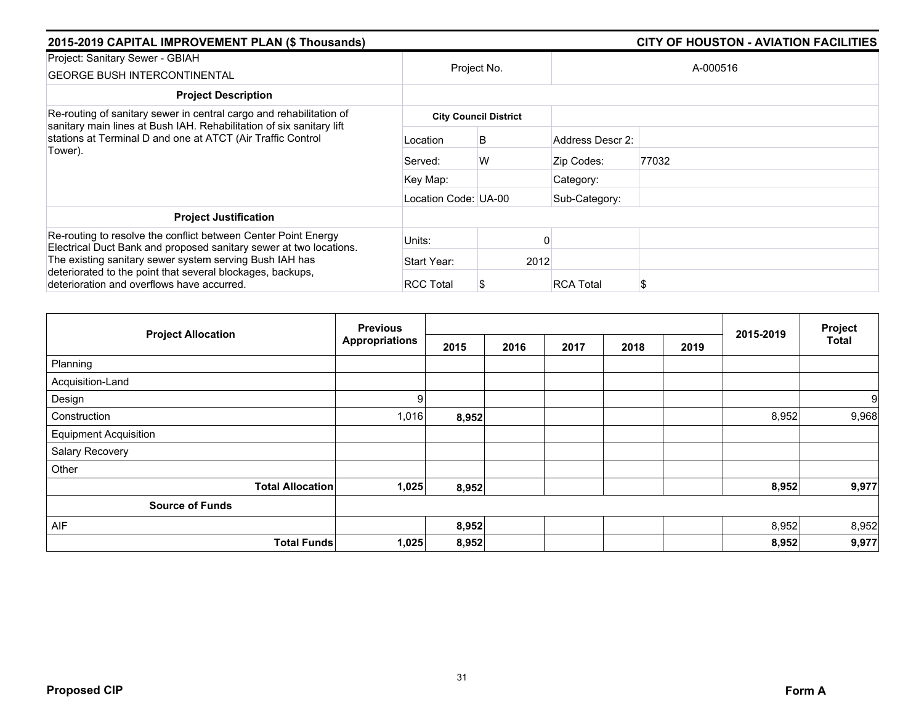| 2015-2019 CAPITAL IMPROVEMENT PLAN (\$ Thousands)                                                                                           |                              |             |                  | <b>CITY OF HOUSTON - AVIATION FACILITIES</b> |  |  |  |
|---------------------------------------------------------------------------------------------------------------------------------------------|------------------------------|-------------|------------------|----------------------------------------------|--|--|--|
| Project: Sanitary Sewer - GBIAH<br><b>GEORGE BUSH INTERCONTINENTAL</b>                                                                      |                              | Project No. |                  | A-000516                                     |  |  |  |
| <b>Project Description</b>                                                                                                                  |                              |             |                  |                                              |  |  |  |
| Re-routing of sanitary sewer in central cargo and rehabilitation of<br>sanitary main lines at Bush IAH. Rehabilitation of six sanitary lift | <b>City Council District</b> |             |                  |                                              |  |  |  |
| stations at Terminal D and one at ATCT (Air Traffic Control<br>Tower).                                                                      | Location                     | B           | Address Descr 2: |                                              |  |  |  |
|                                                                                                                                             | Served:                      | W           | Zip Codes:       | 77032                                        |  |  |  |
|                                                                                                                                             | Key Map:                     |             | Category:        |                                              |  |  |  |
|                                                                                                                                             | Location Code: UA-00         |             | Sub-Category:    |                                              |  |  |  |
| <b>Project Justification</b>                                                                                                                |                              |             |                  |                                              |  |  |  |
| Re-routing to resolve the conflict between Center Point Energy<br>Electrical Duct Bank and proposed sanitary sewer at two locations.        | Units:                       |             |                  |                                              |  |  |  |
| The existing sanitary sewer system serving Bush IAH has                                                                                     | Start Year:                  | 2012        |                  |                                              |  |  |  |
| deteriorated to the point that several blockages, backups,<br>deterioration and overflows have accurred.                                    | <b>RCC Total</b>             |             | <b>RCA Total</b> | S                                            |  |  |  |

|                              |                         | <b>Previous</b><br><b>Appropriations</b> |       |      |      |      |      |           |              | Project |
|------------------------------|-------------------------|------------------------------------------|-------|------|------|------|------|-----------|--------------|---------|
| <b>Project Allocation</b>    |                         |                                          | 2015  | 2016 | 2017 | 2018 | 2019 | 2015-2019 | <b>Total</b> |         |
| Planning                     |                         |                                          |       |      |      |      |      |           |              |         |
| Acquisition-Land             |                         |                                          |       |      |      |      |      |           |              |         |
| Design                       |                         | 9                                        |       |      |      |      |      |           | 9            |         |
| Construction                 |                         | 1,016                                    | 8,952 |      |      |      |      | 8,952     | 9,968        |         |
| <b>Equipment Acquisition</b> |                         |                                          |       |      |      |      |      |           |              |         |
| Salary Recovery              |                         |                                          |       |      |      |      |      |           |              |         |
| Other                        |                         |                                          |       |      |      |      |      |           |              |         |
|                              | <b>Total Allocation</b> | 1,025                                    | 8,952 |      |      |      |      | 8,952     | 9,977        |         |
| <b>Source of Funds</b>       |                         |                                          |       |      |      |      |      |           |              |         |
| AIF                          |                         |                                          | 8,952 |      |      |      |      | 8,952     | 8,952        |         |
|                              | <b>Total Funds</b>      | 1,025                                    | 8,952 |      |      |      |      | 8,952     | 9,977        |         |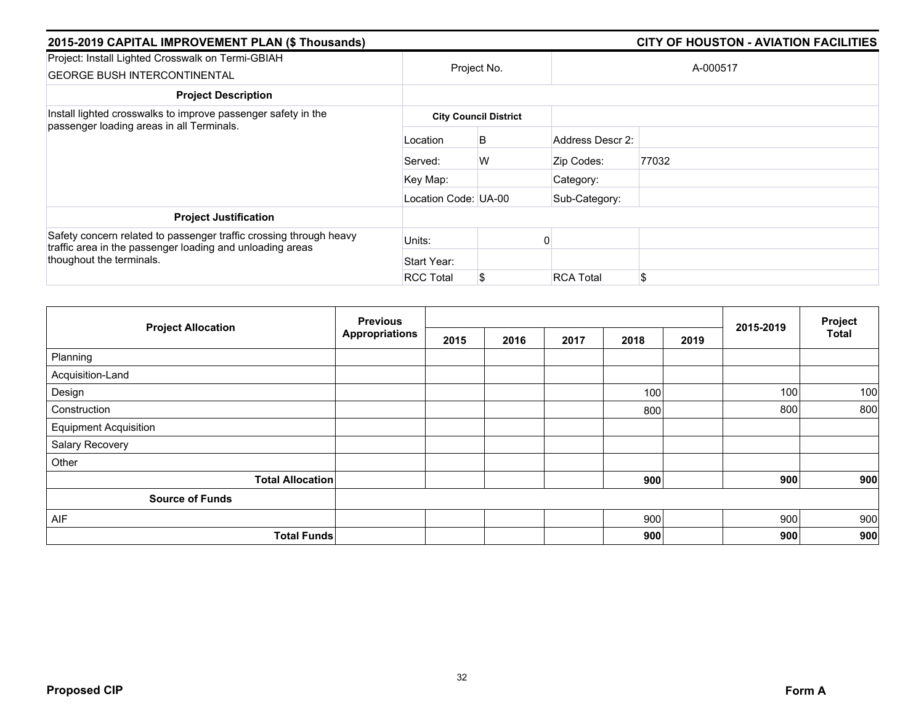| 2015-2019 CAPITAL IMPROVEMENT PLAN (\$ Thousands)                                                                               |                      |                              |                  | <b>CITY OF HOUSTON - AVIATION FACILITIES</b> |  |  |  |  |
|---------------------------------------------------------------------------------------------------------------------------------|----------------------|------------------------------|------------------|----------------------------------------------|--|--|--|--|
| Project: Install Lighted Crosswalk on Termi-GBIAH<br><b>GEORGE BUSH INTERCONTINENTAL</b>                                        |                      | Project No.                  |                  | A-000517                                     |  |  |  |  |
| <b>Project Description</b>                                                                                                      |                      |                              |                  |                                              |  |  |  |  |
| Install lighted crosswalks to improve passenger safety in the                                                                   |                      | <b>City Council District</b> |                  |                                              |  |  |  |  |
| passenger loading areas in all Terminals.                                                                                       | Location             | B                            | Address Descr 2: |                                              |  |  |  |  |
|                                                                                                                                 | Served:              | W                            | Zip Codes:       | 77032                                        |  |  |  |  |
|                                                                                                                                 | Key Map:             |                              | Category:        |                                              |  |  |  |  |
|                                                                                                                                 | Location Code: UA-00 |                              | Sub-Category:    |                                              |  |  |  |  |
| <b>Project Justification</b>                                                                                                    |                      |                              |                  |                                              |  |  |  |  |
| Safety concern related to passenger traffic crossing through heavy<br>traffic area in the passenger loading and unloading areas | Units:               |                              |                  |                                              |  |  |  |  |
| thoughout the terminals.                                                                                                        | Start Year:          |                              |                  |                                              |  |  |  |  |
|                                                                                                                                 | <b>RCC Total</b>     |                              | <b>RCA Total</b> | \$                                           |  |  |  |  |

|                              | <b>Previous</b>       |      |      |      |      |      | 2015-2019 | Project<br><b>Total</b> |
|------------------------------|-----------------------|------|------|------|------|------|-----------|-------------------------|
| <b>Project Allocation</b>    | <b>Appropriations</b> | 2015 | 2016 | 2017 | 2018 | 2019 |           |                         |
| Planning                     |                       |      |      |      |      |      |           |                         |
| Acquisition-Land             |                       |      |      |      |      |      |           |                         |
| Design                       |                       |      |      |      | 100  |      | 100       | 100                     |
| Construction                 |                       |      |      |      | 800  |      | 800       | 800                     |
| <b>Equipment Acquisition</b> |                       |      |      |      |      |      |           |                         |
| Salary Recovery              |                       |      |      |      |      |      |           |                         |
| Other                        |                       |      |      |      |      |      |           |                         |
| <b>Total Allocation</b>      |                       |      |      |      | 900  |      | 900       | 900                     |
| <b>Source of Funds</b>       |                       |      |      |      |      |      |           |                         |
| AIF                          |                       |      |      |      | 900  |      | 900       | 900                     |
| <b>Total Funds</b>           |                       |      |      |      | 900  |      | 900       | 900                     |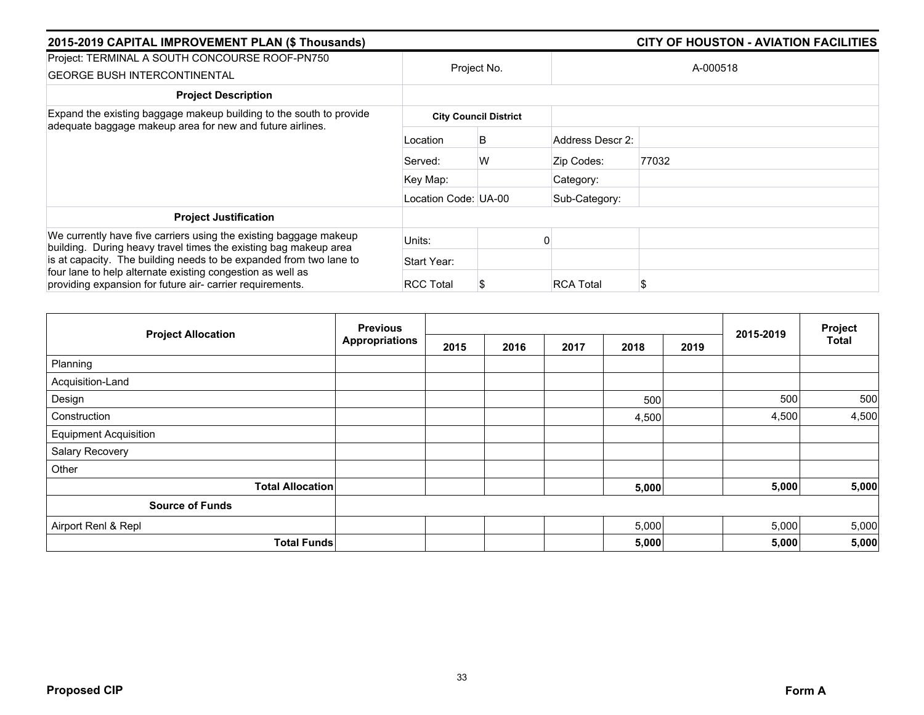| 2015-2019 CAPITAL IMPROVEMENT PLAN (\$ Thousands)                                                                                     |                      | <b>CITY OF HOUSTON - AVIATION FACILITIES</b> |                  |       |  |  |
|---------------------------------------------------------------------------------------------------------------------------------------|----------------------|----------------------------------------------|------------------|-------|--|--|
| Project: TERMINAL A SOUTH CONCOURSE ROOF-PN750<br><b>GEORGE BUSH INTERCONTINENTAL</b>                                                 | Project No.          |                                              | A-000518         |       |  |  |
| <b>Project Description</b>                                                                                                            |                      |                                              |                  |       |  |  |
| Expand the existing baggage makeup building to the south to provide<br>adequate baggage makeup area for new and future airlines.      |                      | <b>City Council District</b>                 |                  |       |  |  |
|                                                                                                                                       | Location             | B                                            | Address Descr 2: |       |  |  |
|                                                                                                                                       | Served:              | W                                            | Zip Codes:       | 77032 |  |  |
|                                                                                                                                       | Key Map:             |                                              | Category:        |       |  |  |
|                                                                                                                                       | Location Code: UA-00 |                                              | Sub-Category:    |       |  |  |
| <b>Project Justification</b>                                                                                                          |                      |                                              |                  |       |  |  |
| We currently have five carriers using the existing baggage makeup<br>building. During heavy travel times the existing bag makeup area | Units:               |                                              |                  |       |  |  |
| is at capacity. The building needs to be expanded from two lane to                                                                    | Start Year:          |                                              |                  |       |  |  |
| four lane to help alternate existing congestion as well as<br>providing expansion for future air- carrier requirements.               | <b>RCC Total</b>     |                                              | <b>RCA Total</b> | S     |  |  |

|                              | <b>Previous</b>       |      |      |      |       | Project |           |              |
|------------------------------|-----------------------|------|------|------|-------|---------|-----------|--------------|
| <b>Project Allocation</b>    | <b>Appropriations</b> | 2015 | 2016 | 2017 | 2018  | 2019    | 2015-2019 | <b>Total</b> |
| Planning                     |                       |      |      |      |       |         |           |              |
| Acquisition-Land             |                       |      |      |      |       |         |           |              |
| Design                       |                       |      |      |      | 500   |         | 500       | 500          |
| Construction                 |                       |      |      |      | 4,500 |         | 4,500     | 4,500        |
| <b>Equipment Acquisition</b> |                       |      |      |      |       |         |           |              |
| Salary Recovery              |                       |      |      |      |       |         |           |              |
| Other                        |                       |      |      |      |       |         |           |              |
| <b>Total Allocation</b>      |                       |      |      |      | 5,000 |         | 5,000     | 5,000        |
| <b>Source of Funds</b>       |                       |      |      |      |       |         |           |              |
| Airport Renl & Repl          |                       |      |      |      | 5,000 |         | 5,000     | 5,000        |
| <b>Total Funds</b>           |                       |      |      |      | 5,000 |         | 5,000     | 5,000        |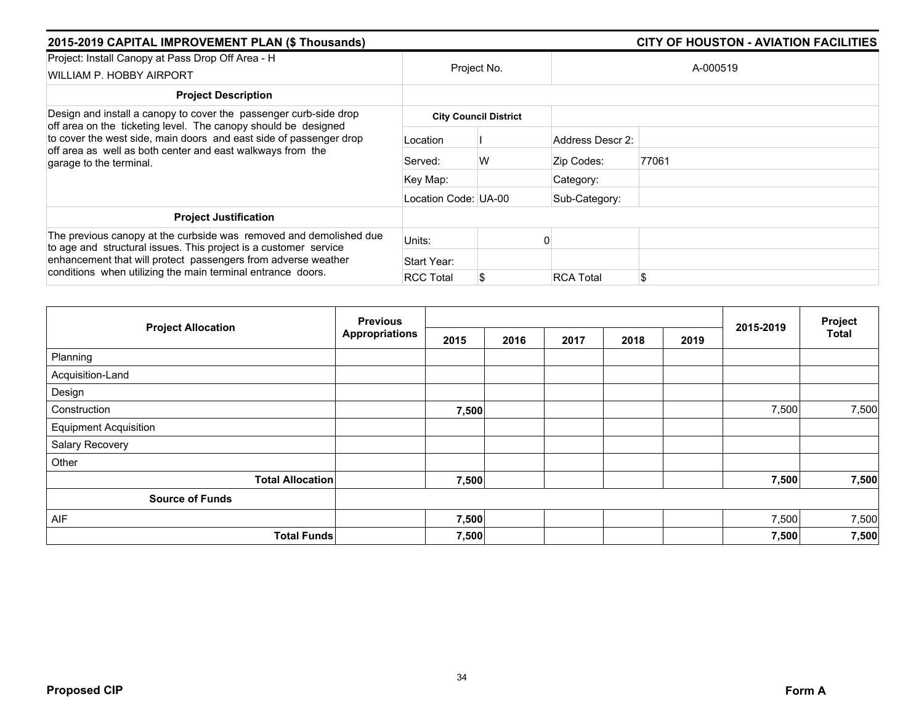| 2015-2019 CAPITAL IMPROVEMENT PLAN (\$ Thousands)                                                                                                                                                                             |                      |                              |                  | <b>CITY OF HOUSTON - AVIATION FACILITIES</b> |  |
|-------------------------------------------------------------------------------------------------------------------------------------------------------------------------------------------------------------------------------|----------------------|------------------------------|------------------|----------------------------------------------|--|
| Project: Install Canopy at Pass Drop Off Area - H<br>WILLIAM P. HOBBY AIRPORT                                                                                                                                                 |                      | Project No.                  |                  | A-000519                                     |  |
| <b>Project Description</b>                                                                                                                                                                                                    |                      |                              |                  |                                              |  |
| Design and install a canopy to cover the passenger curb-side drop                                                                                                                                                             |                      | <b>City Council District</b> |                  |                                              |  |
| off area on the ticketing level. The canopy should be designed<br>to cover the west side, main doors and east side of passenger drop<br>off area as well as both center and east walkways from the<br>garage to the terminal. | Location             |                              | Address Descr 2: |                                              |  |
|                                                                                                                                                                                                                               | Served:              | W                            | Zip Codes:       | 77061                                        |  |
|                                                                                                                                                                                                                               | Key Map:             |                              | Category:        |                                              |  |
|                                                                                                                                                                                                                               | Location Code: UA-00 |                              | Sub-Category:    |                                              |  |
| <b>Project Justification</b>                                                                                                                                                                                                  |                      |                              |                  |                                              |  |
| The previous canopy at the curbside was removed and demolished due<br>to age and structural issues. This project is a customer service                                                                                        | Units:               |                              |                  |                                              |  |
| enhancement that will protect passengers from adverse weather<br>conditions when utilizing the main terminal entrance doors.                                                                                                  | Start Year:          |                              |                  |                                              |  |
|                                                                                                                                                                                                                               | <b>RCC Total</b>     | S                            | <b>RCA Total</b> | \$                                           |  |

|                              | <b>Previous</b>       |       |      |      |      | Project |           |       |
|------------------------------|-----------------------|-------|------|------|------|---------|-----------|-------|
| <b>Project Allocation</b>    | <b>Appropriations</b> | 2015  | 2016 | 2017 | 2018 | 2019    | 2015-2019 | Total |
| Planning                     |                       |       |      |      |      |         |           |       |
| Acquisition-Land             |                       |       |      |      |      |         |           |       |
| Design                       |                       |       |      |      |      |         |           |       |
| Construction                 |                       | 7,500 |      |      |      |         | 7,500     | 7,500 |
| <b>Equipment Acquisition</b> |                       |       |      |      |      |         |           |       |
| Salary Recovery              |                       |       |      |      |      |         |           |       |
| Other                        |                       |       |      |      |      |         |           |       |
| <b>Total Allocation</b>      |                       | 7,500 |      |      |      |         | 7,500     | 7,500 |
| <b>Source of Funds</b>       |                       |       |      |      |      |         |           |       |
| AIF                          |                       | 7,500 |      |      |      |         | 7,500     | 7,500 |
| <b>Total Funds</b>           |                       | 7,500 |      |      |      |         | 7,500     | 7,500 |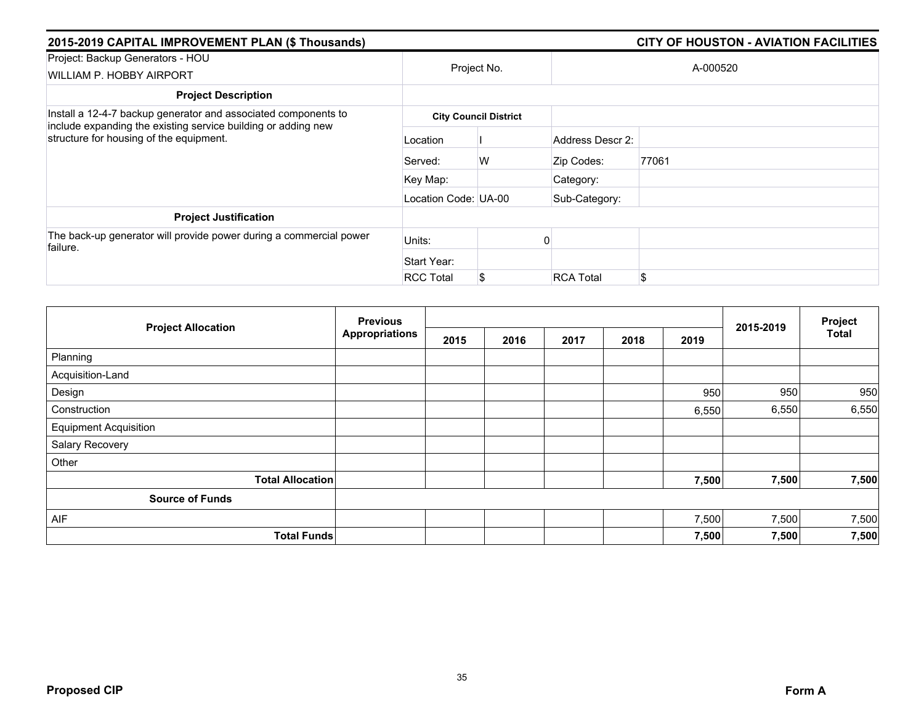| 2015-2019 CAPITAL IMPROVEMENT PLAN (\$ Thousands)                                                        |                      |                              |                  | <b>CITY OF HOUSTON - AVIATION FACILITIES</b> |
|----------------------------------------------------------------------------------------------------------|----------------------|------------------------------|------------------|----------------------------------------------|
| Project: Backup Generators - HOU<br>WILLIAM P. HOBBY AIRPORT                                             |                      | Project No.                  |                  | A-000520                                     |
| <b>Project Description</b>                                                                               |                      |                              |                  |                                              |
| Install a 12-4-7 backup generator and associated components to                                           |                      | <b>City Council District</b> |                  |                                              |
| include expanding the existing service building or adding new<br>structure for housing of the equipment. | Location             |                              | Address Descr 2: |                                              |
|                                                                                                          | Served:              | W                            | Zip Codes:       | 77061                                        |
|                                                                                                          | Key Map:             |                              | Category:        |                                              |
|                                                                                                          | Location Code: UA-00 |                              | Sub-Category:    |                                              |
| <b>Project Justification</b>                                                                             |                      |                              |                  |                                              |
| The back-up generator will provide power during a commercial power<br>failure.                           | Units:               |                              |                  |                                              |
|                                                                                                          | Start Year:          |                              |                  |                                              |
|                                                                                                          | <b>RCC Total</b>     |                              | <b>RCA Total</b> | \$                                           |

|                              | <b>Previous</b><br><b>Appropriations</b> |      |      |      | 2015-2019 | Project |       |              |
|------------------------------|------------------------------------------|------|------|------|-----------|---------|-------|--------------|
| <b>Project Allocation</b>    |                                          | 2015 | 2016 | 2017 | 2018      | 2019    |       | <b>Total</b> |
| Planning                     |                                          |      |      |      |           |         |       |              |
| Acquisition-Land             |                                          |      |      |      |           |         |       |              |
| Design                       |                                          |      |      |      |           | 950     | 950   | 950          |
| Construction                 |                                          |      |      |      |           | 6,550   | 6,550 | 6,550        |
| <b>Equipment Acquisition</b> |                                          |      |      |      |           |         |       |              |
| Salary Recovery              |                                          |      |      |      |           |         |       |              |
| Other                        |                                          |      |      |      |           |         |       |              |
| <b>Total Allocation</b>      |                                          |      |      |      |           | 7,500   | 7,500 | 7,500        |
| <b>Source of Funds</b>       |                                          |      |      |      |           |         |       |              |
| AIF                          |                                          |      |      |      |           | 7,500   | 7,500 | 7,500        |
| <b>Total Funds</b>           |                                          |      |      |      |           | 7,500   | 7,500 | 7,500        |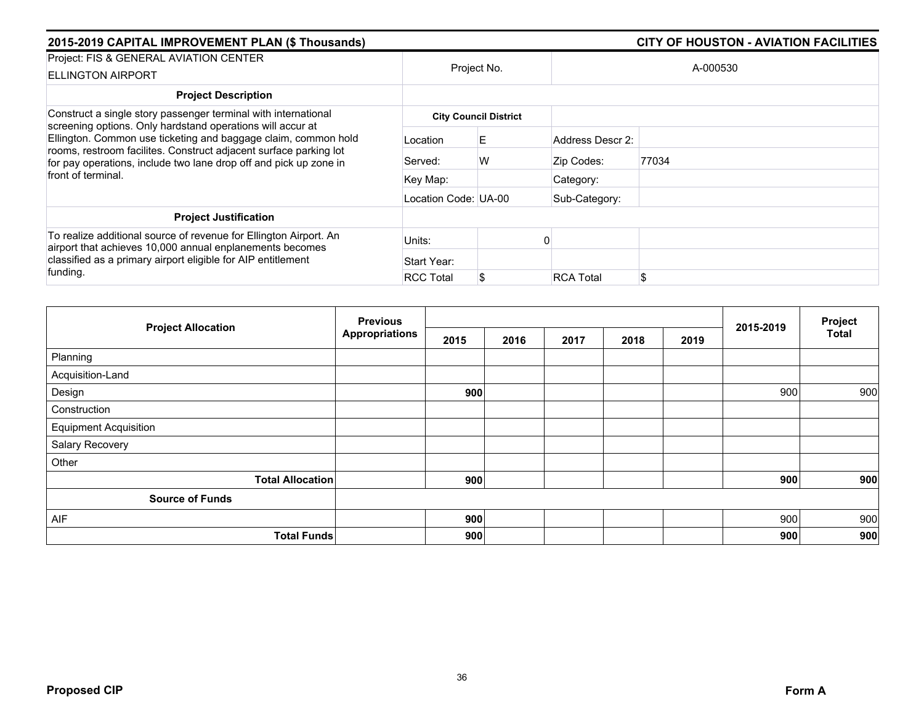| 2015-2019 CAPITAL IMPROVEMENT PLAN (\$ Thousands)                                                                                                                                                                                                                                            |                      |                              |                  | <b>CITY OF HOUSTON - AVIATION FACILITIES</b> |
|----------------------------------------------------------------------------------------------------------------------------------------------------------------------------------------------------------------------------------------------------------------------------------------------|----------------------|------------------------------|------------------|----------------------------------------------|
| Project: FIS & GENERAL AVIATION CENTER<br><b>ELLINGTON AIRPORT</b>                                                                                                                                                                                                                           |                      | Project No.                  |                  | A-000530                                     |
| <b>Project Description</b>                                                                                                                                                                                                                                                                   |                      |                              |                  |                                              |
| Construct a single story passenger terminal with international                                                                                                                                                                                                                               |                      | <b>City Council District</b> |                  |                                              |
| screening options. Only hardstand operations will accur at<br>Ellington. Common use ticketing and baggage claim, common hold<br>rooms, restroom facilites. Construct adjacent surface parking lot<br>for pay operations, include two lane drop off and pick up zone in<br>front of terminal. | Location             | E.                           | Address Descr 2: |                                              |
|                                                                                                                                                                                                                                                                                              | Served:              | W                            | Zip Codes:       | 77034                                        |
|                                                                                                                                                                                                                                                                                              | Key Map:             |                              | Category:        |                                              |
|                                                                                                                                                                                                                                                                                              | Location Code: UA-00 |                              | Sub-Category:    |                                              |
| <b>Project Justification</b>                                                                                                                                                                                                                                                                 |                      |                              |                  |                                              |
| To realize additional source of revenue for Ellington Airport. An<br>airport that achieves 10,000 annual enplanements becomes                                                                                                                                                                | Units:               |                              |                  |                                              |
| classified as a primary airport eligible for AIP entitlement<br>funding.                                                                                                                                                                                                                     | Start Year:          |                              |                  |                                              |
|                                                                                                                                                                                                                                                                                              | <b>RCC Total</b>     |                              | <b>RCA Total</b> | \$                                           |

|                              | <b>Previous</b>       |      |      |      | 2015-2019 | Project |     |              |
|------------------------------|-----------------------|------|------|------|-----------|---------|-----|--------------|
| <b>Project Allocation</b>    | <b>Appropriations</b> | 2015 | 2016 | 2017 | 2018      | 2019    |     | <b>Total</b> |
| Planning                     |                       |      |      |      |           |         |     |              |
| Acquisition-Land             |                       |      |      |      |           |         |     |              |
| Design                       |                       | 900  |      |      |           |         | 900 | 900          |
| Construction                 |                       |      |      |      |           |         |     |              |
| <b>Equipment Acquisition</b> |                       |      |      |      |           |         |     |              |
| Salary Recovery              |                       |      |      |      |           |         |     |              |
| Other                        |                       |      |      |      |           |         |     |              |
| <b>Total Allocation</b>      |                       | 900  |      |      |           |         | 900 | 900          |
| <b>Source of Funds</b>       |                       |      |      |      |           |         |     |              |
| AIF                          |                       | 900  |      |      |           |         | 900 | 900          |
| <b>Total Funds</b>           |                       | 900  |      |      |           |         | 900 | 900          |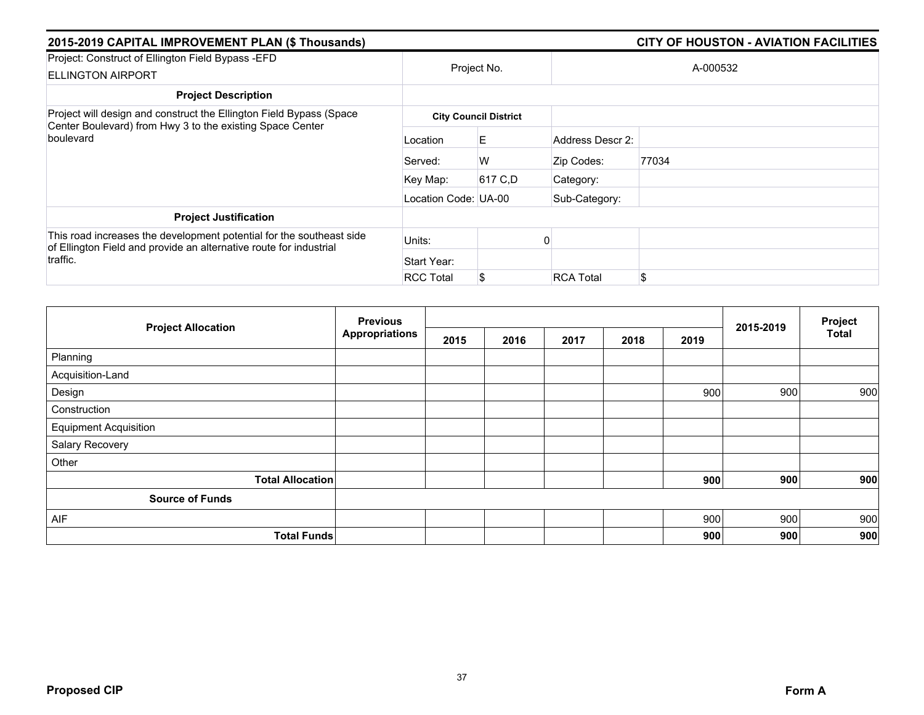| 2015-2019 CAPITAL IMPROVEMENT PLAN (\$ Thousands)                                                                                                      |                      |                              |                  |       |  |  |
|--------------------------------------------------------------------------------------------------------------------------------------------------------|----------------------|------------------------------|------------------|-------|--|--|
| Project: Construct of Ellington Field Bypass - EFD<br><b>ELLINGTON AIRPORT</b>                                                                         | Project No.          |                              | A-000532         |       |  |  |
| <b>Project Description</b>                                                                                                                             |                      |                              |                  |       |  |  |
| Project will design and construct the Ellington Field Bypass (Space<br>Center Boulevard) from Hwy 3 to the existing Space Center                       |                      | <b>City Council District</b> |                  |       |  |  |
| boulevard                                                                                                                                              | Location             | E                            | Address Descr 2: |       |  |  |
|                                                                                                                                                        | Served:              | W                            | Zip Codes:       | 77034 |  |  |
|                                                                                                                                                        | Key Map:             | 617 C,D                      | Category:        |       |  |  |
|                                                                                                                                                        | Location Code: UA-00 |                              | Sub-Category:    |       |  |  |
| <b>Project Justification</b>                                                                                                                           |                      |                              |                  |       |  |  |
| This road increases the development potential for the southeast side<br>of Ellington Field and provide an alternative route for industrial<br>traffic. | Units:               |                              |                  |       |  |  |
|                                                                                                                                                        | Start Year:          |                              |                  |       |  |  |
|                                                                                                                                                        | <b>RCC Total</b>     | S                            | <b>RCA Total</b> | \$    |  |  |

| <b>Project Allocation</b>    | <b>Previous</b>       |      |      |      | Project |      |           |              |
|------------------------------|-----------------------|------|------|------|---------|------|-----------|--------------|
|                              | <b>Appropriations</b> | 2015 | 2016 | 2017 | 2018    | 2019 | 2015-2019 | <b>Total</b> |
| Planning                     |                       |      |      |      |         |      |           |              |
| Acquisition-Land             |                       |      |      |      |         |      |           |              |
| Design                       |                       |      |      |      |         | 900  | 900       | 900          |
| Construction                 |                       |      |      |      |         |      |           |              |
| <b>Equipment Acquisition</b> |                       |      |      |      |         |      |           |              |
| Salary Recovery              |                       |      |      |      |         |      |           |              |
| Other                        |                       |      |      |      |         |      |           |              |
| <b>Total Allocation</b>      |                       |      |      |      |         | 900  | 900       | 900          |
| <b>Source of Funds</b>       |                       |      |      |      |         |      |           |              |
| AIF                          |                       |      |      |      |         | 900  | 900       | 900          |
| <b>Total Funds</b>           |                       |      |      |      |         | 900  | 900       | 900          |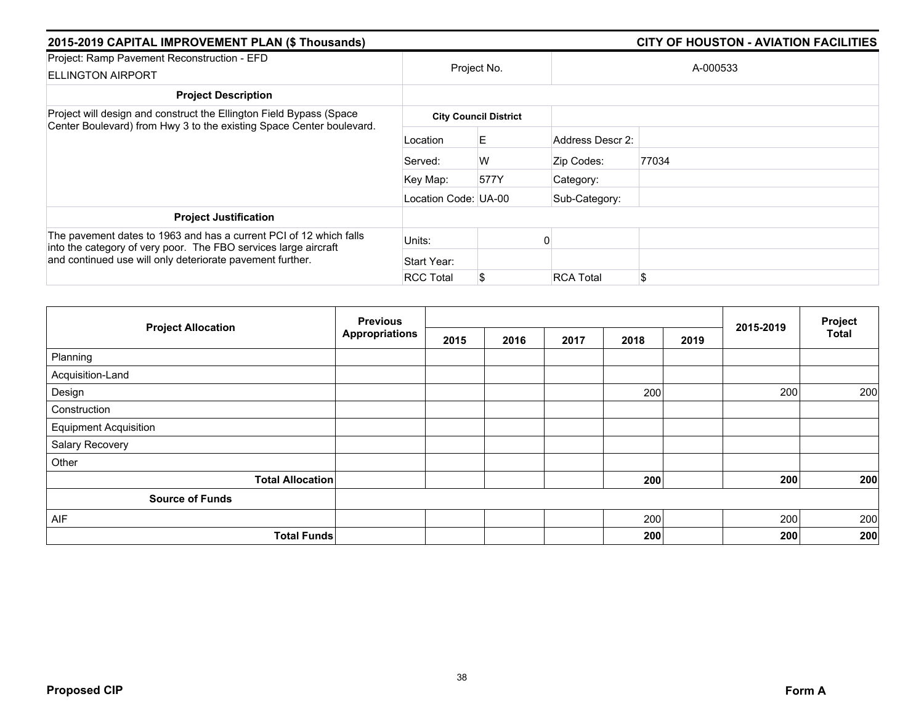| 2015-2019 CAPITAL IMPROVEMENT PLAN (\$ Thousands)                                                                                           |                      |                              |                  |          |
|---------------------------------------------------------------------------------------------------------------------------------------------|----------------------|------------------------------|------------------|----------|
| Project: Ramp Pavement Reconstruction - EFD<br><b>ELLINGTON AIRPORT</b>                                                                     | Project No.          |                              |                  | A-000533 |
| <b>Project Description</b>                                                                                                                  |                      |                              |                  |          |
| Project will design and construct the Ellington Field Bypass (Space<br>Center Boulevard) from Hwy 3 to the existing Space Center boulevard. |                      | <b>City Council District</b> |                  |          |
|                                                                                                                                             | Location             | E.                           | Address Descr 2: |          |
|                                                                                                                                             | Served:              | W                            | Zip Codes:       | 77034    |
|                                                                                                                                             | Key Map:             | 577Y                         | Category:        |          |
|                                                                                                                                             | Location Code: UA-00 |                              | Sub-Category:    |          |
| <b>Project Justification</b>                                                                                                                |                      |                              |                  |          |
| The pavement dates to 1963 and has a current PCI of 12 which falls<br>into the category of very poor. The FBO services large aircraft       | Units:               |                              |                  |          |
| and continued use will only deteriorate pavement further.                                                                                   | Start Year:          |                              |                  |          |
|                                                                                                                                             | <b>RCC Total</b>     | S.                           | <b>RCA Total</b> | \$       |

|                              | <b>Previous</b>       |      |      |      |      | Project |           |              |
|------------------------------|-----------------------|------|------|------|------|---------|-----------|--------------|
| <b>Project Allocation</b>    | <b>Appropriations</b> | 2015 | 2016 | 2017 | 2018 | 2019    | 2015-2019 | <b>Total</b> |
| Planning                     |                       |      |      |      |      |         |           |              |
| Acquisition-Land             |                       |      |      |      |      |         |           |              |
| Design                       |                       |      |      |      | 200  |         | 200       | 200          |
| Construction                 |                       |      |      |      |      |         |           |              |
| <b>Equipment Acquisition</b> |                       |      |      |      |      |         |           |              |
| Salary Recovery              |                       |      |      |      |      |         |           |              |
| Other                        |                       |      |      |      |      |         |           |              |
| <b>Total Allocation</b>      |                       |      |      |      | 200  |         | 200       | 200          |
| <b>Source of Funds</b>       |                       |      |      |      |      |         |           |              |
| AIF                          |                       |      |      |      | 200  |         | 200       | 200          |
| <b>Total Funds</b>           |                       |      |      |      | 200  |         | 200       | 200          |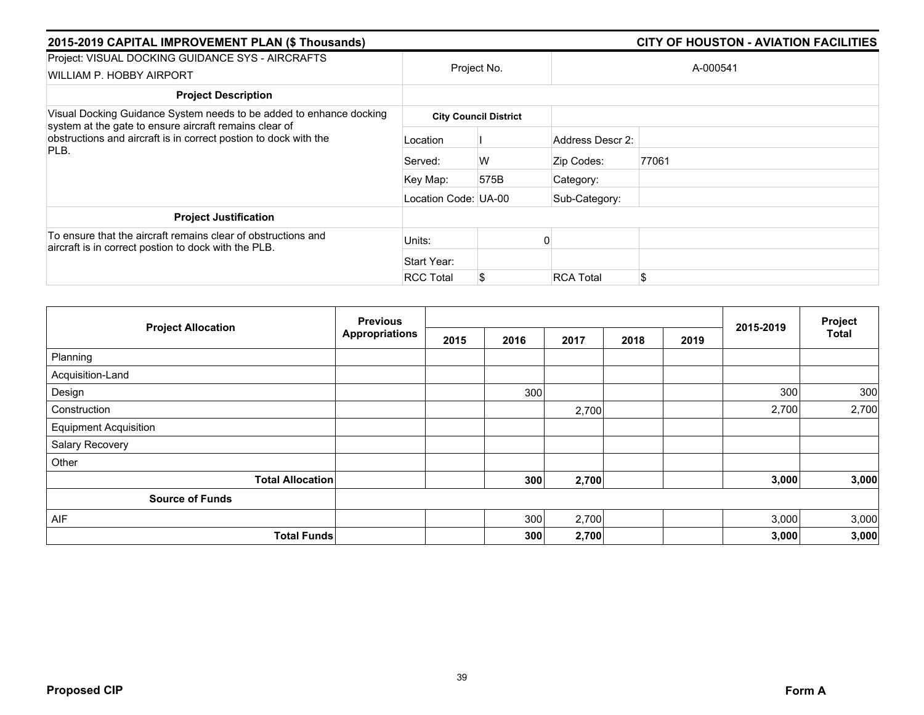| 2015-2019 CAPITAL IMPROVEMENT PLAN (\$ Thousands)                                                                                                                                                         |                      |                              |                  | <b>CITY OF HOUSTON - AVIATION FACILITIES</b> |
|-----------------------------------------------------------------------------------------------------------------------------------------------------------------------------------------------------------|----------------------|------------------------------|------------------|----------------------------------------------|
| Project: VISUAL DOCKING GUIDANCE SYS - AIRCRAFTS<br>WILLIAM P. HOBBY AIRPORT                                                                                                                              | Project No.          |                              |                  | A-000541                                     |
| <b>Project Description</b>                                                                                                                                                                                |                      |                              |                  |                                              |
| Visual Docking Guidance System needs to be added to enhance docking<br>system at the gate to ensure aircraft remains clear of<br>obstructions and aircraft is in correct postion to dock with the<br>PLB. |                      | <b>City Council District</b> |                  |                                              |
|                                                                                                                                                                                                           | Location             |                              | Address Descr 2: |                                              |
|                                                                                                                                                                                                           | Served:              | W                            | Zip Codes:       | 77061                                        |
|                                                                                                                                                                                                           | Key Map:             | 575B                         | Category:        |                                              |
|                                                                                                                                                                                                           | Location Code: UA-00 |                              | Sub-Category:    |                                              |
| <b>Project Justification</b>                                                                                                                                                                              |                      |                              |                  |                                              |
| To ensure that the aircraft remains clear of obstructions and<br>aircraft is in correct postion to dock with the PLB.                                                                                     | Units:               |                              |                  |                                              |
|                                                                                                                                                                                                           | Start Year:          |                              |                  |                                              |
|                                                                                                                                                                                                           | <b>RCC Total</b>     | S                            | <b>RCA Total</b> |                                              |

|                              | <b>Previous</b>       |      |      | Project |      |      |           |              |
|------------------------------|-----------------------|------|------|---------|------|------|-----------|--------------|
| <b>Project Allocation</b>    | <b>Appropriations</b> | 2015 | 2016 | 2017    | 2018 | 2019 | 2015-2019 | <b>Total</b> |
| Planning                     |                       |      |      |         |      |      |           |              |
| Acquisition-Land             |                       |      |      |         |      |      |           |              |
| Design                       |                       |      | 300  |         |      |      | 300       | 300          |
| Construction                 |                       |      |      | 2,700   |      |      | 2,700     | 2,700        |
| <b>Equipment Acquisition</b> |                       |      |      |         |      |      |           |              |
| Salary Recovery              |                       |      |      |         |      |      |           |              |
| Other                        |                       |      |      |         |      |      |           |              |
| <b>Total Allocation</b>      |                       |      | 300  | 2,700   |      |      | 3,000     | 3,000        |
| <b>Source of Funds</b>       |                       |      |      |         |      |      |           |              |
| AIF                          |                       |      | 300  | 2,700   |      |      | 3,000     | 3,000        |
| <b>Total Funds</b>           |                       |      | 300  | 2,700   |      |      | 3,000     | 3,000        |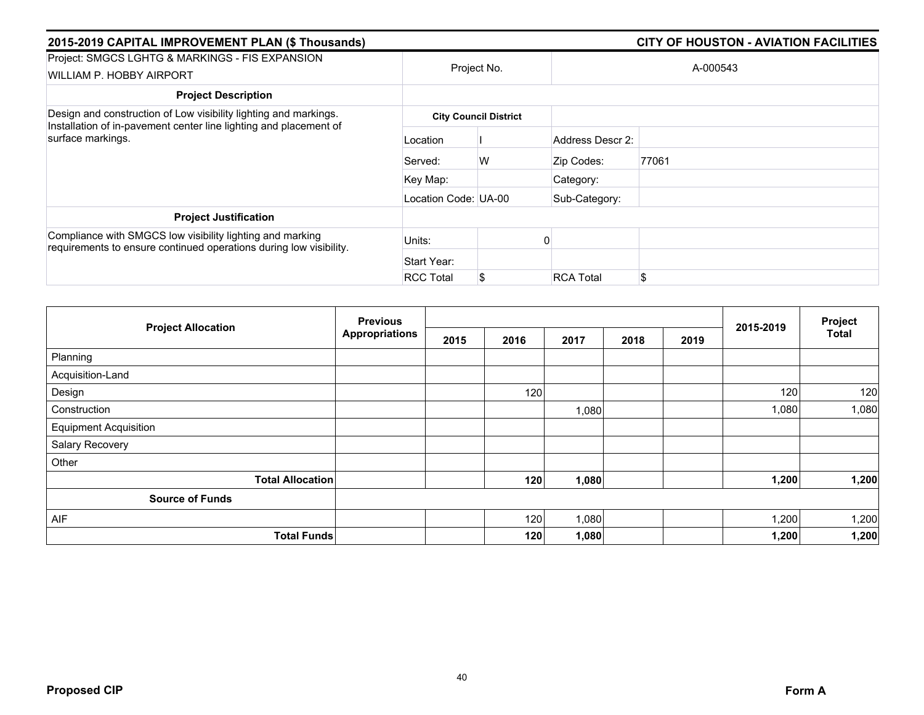| 2015-2019 CAPITAL IMPROVEMENT PLAN (\$ Thousands)                                                                               | <b>CITY OF HOUSTON - AVIATION FACILITIES</b> |                              |                  |          |  |
|---------------------------------------------------------------------------------------------------------------------------------|----------------------------------------------|------------------------------|------------------|----------|--|
| Project: SMGCS LGHTG & MARKINGS - FIS EXPANSION<br>WILLIAM P. HOBBY AIRPORT                                                     |                                              | Project No.                  |                  | A-000543 |  |
| <b>Project Description</b>                                                                                                      |                                              |                              |                  |          |  |
| Design and construction of Low visibility lighting and markings.                                                                |                                              | <b>City Council District</b> |                  |          |  |
| Installation of in-pavement center line lighting and placement of<br>surface markings.                                          | Location                                     |                              | Address Descr 2: |          |  |
|                                                                                                                                 | Served:                                      | W                            | Zip Codes:       | 77061    |  |
|                                                                                                                                 | Key Map:                                     |                              | Category:        |          |  |
|                                                                                                                                 | Location Code: UA-00                         |                              | Sub-Category:    |          |  |
| <b>Project Justification</b>                                                                                                    |                                              |                              |                  |          |  |
| Compliance with SMGCS low visibility lighting and marking<br>requirements to ensure continued operations during low visibility. | Units:                                       |                              |                  |          |  |
|                                                                                                                                 | Start Year:                                  |                              |                  |          |  |
|                                                                                                                                 | <b>RCC Total</b>                             | S.                           | <b>RCA Total</b> | \$       |  |

|                              | <b>Previous</b> |      |      |       |      |      |           | Project      |
|------------------------------|-----------------|------|------|-------|------|------|-----------|--------------|
| <b>Project Allocation</b>    | Appropriations  | 2015 | 2016 | 2017  | 2018 | 2019 | 2015-2019 | <b>Total</b> |
| Planning                     |                 |      |      |       |      |      |           |              |
| Acquisition-Land             |                 |      |      |       |      |      |           |              |
| Design                       |                 |      | 120  |       |      |      | 120       | 120          |
| Construction                 |                 |      |      | 1,080 |      |      | 1,080     | 1,080        |
| <b>Equipment Acquisition</b> |                 |      |      |       |      |      |           |              |
| Salary Recovery              |                 |      |      |       |      |      |           |              |
| Other                        |                 |      |      |       |      |      |           |              |
| <b>Total Allocation</b>      |                 |      | 120  | 1,080 |      |      | 1,200     | 1,200        |
| <b>Source of Funds</b>       |                 |      |      |       |      |      |           |              |
| AIF                          |                 |      | 120  | 1,080 |      |      | 1,200     | 1,200        |
| <b>Total Funds</b>           |                 |      | 120  | 1,080 |      |      | 1,200     | 1,200        |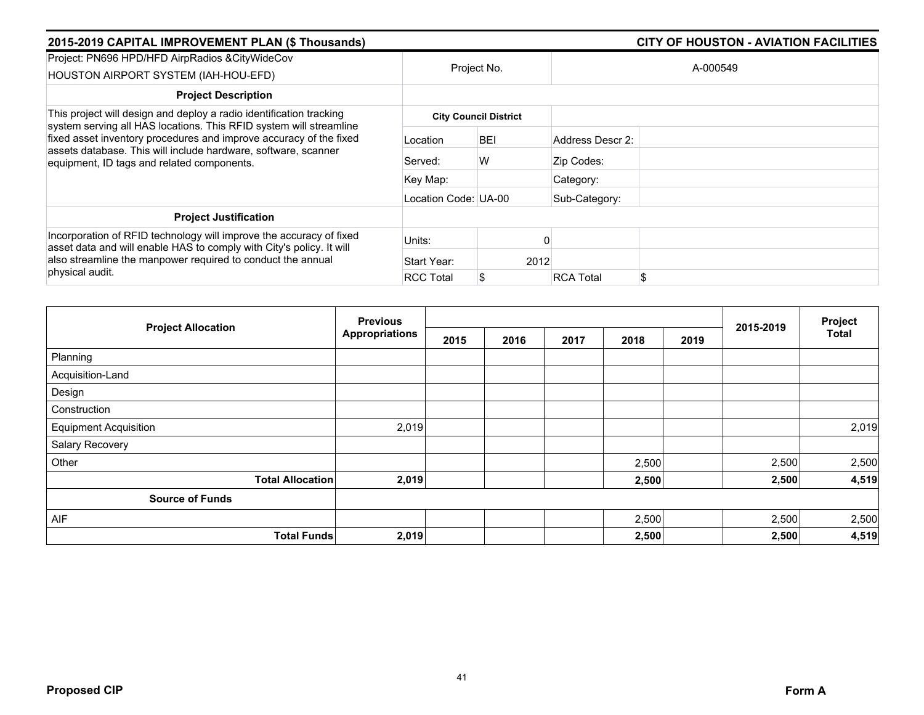| 2015-2019 CAPITAL IMPROVEMENT PLAN (\$ Thousands)                                                                                                                                  |                      | <b>CITY OF HOUSTON - AVIATION FACILITIES</b> |                        |  |  |  |
|------------------------------------------------------------------------------------------------------------------------------------------------------------------------------------|----------------------|----------------------------------------------|------------------------|--|--|--|
| Project: PN696 HPD/HFD AirpRadios & CityWideCov<br>HOUSTON AIRPORT SYSTEM (IAH-HOU-EFD)                                                                                            | Project No.          |                                              | A-000549               |  |  |  |
| <b>Project Description</b>                                                                                                                                                         |                      |                                              |                        |  |  |  |
| This project will design and deploy a radio identification tracking<br>system serving all HAS locations. This RFID system will streamline                                          |                      | <b>City Council District</b>                 |                        |  |  |  |
| fixed asset inventory procedures and improve accuracy of the fixed<br>assets database. This will include hardware, software, scanner<br>equipment, ID tags and related components. | Location             | <b>BEI</b>                                   | Address Descr 2:       |  |  |  |
|                                                                                                                                                                                    | Served:              | W                                            | Zip Codes:             |  |  |  |
|                                                                                                                                                                                    | Key Map:             |                                              | Category:              |  |  |  |
|                                                                                                                                                                                    | Location Code: UA-00 |                                              | Sub-Category:          |  |  |  |
| <b>Project Justification</b>                                                                                                                                                       |                      |                                              |                        |  |  |  |
| Incorporation of RFID technology will improve the accuracy of fixed<br>asset data and will enable HAS to comply with City's policy. It will                                        | Units:               |                                              |                        |  |  |  |
| also streamline the manpower required to conduct the annual<br>physical audit.                                                                                                     | Start Year:          | 2012                                         |                        |  |  |  |
|                                                                                                                                                                                    | <b>RCC Total</b>     |                                              | \$<br><b>RCA Total</b> |  |  |  |

|                              | <b>Previous</b>       |      |      |      | Project |      |           |              |
|------------------------------|-----------------------|------|------|------|---------|------|-----------|--------------|
| <b>Project Allocation</b>    | <b>Appropriations</b> | 2015 | 2016 | 2017 | 2018    | 2019 | 2015-2019 | <b>Total</b> |
| Planning                     |                       |      |      |      |         |      |           |              |
| Acquisition-Land             |                       |      |      |      |         |      |           |              |
| Design                       |                       |      |      |      |         |      |           |              |
| Construction                 |                       |      |      |      |         |      |           |              |
| <b>Equipment Acquisition</b> | 2,019                 |      |      |      |         |      |           | 2,019        |
| Salary Recovery              |                       |      |      |      |         |      |           |              |
| Other                        |                       |      |      |      | 2,500   |      | 2,500     | 2,500        |
| <b>Total Allocation</b>      | 2,019                 |      |      |      | 2,500   |      | 2,500     | 4,519        |
| <b>Source of Funds</b>       |                       |      |      |      |         |      |           |              |
| AIF                          |                       |      |      |      | 2,500   |      | 2,500     | 2,500        |
| <b>Total Funds</b>           | 2,019                 |      |      |      | 2,500   |      | 2,500     | 4,519        |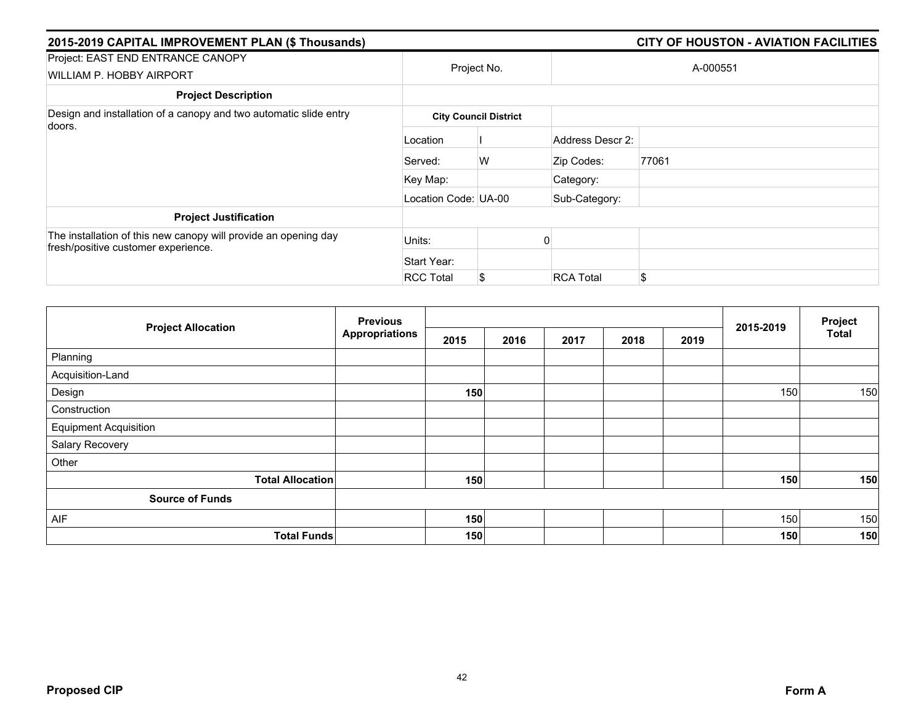| 2015-2019 CAPITAL IMPROVEMENT PLAN (\$ Thousands)                                                      |                      |                              |                  | <b>CITY OF HOUSTON - AVIATION FACILITIES</b> |  |  |  |
|--------------------------------------------------------------------------------------------------------|----------------------|------------------------------|------------------|----------------------------------------------|--|--|--|
| Project: EAST END ENTRANCE CANOPY<br>WILLIAM P. HOBBY AIRPORT                                          |                      | Project No.                  |                  | A-000551                                     |  |  |  |
| <b>Project Description</b>                                                                             |                      |                              |                  |                                              |  |  |  |
| Design and installation of a canopy and two automatic slide entry                                      |                      | <b>City Council District</b> |                  |                                              |  |  |  |
| doors.                                                                                                 | Location             |                              | Address Descr 2: |                                              |  |  |  |
|                                                                                                        | Served:              | W                            | Zip Codes:       | 77061                                        |  |  |  |
|                                                                                                        | Key Map:             |                              | Category:        |                                              |  |  |  |
|                                                                                                        | Location Code: UA-00 |                              | Sub-Category:    |                                              |  |  |  |
| <b>Project Justification</b>                                                                           |                      |                              |                  |                                              |  |  |  |
| The installation of this new canopy will provide an opening day<br>fresh/positive customer experience. | Units:               |                              |                  |                                              |  |  |  |
|                                                                                                        | Start Year:          |                              |                  |                                              |  |  |  |
|                                                                                                        | <b>RCC Total</b>     | \$                           | <b>RCA Total</b> | \$                                           |  |  |  |

| <b>Project Allocation</b>    | <b>Previous</b> |      |      |      | Project |      |           |              |
|------------------------------|-----------------|------|------|------|---------|------|-----------|--------------|
|                              | Appropriations  | 2015 | 2016 | 2017 | 2018    | 2019 | 2015-2019 | <b>Total</b> |
| Planning                     |                 |      |      |      |         |      |           |              |
| Acquisition-Land             |                 |      |      |      |         |      |           |              |
| Design                       |                 | 150  |      |      |         |      | 150       | 150          |
| Construction                 |                 |      |      |      |         |      |           |              |
| <b>Equipment Acquisition</b> |                 |      |      |      |         |      |           |              |
| Salary Recovery              |                 |      |      |      |         |      |           |              |
| Other                        |                 |      |      |      |         |      |           |              |
| <b>Total Allocation</b>      |                 | 150  |      |      |         |      | 150       | 150          |
| <b>Source of Funds</b>       |                 |      |      |      |         |      |           |              |
| AIF                          |                 | 150  |      |      |         |      | 150       | 150          |
| <b>Total Funds</b>           |                 | 150  |      |      |         |      | 150       | 150          |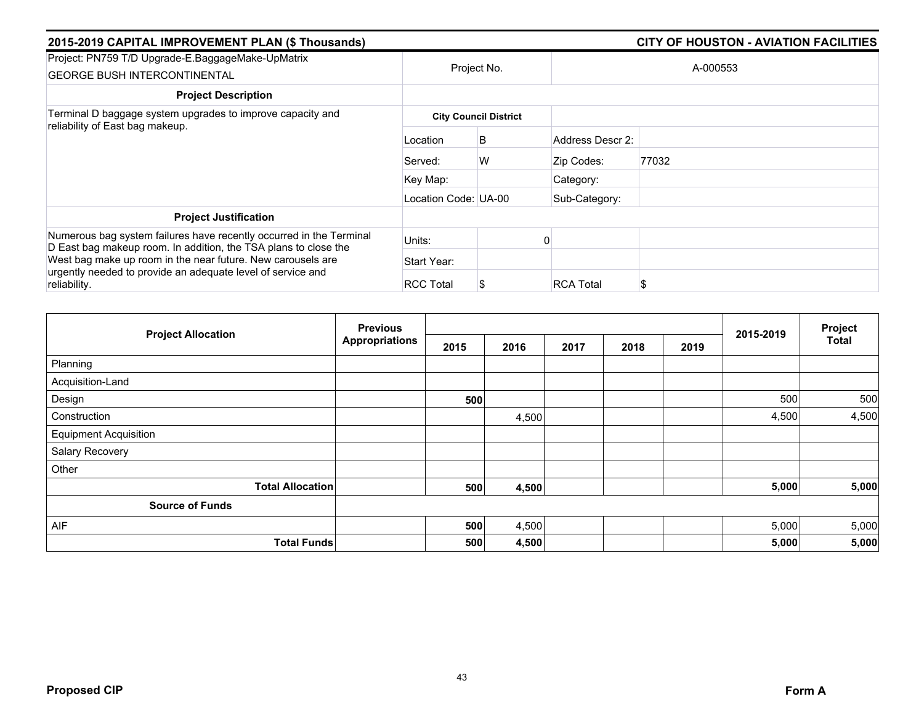| 2015-2019 CAPITAL IMPROVEMENT PLAN (\$ Thousands)                                                                                      |                      | <b>CITY OF HOUSTON - AVIATION FACILITIES</b> |                  |       |  |  |  |
|----------------------------------------------------------------------------------------------------------------------------------------|----------------------|----------------------------------------------|------------------|-------|--|--|--|
| Project: PN759 T/D Upgrade-E.BaggageMake-UpMatrix<br><b>GEORGE BUSH INTERCONTINENTAL</b>                                               | Project No.          |                                              | A-000553         |       |  |  |  |
| <b>Project Description</b>                                                                                                             |                      |                                              |                  |       |  |  |  |
| Terminal D baggage system upgrades to improve capacity and<br>reliability of East bag makeup.                                          |                      | <b>City Council District</b>                 |                  |       |  |  |  |
|                                                                                                                                        | Location             | B                                            | Address Descr 2: |       |  |  |  |
|                                                                                                                                        | Served:              | W                                            | Zip Codes:       | 77032 |  |  |  |
|                                                                                                                                        | Key Map:             |                                              | Category:        |       |  |  |  |
|                                                                                                                                        | Location Code: UA-00 |                                              | Sub-Category:    |       |  |  |  |
| <b>Project Justification</b>                                                                                                           |                      |                                              |                  |       |  |  |  |
| Numerous bag system failures have recently occurred in the Terminal<br>D East bag makeup room. In addition, the TSA plans to close the | Units:               |                                              |                  |       |  |  |  |
| West bag make up room in the near future. New carousels are                                                                            | Start Year:          |                                              |                  |       |  |  |  |
| urgently needed to provide an adequate level of service and<br>reliability.                                                            | <b>RCC Total</b>     |                                              | <b>RCA Total</b> | \$    |  |  |  |

|                              | <b>Previous</b>       |      |       |      | 2015-2019 | Project |       |              |
|------------------------------|-----------------------|------|-------|------|-----------|---------|-------|--------------|
| <b>Project Allocation</b>    | <b>Appropriations</b> | 2015 | 2016  | 2017 |           | 2019    |       | <b>Total</b> |
| Planning                     |                       |      |       |      |           |         |       |              |
| Acquisition-Land             |                       |      |       |      |           |         |       |              |
| Design                       |                       | 500  |       |      |           |         | 500   | 500          |
| Construction                 |                       |      | 4,500 |      |           |         | 4,500 | 4,500        |
| <b>Equipment Acquisition</b> |                       |      |       |      |           |         |       |              |
| Salary Recovery              |                       |      |       |      |           |         |       |              |
| Other                        |                       |      |       |      |           |         |       |              |
| <b>Total Allocation</b>      |                       | 500  | 4,500 |      |           |         | 5,000 | 5,000        |
| <b>Source of Funds</b>       |                       |      |       |      |           |         |       |              |
| AIF                          |                       | 500  | 4,500 |      |           |         | 5,000 | 5,000        |
| <b>Total Funds</b>           |                       | 500  | 4,500 |      |           |         | 5,000 | 5,000        |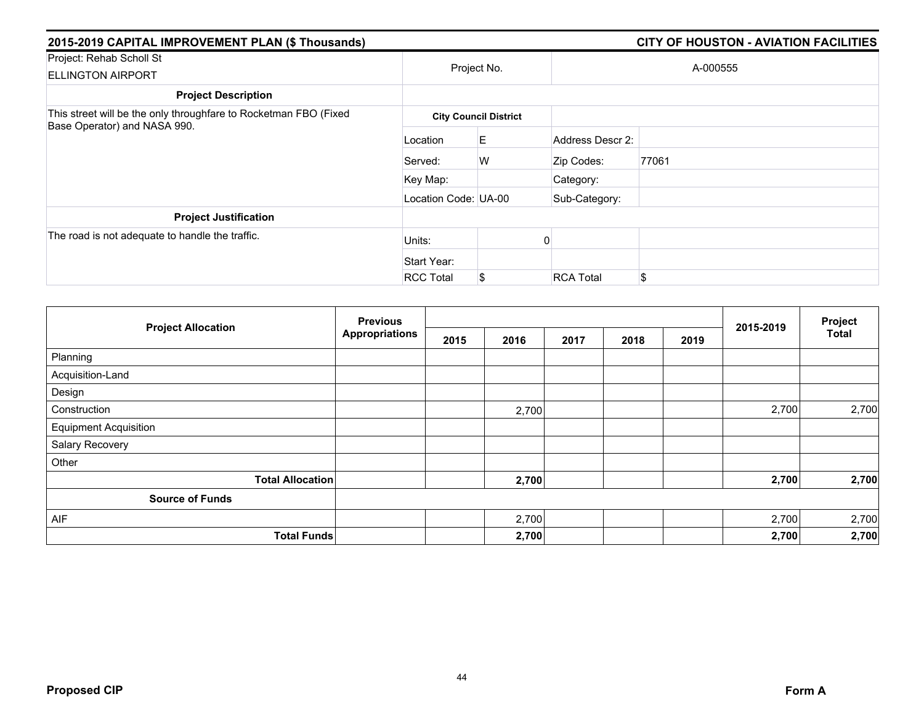| 2015-2019 CAPITAL IMPROVEMENT PLAN (\$ Thousands)                |                      |                              |                  | <b>CITY OF HOUSTON - AVIATION FACILITIES</b> |  |  |  |  |  |
|------------------------------------------------------------------|----------------------|------------------------------|------------------|----------------------------------------------|--|--|--|--|--|
| Project: Rehab Scholl St<br><b>ELLINGTON AIRPORT</b>             |                      | Project No.                  |                  | A-000555                                     |  |  |  |  |  |
| <b>Project Description</b>                                       |                      |                              |                  |                                              |  |  |  |  |  |
| This street will be the only throughfare to Rocketman FBO (Fixed |                      | <b>City Council District</b> |                  |                                              |  |  |  |  |  |
| Base Operator) and NASA 990.                                     | Location             | E.                           | Address Descr 2: |                                              |  |  |  |  |  |
|                                                                  | Served:              | W                            | Zip Codes:       | 77061                                        |  |  |  |  |  |
|                                                                  | Key Map:             |                              | Category:        |                                              |  |  |  |  |  |
|                                                                  | Location Code: UA-00 |                              | Sub-Category:    |                                              |  |  |  |  |  |
| <b>Project Justification</b>                                     |                      |                              |                  |                                              |  |  |  |  |  |
| The road is not adequate to handle the traffic.                  | Units:               |                              |                  |                                              |  |  |  |  |  |
|                                                                  | Start Year:          |                              |                  |                                              |  |  |  |  |  |
|                                                                  | <b>RCC Total</b>     | S                            | <b>RCA Total</b> | \$                                           |  |  |  |  |  |

|                              | <b>Previous</b>       |      |       |      |      |      |           | Project      |
|------------------------------|-----------------------|------|-------|------|------|------|-----------|--------------|
| <b>Project Allocation</b>    | <b>Appropriations</b> | 2015 | 2016  | 2017 | 2018 | 2019 | 2015-2019 | <b>Total</b> |
| Planning                     |                       |      |       |      |      |      |           |              |
| Acquisition-Land             |                       |      |       |      |      |      |           |              |
| Design                       |                       |      |       |      |      |      |           |              |
| Construction                 |                       |      | 2,700 |      |      |      | 2,700     | 2,700        |
| <b>Equipment Acquisition</b> |                       |      |       |      |      |      |           |              |
| Salary Recovery              |                       |      |       |      |      |      |           |              |
| Other                        |                       |      |       |      |      |      |           |              |
| <b>Total Allocation</b>      |                       |      | 2,700 |      |      |      | 2,700     | 2,700        |
| <b>Source of Funds</b>       |                       |      |       |      |      |      |           |              |
| AIF                          |                       |      | 2,700 |      |      |      | 2,700     | 2,700        |
| <b>Total Funds</b>           |                       |      | 2,700 |      |      |      | 2,700     | 2,700        |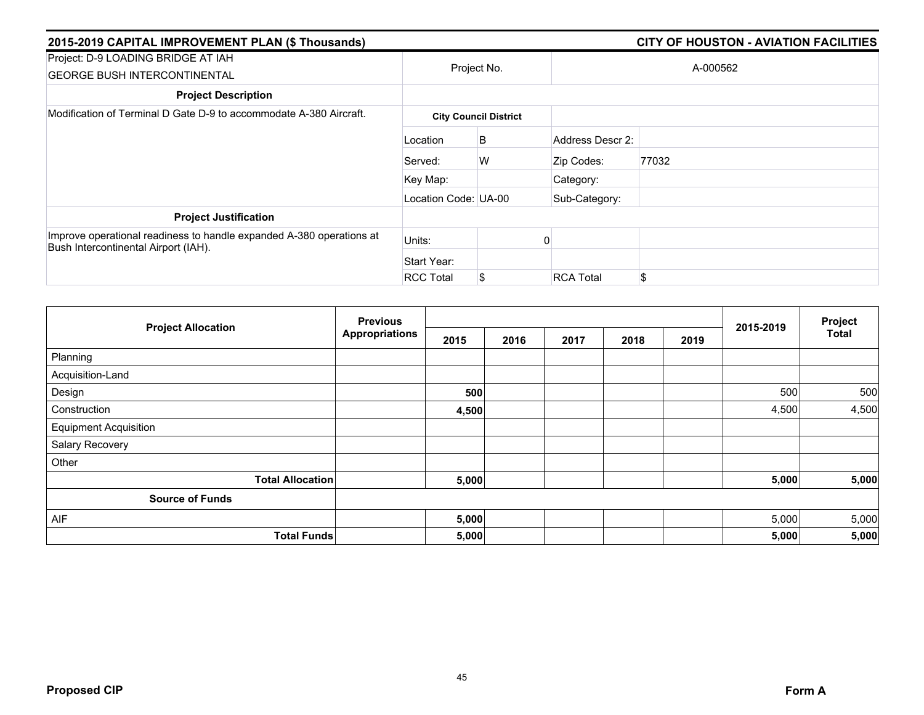| 2015-2019 CAPITAL IMPROVEMENT PLAN (\$ Thousands)                                                            |                      |                              |                  | <b>CITY OF HOUSTON - AVIATION FACILITIES</b> |  |  |
|--------------------------------------------------------------------------------------------------------------|----------------------|------------------------------|------------------|----------------------------------------------|--|--|
| Project: D-9 LOADING BRIDGE AT IAH<br><b>GEORGE BUSH INTERCONTINENTAL</b>                                    |                      | Project No.                  |                  | A-000562                                     |  |  |
| <b>Project Description</b>                                                                                   |                      |                              |                  |                                              |  |  |
| Modification of Terminal D Gate D-9 to accommodate A-380 Aircraft.                                           |                      | <b>City Council District</b> |                  |                                              |  |  |
|                                                                                                              | Location             | B                            |                  |                                              |  |  |
|                                                                                                              | Served:              | W                            | Zip Codes:       | 77032                                        |  |  |
|                                                                                                              | Key Map:             |                              | Category:        |                                              |  |  |
|                                                                                                              | Location Code: UA-00 |                              | Sub-Category:    |                                              |  |  |
| <b>Project Justification</b>                                                                                 |                      |                              |                  |                                              |  |  |
| Improve operational readiness to handle expanded A-380 operations at<br>Bush Intercontinental Airport (IAH). | Units:               |                              |                  |                                              |  |  |
|                                                                                                              | Start Year:          |                              |                  |                                              |  |  |
|                                                                                                              | <b>RCC Total</b>     | S                            | <b>RCA Total</b> | \$                                           |  |  |

|                              | <b>Previous</b><br><b>Appropriations</b> |       |      |      |      | Project |           |              |
|------------------------------|------------------------------------------|-------|------|------|------|---------|-----------|--------------|
| <b>Project Allocation</b>    |                                          | 2015  | 2016 | 2017 | 2018 | 2019    | 2015-2019 | <b>Total</b> |
| Planning                     |                                          |       |      |      |      |         |           |              |
| Acquisition-Land             |                                          |       |      |      |      |         |           |              |
| Design                       |                                          | 500   |      |      |      |         | 500       | 500          |
| Construction                 |                                          | 4,500 |      |      |      |         | 4,500     | 4,500        |
| <b>Equipment Acquisition</b> |                                          |       |      |      |      |         |           |              |
| Salary Recovery              |                                          |       |      |      |      |         |           |              |
| Other                        |                                          |       |      |      |      |         |           |              |
| <b>Total Allocation</b>      |                                          | 5,000 |      |      |      |         | 5,000     | 5,000        |
| <b>Source of Funds</b>       |                                          |       |      |      |      |         |           |              |
| AIF                          |                                          | 5,000 |      |      |      |         | 5,000     | 5,000        |
| <b>Total Funds</b>           |                                          | 5,000 |      |      |      |         | 5,000     | 5,000        |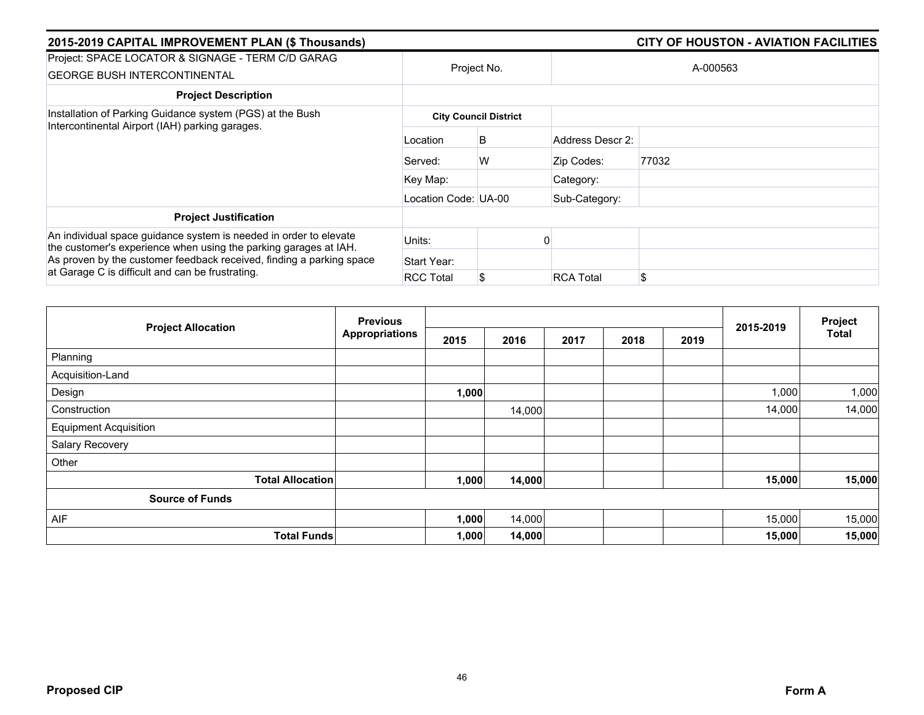| 2015-2019 CAPITAL IMPROVEMENT PLAN (\$ Thousands)                                                                                                                                                             |                      |                              | <b>CITY OF HOUSTON - AVIATION FACILITIES</b> |          |  |  |  |
|---------------------------------------------------------------------------------------------------------------------------------------------------------------------------------------------------------------|----------------------|------------------------------|----------------------------------------------|----------|--|--|--|
| Project: SPACE LOCATOR & SIGNAGE - TERM C/D GARAG<br><b>GEORGE BUSH INTERCONTINENTAL</b>                                                                                                                      |                      | Project No.                  |                                              | A-000563 |  |  |  |
| <b>Project Description</b>                                                                                                                                                                                    |                      |                              |                                              |          |  |  |  |
| Installation of Parking Guidance system (PGS) at the Bush<br>Intercontinental Airport (IAH) parking garages.                                                                                                  |                      | <b>City Council District</b> |                                              |          |  |  |  |
|                                                                                                                                                                                                               | Location             | B                            | Address Descr 2:                             |          |  |  |  |
|                                                                                                                                                                                                               | Served:              | W                            | Zip Codes:                                   | 77032    |  |  |  |
|                                                                                                                                                                                                               | Key Map:             |                              | Category:                                    |          |  |  |  |
|                                                                                                                                                                                                               | Location Code: UA-00 |                              | Sub-Category:                                |          |  |  |  |
| <b>Project Justification</b>                                                                                                                                                                                  |                      |                              |                                              |          |  |  |  |
| An individual space guidance system is needed in order to elevate<br>the customer's experience when using the parking garages at IAH.<br>As proven by the customer feedback received, finding a parking space | Units:               |                              |                                              |          |  |  |  |
|                                                                                                                                                                                                               | Start Year:          |                              |                                              |          |  |  |  |
| at Garage C is difficult and can be frustrating.                                                                                                                                                              | <b>RCC Total</b>     | \$                           | <b>RCA Total</b>                             | \$       |  |  |  |

|                              | <b>Previous</b>       |       |        |      |      | Project |           |              |
|------------------------------|-----------------------|-------|--------|------|------|---------|-----------|--------------|
| <b>Project Allocation</b>    | <b>Appropriations</b> | 2015  | 2016   | 2017 | 2018 | 2019    | 2015-2019 | <b>Total</b> |
| Planning                     |                       |       |        |      |      |         |           |              |
| Acquisition-Land             |                       |       |        |      |      |         |           |              |
| Design                       |                       | 1,000 |        |      |      |         | 1,000     | 1,000        |
| Construction                 |                       |       | 14,000 |      |      |         | 14,000    | 14,000       |
| <b>Equipment Acquisition</b> |                       |       |        |      |      |         |           |              |
| Salary Recovery              |                       |       |        |      |      |         |           |              |
| Other                        |                       |       |        |      |      |         |           |              |
| <b>Total Allocation</b>      |                       | 1,000 | 14,000 |      |      |         | 15,000    | 15,000       |
| <b>Source of Funds</b>       |                       |       |        |      |      |         |           |              |
| AIF                          |                       | 1,000 | 14,000 |      |      |         | 15,000    | 15,000       |
| <b>Total Funds</b>           |                       | 1,000 | 14,000 |      |      |         | 15,000    | 15,000       |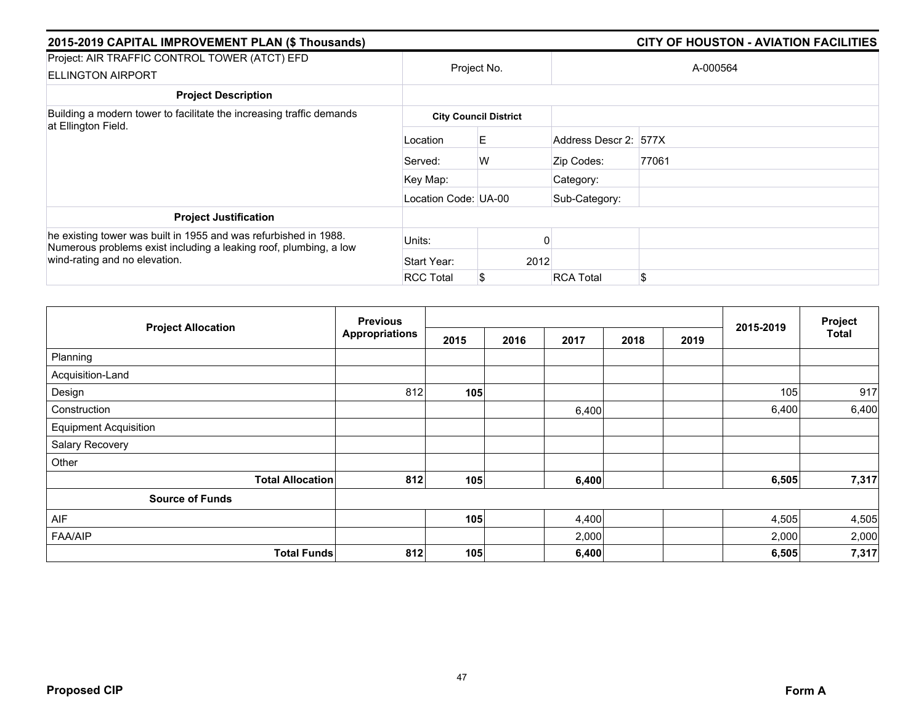| 2015-2019 CAPITAL IMPROVEMENT PLAN (\$ Thousands)                                                                                                                      |                      |                              |                       | <b>CITY OF HOUSTON - AVIATION FACILITIES</b> |
|------------------------------------------------------------------------------------------------------------------------------------------------------------------------|----------------------|------------------------------|-----------------------|----------------------------------------------|
| Project: AIR TRAFFIC CONTROL TOWER (ATCT) EFD<br><b>ELLINGTON AIRPORT</b>                                                                                              |                      | Project No.                  |                       | A-000564                                     |
| <b>Project Description</b>                                                                                                                                             |                      |                              |                       |                                              |
| Building a modern tower to facilitate the increasing traffic demands<br>at Ellington Field.                                                                            |                      | <b>City Council District</b> |                       |                                              |
|                                                                                                                                                                        | Location             | E                            | Address Descr 2: 577X |                                              |
|                                                                                                                                                                        | Served:              | W                            | Zip Codes:            | 77061                                        |
|                                                                                                                                                                        | Key Map:             |                              | Category:             |                                              |
|                                                                                                                                                                        | Location Code: UA-00 |                              | Sub-Category:         |                                              |
| <b>Project Justification</b>                                                                                                                                           |                      |                              |                       |                                              |
| he existing tower was built in 1955 and was refurbished in 1988.<br>Numerous problems exist including a leaking roof, plumbing, a low<br>wind-rating and no elevation. | Units:               |                              |                       |                                              |
|                                                                                                                                                                        | Start Year:          | 2012                         |                       |                                              |
|                                                                                                                                                                        | <b>RCC Total</b>     | \$                           | <b>RCA Total</b>      | \$.                                          |

|                              | <b>Previous</b>       |      |      |       |      |      | 2015-2019 | Project<br><b>Total</b> |
|------------------------------|-----------------------|------|------|-------|------|------|-----------|-------------------------|
| <b>Project Allocation</b>    | <b>Appropriations</b> | 2015 | 2016 | 2017  | 2018 | 2019 |           |                         |
| Planning                     |                       |      |      |       |      |      |           |                         |
| Acquisition-Land             |                       |      |      |       |      |      |           |                         |
| Design                       | 812                   | 105  |      |       |      |      | 105       | 917                     |
| Construction                 |                       |      |      | 6,400 |      |      | 6,400     | 6,400                   |
| <b>Equipment Acquisition</b> |                       |      |      |       |      |      |           |                         |
| Salary Recovery              |                       |      |      |       |      |      |           |                         |
| Other                        |                       |      |      |       |      |      |           |                         |
| <b>Total Allocation</b>      | 812                   | 105  |      | 6,400 |      |      | 6,505     | 7,317                   |
| <b>Source of Funds</b>       |                       |      |      |       |      |      |           |                         |
| AIF                          |                       | 105  |      | 4,400 |      |      | 4,505     | 4,505                   |
| <b>FAA/AIP</b>               |                       |      |      | 2,000 |      |      | 2,000     | 2,000                   |
| <b>Total Funds</b>           | 812                   | 105  |      | 6,400 |      |      | 6,505     | 7,317                   |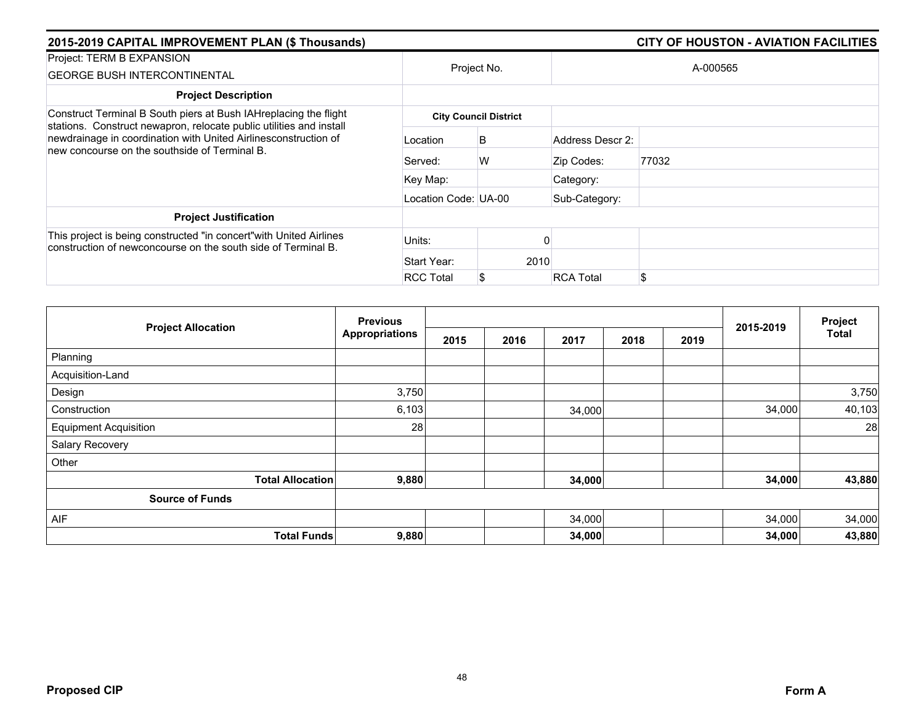| 2015-2019 CAPITAL IMPROVEMENT PLAN (\$ Thousands)                                                                                                                                                                                                           |                      |                              |                  | <b>CITY OF HOUSTON - AVIATION FACILITIES</b> |
|-------------------------------------------------------------------------------------------------------------------------------------------------------------------------------------------------------------------------------------------------------------|----------------------|------------------------------|------------------|----------------------------------------------|
| Project: TERM B EXPANSION<br><b>GEORGE BUSH INTERCONTINENTAL</b>                                                                                                                                                                                            |                      | Project No.                  |                  | A-000565                                     |
| <b>Project Description</b>                                                                                                                                                                                                                                  |                      |                              |                  |                                              |
| Construct Terminal B South piers at Bush IAHreplacing the flight<br>stations. Construct newapron, relocate public utilities and install<br>newdrainage in coordination with United Airlinesconstruction of<br>new concourse on the southside of Terminal B. |                      | <b>City Council District</b> |                  |                                              |
|                                                                                                                                                                                                                                                             | Location             | B                            | Address Descr 2: |                                              |
|                                                                                                                                                                                                                                                             | Served:              | W                            | Zip Codes:       | 77032                                        |
|                                                                                                                                                                                                                                                             | Key Map:             |                              | Category:        |                                              |
|                                                                                                                                                                                                                                                             | Location Code: UA-00 |                              | Sub-Category:    |                                              |
| <b>Project Justification</b>                                                                                                                                                                                                                                |                      |                              |                  |                                              |
| This project is being constructed "in concert" with United Airlines<br>construction of newconcourse on the south side of Terminal B.                                                                                                                        | Units:               |                              |                  |                                              |
|                                                                                                                                                                                                                                                             | Start Year:          | 2010                         |                  |                                              |
|                                                                                                                                                                                                                                                             | <b>RCC Total</b>     |                              | <b>RCA Total</b> | \$                                           |

|                              | <b>Previous</b>       |      |      |        |      | Project |           |              |
|------------------------------|-----------------------|------|------|--------|------|---------|-----------|--------------|
| <b>Project Allocation</b>    | <b>Appropriations</b> | 2015 | 2016 | 2017   | 2018 | 2019    | 2015-2019 | <b>Total</b> |
| Planning                     |                       |      |      |        |      |         |           |              |
| Acquisition-Land             |                       |      |      |        |      |         |           |              |
| Design                       | 3,750                 |      |      |        |      |         |           | 3,750        |
| Construction                 | 6,103                 |      |      | 34,000 |      |         | 34,000    | 40,103       |
| <b>Equipment Acquisition</b> | 28                    |      |      |        |      |         |           | 28           |
| Salary Recovery              |                       |      |      |        |      |         |           |              |
| Other                        |                       |      |      |        |      |         |           |              |
| <b>Total Allocation</b>      | 9,880                 |      |      | 34,000 |      |         | 34,000    | 43,880       |
| <b>Source of Funds</b>       |                       |      |      |        |      |         |           |              |
| AIF                          |                       |      |      | 34,000 |      |         | 34,000    | 34,000       |
| <b>Total Funds</b>           | 9,880                 |      |      | 34,000 |      |         | 34,000    | 43,880       |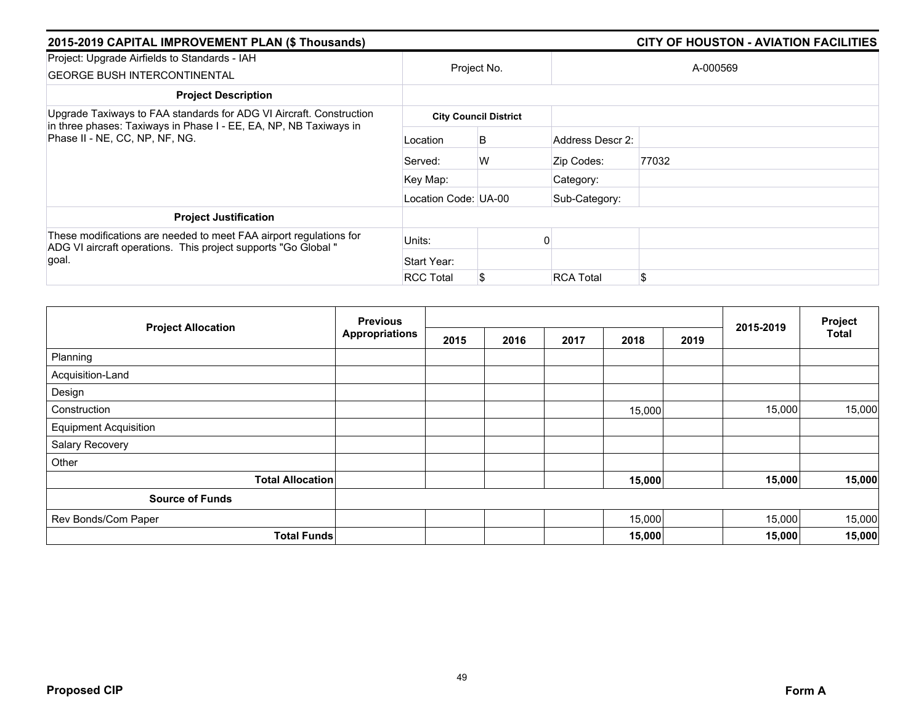| 2015-2019 CAPITAL IMPROVEMENT PLAN (\$ Thousands)                                                                                   |                      |                              |                  |          |  |  |  |  |
|-------------------------------------------------------------------------------------------------------------------------------------|----------------------|------------------------------|------------------|----------|--|--|--|--|
| Project: Upgrade Airfields to Standards - IAH<br><b>GEORGE BUSH INTERCONTINENTAL</b>                                                |                      | Project No.                  |                  | A-000569 |  |  |  |  |
| <b>Project Description</b>                                                                                                          |                      |                              |                  |          |  |  |  |  |
| Upgrade Taxiways to FAA standards for ADG VI Aircraft. Construction                                                                 |                      | <b>City Council District</b> |                  |          |  |  |  |  |
| in three phases: Taxiways in Phase I - EE, EA, NP, NB Taxiways in<br>Phase II - NE, CC, NP, NF, NG.                                 | Location             | B                            | Address Descr 2: |          |  |  |  |  |
|                                                                                                                                     | Served:              | W                            | Zip Codes:       | 77032    |  |  |  |  |
|                                                                                                                                     | Key Map:             |                              | Category:        |          |  |  |  |  |
|                                                                                                                                     | Location Code: UA-00 |                              | Sub-Category:    |          |  |  |  |  |
| <b>Project Justification</b>                                                                                                        |                      |                              |                  |          |  |  |  |  |
| These modifications are needed to meet FAA airport regulations for<br>ADG VI aircraft operations. This project supports "Go Global" | Units:               |                              |                  |          |  |  |  |  |
| goal.                                                                                                                               | Start Year:          |                              |                  |          |  |  |  |  |
|                                                                                                                                     | <b>RCC Total</b>     |                              | <b>RCA Total</b> | \$       |  |  |  |  |

|                              | <b>Previous</b>       |      |      |      | 2015-2019 | Project |        |              |
|------------------------------|-----------------------|------|------|------|-----------|---------|--------|--------------|
| <b>Project Allocation</b>    | <b>Appropriations</b> | 2015 | 2016 | 2017 | 2018      | 2019    |        | <b>Total</b> |
| Planning                     |                       |      |      |      |           |         |        |              |
| Acquisition-Land             |                       |      |      |      |           |         |        |              |
| Design                       |                       |      |      |      |           |         |        |              |
| Construction                 |                       |      |      |      | 15,000    |         | 15,000 | 15,000       |
| <b>Equipment Acquisition</b> |                       |      |      |      |           |         |        |              |
| Salary Recovery              |                       |      |      |      |           |         |        |              |
| Other                        |                       |      |      |      |           |         |        |              |
| <b>Total Allocation</b>      |                       |      |      |      | 15,000    |         | 15,000 | 15,000       |
| <b>Source of Funds</b>       |                       |      |      |      |           |         |        |              |
| Rev Bonds/Com Paper          |                       |      |      |      | 15,000    |         | 15,000 | 15,000       |
| <b>Total Funds</b>           |                       |      |      |      | 15,000    |         | 15,000 | 15,000       |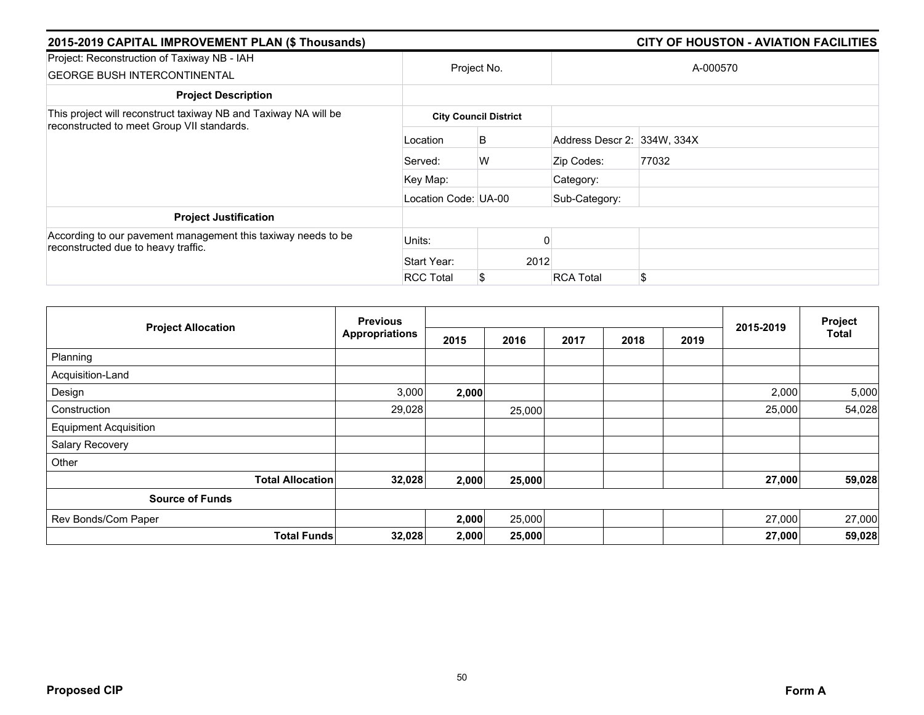| 2015-2019 CAPITAL IMPROVEMENT PLAN (\$ Thousands)                                                             |                      | <b>CITY OF HOUSTON - AVIATION FACILITIES</b> |                             |          |  |  |
|---------------------------------------------------------------------------------------------------------------|----------------------|----------------------------------------------|-----------------------------|----------|--|--|
| Project: Reconstruction of Taxiway NB - IAH<br><b>GEORGE BUSH INTERCONTINENTAL</b>                            |                      | Project No.                                  |                             | A-000570 |  |  |
| <b>Project Description</b>                                                                                    |                      |                                              |                             |          |  |  |
| This project will reconstruct taxiway NB and Taxiway NA will be<br>reconstructed to meet Group VII standards. |                      | <b>City Council District</b>                 |                             |          |  |  |
|                                                                                                               | Location             | B                                            | Address Descr 2: 334W, 334X |          |  |  |
|                                                                                                               | Served:              | W                                            | Zip Codes:                  | 77032    |  |  |
|                                                                                                               | Key Map:             |                                              | Category:                   |          |  |  |
|                                                                                                               | Location Code: UA-00 |                                              | Sub-Category:               |          |  |  |
| <b>Project Justification</b>                                                                                  |                      |                                              |                             |          |  |  |
| According to our pavement management this taxiway needs to be<br>reconstructed due to heavy traffic.          | Units:               |                                              |                             |          |  |  |
|                                                                                                               | Start Year:          | 2012                                         |                             |          |  |  |
|                                                                                                               | <b>RCC Total</b>     | S                                            | <b>RCA Total</b>            | \$       |  |  |

|                              | <b>Previous</b>       |       |        |      |      |      |           | Project      |
|------------------------------|-----------------------|-------|--------|------|------|------|-----------|--------------|
| <b>Project Allocation</b>    | <b>Appropriations</b> | 2015  | 2016   | 2017 | 2018 | 2019 | 2015-2019 | <b>Total</b> |
| Planning                     |                       |       |        |      |      |      |           |              |
| Acquisition-Land             |                       |       |        |      |      |      |           |              |
| Design                       | 3,000                 | 2,000 |        |      |      |      | 2,000     | 5,000        |
| Construction                 | 29,028                |       | 25,000 |      |      |      | 25,000    | 54,028       |
| <b>Equipment Acquisition</b> |                       |       |        |      |      |      |           |              |
| Salary Recovery              |                       |       |        |      |      |      |           |              |
| Other                        |                       |       |        |      |      |      |           |              |
| <b>Total Allocation</b>      | 32,028                | 2,000 | 25,000 |      |      |      | 27,000    | 59,028       |
| <b>Source of Funds</b>       |                       |       |        |      |      |      |           |              |
| Rev Bonds/Com Paper          |                       | 2,000 | 25,000 |      |      |      | 27,000    | 27,000       |
| <b>Total Funds</b>           | 32,028                | 2,000 | 25,000 |      |      |      | 27,000    | 59,028       |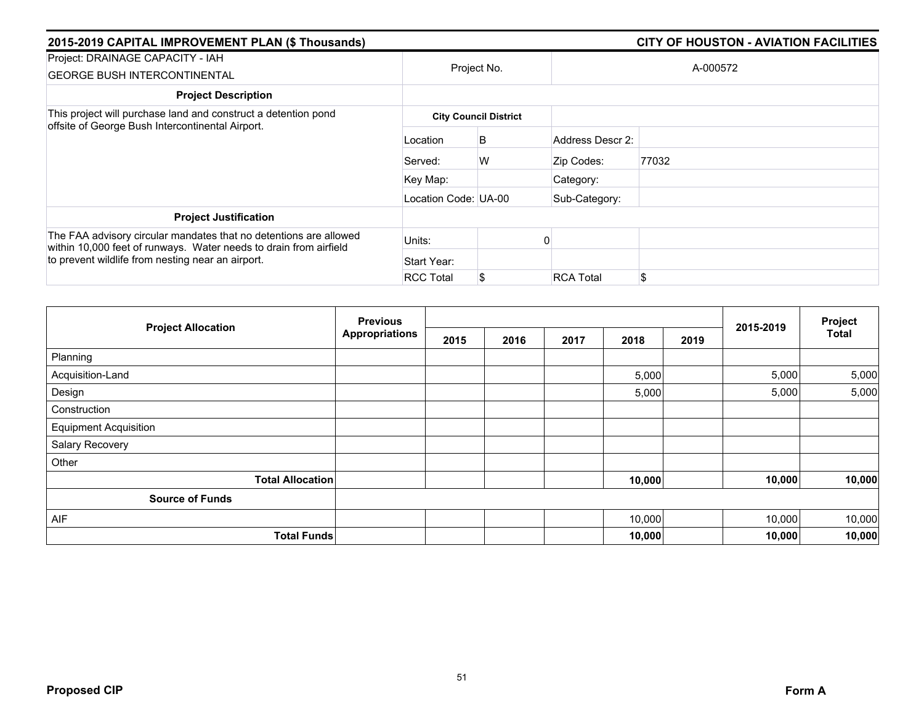| 2015-2019 CAPITAL IMPROVEMENT PLAN (\$ Thousands)                                                                                      |                      | <b>CITY OF HOUSTON - AVIATION FACILITIES</b> |                  |          |  |  |  |  |
|----------------------------------------------------------------------------------------------------------------------------------------|----------------------|----------------------------------------------|------------------|----------|--|--|--|--|
| Project: DRAINAGE CAPACITY - IAH<br><b>GEORGE BUSH INTERCONTINENTAL</b>                                                                |                      | Project No.                                  |                  | A-000572 |  |  |  |  |
| <b>Project Description</b>                                                                                                             |                      |                                              |                  |          |  |  |  |  |
| This project will purchase land and construct a detention pond<br>offsite of George Bush Intercontinental Airport.                     |                      | <b>City Council District</b>                 |                  |          |  |  |  |  |
|                                                                                                                                        | Location             | B                                            | Address Descr 2: |          |  |  |  |  |
|                                                                                                                                        | Served:              | W                                            | Zip Codes:       | 77032    |  |  |  |  |
|                                                                                                                                        | Key Map:             |                                              | Category:        |          |  |  |  |  |
|                                                                                                                                        | Location Code: UA-00 |                                              | Sub-Category:    |          |  |  |  |  |
| <b>Project Justification</b>                                                                                                           |                      |                                              |                  |          |  |  |  |  |
| The FAA advisory circular mandates that no detentions are allowed<br>within 10,000 feet of runways. Water needs to drain from airfield | Units:               |                                              |                  |          |  |  |  |  |
| to prevent wildlife from nesting near an airport.                                                                                      | Start Year:          |                                              |                  |          |  |  |  |  |
|                                                                                                                                        | <b>RCC Total</b>     |                                              | <b>RCA Total</b> | \$       |  |  |  |  |

|                              | <b>Previous</b>       |      |      |      |        |      |           | Project      |
|------------------------------|-----------------------|------|------|------|--------|------|-----------|--------------|
| <b>Project Allocation</b>    | <b>Appropriations</b> | 2015 | 2016 | 2017 | 2018   | 2019 | 2015-2019 | <b>Total</b> |
| Planning                     |                       |      |      |      |        |      |           |              |
| Acquisition-Land             |                       |      |      |      | 5,000  |      | 5,000     | 5,000        |
| Design                       |                       |      |      |      | 5,000  |      | 5,000     | 5,000        |
| Construction                 |                       |      |      |      |        |      |           |              |
| <b>Equipment Acquisition</b> |                       |      |      |      |        |      |           |              |
| Salary Recovery              |                       |      |      |      |        |      |           |              |
| Other                        |                       |      |      |      |        |      |           |              |
| <b>Total Allocation</b>      |                       |      |      |      | 10,000 |      | 10,000    | 10,000       |
| <b>Source of Funds</b>       |                       |      |      |      |        |      |           |              |
| AIF                          |                       |      |      |      | 10,000 |      | 10,000    | 10,000       |
| <b>Total Funds</b>           |                       |      |      |      | 10,000 |      | 10,000    | 10,000       |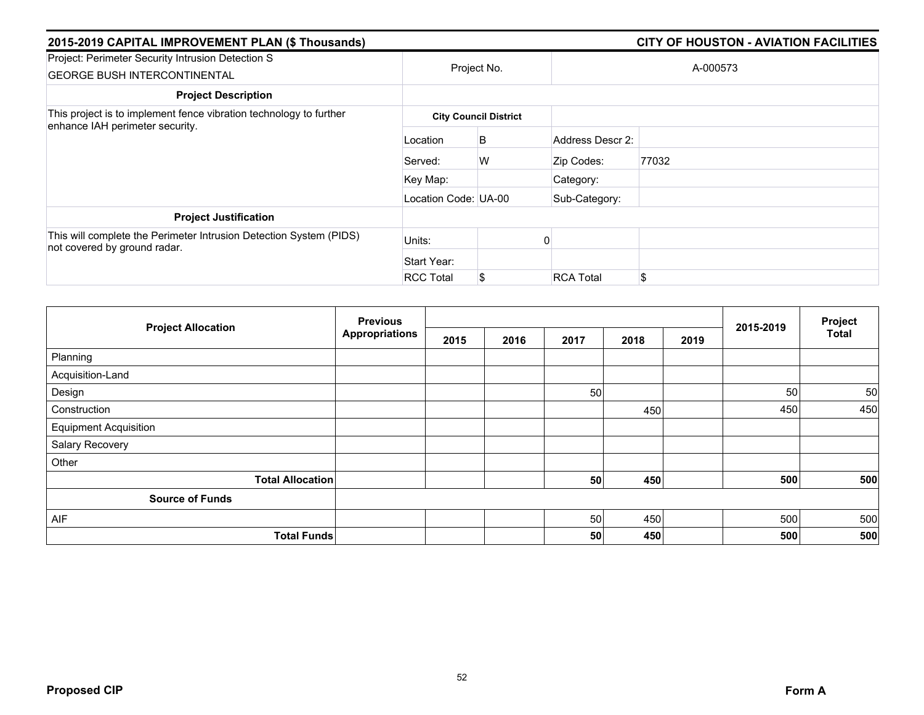| 2015-2019 CAPITAL IMPROVEMENT PLAN (\$ Thousands)                                                  |                      | <b>CITY OF HOUSTON - AVIATION FACILITIES</b> |                  |          |  |  |  |  |
|----------------------------------------------------------------------------------------------------|----------------------|----------------------------------------------|------------------|----------|--|--|--|--|
| Project: Perimeter Security Intrusion Detection S<br><b>GEORGE BUSH INTERCONTINENTAL</b>           |                      | Project No.                                  |                  | A-000573 |  |  |  |  |
| <b>Project Description</b>                                                                         |                      |                                              |                  |          |  |  |  |  |
| This project is to implement fence vibration technology to further                                 |                      | <b>City Council District</b>                 |                  |          |  |  |  |  |
| enhance IAH perimeter security.                                                                    | Location             | B                                            | Address Descr 2: |          |  |  |  |  |
|                                                                                                    | Served:              | W                                            | Zip Codes:       | 77032    |  |  |  |  |
|                                                                                                    | Key Map:             |                                              | Category:        |          |  |  |  |  |
|                                                                                                    | Location Code: UA-00 |                                              | Sub-Category:    |          |  |  |  |  |
| <b>Project Justification</b>                                                                       |                      |                                              |                  |          |  |  |  |  |
| This will complete the Perimeter Intrusion Detection System (PIDS)<br>not covered by ground radar. | Units:               |                                              |                  |          |  |  |  |  |
|                                                                                                    | Start Year:          |                                              |                  |          |  |  |  |  |
|                                                                                                    | <b>RCC Total</b>     | S                                            | <b>RCA Total</b> | \$       |  |  |  |  |

|                              | <b>Previous</b>       |      |      |      |      |      |           | Project      |
|------------------------------|-----------------------|------|------|------|------|------|-----------|--------------|
| <b>Project Allocation</b>    | <b>Appropriations</b> | 2015 | 2016 | 2017 | 2018 | 2019 | 2015-2019 | <b>Total</b> |
| Planning                     |                       |      |      |      |      |      |           |              |
| Acquisition-Land             |                       |      |      |      |      |      |           |              |
| Design                       |                       |      |      | 50   |      |      | 50        | 50           |
| Construction                 |                       |      |      |      | 450  |      | 450       | 450          |
| <b>Equipment Acquisition</b> |                       |      |      |      |      |      |           |              |
| Salary Recovery              |                       |      |      |      |      |      |           |              |
| Other                        |                       |      |      |      |      |      |           |              |
| <b>Total Allocation</b>      |                       |      |      | 50   | 450  |      | 500       | 500          |
| <b>Source of Funds</b>       |                       |      |      |      |      |      |           |              |
| AIF                          |                       |      |      | 50   | 450  |      | 500       | 500          |
| <b>Total Funds</b>           |                       |      |      | 50   | 450  |      | 500       | 500          |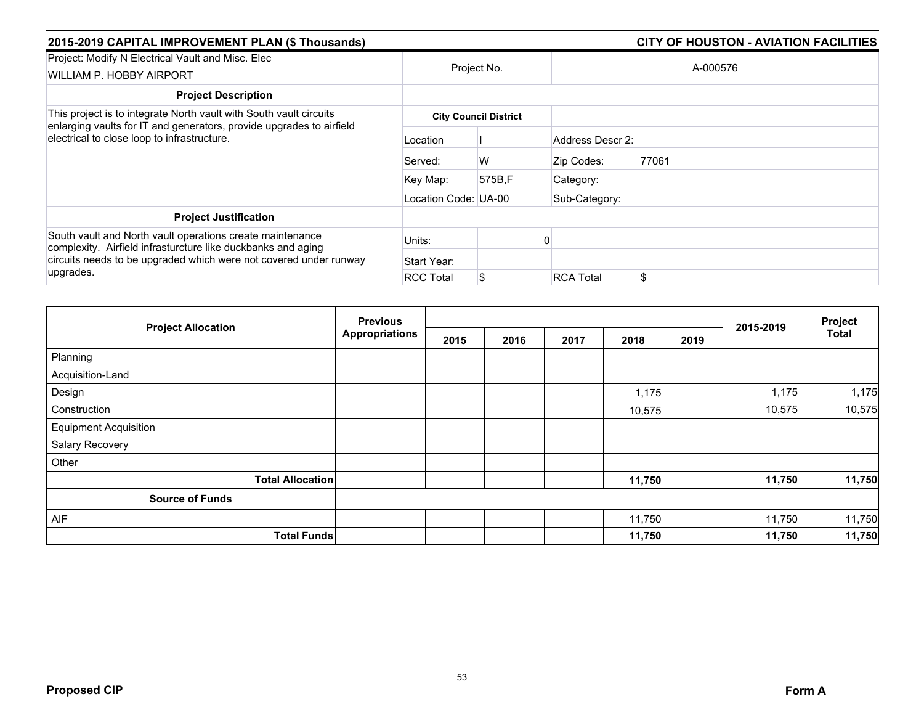| 2015-2019 CAPITAL IMPROVEMENT PLAN (\$ Thousands)                                                                                                                                                           |                      |                              | <b>CITY OF HOUSTON - AVIATION FACILITIES</b> |          |  |  |  |
|-------------------------------------------------------------------------------------------------------------------------------------------------------------------------------------------------------------|----------------------|------------------------------|----------------------------------------------|----------|--|--|--|
| Project: Modify N Electrical Vault and Misc. Elec<br>WILLIAM P. HOBBY AIRPORT                                                                                                                               |                      | Project No.                  |                                              | A-000576 |  |  |  |
| <b>Project Description</b>                                                                                                                                                                                  |                      |                              |                                              |          |  |  |  |
| This project is to integrate North vault with South vault circuits<br>enlarging vaults for IT and generators, provide upgrades to airfield<br>electrical to close loop to infrastructure.                   |                      | <b>City Council District</b> |                                              |          |  |  |  |
|                                                                                                                                                                                                             | Location             |                              | Address Descr 2:                             |          |  |  |  |
|                                                                                                                                                                                                             | Served:              | W                            | Zip Codes:                                   | 77061    |  |  |  |
|                                                                                                                                                                                                             | Key Map:             | 575B.F                       | Category:                                    |          |  |  |  |
|                                                                                                                                                                                                             | Location Code: UA-00 |                              | Sub-Category:                                |          |  |  |  |
| <b>Project Justification</b>                                                                                                                                                                                |                      |                              |                                              |          |  |  |  |
| South vault and North vault operations create maintenance<br>complexity. Airfield infrasturcture like duckbanks and aging<br>circuits needs to be upgraded which were not covered under runway<br>upgrades. | Units:               |                              |                                              |          |  |  |  |
|                                                                                                                                                                                                             | Start Year:          |                              |                                              |          |  |  |  |
|                                                                                                                                                                                                             | <b>RCC Total</b>     | S                            | <b>RCA Total</b>                             | \$       |  |  |  |

|                              | <b>Previous</b>       |      |      |      |        | Project |           |              |
|------------------------------|-----------------------|------|------|------|--------|---------|-----------|--------------|
| <b>Project Allocation</b>    | <b>Appropriations</b> | 2015 | 2016 | 2017 | 2018   | 2019    | 2015-2019 | <b>Total</b> |
| Planning                     |                       |      |      |      |        |         |           |              |
| Acquisition-Land             |                       |      |      |      |        |         |           |              |
| Design                       |                       |      |      |      | 1,175  |         | 1,175     | 1,175        |
| Construction                 |                       |      |      |      | 10,575 |         | 10,575    | 10,575       |
| <b>Equipment Acquisition</b> |                       |      |      |      |        |         |           |              |
| Salary Recovery              |                       |      |      |      |        |         |           |              |
| Other                        |                       |      |      |      |        |         |           |              |
| <b>Total Allocation</b>      |                       |      |      |      | 11,750 |         | 11,750    | 11,750       |
| <b>Source of Funds</b>       |                       |      |      |      |        |         |           |              |
| AIF                          |                       |      |      |      | 11,750 |         | 11,750    | 11,750       |
| <b>Total Funds</b>           |                       |      |      |      | 11,750 |         | 11,750    | 11,750       |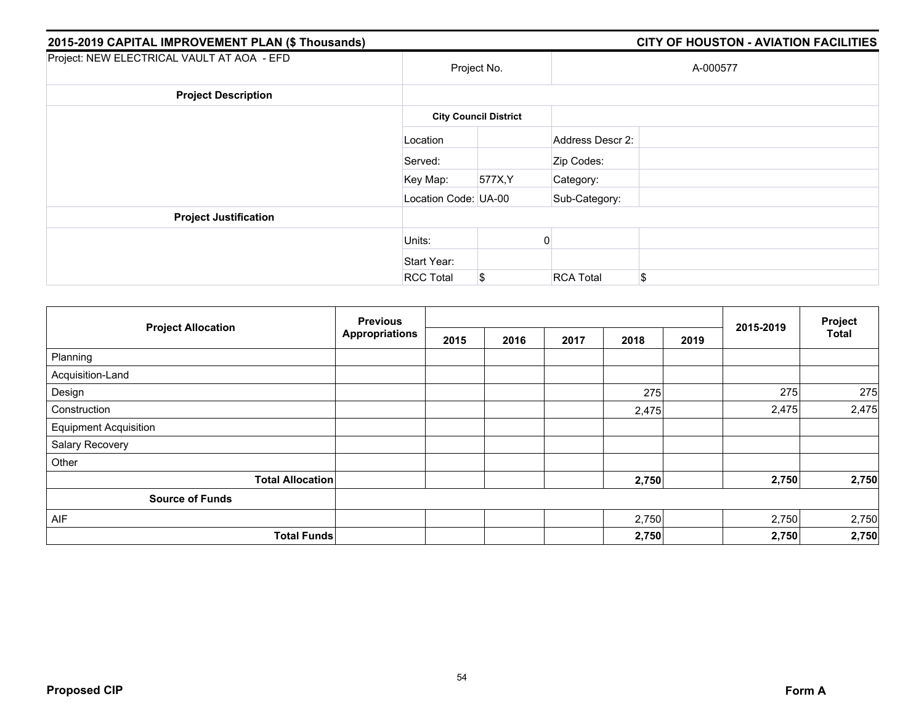| 2015-2019 CAPITAL IMPROVEMENT PLAN (\$ Thousands) |                              |         |                  | <b>CITY OF HOUSTON - AVIATION FACILITIES</b> |  |
|---------------------------------------------------|------------------------------|---------|------------------|----------------------------------------------|--|
| Project: NEW ELECTRICAL VAULT AT AOA - EFD        | Project No.                  |         | A-000577         |                                              |  |
| <b>Project Description</b>                        |                              |         |                  |                                              |  |
|                                                   | <b>City Council District</b> |         |                  |                                              |  |
|                                                   | Location                     |         | Address Descr 2: |                                              |  |
|                                                   | Served:                      |         | Zip Codes:       |                                              |  |
|                                                   | Key Map:                     | 577X, Y | Category:        |                                              |  |
|                                                   | Location Code: UA-00         |         | Sub-Category:    |                                              |  |
| <b>Project Justification</b>                      |                              |         |                  |                                              |  |
|                                                   | Units:                       |         |                  |                                              |  |
|                                                   | Start Year:                  |         |                  |                                              |  |
|                                                   | <b>RCC Total</b>             | \$      | <b>RCA Total</b> | \$                                           |  |

|                              | <b>Previous</b><br><b>Appropriations</b> |      |      |      |       | Project |           |              |
|------------------------------|------------------------------------------|------|------|------|-------|---------|-----------|--------------|
| <b>Project Allocation</b>    |                                          | 2015 | 2016 | 2017 | 2018  | 2019    | 2015-2019 | <b>Total</b> |
| Planning                     |                                          |      |      |      |       |         |           |              |
| Acquisition-Land             |                                          |      |      |      |       |         |           |              |
| Design                       |                                          |      |      |      | 275   |         | 275       | 275          |
| Construction                 |                                          |      |      |      | 2,475 |         | 2,475     | 2,475        |
| <b>Equipment Acquisition</b> |                                          |      |      |      |       |         |           |              |
| Salary Recovery              |                                          |      |      |      |       |         |           |              |
| Other                        |                                          |      |      |      |       |         |           |              |
| <b>Total Allocation</b>      |                                          |      |      |      | 2,750 |         | 2,750     | 2,750        |
| <b>Source of Funds</b>       |                                          |      |      |      |       |         |           |              |
| AIF                          |                                          |      |      |      | 2,750 |         | 2,750     | 2,750        |
| <b>Total Funds</b>           |                                          |      |      |      | 2,750 |         | 2,750     | 2,750        |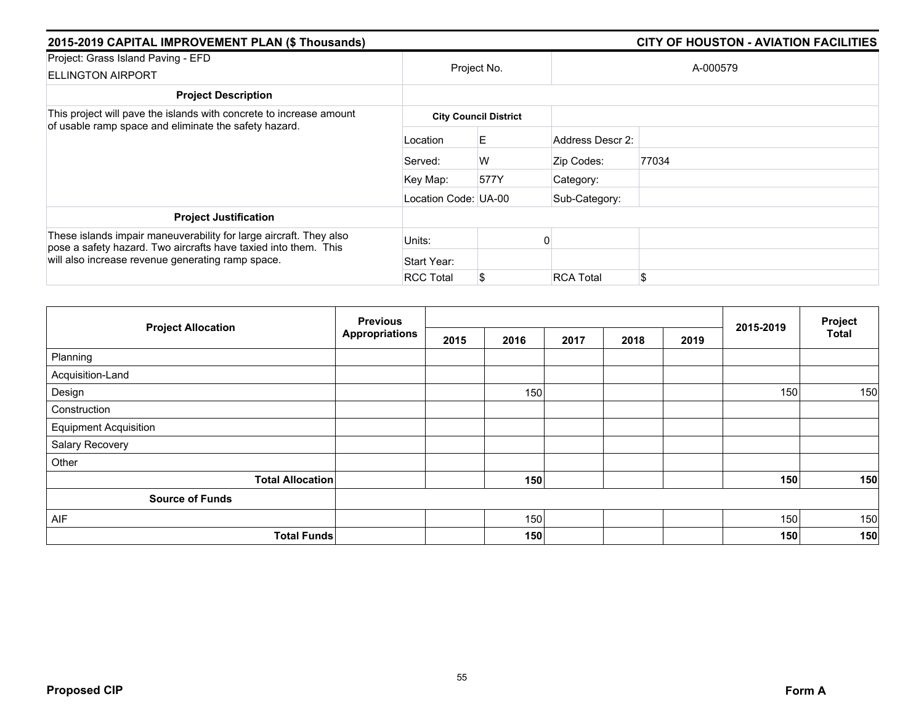| 2015-2019 CAPITAL IMPROVEMENT PLAN (\$ Thousands)                                                                                     |                      | <b>CITY OF HOUSTON - AVIATION FACILITIES</b> |                  |          |  |  |  |  |  |
|---------------------------------------------------------------------------------------------------------------------------------------|----------------------|----------------------------------------------|------------------|----------|--|--|--|--|--|
| Project: Grass Island Paving - EFD<br><b>ELLINGTON AIRPORT</b>                                                                        |                      | Project No.                                  |                  | A-000579 |  |  |  |  |  |
| <b>Project Description</b>                                                                                                            |                      |                                              |                  |          |  |  |  |  |  |
| This project will pave the islands with concrete to increase amount                                                                   |                      | <b>City Council District</b>                 |                  |          |  |  |  |  |  |
| of usable ramp space and eliminate the safety hazard.                                                                                 | Location             | E.                                           | Address Descr 2: |          |  |  |  |  |  |
|                                                                                                                                       | Served:              | W                                            | Zip Codes:       | 77034    |  |  |  |  |  |
|                                                                                                                                       | Key Map:             | 577Y                                         | Category:        |          |  |  |  |  |  |
|                                                                                                                                       | Location Code: UA-00 |                                              | Sub-Category:    |          |  |  |  |  |  |
| <b>Project Justification</b>                                                                                                          |                      |                                              |                  |          |  |  |  |  |  |
| These islands impair maneuverability for large aircraft. They also<br>pose a safety hazard. Two aircrafts have taxied into them. This | Units:               |                                              |                  |          |  |  |  |  |  |
| will also increase revenue generating ramp space.                                                                                     | Start Year:          |                                              |                  |          |  |  |  |  |  |
|                                                                                                                                       | <b>RCC Total</b>     |                                              | <b>RCA Total</b> | \$       |  |  |  |  |  |

|                              | <b>Previous</b>       |      |      |      |      |      |           | Project      |
|------------------------------|-----------------------|------|------|------|------|------|-----------|--------------|
| <b>Project Allocation</b>    | <b>Appropriations</b> | 2015 | 2016 | 2017 | 2018 | 2019 | 2015-2019 | <b>Total</b> |
| Planning                     |                       |      |      |      |      |      |           |              |
| Acquisition-Land             |                       |      |      |      |      |      |           |              |
| Design                       |                       |      | 150  |      |      |      | 150       | 150          |
| Construction                 |                       |      |      |      |      |      |           |              |
| <b>Equipment Acquisition</b> |                       |      |      |      |      |      |           |              |
| Salary Recovery              |                       |      |      |      |      |      |           |              |
| Other                        |                       |      |      |      |      |      |           |              |
| <b>Total Allocation</b>      |                       |      | 150  |      |      |      | 150       | 150          |
| <b>Source of Funds</b>       |                       |      |      |      |      |      |           |              |
| AIF                          |                       |      | 150  |      |      |      | 150       | 150          |
| <b>Total Funds</b>           |                       |      | 150  |      |      |      | 150       | 150          |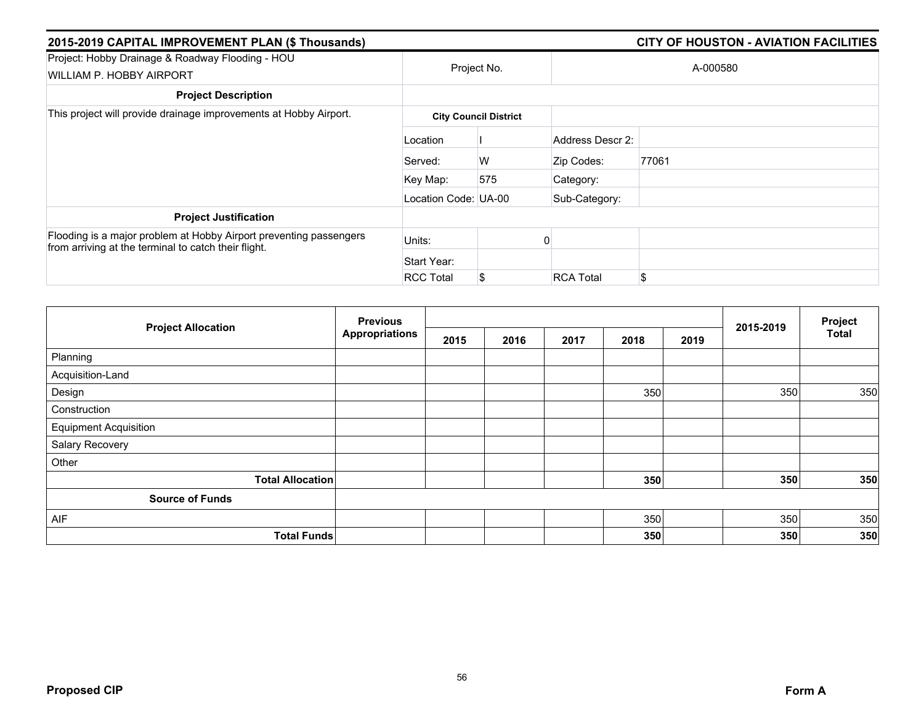| 2015-2019 CAPITAL IMPROVEMENT PLAN (\$ Thousands)                                                                          |                      | <b>CITY OF HOUSTON - AVIATION FACILITIES</b> |                  |       |  |  |  |
|----------------------------------------------------------------------------------------------------------------------------|----------------------|----------------------------------------------|------------------|-------|--|--|--|
| Project: Hobby Drainage & Roadway Flooding - HOU<br>WILLIAM P. HOBBY AIRPORT                                               | Project No.          |                                              | A-000580         |       |  |  |  |
| <b>Project Description</b>                                                                                                 |                      |                                              |                  |       |  |  |  |
| This project will provide drainage improvements at Hobby Airport.                                                          |                      | <b>City Council District</b>                 |                  |       |  |  |  |
|                                                                                                                            | Location             |                                              | Address Descr 2: |       |  |  |  |
|                                                                                                                            | Served:              | W                                            | Zip Codes:       | 77061 |  |  |  |
|                                                                                                                            | Key Map:             | 575                                          | Category:        |       |  |  |  |
|                                                                                                                            | Location Code: UA-00 |                                              | Sub-Category:    |       |  |  |  |
| <b>Project Justification</b>                                                                                               |                      |                                              |                  |       |  |  |  |
| Flooding is a major problem at Hobby Airport preventing passengers<br>from arriving at the terminal to catch their flight. | Units:               |                                              |                  |       |  |  |  |
|                                                                                                                            | Start Year:          |                                              |                  |       |  |  |  |
|                                                                                                                            | <b>RCC Total</b>     | \$                                           | <b>RCA Total</b> | \$    |  |  |  |

|                              | <b>Previous</b>       |      |      |      | Project |      |           |       |
|------------------------------|-----------------------|------|------|------|---------|------|-----------|-------|
| <b>Project Allocation</b>    | <b>Appropriations</b> | 2015 | 2016 | 2017 | 2018    | 2019 | 2015-2019 | Total |
| Planning                     |                       |      |      |      |         |      |           |       |
| Acquisition-Land             |                       |      |      |      |         |      |           |       |
| Design                       |                       |      |      |      | 350     |      | 350       | 350   |
| Construction                 |                       |      |      |      |         |      |           |       |
| <b>Equipment Acquisition</b> |                       |      |      |      |         |      |           |       |
| Salary Recovery              |                       |      |      |      |         |      |           |       |
| Other                        |                       |      |      |      |         |      |           |       |
| <b>Total Allocation</b>      |                       |      |      |      | 350     |      | 350       | 350   |
| <b>Source of Funds</b>       |                       |      |      |      |         |      |           |       |
| AIF                          |                       |      |      |      | 350     |      | 350       | 350   |
| <b>Total Funds</b>           |                       |      |      |      | 350     |      | 350       | 350   |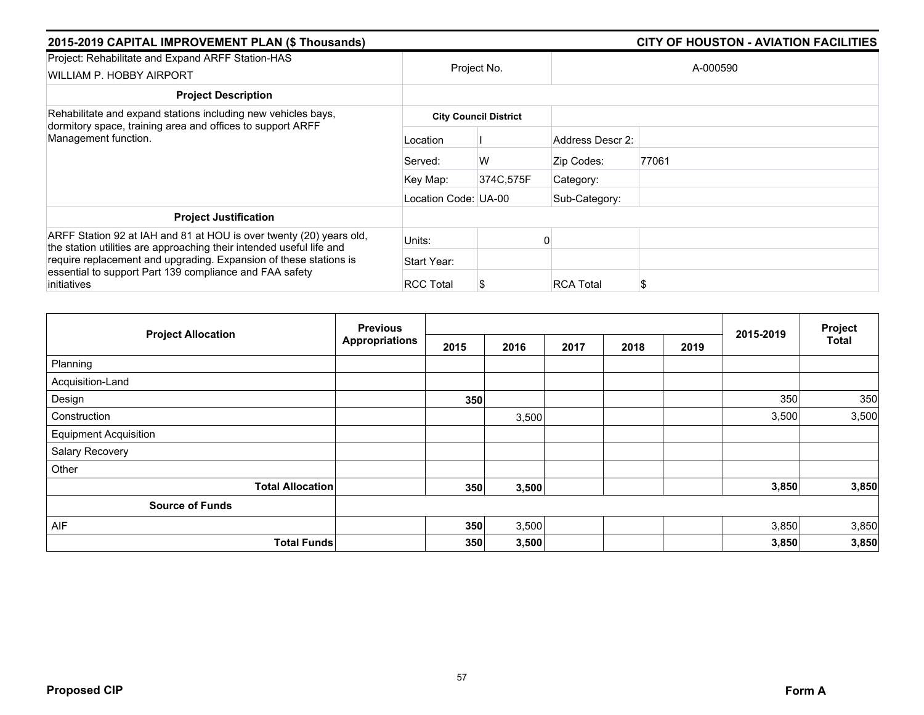| 2015-2019 CAPITAL IMPROVEMENT PLAN (\$ Thousands)                                                                                                   | <b>CITY OF HOUSTON - AVIATION FACILITIES</b> |                              |                  |       |  |  |
|-----------------------------------------------------------------------------------------------------------------------------------------------------|----------------------------------------------|------------------------------|------------------|-------|--|--|
| Project: Rehabilitate and Expand ARFF Station-HAS<br>WILLIAM P. HOBBY AIRPORT                                                                       | Project No.                                  |                              | A-000590         |       |  |  |
| <b>Project Description</b>                                                                                                                          |                                              |                              |                  |       |  |  |
| Rehabilitate and expand stations including new vehicles bays,<br>dormitory space, training area and offices to support ARFF<br>Management function. |                                              | <b>City Council District</b> |                  |       |  |  |
|                                                                                                                                                     | Location                                     |                              | Address Descr 2: |       |  |  |
|                                                                                                                                                     | Served:                                      | W                            | Zip Codes:       | 77061 |  |  |
|                                                                                                                                                     | Key Map:                                     | 374C,575F                    | Category:        |       |  |  |
|                                                                                                                                                     | Location Code: UA-00                         |                              | Sub-Category:    |       |  |  |
| <b>Project Justification</b>                                                                                                                        |                                              |                              |                  |       |  |  |
| ARFF Station 92 at IAH and 81 at HOU is over twenty (20) years old,<br>the station utilities are approaching their intended useful life and         | Units:                                       |                              |                  |       |  |  |
| require replacement and upgrading. Expansion of these stations is                                                                                   | Start Year:                                  |                              |                  |       |  |  |
| essential to support Part 139 compliance and FAA safety<br>initiatives                                                                              | <b>RCC Total</b>                             |                              | <b>RCA Total</b> | S     |  |  |

|                              | <b>Previous</b>       |      |       |      |      |      | 2015-2019 | Project      |
|------------------------------|-----------------------|------|-------|------|------|------|-----------|--------------|
| <b>Project Allocation</b>    | <b>Appropriations</b> | 2015 | 2016  | 2017 | 2018 | 2019 |           | <b>Total</b> |
| Planning                     |                       |      |       |      |      |      |           |              |
| Acquisition-Land             |                       |      |       |      |      |      |           |              |
| Design                       |                       | 350  |       |      |      |      | 350       | 350          |
| Construction                 |                       |      | 3,500 |      |      |      | 3,500     | 3,500        |
| <b>Equipment Acquisition</b> |                       |      |       |      |      |      |           |              |
| Salary Recovery              |                       |      |       |      |      |      |           |              |
| Other                        |                       |      |       |      |      |      |           |              |
| <b>Total Allocation</b>      |                       | 350  | 3,500 |      |      |      | 3,850     | 3,850        |
| <b>Source of Funds</b>       |                       |      |       |      |      |      |           |              |
| AIF                          |                       | 350  | 3,500 |      |      |      | 3,850     | 3,850        |
| <b>Total Funds</b>           |                       | 350  | 3,500 |      |      |      | 3,850     | 3,850        |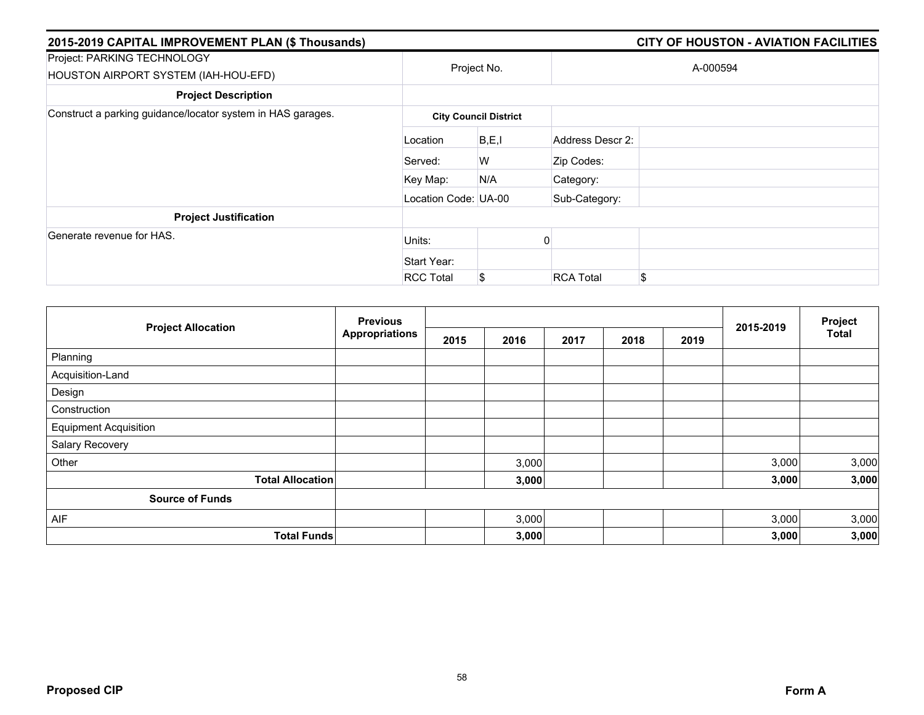| 2015-2019 CAPITAL IMPROVEMENT PLAN (\$ Thousands)                   |                      |                              |                  | <b>CITY OF HOUSTON - AVIATION FACILITIES</b> |
|---------------------------------------------------------------------|----------------------|------------------------------|------------------|----------------------------------------------|
| Project: PARKING TECHNOLOGY<br>HOUSTON AIRPORT SYSTEM (IAH-HOU-EFD) |                      | Project No.                  |                  | A-000594                                     |
| <b>Project Description</b>                                          |                      |                              |                  |                                              |
| Construct a parking guidance/locator system in HAS garages.         |                      | <b>City Council District</b> |                  |                                              |
|                                                                     | Location             | B, E, I                      | Address Descr 2: |                                              |
|                                                                     | Served:              | W                            | Zip Codes:       |                                              |
|                                                                     | Key Map:             | N/A                          | Category:        |                                              |
|                                                                     | Location Code: UA-00 |                              | Sub-Category:    |                                              |
| <b>Project Justification</b>                                        |                      |                              |                  |                                              |
| Generate revenue for HAS.                                           | Units:               |                              |                  |                                              |
|                                                                     | Start Year:          |                              |                  |                                              |
|                                                                     | <b>RCC Total</b>     | S                            | <b>RCA Total</b> | \$                                           |

|                              | <b>Previous</b>       |      |       |      |      | Project |           |              |
|------------------------------|-----------------------|------|-------|------|------|---------|-----------|--------------|
| <b>Project Allocation</b>    | <b>Appropriations</b> | 2015 | 2016  | 2017 | 2018 | 2019    | 2015-2019 | <b>Total</b> |
| Planning                     |                       |      |       |      |      |         |           |              |
| Acquisition-Land             |                       |      |       |      |      |         |           |              |
| Design                       |                       |      |       |      |      |         |           |              |
| Construction                 |                       |      |       |      |      |         |           |              |
| <b>Equipment Acquisition</b> |                       |      |       |      |      |         |           |              |
| Salary Recovery              |                       |      |       |      |      |         |           |              |
| Other                        |                       |      | 3,000 |      |      |         | 3,000     | 3,000        |
| <b>Total Allocation</b>      |                       |      | 3,000 |      |      |         | 3,000     | 3,000        |
| <b>Source of Funds</b>       |                       |      |       |      |      |         |           |              |
| AIF                          |                       |      | 3,000 |      |      |         | 3,000     | 3,000        |
| <b>Total Funds</b>           |                       |      | 3,000 |      |      |         | 3,000     | 3,000        |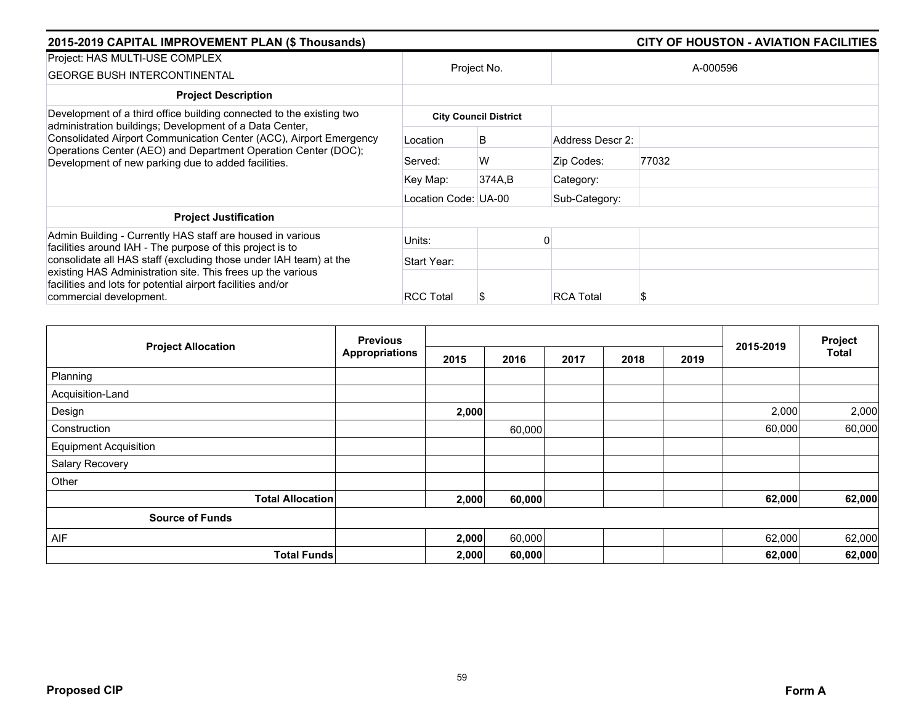| 2015-2019 CAPITAL IMPROVEMENT PLAN (\$ Thousands)                                                                                                                                           |                      | <b>CITY OF HOUSTON - AVIATION FACILITIES</b> |                  |       |  |  |
|---------------------------------------------------------------------------------------------------------------------------------------------------------------------------------------------|----------------------|----------------------------------------------|------------------|-------|--|--|
| Project: HAS MULTI-USE COMPLEX<br><b>GEORGE BUSH INTERCONTINENTAL</b>                                                                                                                       | Project No.          |                                              | A-000596         |       |  |  |
|                                                                                                                                                                                             |                      |                                              |                  |       |  |  |
| <b>Project Description</b>                                                                                                                                                                  |                      |                                              |                  |       |  |  |
| Development of a third office building connected to the existing two<br>administration buildings; Development of a Data Center,                                                             |                      | <b>City Council District</b>                 |                  |       |  |  |
| Consolidated Airport Communication Center (ACC), Airport Emergency<br>Operations Center (AEO) and Department Operation Center (DOC);<br>Development of new parking due to added facilities. | Location             | B                                            | Address Descr 2: |       |  |  |
|                                                                                                                                                                                             | Served:              | W                                            | Zip Codes:       | 77032 |  |  |
|                                                                                                                                                                                             | Key Map:             | 374A,B                                       | Category:        |       |  |  |
|                                                                                                                                                                                             | Location Code: UA-00 |                                              | Sub-Category:    |       |  |  |
| <b>Project Justification</b>                                                                                                                                                                |                      |                                              |                  |       |  |  |
| Admin Building - Currently HAS staff are housed in various<br>facilities around IAH - The purpose of this project is to                                                                     | Units:               |                                              |                  |       |  |  |
| consolidate all HAS staff (excluding those under IAH team) at the                                                                                                                           | Start Year:          |                                              |                  |       |  |  |
| existing HAS Administration site. This frees up the various<br>facilities and lots for potential airport facilities and/or                                                                  |                      |                                              |                  |       |  |  |
| commercial development.                                                                                                                                                                     | <b>RCC Total</b>     | S                                            | <b>RCA Total</b> |       |  |  |

|                              | <b>Previous</b>       |       |        |  | 2015-2019    | Project<br><b>Total</b> |        |        |
|------------------------------|-----------------------|-------|--------|--|--------------|-------------------------|--------|--------|
| <b>Project Allocation</b>    | <b>Appropriations</b> | 2015  | 2016   |  | 2017<br>2018 |                         |        |        |
| Planning                     |                       |       |        |  |              |                         |        |        |
| Acquisition-Land             |                       |       |        |  |              |                         |        |        |
| Design                       |                       | 2,000 |        |  |              |                         | 2,000  | 2,000  |
| Construction                 |                       |       | 60,000 |  |              |                         | 60,000 | 60,000 |
| <b>Equipment Acquisition</b> |                       |       |        |  |              |                         |        |        |
| Salary Recovery              |                       |       |        |  |              |                         |        |        |
| Other                        |                       |       |        |  |              |                         |        |        |
| <b>Total Allocation</b>      |                       | 2,000 | 60,000 |  |              |                         | 62,000 | 62,000 |
| <b>Source of Funds</b>       |                       |       |        |  |              |                         |        |        |
| <b>AIF</b>                   |                       | 2,000 | 60,000 |  |              |                         | 62,000 | 62,000 |
| <b>Total Funds</b>           |                       | 2,000 | 60,000 |  |              |                         | 62,000 | 62,000 |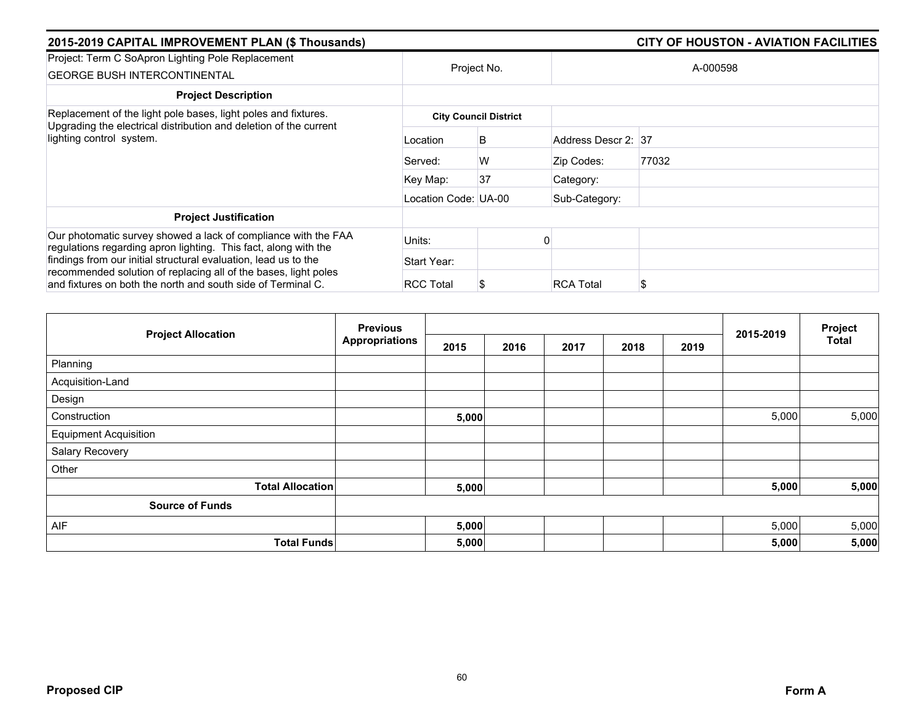| 2015-2019 CAPITAL IMPROVEMENT PLAN (\$ Thousands)                                                                                                               |                      |                              |                     | <b>CITY OF HOUSTON - AVIATION FACILITIES</b> |  |
|-----------------------------------------------------------------------------------------------------------------------------------------------------------------|----------------------|------------------------------|---------------------|----------------------------------------------|--|
| Project: Term C SoApron Lighting Pole Replacement<br><b>GEORGE BUSH INTERCONTINENTAL</b>                                                                        | Project No.          |                              | A-000598            |                                              |  |
| <b>Project Description</b>                                                                                                                                      |                      |                              |                     |                                              |  |
| Replacement of the light pole bases, light poles and fixtures.<br>Upgrading the electrical distribution and deletion of the current<br>lighting control system. |                      | <b>City Council District</b> |                     |                                              |  |
|                                                                                                                                                                 | Location             | B                            | Address Descr 2: 37 |                                              |  |
|                                                                                                                                                                 | Served:              | W                            | Zip Codes:          | 77032                                        |  |
|                                                                                                                                                                 | Key Map:             | 37                           | Category:           |                                              |  |
|                                                                                                                                                                 | Location Code: UA-00 |                              | Sub-Category:       |                                              |  |
| <b>Project Justification</b>                                                                                                                                    |                      |                              |                     |                                              |  |
| Our photomatic survey showed a lack of compliance with the FAA<br>regulations regarding apron lighting. This fact, along with the                               | Units:               |                              |                     |                                              |  |
| findings from our initial structural evaluation, lead us to the                                                                                                 | Start Year:          |                              |                     |                                              |  |
| recommended solution of replacing all of the bases, light poles<br>and fixtures on both the north and south side of Terminal C.                                 | <b>RCC Total</b>     | S                            | <b>RCA Total</b>    |                                              |  |

|                              | <b>Previous</b>         |       |      |      | 2015-2019 | Project |       |              |
|------------------------------|-------------------------|-------|------|------|-----------|---------|-------|--------------|
| <b>Project Allocation</b>    | <b>Appropriations</b>   | 2015  | 2016 | 2017 | 2018      | 2019    |       | <b>Total</b> |
| Planning                     |                         |       |      |      |           |         |       |              |
| Acquisition-Land             |                         |       |      |      |           |         |       |              |
| Design                       |                         |       |      |      |           |         |       |              |
| Construction                 |                         | 5,000 |      |      |           |         | 5,000 | 5,000        |
| <b>Equipment Acquisition</b> |                         |       |      |      |           |         |       |              |
| Salary Recovery              |                         |       |      |      |           |         |       |              |
| Other                        |                         |       |      |      |           |         |       |              |
|                              | <b>Total Allocation</b> | 5,000 |      |      |           |         | 5,000 | 5,000        |
| <b>Source of Funds</b>       |                         |       |      |      |           |         |       |              |
| AIF                          |                         | 5,000 |      |      |           |         | 5,000 | 5,000        |
|                              | <b>Total Funds</b>      | 5,000 |      |      |           |         | 5,000 | 5,000        |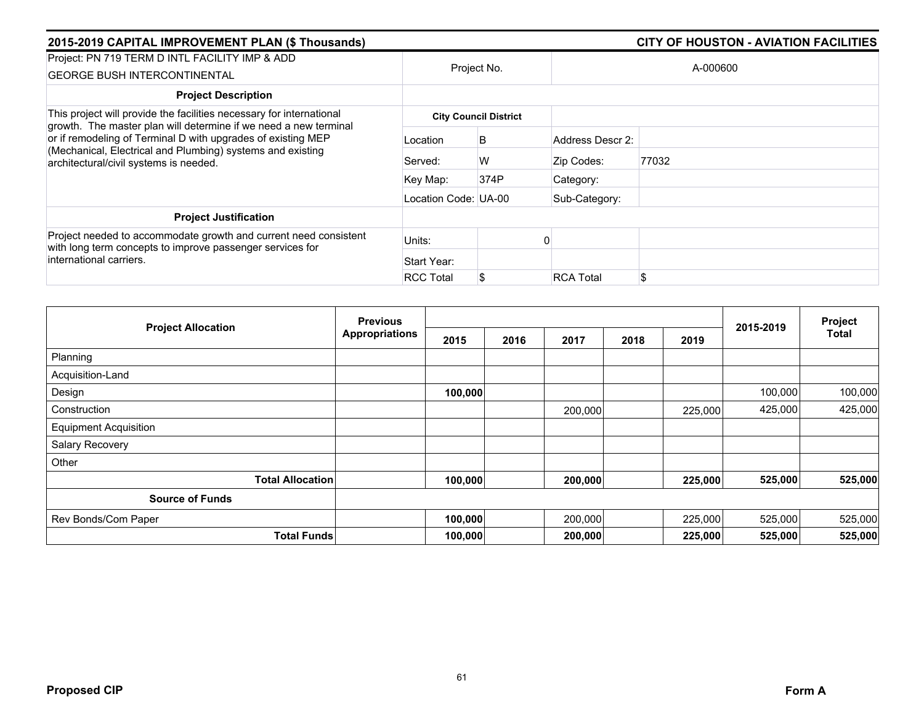| 2015-2019 CAPITAL IMPROVEMENT PLAN (\$ Thousands)                                                                                                                                                                                                                                                                |                      |                              |                  | <b>CITY OF HOUSTON - AVIATION FACILITIES</b> |  |  |
|------------------------------------------------------------------------------------------------------------------------------------------------------------------------------------------------------------------------------------------------------------------------------------------------------------------|----------------------|------------------------------|------------------|----------------------------------------------|--|--|
| Project: PN 719 TERM D INTL FACILITY IMP & ADD                                                                                                                                                                                                                                                                   |                      | Project No.                  | A-000600         |                                              |  |  |
| <b>GEORGE BUSH INTERCONTINENTAL</b>                                                                                                                                                                                                                                                                              |                      |                              |                  |                                              |  |  |
| <b>Project Description</b>                                                                                                                                                                                                                                                                                       |                      |                              |                  |                                              |  |  |
| This project will provide the facilities necessary for international<br>growth. The master plan will determine if we need a new terminal<br>or if remodeling of Terminal D with upgrades of existing MEP<br>(Mechanical, Electrical and Plumbing) systems and existing<br>architectural/civil systems is needed. |                      | <b>City Council District</b> |                  |                                              |  |  |
|                                                                                                                                                                                                                                                                                                                  | Location             | B                            | Address Descr 2: |                                              |  |  |
|                                                                                                                                                                                                                                                                                                                  | Served:              | W                            | Zip Codes:       | 77032                                        |  |  |
|                                                                                                                                                                                                                                                                                                                  | Key Map:             | 374P                         | Category:        |                                              |  |  |
|                                                                                                                                                                                                                                                                                                                  | Location Code: UA-00 |                              | Sub-Category:    |                                              |  |  |
| <b>Project Justification</b>                                                                                                                                                                                                                                                                                     |                      |                              |                  |                                              |  |  |
| Project needed to accommodate growth and current need consistent<br>with long term concepts to improve passenger services for                                                                                                                                                                                    | Units:               |                              |                  |                                              |  |  |
| international carriers.                                                                                                                                                                                                                                                                                          | Start Year:          |                              |                  |                                              |  |  |
|                                                                                                                                                                                                                                                                                                                  | <b>RCC Total</b>     | S                            | <b>RCA Total</b> |                                              |  |  |

|                              | <b>Previous</b><br><b>Appropriations</b> |         |      |         | 2015-2019 | Project |         |              |
|------------------------------|------------------------------------------|---------|------|---------|-----------|---------|---------|--------------|
| <b>Project Allocation</b>    |                                          | 2015    | 2016 | 2017    | 2018      | 2019    |         | <b>Total</b> |
| Planning                     |                                          |         |      |         |           |         |         |              |
| Acquisition-Land             |                                          |         |      |         |           |         |         |              |
| Design                       |                                          | 100,000 |      |         |           |         | 100,000 | 100,000      |
| Construction                 |                                          |         |      | 200,000 |           | 225,000 | 425,000 | 425,000      |
| <b>Equipment Acquisition</b> |                                          |         |      |         |           |         |         |              |
| Salary Recovery              |                                          |         |      |         |           |         |         |              |
| Other                        |                                          |         |      |         |           |         |         |              |
| <b>Total Allocation</b>      |                                          | 100,000 |      | 200,000 |           | 225,000 | 525,000 | 525,000      |
| <b>Source of Funds</b>       |                                          |         |      |         |           |         |         |              |
| Rev Bonds/Com Paper          |                                          | 100,000 |      | 200,000 |           | 225,000 | 525,000 | 525,000      |
| <b>Total Funds</b>           |                                          | 100,000 |      | 200,000 |           | 225,000 | 525,000 | 525,000      |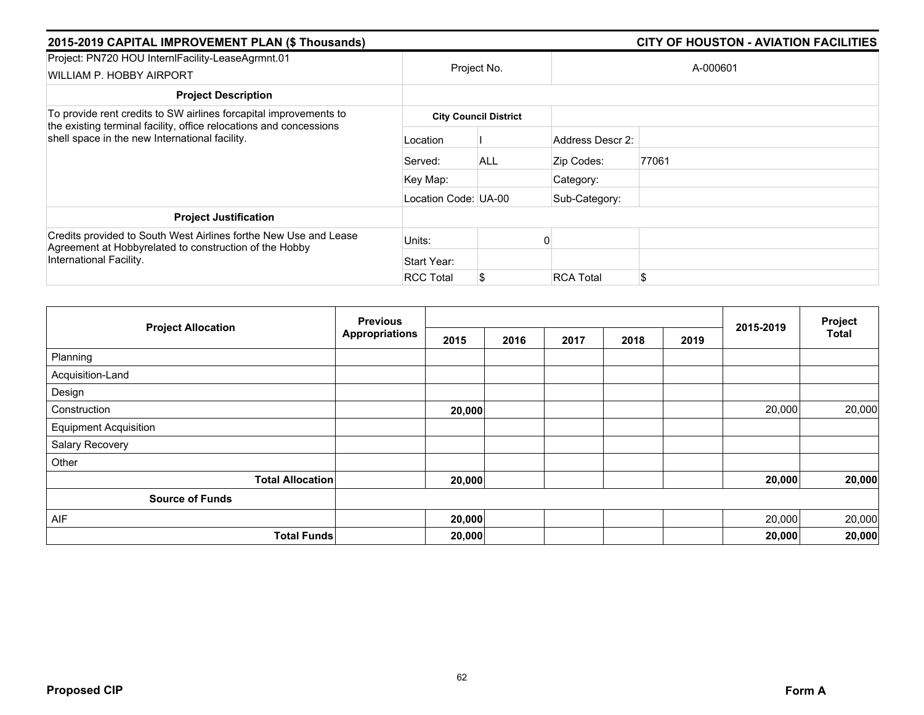| 2015-2019 CAPITAL IMPROVEMENT PLAN (\$ Thousands)                                                                                                     |                      |                              |                  |          |  |
|-------------------------------------------------------------------------------------------------------------------------------------------------------|----------------------|------------------------------|------------------|----------|--|
| Project: PN720 HOU InternIFacility-LeaseAgrmnt.01<br>WILLIAM P. HOBBY AIRPORT                                                                         |                      | Project No.                  |                  | A-000601 |  |
| <b>Project Description</b>                                                                                                                            |                      |                              |                  |          |  |
| To provide rent credits to SW airlines forcapital improvements to<br>the existing terminal facility, office relocations and concessions               |                      | <b>City Council District</b> |                  |          |  |
| shell space in the new International facility.                                                                                                        | Location             |                              | Address Descr 2: |          |  |
|                                                                                                                                                       | Served:              | <b>ALL</b>                   | Zip Codes:       | 77061    |  |
|                                                                                                                                                       | Key Map:             |                              | Category:        |          |  |
|                                                                                                                                                       | Location Code: UA-00 |                              | Sub-Category:    |          |  |
| <b>Project Justification</b>                                                                                                                          |                      |                              |                  |          |  |
| Credits provided to South West Airlines forthe New Use and Lease<br>Agreement at Hobbyrelated to construction of the Hobby<br>International Facility. | Units:               |                              |                  |          |  |
|                                                                                                                                                       | Start Year:          |                              |                  |          |  |
|                                                                                                                                                       | <b>RCC Total</b>     | S                            | <b>RCA Total</b> | \$       |  |

|                              | <b>Previous</b>       |        |      |      | 2015-2019 | Project |        |              |
|------------------------------|-----------------------|--------|------|------|-----------|---------|--------|--------------|
| <b>Project Allocation</b>    | <b>Appropriations</b> | 2015   | 2016 | 2017 | 2018      | 2019    |        | <b>Total</b> |
| Planning                     |                       |        |      |      |           |         |        |              |
| Acquisition-Land             |                       |        |      |      |           |         |        |              |
| Design                       |                       |        |      |      |           |         |        |              |
| Construction                 |                       | 20,000 |      |      |           |         | 20,000 | 20,000       |
| <b>Equipment Acquisition</b> |                       |        |      |      |           |         |        |              |
| Salary Recovery              |                       |        |      |      |           |         |        |              |
| Other                        |                       |        |      |      |           |         |        |              |
| <b>Total Allocation</b>      |                       | 20,000 |      |      |           |         | 20,000 | 20,000       |
| <b>Source of Funds</b>       |                       |        |      |      |           |         |        |              |
| AIF                          |                       | 20,000 |      |      |           |         | 20,000 | 20,000       |
| <b>Total Funds</b>           |                       | 20,000 |      |      |           |         | 20,000 | 20,000       |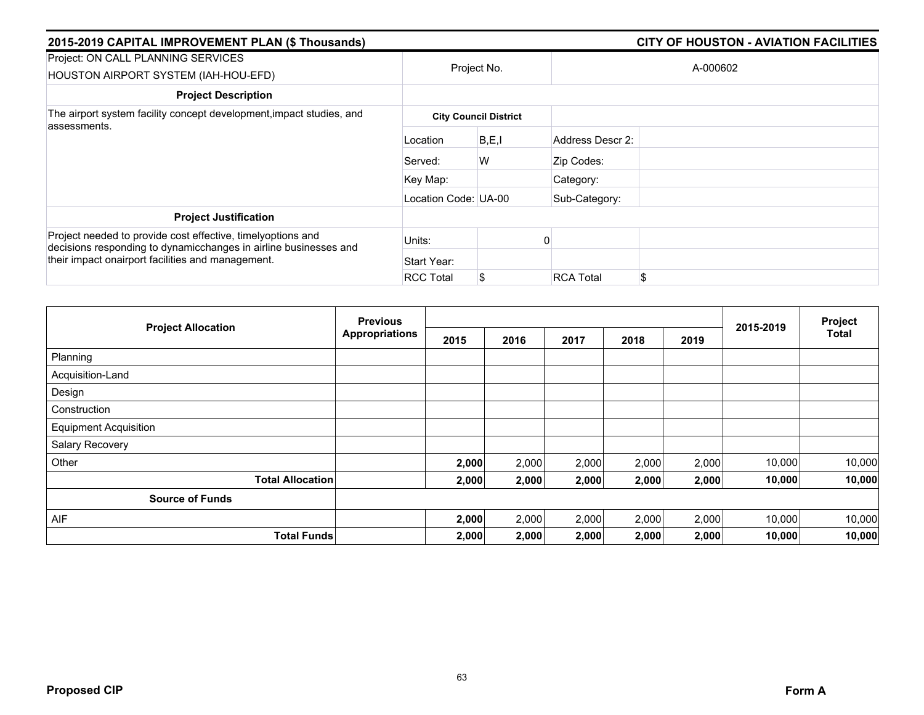| 2015-2019 CAPITAL IMPROVEMENT PLAN (\$ Thousands)                                                                               |                      |                              |                  | <b>CITY OF HOUSTON - AVIATION FACILITIES</b> |
|---------------------------------------------------------------------------------------------------------------------------------|----------------------|------------------------------|------------------|----------------------------------------------|
| Project: ON CALL PLANNING SERVICES<br>HOUSTON AIRPORT SYSTEM (IAH-HOU-EFD)                                                      |                      | Project No.                  |                  | A-000602                                     |
| <b>Project Description</b>                                                                                                      |                      |                              |                  |                                              |
| The airport system facility concept development, impact studies, and                                                            |                      | <b>City Council District</b> |                  |                                              |
| assessments.                                                                                                                    | Location             | B, E, I                      | Address Descr 2: |                                              |
|                                                                                                                                 | Served:              | W                            | Zip Codes:       |                                              |
|                                                                                                                                 | Key Map:             |                              | Category:        |                                              |
|                                                                                                                                 | Location Code: UA-00 |                              | Sub-Category:    |                                              |
| <b>Project Justification</b>                                                                                                    |                      |                              |                  |                                              |
| Project needed to provide cost effective, timelyoptions and<br>decisions responding to dynamicchanges in airline businesses and | Units:               |                              |                  |                                              |
| their impact onairport facilities and management.                                                                               | Start Year:          |                              |                  |                                              |
|                                                                                                                                 | <b>RCC Total</b>     | S                            | <b>RCA Total</b> | \$                                           |

|                              | <b>Previous</b>       |       |       |       | 2015-2019 | Project |        |              |
|------------------------------|-----------------------|-------|-------|-------|-----------|---------|--------|--------------|
| <b>Project Allocation</b>    | <b>Appropriations</b> | 2015  | 2016  | 2017  | 2018      | 2019    |        | <b>Total</b> |
| Planning                     |                       |       |       |       |           |         |        |              |
| Acquisition-Land             |                       |       |       |       |           |         |        |              |
| Design                       |                       |       |       |       |           |         |        |              |
| Construction                 |                       |       |       |       |           |         |        |              |
| <b>Equipment Acquisition</b> |                       |       |       |       |           |         |        |              |
| Salary Recovery              |                       |       |       |       |           |         |        |              |
| Other                        |                       | 2,000 | 2,000 | 2,000 | 2,000     | 2,000   | 10,000 | 10,000       |
| <b>Total Allocation</b>      |                       | 2,000 | 2,000 | 2,000 | 2,000     | 2,000   | 10,000 | 10,000       |
| <b>Source of Funds</b>       |                       |       |       |       |           |         |        |              |
| AIF                          |                       | 2,000 | 2,000 | 2,000 | 2,000     | 2,000   | 10,000 | 10,000       |
| <b>Total Funds</b>           |                       | 2,000 | 2,000 | 2,000 | 2,000     | 2,000   | 10,000 | 10,000       |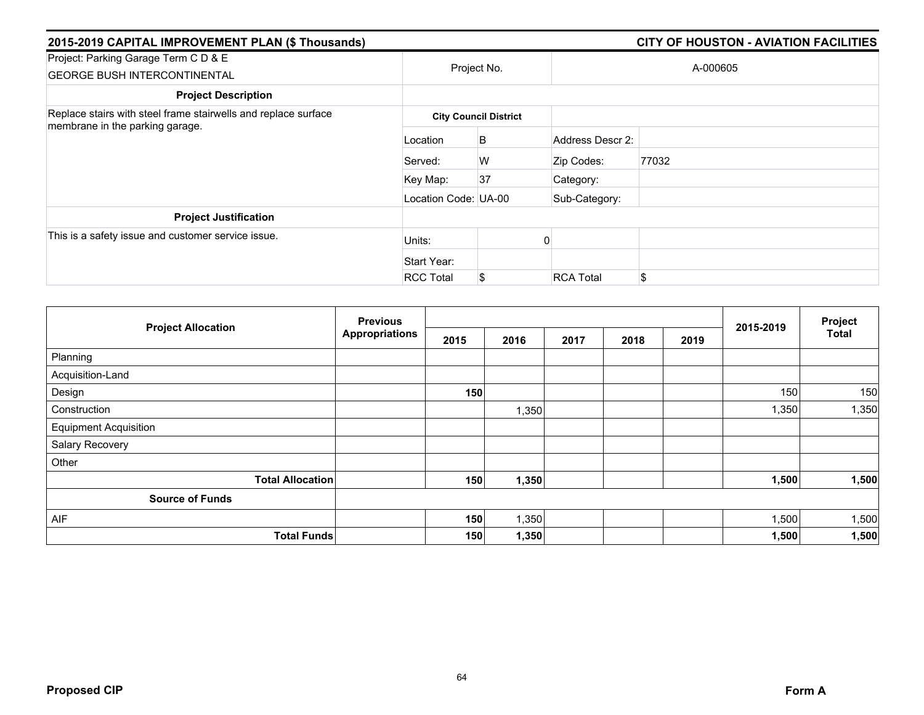| 2015-2019 CAPITAL IMPROVEMENT PLAN (\$ Thousands)                           |                      |                              |                  | <b>CITY OF HOUSTON - AVIATION FACILITIES</b> |  |  |  |  |  |
|-----------------------------------------------------------------------------|----------------------|------------------------------|------------------|----------------------------------------------|--|--|--|--|--|
| Project: Parking Garage Term C D & E<br><b>GEORGE BUSH INTERCONTINENTAL</b> |                      | Project No.                  |                  | A-000605                                     |  |  |  |  |  |
| <b>Project Description</b>                                                  |                      |                              |                  |                                              |  |  |  |  |  |
| Replace stairs with steel frame stairwells and replace surface              |                      | <b>City Council District</b> |                  |                                              |  |  |  |  |  |
| membrane in the parking garage.                                             | Location             | B                            | Address Descr 2: |                                              |  |  |  |  |  |
|                                                                             | Served:              | W                            | Zip Codes:       | 77032                                        |  |  |  |  |  |
|                                                                             | Key Map:             | 37                           | Category:        |                                              |  |  |  |  |  |
|                                                                             | Location Code: UA-00 |                              | Sub-Category:    |                                              |  |  |  |  |  |
| <b>Project Justification</b>                                                |                      |                              |                  |                                              |  |  |  |  |  |
| This is a safety issue and customer service issue.                          | Units:               |                              |                  |                                              |  |  |  |  |  |
|                                                                             | Start Year:          |                              |                  |                                              |  |  |  |  |  |
|                                                                             | <b>RCC Total</b>     | S                            | <b>RCA Total</b> | \$                                           |  |  |  |  |  |

|                              | <b>Previous</b><br><b>Appropriations</b> |      |       |      |      | Project |           |              |
|------------------------------|------------------------------------------|------|-------|------|------|---------|-----------|--------------|
| <b>Project Allocation</b>    |                                          | 2015 | 2016  | 2017 | 2018 | 2019    | 2015-2019 | <b>Total</b> |
| Planning                     |                                          |      |       |      |      |         |           |              |
| Acquisition-Land             |                                          |      |       |      |      |         |           |              |
| Design                       |                                          | 150  |       |      |      |         | 150       | 150          |
| Construction                 |                                          |      | 1,350 |      |      |         | 1,350     | 1,350        |
| <b>Equipment Acquisition</b> |                                          |      |       |      |      |         |           |              |
| Salary Recovery              |                                          |      |       |      |      |         |           |              |
| Other                        |                                          |      |       |      |      |         |           |              |
| <b>Total Allocation</b>      |                                          | 150  | 1,350 |      |      |         | 1,500     | 1,500        |
| <b>Source of Funds</b>       |                                          |      |       |      |      |         |           |              |
| AIF                          |                                          | 150  | 1,350 |      |      |         | 1,500     | 1,500        |
| <b>Total Funds</b>           |                                          | 150  | 1,350 |      |      |         | 1,500     | 1,500        |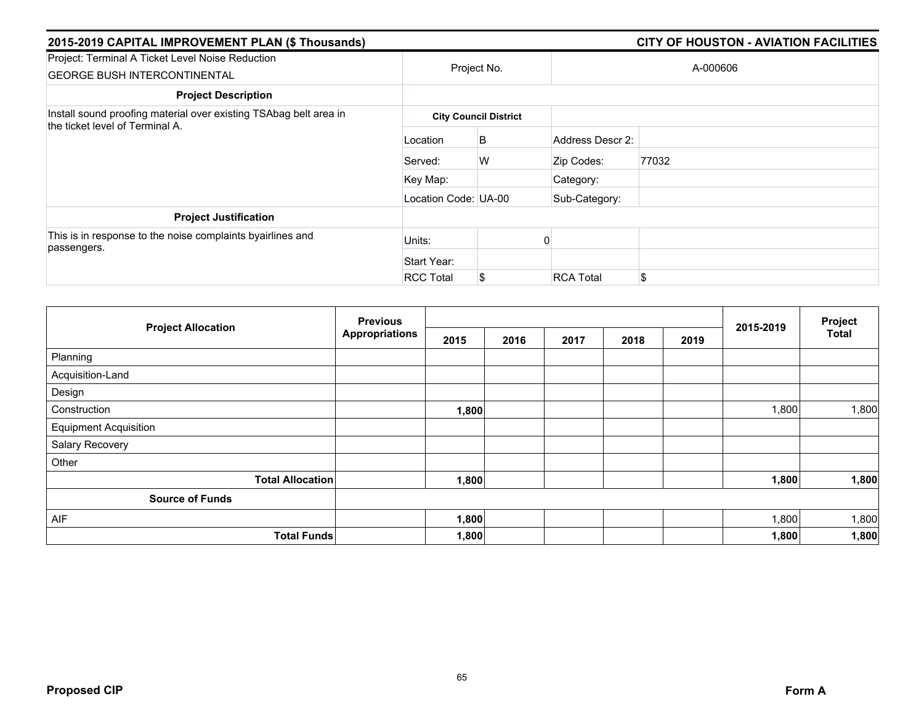| 2015-2019 CAPITAL IMPROVEMENT PLAN (\$ Thousands)                                                    |                      |                              |                  | <b>CITY OF HOUSTON - AVIATION FACILITIES</b> |
|------------------------------------------------------------------------------------------------------|----------------------|------------------------------|------------------|----------------------------------------------|
| Project: Terminal A Ticket Level Noise Reduction<br><b>GEORGE BUSH INTERCONTINENTAL</b>              |                      | Project No.                  |                  | A-000606                                     |
| <b>Project Description</b>                                                                           |                      |                              |                  |                                              |
| Install sound proofing material over existing TSAbag belt area in<br>the ticket level of Terminal A. |                      | <b>City Council District</b> |                  |                                              |
|                                                                                                      | Location             | B                            | Address Descr 2: |                                              |
|                                                                                                      | Served:              | W                            | Zip Codes:       | 77032                                        |
|                                                                                                      | Key Map:             |                              | Category:        |                                              |
|                                                                                                      | Location Code: UA-00 |                              | Sub-Category:    |                                              |
| <b>Project Justification</b>                                                                         |                      |                              |                  |                                              |
| This is in response to the noise complaints byairlines and<br>passengers.                            | Units:               |                              |                  |                                              |
|                                                                                                      | Start Year:          |                              |                  |                                              |
|                                                                                                      | <b>RCC Total</b>     | S                            | <b>RCA Total</b> | \$                                           |

|                              | <b>Previous</b><br><b>Appropriations</b> |       |      |      |      | Project |           |              |
|------------------------------|------------------------------------------|-------|------|------|------|---------|-----------|--------------|
| <b>Project Allocation</b>    |                                          | 2015  | 2016 | 2017 | 2018 | 2019    | 2015-2019 | <b>Total</b> |
| Planning                     |                                          |       |      |      |      |         |           |              |
| Acquisition-Land             |                                          |       |      |      |      |         |           |              |
| Design                       |                                          |       |      |      |      |         |           |              |
| Construction                 |                                          | 1,800 |      |      |      |         | 1,800     | 1,800        |
| <b>Equipment Acquisition</b> |                                          |       |      |      |      |         |           |              |
| Salary Recovery              |                                          |       |      |      |      |         |           |              |
| Other                        |                                          |       |      |      |      |         |           |              |
| <b>Total Allocation</b>      |                                          | 1,800 |      |      |      |         | 1,800     | 1,800        |
| <b>Source of Funds</b>       |                                          |       |      |      |      |         |           |              |
| AIF                          |                                          | 1,800 |      |      |      |         | 1,800     | 1,800        |
| <b>Total Funds</b>           |                                          | 1,800 |      |      |      |         | 1,800     | 1,800        |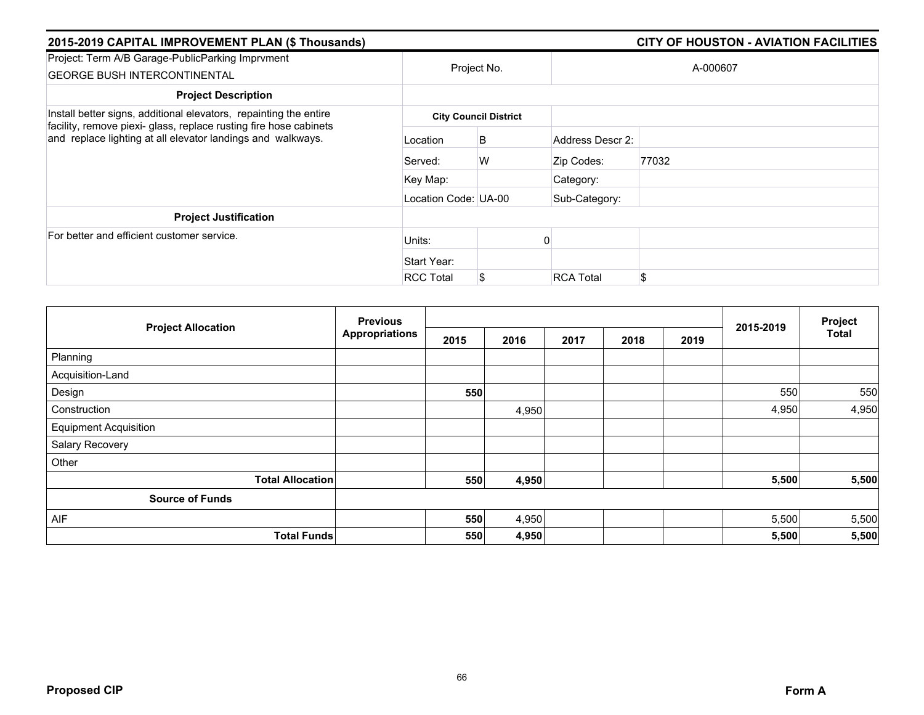| 2015-2019 CAPITAL IMPROVEMENT PLAN (\$ Thousands)                                                                                                                                                     |                      |                              |                  | <b>CITY OF HOUSTON - AVIATION FACILITIES</b> |
|-------------------------------------------------------------------------------------------------------------------------------------------------------------------------------------------------------|----------------------|------------------------------|------------------|----------------------------------------------|
| Project: Term A/B Garage-PublicParking Imprvment<br><b>GEORGE BUSH INTERCONTINENTAL</b>                                                                                                               |                      | Project No.                  |                  | A-000607                                     |
| <b>Project Description</b>                                                                                                                                                                            |                      |                              |                  |                                              |
| Install better signs, additional elevators, repainting the entire<br>facility, remove piexi- glass, replace rusting fire hose cabinets<br>and replace lighting at all elevator landings and walkways. |                      | <b>City Council District</b> |                  |                                              |
|                                                                                                                                                                                                       | Location             | B                            | Address Descr 2: |                                              |
|                                                                                                                                                                                                       | Served:              | W                            | Zip Codes:       | 77032                                        |
|                                                                                                                                                                                                       | Key Map:             |                              | Category:        |                                              |
|                                                                                                                                                                                                       | Location Code: UA-00 |                              | Sub-Category:    |                                              |
| <b>Project Justification</b>                                                                                                                                                                          |                      |                              |                  |                                              |
| For better and efficient customer service.                                                                                                                                                            | Units:               |                              |                  |                                              |
|                                                                                                                                                                                                       | Start Year:          |                              |                  |                                              |
|                                                                                                                                                                                                       | <b>RCC Total</b>     | \$                           | <b>RCA Total</b> | \$                                           |

|                              | <b>Previous</b>       |      |       |      | 2015-2019 | Project |       |       |
|------------------------------|-----------------------|------|-------|------|-----------|---------|-------|-------|
| <b>Project Allocation</b>    | <b>Appropriations</b> | 2015 | 2016  | 2017 | 2018      | 2019    |       | Total |
| Planning                     |                       |      |       |      |           |         |       |       |
| Acquisition-Land             |                       |      |       |      |           |         |       |       |
| Design                       |                       | 550  |       |      |           |         | 550   | 550   |
| Construction                 |                       |      | 4,950 |      |           |         | 4,950 | 4,950 |
| <b>Equipment Acquisition</b> |                       |      |       |      |           |         |       |       |
| Salary Recovery              |                       |      |       |      |           |         |       |       |
| Other                        |                       |      |       |      |           |         |       |       |
| <b>Total Allocation</b>      |                       | 550  | 4,950 |      |           |         | 5,500 | 5,500 |
| <b>Source of Funds</b>       |                       |      |       |      |           |         |       |       |
| AIF                          |                       | 550  | 4,950 |      |           |         | 5,500 | 5,500 |
| <b>Total Funds</b>           |                       | 550  | 4,950 |      |           |         | 5,500 | 5,500 |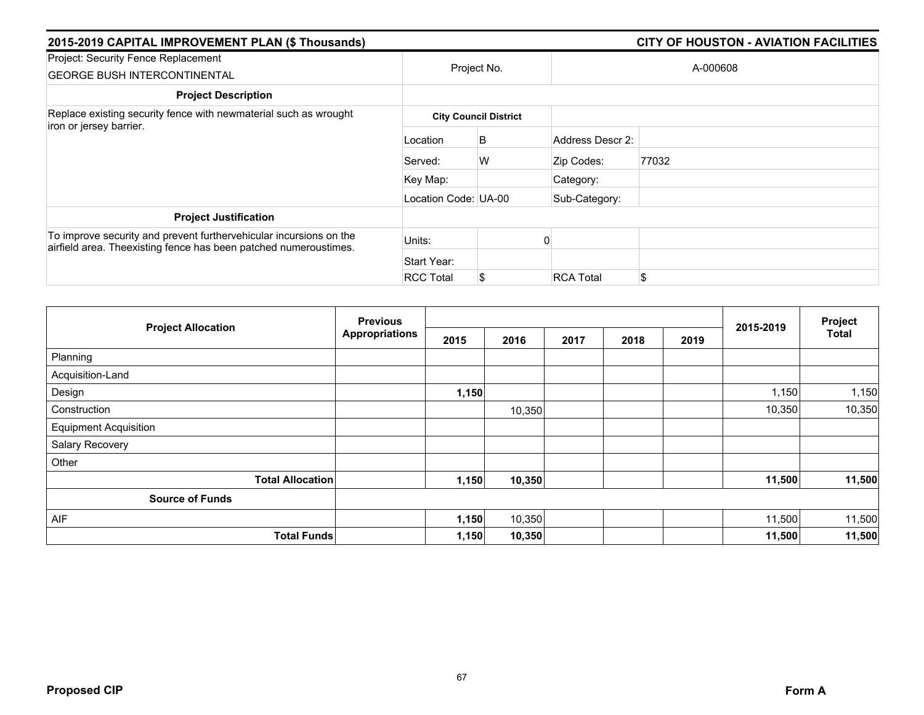| 2015-2019 CAPITAL IMPROVEMENT PLAN (\$ Thousands)                                                                                      |                      |                              |                  |          |  |  |  |
|----------------------------------------------------------------------------------------------------------------------------------------|----------------------|------------------------------|------------------|----------|--|--|--|
| Project: Security Fence Replacement<br><b>GEORGE BUSH INTERCONTINENTAL</b>                                                             |                      | Project No.                  |                  | A-000608 |  |  |  |
| <b>Project Description</b>                                                                                                             |                      |                              |                  |          |  |  |  |
| Replace existing security fence with newmaterial such as wrought<br>iron or jersey barrier.                                            |                      | <b>City Council District</b> |                  |          |  |  |  |
|                                                                                                                                        | Location             | B                            | Address Descr 2: |          |  |  |  |
|                                                                                                                                        | Served:              | W                            | Zip Codes:       | 77032    |  |  |  |
|                                                                                                                                        | Key Map:             |                              | Category:        |          |  |  |  |
|                                                                                                                                        | Location Code: UA-00 |                              | Sub-Category:    |          |  |  |  |
| <b>Project Justification</b>                                                                                                           |                      |                              |                  |          |  |  |  |
| To improve security and prevent furthervehicular incursions on the<br>airfield area. Theexisting fence has been patched numeroustimes. | Units:               |                              |                  |          |  |  |  |
|                                                                                                                                        | Start Year:          |                              |                  |          |  |  |  |
|                                                                                                                                        | <b>RCC Total</b>     | S                            | <b>RCA Total</b> | \$       |  |  |  |

|                              | <b>Previous</b><br><b>Appropriations</b> |       |        |      | Project |      |           |              |
|------------------------------|------------------------------------------|-------|--------|------|---------|------|-----------|--------------|
| <b>Project Allocation</b>    |                                          | 2015  | 2016   | 2017 | 2018    | 2019 | 2015-2019 | <b>Total</b> |
| Planning                     |                                          |       |        |      |         |      |           |              |
| Acquisition-Land             |                                          |       |        |      |         |      |           |              |
| Design                       |                                          | 1,150 |        |      |         |      | 1,150     | 1,150        |
| Construction                 |                                          |       | 10,350 |      |         |      | 10,350    | 10,350       |
| <b>Equipment Acquisition</b> |                                          |       |        |      |         |      |           |              |
| Salary Recovery              |                                          |       |        |      |         |      |           |              |
| Other                        |                                          |       |        |      |         |      |           |              |
| <b>Total Allocation</b>      |                                          | 1,150 | 10,350 |      |         |      | 11,500    | 11,500       |
| <b>Source of Funds</b>       |                                          |       |        |      |         |      |           |              |
| <b>AIF</b>                   |                                          | 1,150 | 10,350 |      |         |      | 11,500    | 11,500       |
| <b>Total Funds</b>           |                                          | 1,150 | 10,350 |      |         |      | 11,500    | 11,500       |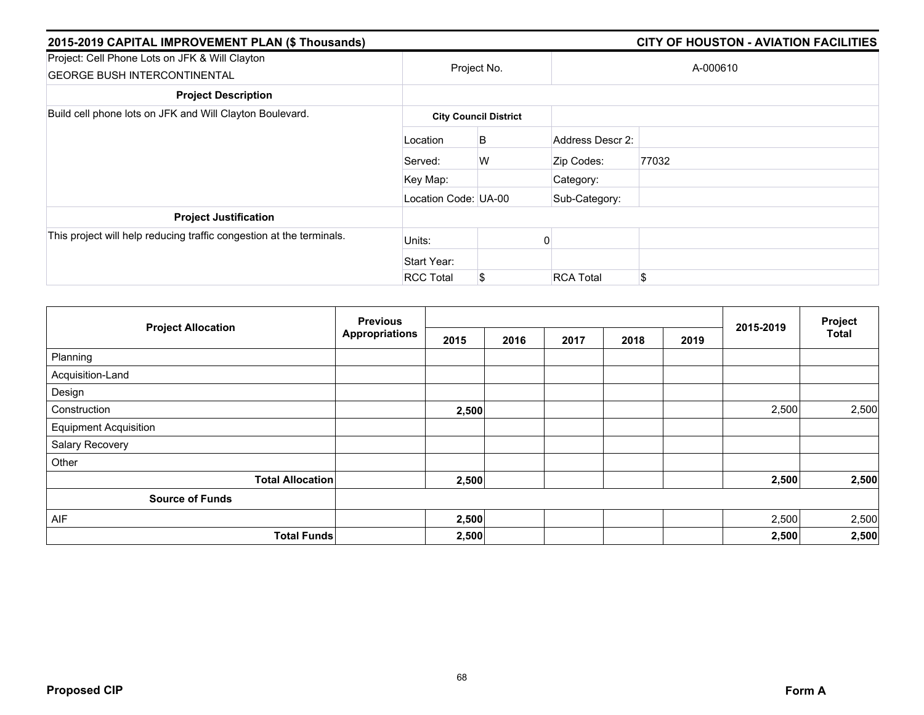| 2015-2019 CAPITAL IMPROVEMENT PLAN (\$ Thousands)                                     |                              | <b>CITY OF HOUSTON - AVIATION FACILITIES</b> |                  |          |  |  |  |  |  |
|---------------------------------------------------------------------------------------|------------------------------|----------------------------------------------|------------------|----------|--|--|--|--|--|
| Project: Cell Phone Lots on JFK & Will Clayton<br><b>GEORGE BUSH INTERCONTINENTAL</b> |                              | Project No.                                  |                  | A-000610 |  |  |  |  |  |
| <b>Project Description</b>                                                            |                              |                                              |                  |          |  |  |  |  |  |
| Build cell phone lots on JFK and Will Clayton Boulevard.                              | <b>City Council District</b> |                                              |                  |          |  |  |  |  |  |
|                                                                                       | Location                     | B                                            | Address Descr 2: |          |  |  |  |  |  |
|                                                                                       | Served:                      | W                                            | Zip Codes:       | 77032    |  |  |  |  |  |
|                                                                                       | Key Map:                     |                                              | Category:        |          |  |  |  |  |  |
|                                                                                       | Location Code: UA-00         |                                              | Sub-Category:    |          |  |  |  |  |  |
| <b>Project Justification</b>                                                          |                              |                                              |                  |          |  |  |  |  |  |
| This project will help reducing traffic congestion at the terminals.                  | Units:                       |                                              |                  |          |  |  |  |  |  |
|                                                                                       | Start Year:                  |                                              |                  |          |  |  |  |  |  |
|                                                                                       | <b>RCC Total</b>             | S                                            | <b>RCA Total</b> | \$       |  |  |  |  |  |

|                              | <b>Previous</b>       |       |      |      |      | Project |           |       |
|------------------------------|-----------------------|-------|------|------|------|---------|-----------|-------|
| <b>Project Allocation</b>    | <b>Appropriations</b> | 2015  | 2016 | 2017 | 2018 | 2019    | 2015-2019 | Total |
| Planning                     |                       |       |      |      |      |         |           |       |
| Acquisition-Land             |                       |       |      |      |      |         |           |       |
| Design                       |                       |       |      |      |      |         |           |       |
| Construction                 |                       | 2,500 |      |      |      |         | 2,500     | 2,500 |
| <b>Equipment Acquisition</b> |                       |       |      |      |      |         |           |       |
| Salary Recovery              |                       |       |      |      |      |         |           |       |
| Other                        |                       |       |      |      |      |         |           |       |
| <b>Total Allocation</b>      |                       | 2,500 |      |      |      |         | 2,500     | 2,500 |
| <b>Source of Funds</b>       |                       |       |      |      |      |         |           |       |
| AIF                          |                       | 2,500 |      |      |      |         | 2,500     | 2,500 |
| <b>Total Funds</b>           |                       | 2,500 |      |      |      |         | 2,500     | 2,500 |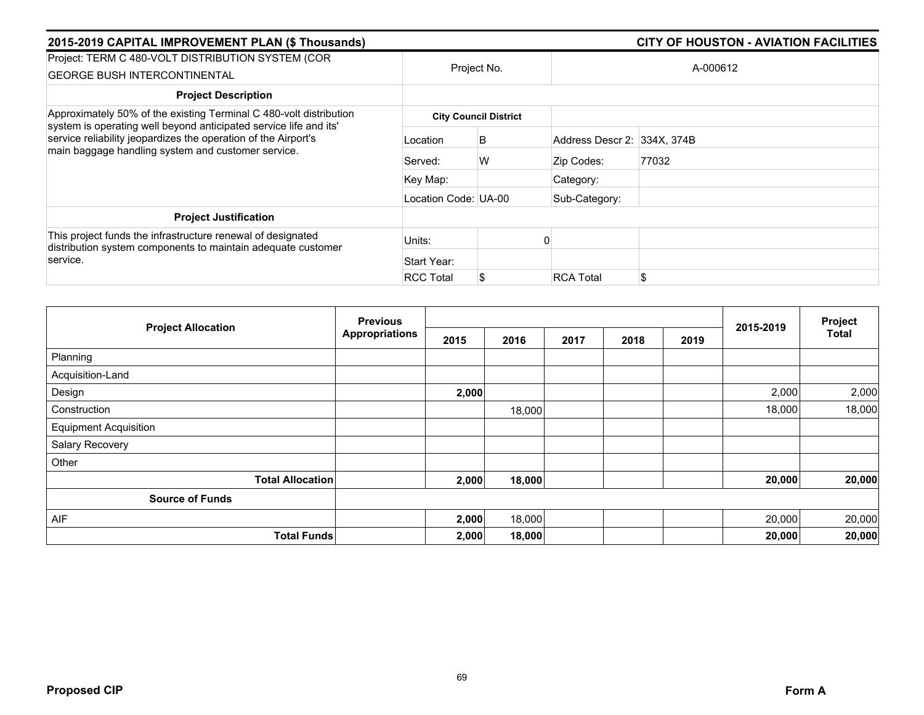| 2015-2019 CAPITAL IMPROVEMENT PLAN (\$ Thousands)                                                                                                                                         |                      |                              |                             | <b>CITY OF HOUSTON - AVIATION FACILITIES</b> |  |  |
|-------------------------------------------------------------------------------------------------------------------------------------------------------------------------------------------|----------------------|------------------------------|-----------------------------|----------------------------------------------|--|--|
| Project: TERM C 480-VOLT DISTRIBUTION SYSTEM (COR<br><b>GEORGE BUSH INTERCONTINENTAL</b>                                                                                                  | Project No.          |                              |                             | A-000612                                     |  |  |
| <b>Project Description</b>                                                                                                                                                                |                      |                              |                             |                                              |  |  |
| Approximately 50% of the existing Terminal C 480-volt distribution                                                                                                                        |                      | <b>City Council District</b> |                             |                                              |  |  |
| system is operating well beyond anticipated service life and its'<br>service reliability jeopardizes the operation of the Airport's<br>main baggage handling system and customer service. | Location             | B                            | Address Descr 2: 334X, 374B |                                              |  |  |
|                                                                                                                                                                                           | Served:              | W                            | Zip Codes:                  | 77032                                        |  |  |
|                                                                                                                                                                                           | Key Map:             |                              | Category:                   |                                              |  |  |
|                                                                                                                                                                                           | Location Code: UA-00 |                              | Sub-Category:               |                                              |  |  |
| <b>Project Justification</b>                                                                                                                                                              |                      |                              |                             |                                              |  |  |
| This project funds the infrastructure renewal of designated<br>distribution system components to maintain adequate customer                                                               | Units:               |                              |                             |                                              |  |  |
| service.                                                                                                                                                                                  | Start Year:          |                              |                             |                                              |  |  |
|                                                                                                                                                                                           | <b>RCC Total</b>     | S                            | <b>RCA Total</b>            |                                              |  |  |

|                              | <b>Previous</b>       |       |        |      | 2015-2019 | Project |        |        |
|------------------------------|-----------------------|-------|--------|------|-----------|---------|--------|--------|
| <b>Project Allocation</b>    | <b>Appropriations</b> | 2015  | 2016   | 2017 | 2018      | 2019    |        | Total  |
| Planning                     |                       |       |        |      |           |         |        |        |
| Acquisition-Land             |                       |       |        |      |           |         |        |        |
| Design                       |                       | 2,000 |        |      |           |         | 2,000  | 2,000  |
| Construction                 |                       |       | 18,000 |      |           |         | 18,000 | 18,000 |
| <b>Equipment Acquisition</b> |                       |       |        |      |           |         |        |        |
| Salary Recovery              |                       |       |        |      |           |         |        |        |
| Other                        |                       |       |        |      |           |         |        |        |
| <b>Total Allocation</b>      |                       | 2,000 | 18,000 |      |           |         | 20,000 | 20,000 |
| <b>Source of Funds</b>       |                       |       |        |      |           |         |        |        |
| AIF                          |                       | 2,000 | 18,000 |      |           |         | 20,000 | 20,000 |
| <b>Total Funds</b>           |                       | 2,000 | 18,000 |      |           |         | 20,000 | 20,000 |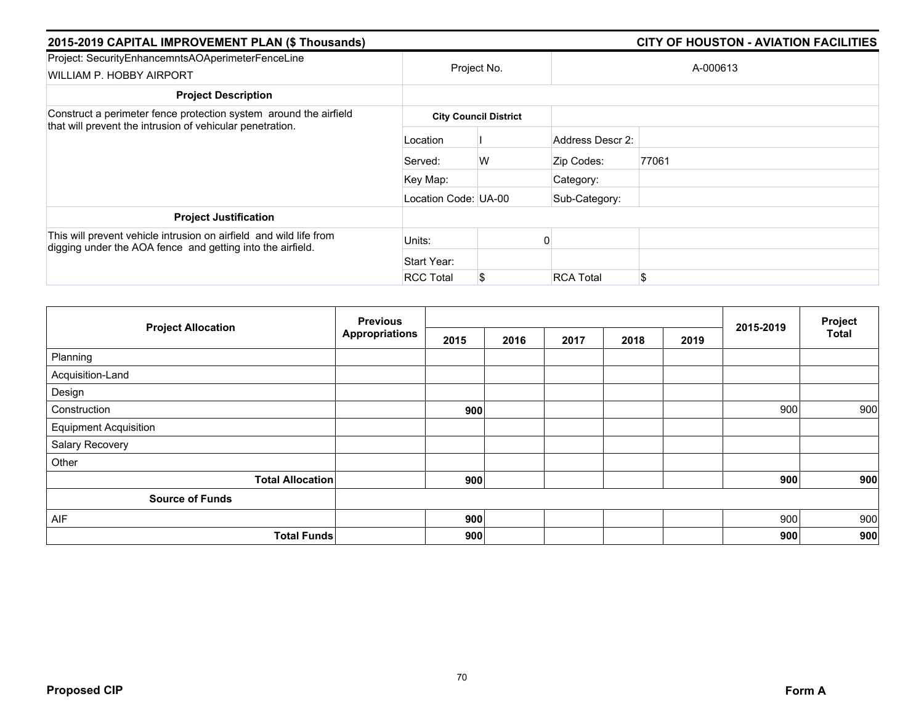| 2015-2019 CAPITAL IMPROVEMENT PLAN (\$ Thousands)                                                                                |                      | <b>CITY OF HOUSTON - AVIATION FACILITIES</b> |                  |       |  |  |  |
|----------------------------------------------------------------------------------------------------------------------------------|----------------------|----------------------------------------------|------------------|-------|--|--|--|
| Project: SecurityEnhancemntsAOAperimeterFenceLine<br>WILLIAM P. HOBBY AIRPORT                                                    | Project No.          |                                              | A-000613         |       |  |  |  |
| <b>Project Description</b>                                                                                                       |                      |                                              |                  |       |  |  |  |
| Construct a perimeter fence protection system around the airfield<br>that will prevent the intrusion of vehicular penetration.   |                      | <b>City Council District</b>                 |                  |       |  |  |  |
|                                                                                                                                  | Location             |                                              | Address Descr 2: |       |  |  |  |
|                                                                                                                                  | Served:              | W                                            | Zip Codes:       | 77061 |  |  |  |
|                                                                                                                                  | Key Map:             |                                              | Category:        |       |  |  |  |
|                                                                                                                                  | Location Code: UA-00 |                                              | Sub-Category:    |       |  |  |  |
| <b>Project Justification</b>                                                                                                     |                      |                                              |                  |       |  |  |  |
| This will prevent vehicle intrusion on airfield and wild life from<br>digging under the AOA fence and getting into the airfield. | Units:               |                                              |                  |       |  |  |  |
|                                                                                                                                  | Start Year:          |                                              |                  |       |  |  |  |
|                                                                                                                                  | <b>RCC Total</b>     | S                                            | <b>RCA Total</b> | \$    |  |  |  |

| <b>Project Allocation</b>    | <b>Previous</b><br><b>Appropriations</b> |      |      |      | 2015-2019 | Project |     |              |
|------------------------------|------------------------------------------|------|------|------|-----------|---------|-----|--------------|
|                              |                                          | 2015 | 2016 | 2017 | 2018      | 2019    |     | <b>Total</b> |
| Planning                     |                                          |      |      |      |           |         |     |              |
| Acquisition-Land             |                                          |      |      |      |           |         |     |              |
| Design                       |                                          |      |      |      |           |         |     |              |
| Construction                 |                                          | 900  |      |      |           |         | 900 | 900          |
| <b>Equipment Acquisition</b> |                                          |      |      |      |           |         |     |              |
| Salary Recovery              |                                          |      |      |      |           |         |     |              |
| Other                        |                                          |      |      |      |           |         |     |              |
| <b>Total Allocation</b>      |                                          | 900  |      |      |           |         | 900 | 900          |
| <b>Source of Funds</b>       |                                          |      |      |      |           |         |     |              |
| AIF                          |                                          | 900  |      |      |           |         | 900 | 900          |
| <b>Total Funds</b>           |                                          | 900  |      |      |           |         | 900 | 900          |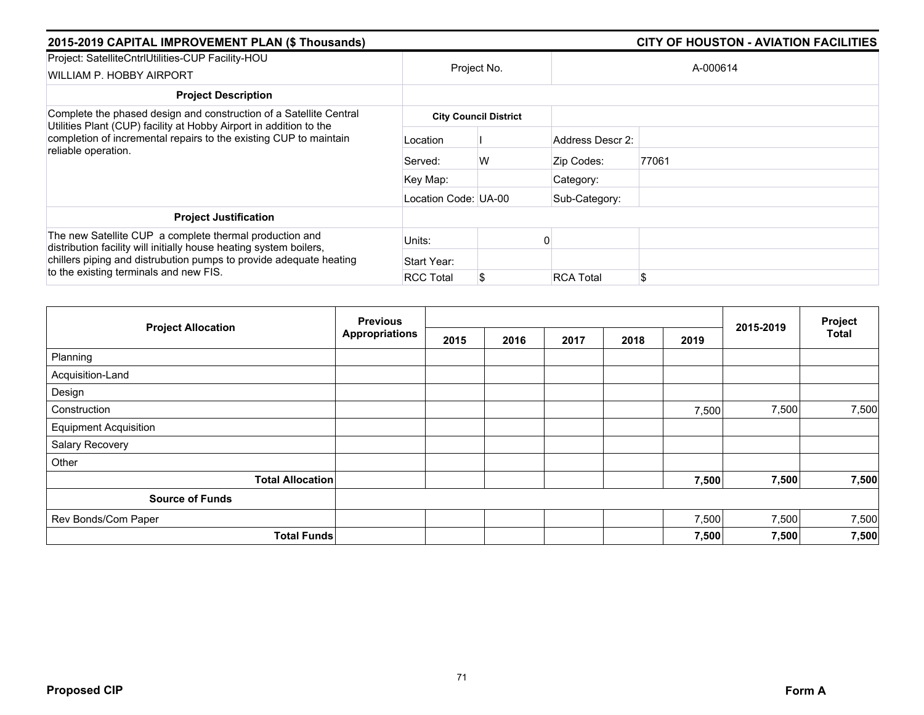| 2015-2019 CAPITAL IMPROVEMENT PLAN (\$ Thousands)                                                                                                                                                                                             |                      | <b>CITY OF HOUSTON - AVIATION FACILITIES</b> |                  |          |  |  |
|-----------------------------------------------------------------------------------------------------------------------------------------------------------------------------------------------------------------------------------------------|----------------------|----------------------------------------------|------------------|----------|--|--|
| Project: SatelliteCntrlUtilities-CUP Facility-HOU<br>WILLIAM P. HOBBY AIRPORT                                                                                                                                                                 |                      | Project No.                                  |                  | A-000614 |  |  |
| <b>Project Description</b>                                                                                                                                                                                                                    |                      |                                              |                  |          |  |  |
| Complete the phased design and construction of a Satellite Central                                                                                                                                                                            |                      | <b>City Council District</b>                 |                  |          |  |  |
| Utilities Plant (CUP) facility at Hobby Airport in addition to the<br>completion of incremental repairs to the existing CUP to maintain<br>reliable operation.                                                                                | Location             |                                              | Address Descr 2: |          |  |  |
|                                                                                                                                                                                                                                               | Served:              | W                                            | Zip Codes:       | 77061    |  |  |
|                                                                                                                                                                                                                                               | Key Map:             |                                              | Category:        |          |  |  |
|                                                                                                                                                                                                                                               | Location Code: UA-00 |                                              | Sub-Category:    |          |  |  |
| <b>Project Justification</b>                                                                                                                                                                                                                  |                      |                                              |                  |          |  |  |
| The new Satellite CUP a complete thermal production and<br>distribution facility will initially house heating system boilers,<br>chillers piping and distrubution pumps to provide adequate heating<br>to the existing terminals and new FIS. | Units:               |                                              |                  |          |  |  |
|                                                                                                                                                                                                                                               | Start Year:          |                                              |                  |          |  |  |
|                                                                                                                                                                                                                                               | <b>RCC Total</b>     | S.                                           | <b>RCA Total</b> | \$       |  |  |

| <b>Project Allocation</b>    | <b>Previous</b>       |      |      |      | 2015-2019 | Project |       |       |
|------------------------------|-----------------------|------|------|------|-----------|---------|-------|-------|
|                              | <b>Appropriations</b> | 2015 | 2016 | 2017 | 2018      | 2019    |       | Total |
| Planning                     |                       |      |      |      |           |         |       |       |
| Acquisition-Land             |                       |      |      |      |           |         |       |       |
| Design                       |                       |      |      |      |           |         |       |       |
| Construction                 |                       |      |      |      |           | 7,500   | 7,500 | 7,500 |
| <b>Equipment Acquisition</b> |                       |      |      |      |           |         |       |       |
| Salary Recovery              |                       |      |      |      |           |         |       |       |
| Other                        |                       |      |      |      |           |         |       |       |
| <b>Total Allocation</b>      |                       |      |      |      |           | 7,500   | 7,500 | 7,500 |
| <b>Source of Funds</b>       |                       |      |      |      |           |         |       |       |
| Rev Bonds/Com Paper          |                       |      |      |      |           | 7,500   | 7,500 | 7,500 |
| <b>Total Funds</b>           |                       |      |      |      |           | 7,500   | 7,500 | 7,500 |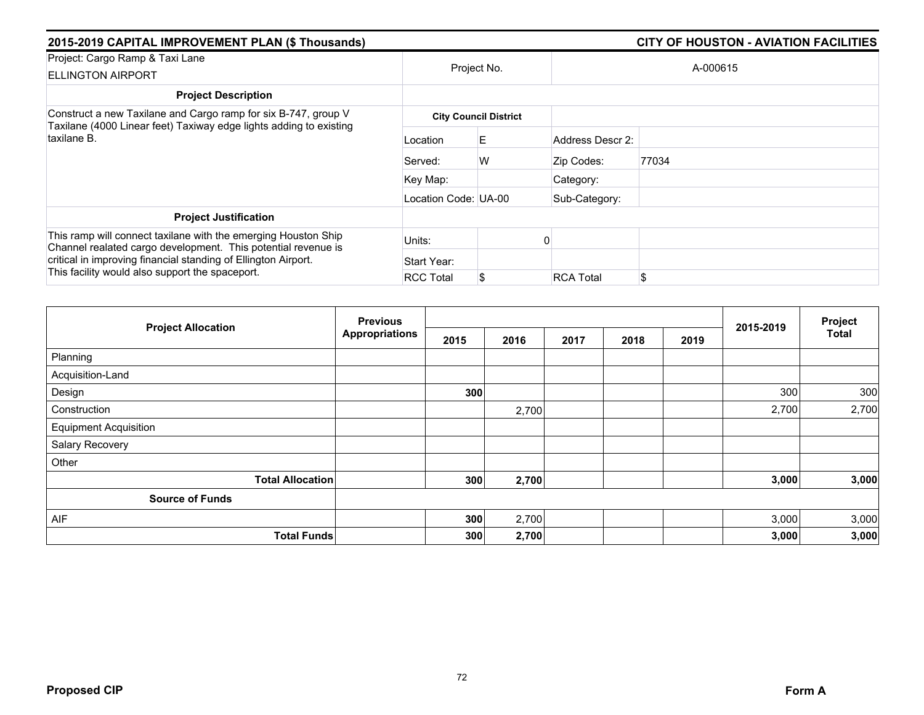| 2015-2019 CAPITAL IMPROVEMENT PLAN (\$ Thousands)                                                                                                                                                                                                    |                      |                              |                  |       |  |  |
|------------------------------------------------------------------------------------------------------------------------------------------------------------------------------------------------------------------------------------------------------|----------------------|------------------------------|------------------|-------|--|--|
| Project: Cargo Ramp & Taxi Lane<br><b>ELLINGTON AIRPORT</b>                                                                                                                                                                                          | Project No.          |                              | A-000615         |       |  |  |
| <b>Project Description</b>                                                                                                                                                                                                                           |                      |                              |                  |       |  |  |
| Construct a new Taxilane and Cargo ramp for six B-747, group V                                                                                                                                                                                       |                      | <b>City Council District</b> |                  |       |  |  |
| Taxilane (4000 Linear feet) Taxiway edge lights adding to existing<br>taxilane B.                                                                                                                                                                    | Location             | E.                           | Address Descr 2: |       |  |  |
|                                                                                                                                                                                                                                                      | Served:              | W                            | Zip Codes:       | 77034 |  |  |
|                                                                                                                                                                                                                                                      | Key Map:             |                              | Category:        |       |  |  |
|                                                                                                                                                                                                                                                      | Location Code: UA-00 |                              | Sub-Category:    |       |  |  |
| <b>Project Justification</b>                                                                                                                                                                                                                         |                      |                              |                  |       |  |  |
| This ramp will connect taxilane with the emerging Houston Ship<br>Channel realated cargo development. This potential revenue is<br>critical in improving financial standing of Ellington Airport.<br>This facility would also support the spaceport. | Units:               |                              |                  |       |  |  |
|                                                                                                                                                                                                                                                      | Start Year:          |                              |                  |       |  |  |
|                                                                                                                                                                                                                                                      | <b>RCC Total</b>     | S                            | <b>RCA Total</b> | \$    |  |  |

|                              | <b>Previous</b><br><b>Appropriations</b> |      |       |      |      | Project |           |              |
|------------------------------|------------------------------------------|------|-------|------|------|---------|-----------|--------------|
| <b>Project Allocation</b>    |                                          | 2015 | 2016  | 2017 | 2018 | 2019    | 2015-2019 | <b>Total</b> |
| Planning                     |                                          |      |       |      |      |         |           |              |
| Acquisition-Land             |                                          |      |       |      |      |         |           |              |
| Design                       |                                          | 300  |       |      |      |         | 300       | 300          |
| Construction                 |                                          |      | 2,700 |      |      |         | 2,700     | 2,700        |
| <b>Equipment Acquisition</b> |                                          |      |       |      |      |         |           |              |
| Salary Recovery              |                                          |      |       |      |      |         |           |              |
| Other                        |                                          |      |       |      |      |         |           |              |
| <b>Total Allocation</b>      |                                          | 300  | 2,700 |      |      |         | 3,000     | 3,000        |
| <b>Source of Funds</b>       |                                          |      |       |      |      |         |           |              |
| AIF                          |                                          | 300  | 2,700 |      |      |         | 3,000     | 3,000        |
| <b>Total Funds</b>           |                                          | 300  | 2,700 |      |      |         | 3,000     | 3,000        |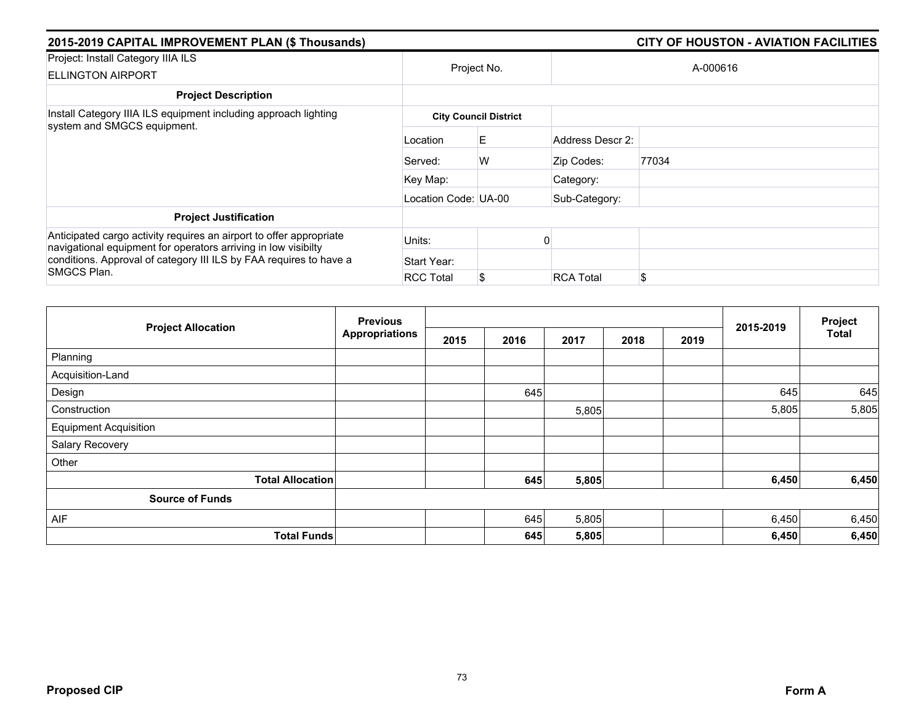| 2015-2019 CAPITAL IMPROVEMENT PLAN (\$ Thousands)                                                                                     |                      |                              |                  | <b>CITY OF HOUSTON - AVIATION FACILITIES</b> |  |  |
|---------------------------------------------------------------------------------------------------------------------------------------|----------------------|------------------------------|------------------|----------------------------------------------|--|--|
| Project: Install Category IIIA ILS<br><b>ELLINGTON AIRPORT</b>                                                                        | Project No.          |                              | A-000616         |                                              |  |  |
| <b>Project Description</b>                                                                                                            |                      |                              |                  |                                              |  |  |
| Install Category IIIA ILS equipment including approach lighting                                                                       |                      | <b>City Council District</b> |                  |                                              |  |  |
| system and SMGCS equipment.                                                                                                           | Location             | E                            | Address Descr 2: |                                              |  |  |
|                                                                                                                                       | Served:              | W                            | Zip Codes:       | 77034                                        |  |  |
|                                                                                                                                       | Key Map:             |                              | Category:        |                                              |  |  |
|                                                                                                                                       | Location Code: UA-00 |                              | Sub-Category:    |                                              |  |  |
| <b>Project Justification</b>                                                                                                          |                      |                              |                  |                                              |  |  |
| Anticipated cargo activity requires an airport to offer appropriate<br>navigational equipment for operators arriving in low visibilty | Units:               |                              |                  |                                              |  |  |
| conditions. Approval of category III ILS by FAA requires to have a                                                                    | Start Year:          |                              |                  |                                              |  |  |
| SMGCS Plan.                                                                                                                           | <b>RCC Total</b>     | \$                           | <b>RCA Total</b> | \$                                           |  |  |

|                              | <b>Previous</b>       |      |      |       |      |      |           | Project      |
|------------------------------|-----------------------|------|------|-------|------|------|-----------|--------------|
| <b>Project Allocation</b>    | <b>Appropriations</b> | 2015 | 2016 | 2017  | 2018 | 2019 | 2015-2019 | <b>Total</b> |
| Planning                     |                       |      |      |       |      |      |           |              |
| Acquisition-Land             |                       |      |      |       |      |      |           |              |
| Design                       |                       |      | 645  |       |      |      | 645       | 645          |
| Construction                 |                       |      |      | 5,805 |      |      | 5,805     | 5,805        |
| <b>Equipment Acquisition</b> |                       |      |      |       |      |      |           |              |
| Salary Recovery              |                       |      |      |       |      |      |           |              |
| Other                        |                       |      |      |       |      |      |           |              |
| <b>Total Allocation</b>      |                       |      | 645  | 5,805 |      |      | 6,450     | 6,450        |
| <b>Source of Funds</b>       |                       |      |      |       |      |      |           |              |
| AIF                          |                       |      | 645  | 5,805 |      |      | 6,450     | 6,450        |
| <b>Total Funds</b>           |                       |      | 645  | 5,805 |      |      | 6,450     | 6,450        |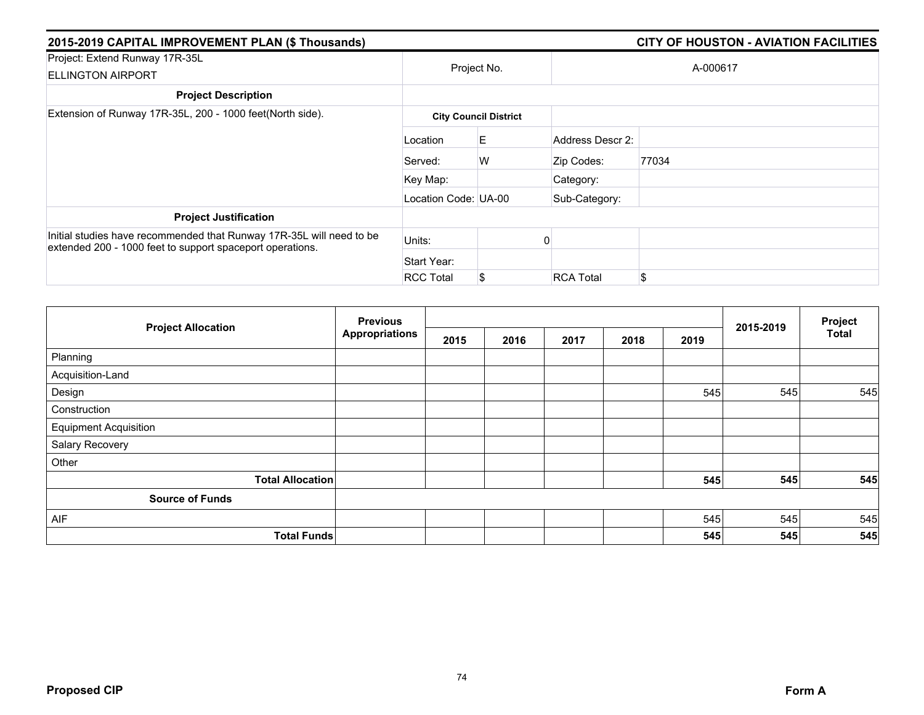| 2015-2019 CAPITAL IMPROVEMENT PLAN (\$ Thousands)                                                                                 |                      |                              |                  | <b>CITY OF HOUSTON - AVIATION FACILITIES</b> |  |  |
|-----------------------------------------------------------------------------------------------------------------------------------|----------------------|------------------------------|------------------|----------------------------------------------|--|--|
| Project: Extend Runway 17R-35L<br><b>ELLINGTON AIRPORT</b>                                                                        | Project No.          |                              | A-000617         |                                              |  |  |
| <b>Project Description</b>                                                                                                        |                      |                              |                  |                                              |  |  |
| Extension of Runway 17R-35L, 200 - 1000 feet(North side).                                                                         |                      | <b>City Council District</b> |                  |                                              |  |  |
|                                                                                                                                   | Location             | E.                           | Address Descr 2: |                                              |  |  |
|                                                                                                                                   | Served:              | W                            | Zip Codes:       | 77034                                        |  |  |
|                                                                                                                                   | Key Map:             |                              | Category:        |                                              |  |  |
|                                                                                                                                   | Location Code: UA-00 |                              | Sub-Category:    |                                              |  |  |
| <b>Project Justification</b>                                                                                                      |                      |                              |                  |                                              |  |  |
| Initial studies have recommended that Runway 17R-35L will need to be<br>extended 200 - 1000 feet to support spaceport operations. | Units:               |                              |                  |                                              |  |  |
|                                                                                                                                   | Start Year:          |                              |                  |                                              |  |  |
|                                                                                                                                   | <b>RCC Total</b>     | S                            | <b>RCA Total</b> | \$                                           |  |  |

|                              | <b>Previous</b> |      |      |      |      | Project |           |              |
|------------------------------|-----------------|------|------|------|------|---------|-----------|--------------|
| <b>Project Allocation</b>    | Appropriations  | 2015 | 2016 | 2017 | 2018 | 2019    | 2015-2019 | <b>Total</b> |
| Planning                     |                 |      |      |      |      |         |           |              |
| Acquisition-Land             |                 |      |      |      |      |         |           |              |
| Design                       |                 |      |      |      |      | 545     | 545       | 545          |
| Construction                 |                 |      |      |      |      |         |           |              |
| <b>Equipment Acquisition</b> |                 |      |      |      |      |         |           |              |
| Salary Recovery              |                 |      |      |      |      |         |           |              |
| Other                        |                 |      |      |      |      |         |           |              |
| <b>Total Allocation</b>      |                 |      |      |      |      | 545     | 545       | 545          |
| <b>Source of Funds</b>       |                 |      |      |      |      |         |           |              |
| AIF                          |                 |      |      |      |      | 545     | 545       | 545          |
| <b>Total Funds</b>           |                 |      |      |      |      | 545     | 545       | 545          |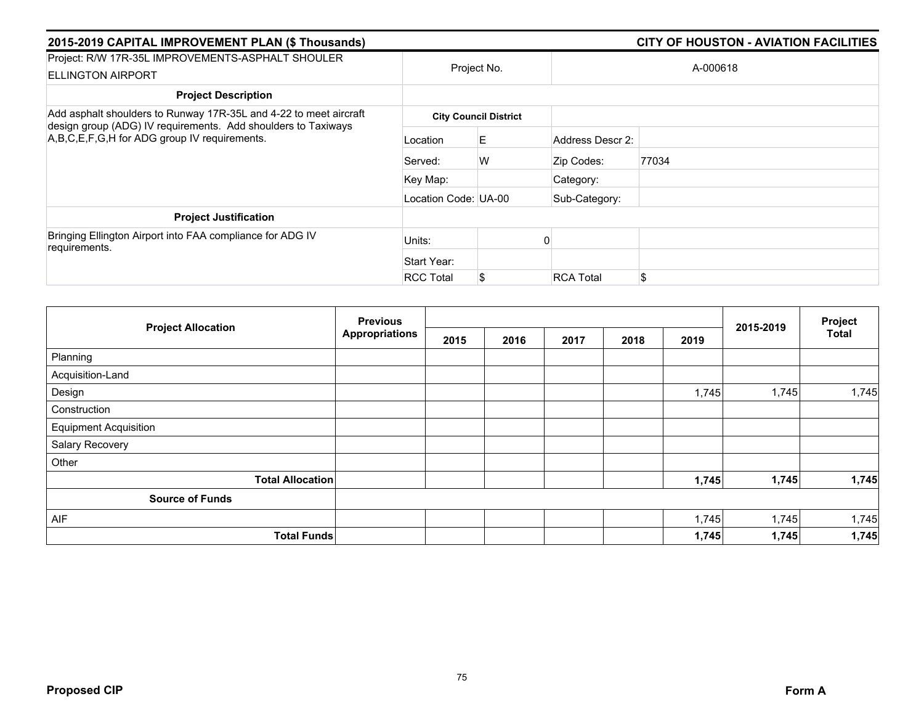| 2015-2019 CAPITAL IMPROVEMENT PLAN (\$ Thousands)                                                                                                                                  |                      |                              |                  | <b>CITY OF HOUSTON - AVIATION FACILITIES</b> |
|------------------------------------------------------------------------------------------------------------------------------------------------------------------------------------|----------------------|------------------------------|------------------|----------------------------------------------|
| Project: R/W 17R-35L IMPROVEMENTS-ASPHALT SHOULER<br><b>ELLINGTON AIRPORT</b>                                                                                                      | Project No.          |                              |                  | A-000618                                     |
| <b>Project Description</b>                                                                                                                                                         |                      |                              |                  |                                              |
| Add asphalt shoulders to Runway 17R-35L and 4-22 to meet aircraft<br>design group (ADG) IV requirements. Add shoulders to Taxiways<br>A,B,C,E,F,G,H for ADG group IV requirements. |                      | <b>City Council District</b> |                  |                                              |
|                                                                                                                                                                                    | Location             | E                            | Address Descr 2: |                                              |
|                                                                                                                                                                                    | Served:              | W                            | Zip Codes:       | 77034                                        |
|                                                                                                                                                                                    | Key Map:             |                              | Category:        |                                              |
|                                                                                                                                                                                    | Location Code: UA-00 |                              | Sub-Category:    |                                              |
| <b>Project Justification</b>                                                                                                                                                       |                      |                              |                  |                                              |
| Bringing Ellington Airport into FAA compliance for ADG IV<br>requirements.                                                                                                         | Units:               |                              |                  |                                              |
|                                                                                                                                                                                    | Start Year:          |                              |                  |                                              |
|                                                                                                                                                                                    | <b>RCC Total</b>     | \$                           | <b>RCA Total</b> | \$.                                          |

| <b>Project Allocation</b>    | <b>Previous</b>       |      |      |      |      |       |           | Project |
|------------------------------|-----------------------|------|------|------|------|-------|-----------|---------|
|                              | <b>Appropriations</b> | 2015 | 2016 | 2017 | 2018 | 2019  | 2015-2019 | Total   |
| Planning                     |                       |      |      |      |      |       |           |         |
| Acquisition-Land             |                       |      |      |      |      |       |           |         |
| Design                       |                       |      |      |      |      | 1,745 | 1,745     | 1,745   |
| Construction                 |                       |      |      |      |      |       |           |         |
| <b>Equipment Acquisition</b> |                       |      |      |      |      |       |           |         |
| Salary Recovery              |                       |      |      |      |      |       |           |         |
| Other                        |                       |      |      |      |      |       |           |         |
| <b>Total Allocation</b>      |                       |      |      |      |      | 1,745 | 1,745     | 1,745   |
| <b>Source of Funds</b>       |                       |      |      |      |      |       |           |         |
| AIF                          |                       |      |      |      |      | 1,745 | 1,745     | 1,745   |
| <b>Total Funds</b>           |                       |      |      |      |      | 1,745 | 1,745     | 1,745   |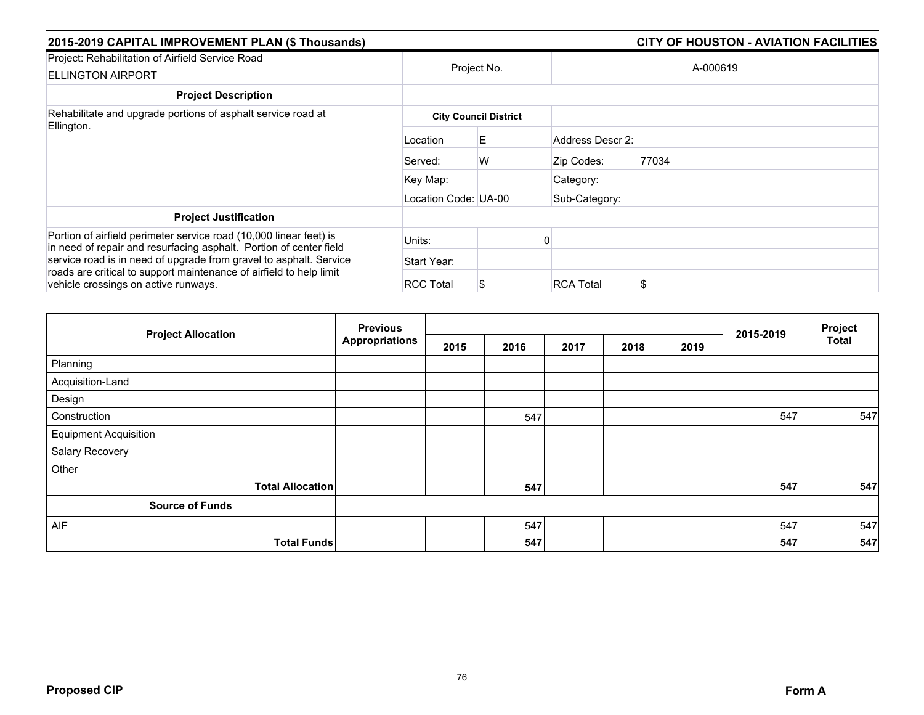| 2015-2019 CAPITAL IMPROVEMENT PLAN (\$ Thousands)                                                                                        | <b>CITY OF HOUSTON - AVIATION FACILITIES</b> |                              |                  |       |  |  |
|------------------------------------------------------------------------------------------------------------------------------------------|----------------------------------------------|------------------------------|------------------|-------|--|--|
| Project: Rehabilitation of Airfield Service Road<br><b>ELLINGTON AIRPORT</b>                                                             | Project No.                                  |                              | A-000619         |       |  |  |
| <b>Project Description</b>                                                                                                               |                                              |                              |                  |       |  |  |
| Rehabilitate and upgrade portions of asphalt service road at<br>Ellington.                                                               |                                              | <b>City Council District</b> |                  |       |  |  |
|                                                                                                                                          | Location                                     | E.                           | Address Descr 2: |       |  |  |
|                                                                                                                                          | Served:                                      | W                            | Zip Codes:       | 77034 |  |  |
|                                                                                                                                          | Key Map:                                     |                              | Category:        |       |  |  |
|                                                                                                                                          | Location Code: UA-00                         |                              | Sub-Category:    |       |  |  |
| <b>Project Justification</b>                                                                                                             |                                              |                              |                  |       |  |  |
| Portion of airfield perimeter service road (10,000 linear feet) is<br>in need of repair and resurfacing asphalt. Portion of center field | Units:                                       |                              |                  |       |  |  |
| service road is in need of upgrade from gravel to asphalt. Service                                                                       | Start Year:                                  |                              |                  |       |  |  |
| roads are critical to support maintenance of airfield to help limit<br>vehicle crossings on active runways.                              | <b>RCC Total</b>                             |                              | <b>RCA Total</b> | S     |  |  |

|                              | <b>Previous</b>       |      |      |      | 2015-2019 | Project |     |       |
|------------------------------|-----------------------|------|------|------|-----------|---------|-----|-------|
| <b>Project Allocation</b>    | <b>Appropriations</b> | 2015 | 2016 | 2017 | 2018      | 2019    |     | Total |
| Planning                     |                       |      |      |      |           |         |     |       |
| Acquisition-Land             |                       |      |      |      |           |         |     |       |
| Design                       |                       |      |      |      |           |         |     |       |
| Construction                 |                       |      | 547  |      |           |         | 547 | 547   |
| <b>Equipment Acquisition</b> |                       |      |      |      |           |         |     |       |
| Salary Recovery              |                       |      |      |      |           |         |     |       |
| Other                        |                       |      |      |      |           |         |     |       |
| <b>Total Allocation</b>      |                       |      | 547  |      |           |         | 547 | 547   |
| <b>Source of Funds</b>       |                       |      |      |      |           |         |     |       |
| AIF                          |                       |      | 547  |      |           |         | 547 | 547   |
| <b>Total Funds</b>           |                       |      | 547  |      |           |         | 547 | 547   |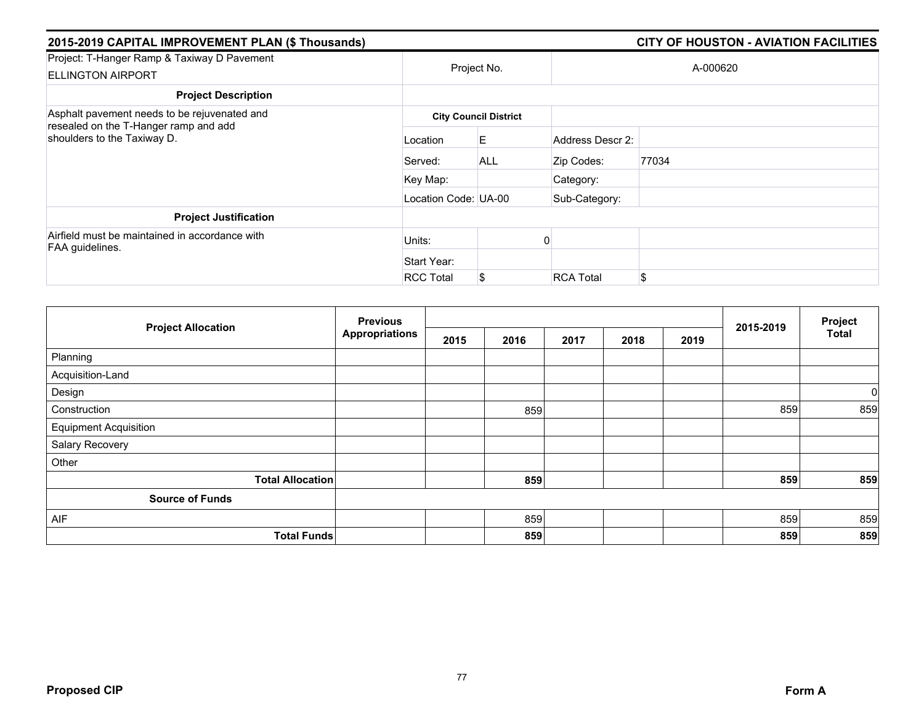| 2015-2019 CAPITAL IMPROVEMENT PLAN (\$ Thousands)                       |                      |                              |                  | <b>CITY OF HOUSTON - AVIATION FACILITIES</b> |  |  |  |
|-------------------------------------------------------------------------|----------------------|------------------------------|------------------|----------------------------------------------|--|--|--|
| Project: T-Hanger Ramp & Taxiway D Pavement<br><b>ELLINGTON AIRPORT</b> | Project No.          |                              | A-000620         |                                              |  |  |  |
| <b>Project Description</b>                                              |                      |                              |                  |                                              |  |  |  |
| Asphalt pavement needs to be rejuvenated and                            |                      | <b>City Council District</b> |                  |                                              |  |  |  |
| resealed on the T-Hanger ramp and add<br>shoulders to the Taxiway D.    | Location             | E                            | Address Descr 2: |                                              |  |  |  |
|                                                                         | Served:              | <b>ALL</b>                   | Zip Codes:       | 77034                                        |  |  |  |
|                                                                         | Key Map:             |                              | Category:        |                                              |  |  |  |
|                                                                         | Location Code: UA-00 |                              | Sub-Category:    |                                              |  |  |  |
| <b>Project Justification</b>                                            |                      |                              |                  |                                              |  |  |  |
| Airfield must be maintained in accordance with<br>FAA guidelines.       | Units:               |                              |                  |                                              |  |  |  |
|                                                                         | Start Year:          |                              |                  |                                              |  |  |  |
|                                                                         | <b>RCC Total</b>     | \$                           | <b>RCA Total</b> | \$                                           |  |  |  |

|                              | <b>Previous</b>       |      |      |      |      |      |           | Project<br><b>Total</b> |
|------------------------------|-----------------------|------|------|------|------|------|-----------|-------------------------|
| <b>Project Allocation</b>    | <b>Appropriations</b> | 2015 | 2016 | 2017 | 2018 | 2019 | 2015-2019 |                         |
| Planning                     |                       |      |      |      |      |      |           |                         |
| Acquisition-Land             |                       |      |      |      |      |      |           |                         |
| Design                       |                       |      |      |      |      |      |           | 0                       |
| Construction                 |                       |      | 859  |      |      |      | 859       | 859                     |
| <b>Equipment Acquisition</b> |                       |      |      |      |      |      |           |                         |
| Salary Recovery              |                       |      |      |      |      |      |           |                         |
| Other                        |                       |      |      |      |      |      |           |                         |
| <b>Total Allocation</b>      |                       |      | 859  |      |      |      | 859       | 859                     |
| <b>Source of Funds</b>       |                       |      |      |      |      |      |           |                         |
| AIF                          |                       |      | 859  |      |      |      | 859       | 859                     |
| <b>Total Funds</b>           |                       |      | 859  |      |      |      | 859       | 859                     |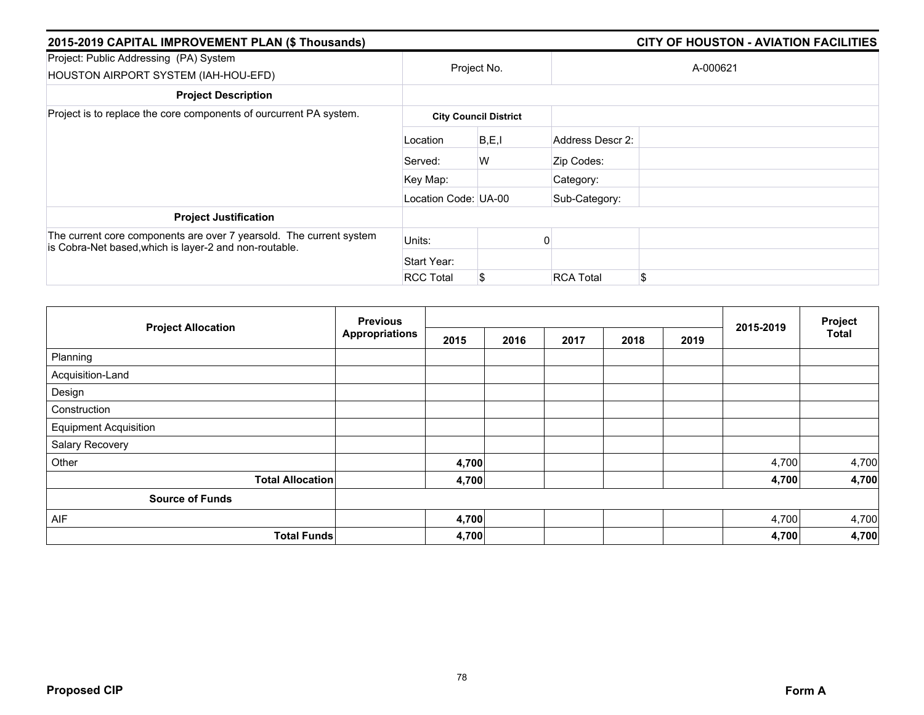| 2015-2019 CAPITAL IMPROVEMENT PLAN (\$ Thousands)                                                                             |                      | <b>CITY OF HOUSTON - AVIATION FACILITIES</b> |                  |          |  |  |  |  |
|-------------------------------------------------------------------------------------------------------------------------------|----------------------|----------------------------------------------|------------------|----------|--|--|--|--|
| Project: Public Addressing (PA) System<br>HOUSTON AIRPORT SYSTEM (IAH-HOU-EFD)                                                |                      | Project No.                                  |                  | A-000621 |  |  |  |  |
| <b>Project Description</b>                                                                                                    |                      |                                              |                  |          |  |  |  |  |
| Project is to replace the core components of ourcurrent PA system.                                                            |                      | <b>City Council District</b>                 |                  |          |  |  |  |  |
|                                                                                                                               | Location             | B, E, I                                      | Address Descr 2: |          |  |  |  |  |
|                                                                                                                               | Served:              | W                                            | Zip Codes:       |          |  |  |  |  |
|                                                                                                                               | Key Map:             |                                              | Category:        |          |  |  |  |  |
|                                                                                                                               | Location Code: UA-00 |                                              | Sub-Category:    |          |  |  |  |  |
| <b>Project Justification</b>                                                                                                  |                      |                                              |                  |          |  |  |  |  |
| The current core components are over 7 yearsold. The current system<br>is Cobra-Net based, which is layer-2 and non-routable. | Units:               |                                              |                  |          |  |  |  |  |
|                                                                                                                               | Start Year:          |                                              |                  |          |  |  |  |  |
|                                                                                                                               | <b>RCC Total</b>     | S                                            | <b>RCA Total</b> | \$       |  |  |  |  |

|                              | <b>Previous</b>       |       |      |      | Project |      |           |              |
|------------------------------|-----------------------|-------|------|------|---------|------|-----------|--------------|
| <b>Project Allocation</b>    | <b>Appropriations</b> | 2015  | 2016 | 2017 | 2018    | 2019 | 2015-2019 | <b>Total</b> |
| Planning                     |                       |       |      |      |         |      |           |              |
| Acquisition-Land             |                       |       |      |      |         |      |           |              |
| Design                       |                       |       |      |      |         |      |           |              |
| Construction                 |                       |       |      |      |         |      |           |              |
| <b>Equipment Acquisition</b> |                       |       |      |      |         |      |           |              |
| Salary Recovery              |                       |       |      |      |         |      |           |              |
| Other                        |                       | 4,700 |      |      |         |      | 4,700     | 4,700        |
| <b>Total Allocation</b>      |                       | 4,700 |      |      |         |      | 4,700     | 4,700        |
| <b>Source of Funds</b>       |                       |       |      |      |         |      |           |              |
| AIF                          |                       | 4,700 |      |      |         |      | 4,700     | 4,700        |
| <b>Total Funds</b>           |                       | 4,700 |      |      |         |      | 4,700     | 4,700        |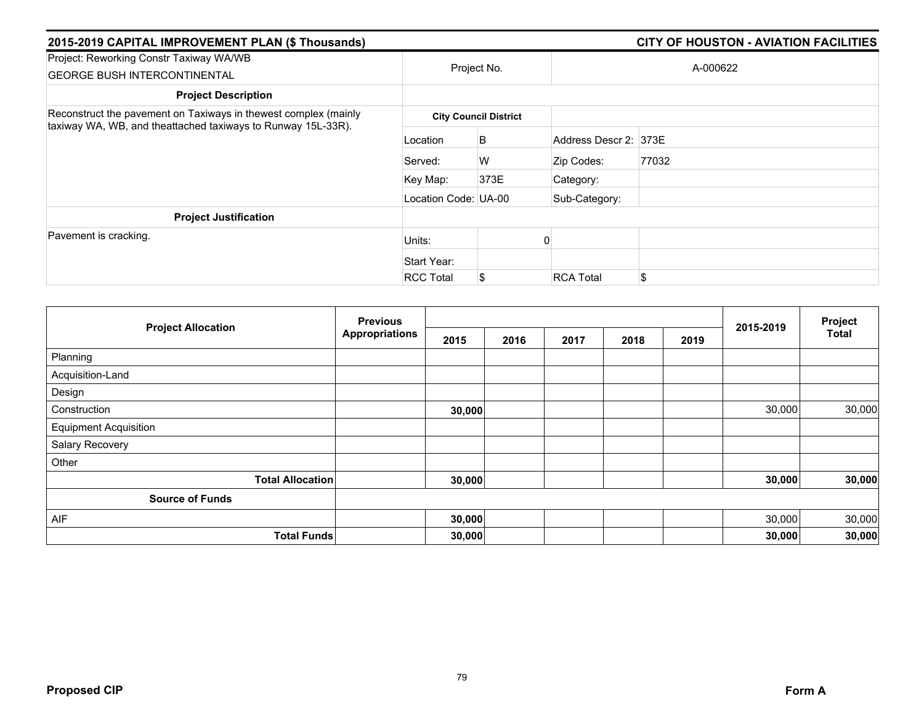| 2015-2019 CAPITAL IMPROVEMENT PLAN (\$ Thousands)                                                                               |                      |                              |                       | <b>CITY OF HOUSTON - AVIATION FACILITIES</b> |
|---------------------------------------------------------------------------------------------------------------------------------|----------------------|------------------------------|-----------------------|----------------------------------------------|
| Project: Reworking Constr Taxiway WA/WB<br><b>GEORGE BUSH INTERCONTINENTAL</b>                                                  |                      | Project No.                  |                       | A-000622                                     |
| <b>Project Description</b>                                                                                                      |                      |                              |                       |                                              |
| Reconstruct the pavement on Taxiways in thewest complex (mainly<br>taxiway WA, WB, and theattached taxiways to Runway 15L-33R). |                      | <b>City Council District</b> |                       |                                              |
|                                                                                                                                 | Location             | B                            | Address Descr 2: 373E |                                              |
|                                                                                                                                 | Served:              | W                            | Zip Codes:            | 77032                                        |
|                                                                                                                                 | Key Map:             | 373E                         | Category:             |                                              |
|                                                                                                                                 | Location Code: UA-00 |                              | Sub-Category:         |                                              |
| <b>Project Justification</b>                                                                                                    |                      |                              |                       |                                              |
| Pavement is cracking.                                                                                                           | Units:               |                              |                       |                                              |
|                                                                                                                                 | Start Year:          |                              |                       |                                              |
|                                                                                                                                 | <b>RCC Total</b>     | S                            | <b>RCA Total</b>      | \$                                           |

|                              | <b>Previous</b>       |        |      |      |      | Project |           |        |
|------------------------------|-----------------------|--------|------|------|------|---------|-----------|--------|
| <b>Project Allocation</b>    | <b>Appropriations</b> | 2015   | 2016 | 2017 | 2018 | 2019    | 2015-2019 | Total  |
| Planning                     |                       |        |      |      |      |         |           |        |
| Acquisition-Land             |                       |        |      |      |      |         |           |        |
| Design                       |                       |        |      |      |      |         |           |        |
| Construction                 |                       | 30,000 |      |      |      |         | 30,000    | 30,000 |
| <b>Equipment Acquisition</b> |                       |        |      |      |      |         |           |        |
| Salary Recovery              |                       |        |      |      |      |         |           |        |
| Other                        |                       |        |      |      |      |         |           |        |
| <b>Total Allocation</b>      |                       | 30,000 |      |      |      |         | 30,000    | 30,000 |
| <b>Source of Funds</b>       |                       |        |      |      |      |         |           |        |
| AIF                          |                       | 30,000 |      |      |      |         | 30,000    | 30,000 |
| <b>Total Funds</b>           |                       | 30,000 |      |      |      |         | 30,000    | 30,000 |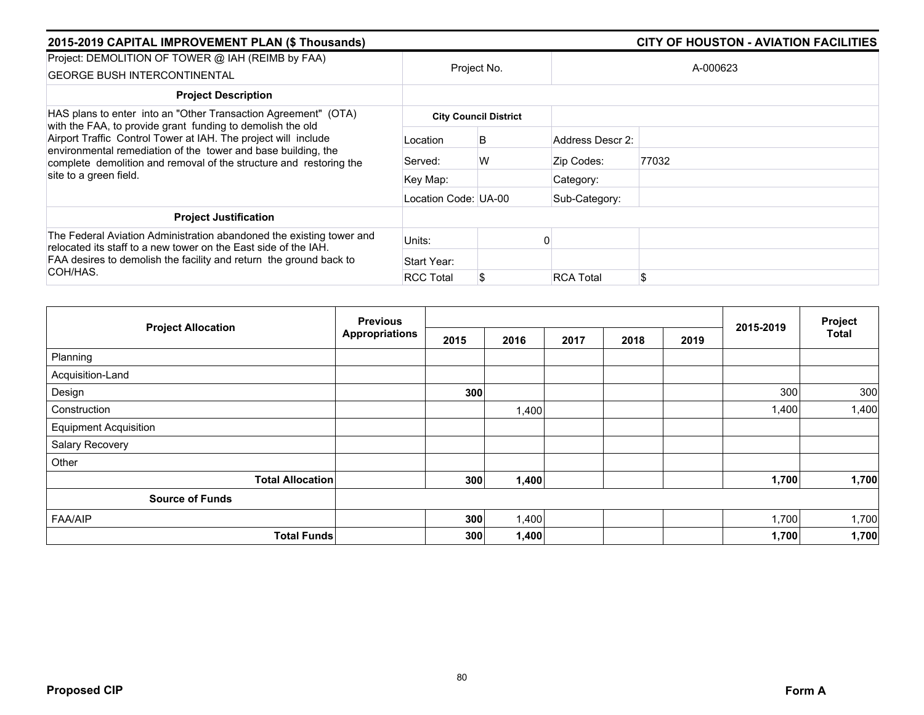| 2015-2019 CAPITAL IMPROVEMENT PLAN (\$ Thousands)                                                                                                                                                                                                                                             |                      |                              |                  | <b>CITY OF HOUSTON - AVIATION FACILITIES</b> |
|-----------------------------------------------------------------------------------------------------------------------------------------------------------------------------------------------------------------------------------------------------------------------------------------------|----------------------|------------------------------|------------------|----------------------------------------------|
| Project: DEMOLITION OF TOWER @ IAH (REIMB by FAA)<br><b>GEORGE BUSH INTERCONTINENTAL</b>                                                                                                                                                                                                      |                      | Project No.                  |                  | A-000623                                     |
| <b>Project Description</b>                                                                                                                                                                                                                                                                    |                      |                              |                  |                                              |
| HAS plans to enter into an "Other Transaction Agreement" (OTA)                                                                                                                                                                                                                                |                      | <b>City Council District</b> |                  |                                              |
| with the FAA, to provide grant funding to demolish the old<br>Airport Traffic Control Tower at IAH. The project will include<br>environmental remediation of the tower and base building, the<br>complete demolition and removal of the structure and restoring the<br>site to a green field. | Location             | B                            | Address Descr 2: |                                              |
|                                                                                                                                                                                                                                                                                               | Served:              | W                            | Zip Codes:       | 77032                                        |
|                                                                                                                                                                                                                                                                                               | Key Map:             |                              | Category:        |                                              |
|                                                                                                                                                                                                                                                                                               | Location Code: UA-00 |                              | Sub-Category:    |                                              |
| <b>Project Justification</b>                                                                                                                                                                                                                                                                  |                      |                              |                  |                                              |
| The Federal Aviation Administration abandoned the existing tower and<br>relocated its staff to a new tower on the East side of the IAH.                                                                                                                                                       | Units:               |                              |                  |                                              |
| FAA desires to demolish the facility and return the ground back to                                                                                                                                                                                                                            | Start Year:          |                              |                  |                                              |
| COH/HAS.                                                                                                                                                                                                                                                                                      | <b>RCC Total</b>     | S                            | <b>RCA Total</b> | \$                                           |

|                              | <b>Previous</b><br><b>Appropriations</b> |      |       |      |      | Project |           |              |
|------------------------------|------------------------------------------|------|-------|------|------|---------|-----------|--------------|
| <b>Project Allocation</b>    |                                          | 2015 | 2016  | 2017 | 2018 | 2019    | 2015-2019 | <b>Total</b> |
| Planning                     |                                          |      |       |      |      |         |           |              |
| Acquisition-Land             |                                          |      |       |      |      |         |           |              |
| Design                       |                                          | 300  |       |      |      |         | 300       | 300          |
| Construction                 |                                          |      | 1,400 |      |      |         | 1,400     | 1,400        |
| <b>Equipment Acquisition</b> |                                          |      |       |      |      |         |           |              |
| Salary Recovery              |                                          |      |       |      |      |         |           |              |
| Other                        |                                          |      |       |      |      |         |           |              |
| <b>Total Allocation</b>      |                                          | 300  | 1,400 |      |      |         | 1,700     | 1,700        |
| <b>Source of Funds</b>       |                                          |      |       |      |      |         |           |              |
| <b>FAA/AIP</b>               |                                          | 300  | 1,400 |      |      |         | 1,700     | 1,700        |
| <b>Total Funds</b>           |                                          | 300  | 1,400 |      |      |         | 1,700     | 1,700        |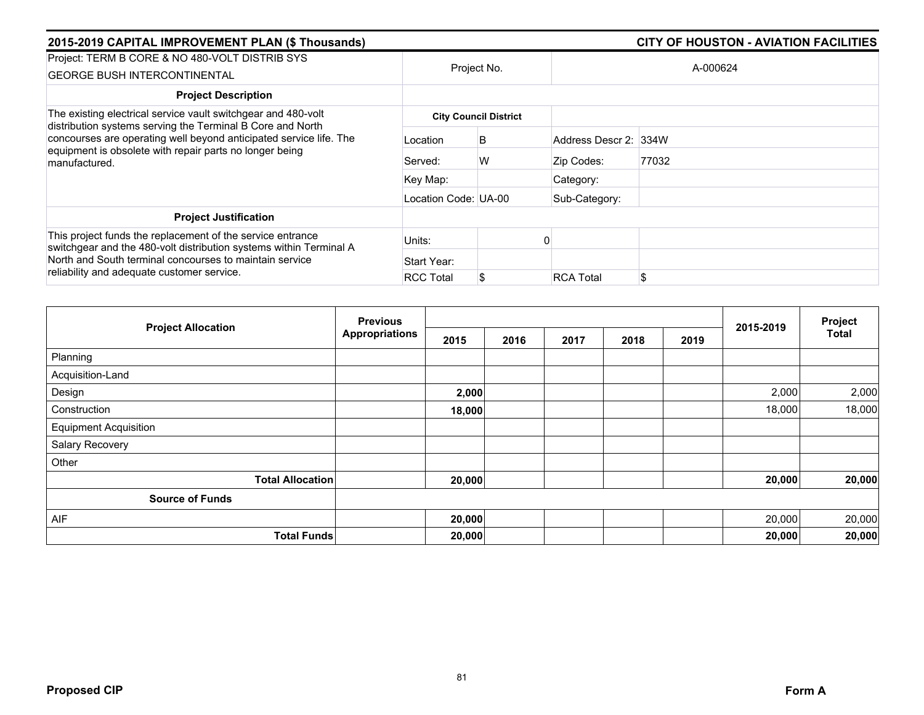| 2015-2019 CAPITAL IMPROVEMENT PLAN (\$ Thousands)                                                                                                                                                            |                      |                              | <b>CITY OF HOUSTON - AVIATION FACILITIES</b> |          |  |  |  |
|--------------------------------------------------------------------------------------------------------------------------------------------------------------------------------------------------------------|----------------------|------------------------------|----------------------------------------------|----------|--|--|--|
| Project: TERM B CORE & NO 480-VOLT DISTRIB SYS<br><b>GEORGE BUSH INTERCONTINENTAL</b>                                                                                                                        |                      | Project No.                  |                                              | A-000624 |  |  |  |
| <b>Project Description</b>                                                                                                                                                                                   |                      |                              |                                              |          |  |  |  |
| The existing electrical service vault switchgear and 480-volt                                                                                                                                                |                      | <b>City Council District</b> |                                              |          |  |  |  |
| distribution systems serving the Terminal B Core and North<br>concourses are operating well beyond anticipated service life. The<br>equipment is obsolete with repair parts no longer being<br>manufactured. | Location             | B                            | Address Descr 2: 334W                        |          |  |  |  |
|                                                                                                                                                                                                              | Served:              | W                            | Zip Codes:                                   | 77032    |  |  |  |
|                                                                                                                                                                                                              | Key Map:             |                              | Category:                                    |          |  |  |  |
|                                                                                                                                                                                                              | Location Code: UA-00 |                              | Sub-Category:                                |          |  |  |  |
| <b>Project Justification</b>                                                                                                                                                                                 |                      |                              |                                              |          |  |  |  |
| This project funds the replacement of the service entrance<br>switchgear and the 480-volt distribution systems within Terminal A<br>North and South terminal concourses to maintain service                  | Units:               |                              |                                              |          |  |  |  |
|                                                                                                                                                                                                              | Start Year:          |                              |                                              |          |  |  |  |
| reliability and adequate customer service.                                                                                                                                                                   | <b>RCC Total</b>     |                              | <b>RCA Total</b>                             | \$       |  |  |  |

|                              | <b>Previous</b>       |        |      |      |      |      | 2015-2019 | Project<br>Total |
|------------------------------|-----------------------|--------|------|------|------|------|-----------|------------------|
| <b>Project Allocation</b>    | <b>Appropriations</b> | 2015   | 2016 | 2017 | 2018 | 2019 |           |                  |
| Planning                     |                       |        |      |      |      |      |           |                  |
| Acquisition-Land             |                       |        |      |      |      |      |           |                  |
| Design                       |                       | 2,000  |      |      |      |      | 2,000     | 2,000            |
| Construction                 |                       | 18,000 |      |      |      |      | 18,000    | 18,000           |
| <b>Equipment Acquisition</b> |                       |        |      |      |      |      |           |                  |
| Salary Recovery              |                       |        |      |      |      |      |           |                  |
| Other                        |                       |        |      |      |      |      |           |                  |
| <b>Total Allocation</b>      |                       | 20,000 |      |      |      |      | 20,000    | 20,000           |
| <b>Source of Funds</b>       |                       |        |      |      |      |      |           |                  |
| AIF                          |                       | 20,000 |      |      |      |      | 20,000    | 20,000           |
| <b>Total Funds</b>           |                       | 20,000 |      |      |      |      | 20,000    | 20,000           |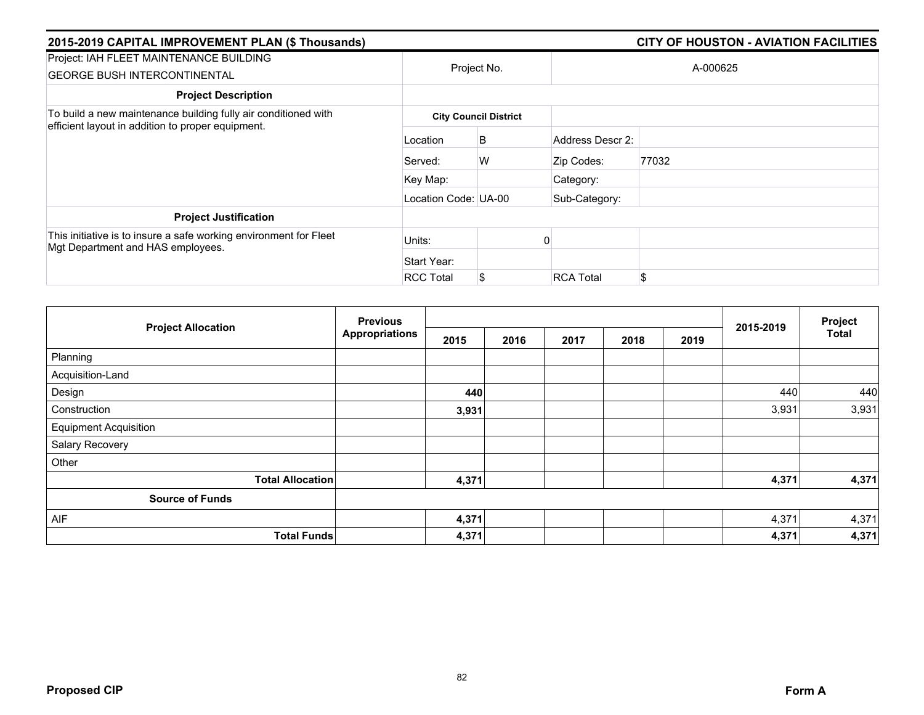| 2015-2019 CAPITAL IMPROVEMENT PLAN (\$ Thousands)                                                                   |                      |                              |                  | <b>CITY OF HOUSTON - AVIATION FACILITIES</b> |
|---------------------------------------------------------------------------------------------------------------------|----------------------|------------------------------|------------------|----------------------------------------------|
| Project: IAH FLEET MAINTENANCE BUILDING<br><b>GEORGE BUSH INTERCONTINENTAL</b>                                      |                      | Project No.                  |                  | A-000625                                     |
| <b>Project Description</b>                                                                                          |                      |                              |                  |                                              |
| To build a new maintenance building fully air conditioned with<br>efficient layout in addition to proper equipment. |                      | <b>City Council District</b> |                  |                                              |
|                                                                                                                     | Location             | B                            | Address Descr 2: |                                              |
|                                                                                                                     | Served:              | W                            | Zip Codes:       | 77032                                        |
|                                                                                                                     | Key Map:             |                              | Category:        |                                              |
|                                                                                                                     | Location Code: UA-00 |                              | Sub-Category:    |                                              |
| <b>Project Justification</b>                                                                                        |                      |                              |                  |                                              |
| This initiative is to insure a safe working environment for Fleet<br>Mgt Department and HAS employees.              | Units:               |                              |                  |                                              |
|                                                                                                                     | Start Year:          |                              |                  |                                              |
|                                                                                                                     | <b>RCC Total</b>     | S                            | <b>RCA Total</b> | \$                                           |

| <b>Project Allocation</b>    | <b>Previous</b><br><b>Appropriations</b> |       |      |      | 2015-2019 | Project |       |              |
|------------------------------|------------------------------------------|-------|------|------|-----------|---------|-------|--------------|
|                              |                                          | 2015  | 2016 | 2017 | 2018      | 2019    |       | <b>Total</b> |
| Planning                     |                                          |       |      |      |           |         |       |              |
| Acquisition-Land             |                                          |       |      |      |           |         |       |              |
| Design                       |                                          | 440   |      |      |           |         | 440   | 440          |
| Construction                 |                                          | 3,931 |      |      |           |         | 3,931 | 3,931        |
| <b>Equipment Acquisition</b> |                                          |       |      |      |           |         |       |              |
| Salary Recovery              |                                          |       |      |      |           |         |       |              |
| Other                        |                                          |       |      |      |           |         |       |              |
| <b>Total Allocation</b>      |                                          | 4,371 |      |      |           |         | 4,371 | 4,371        |
| <b>Source of Funds</b>       |                                          |       |      |      |           |         |       |              |
| AIF                          |                                          | 4,371 |      |      |           |         | 4,371 | 4,371        |
| <b>Total Funds</b>           |                                          | 4,371 |      |      |           |         | 4,371 | 4,371        |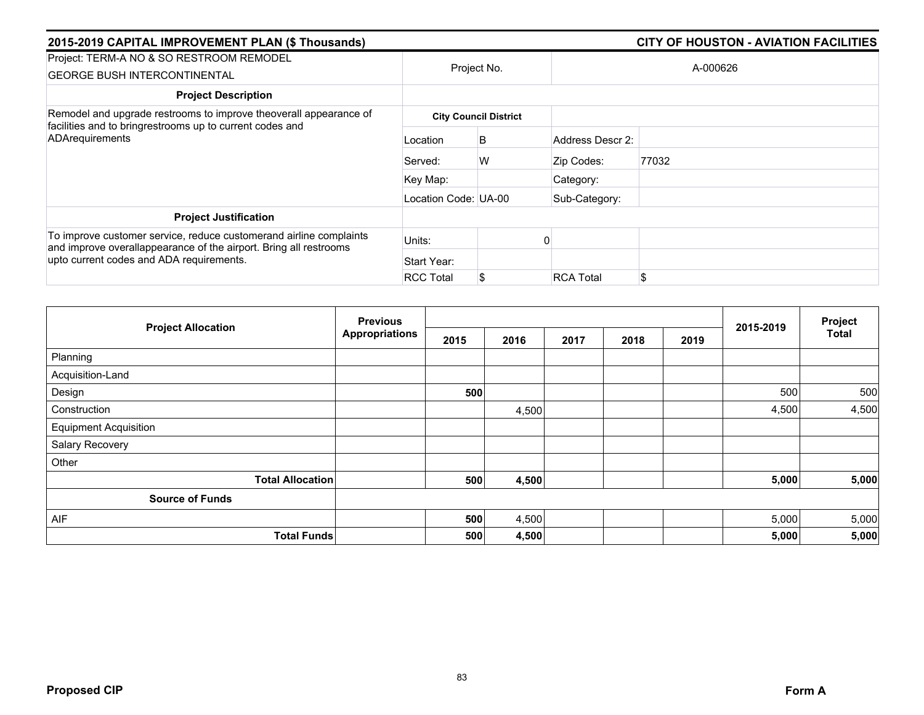| 2015-2019 CAPITAL IMPROVEMENT PLAN (\$ Thousands)                                                                                                                                   |                      |                              |                  | <b>CITY OF HOUSTON - AVIATION FACILITIES</b> |
|-------------------------------------------------------------------------------------------------------------------------------------------------------------------------------------|----------------------|------------------------------|------------------|----------------------------------------------|
| Project: TERM-A NO & SO RESTROOM REMODEL<br><b>GEORGE BUSH INTERCONTINENTAL</b>                                                                                                     |                      | Project No.                  |                  | A-000626                                     |
| <b>Project Description</b>                                                                                                                                                          |                      |                              |                  |                                              |
| Remodel and upgrade restrooms to improve theoverall appearance of<br>facilities and to bringrestrooms up to current codes and<br>ADArequirements                                    |                      | <b>City Council District</b> |                  |                                              |
|                                                                                                                                                                                     | Location             | B                            | Address Descr 2: |                                              |
|                                                                                                                                                                                     | Served:              | W                            | Zip Codes:       | 77032                                        |
|                                                                                                                                                                                     | Key Map:             |                              | Category:        |                                              |
|                                                                                                                                                                                     | Location Code: UA-00 |                              | Sub-Category:    |                                              |
| <b>Project Justification</b>                                                                                                                                                        |                      |                              |                  |                                              |
| To improve customer service, reduce customerand airline complaints<br>and improve overallappearance of the airport. Bring all restrooms<br>upto current codes and ADA requirements. | Units:               |                              |                  |                                              |
|                                                                                                                                                                                     | Start Year:          |                              |                  |                                              |
|                                                                                                                                                                                     | <b>RCC Total</b>     | S                            | <b>RCA Total</b> | \$                                           |

|                              | <b>Previous</b>       |      |       |      | 2015-2019 | Project |       |              |
|------------------------------|-----------------------|------|-------|------|-----------|---------|-------|--------------|
| <b>Project Allocation</b>    | <b>Appropriations</b> | 2015 | 2016  | 2017 | 2018      | 2019    |       | <b>Total</b> |
| Planning                     |                       |      |       |      |           |         |       |              |
| Acquisition-Land             |                       |      |       |      |           |         |       |              |
| Design                       |                       | 500  |       |      |           |         | 500   | 500          |
| Construction                 |                       |      | 4,500 |      |           |         | 4,500 | 4,500        |
| <b>Equipment Acquisition</b> |                       |      |       |      |           |         |       |              |
| Salary Recovery              |                       |      |       |      |           |         |       |              |
| Other                        |                       |      |       |      |           |         |       |              |
| <b>Total Allocation</b>      |                       | 500  | 4,500 |      |           |         | 5,000 | 5,000        |
| <b>Source of Funds</b>       |                       |      |       |      |           |         |       |              |
| AIF                          |                       | 500  | 4,500 |      |           |         | 5,000 | 5,000        |
| <b>Total Funds</b>           |                       | 500  | 4,500 |      |           |         | 5,000 | 5,000        |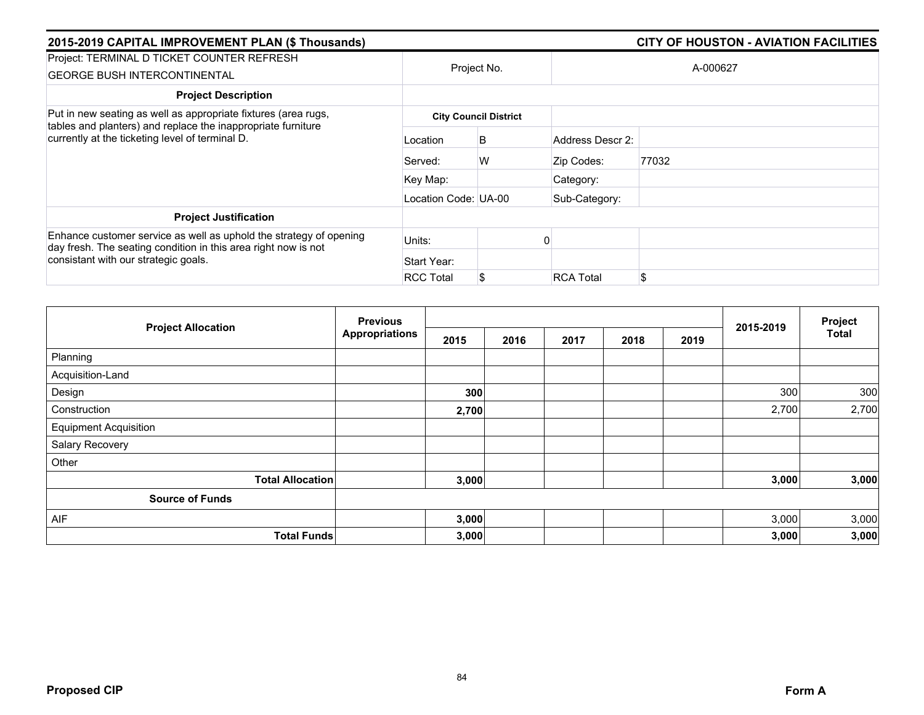| 2015-2019 CAPITAL IMPROVEMENT PLAN (\$ Thousands)                                                                                                                            |                      |                              | <b>CITY OF HOUSTON - AVIATION FACILITIES</b> |          |  |  |  |
|------------------------------------------------------------------------------------------------------------------------------------------------------------------------------|----------------------|------------------------------|----------------------------------------------|----------|--|--|--|
| Project: TERMINAL D TICKET COUNTER REFRESH<br><b>GEORGE BUSH INTERCONTINENTAL</b>                                                                                            |                      | Project No.                  |                                              | A-000627 |  |  |  |
| <b>Project Description</b>                                                                                                                                                   |                      |                              |                                              |          |  |  |  |
| Put in new seating as well as appropriate fixtures (area rugs,                                                                                                               |                      | <b>City Council District</b> |                                              |          |  |  |  |
| tables and planters) and replace the inappropriate furniture<br>currently at the ticketing level of terminal D.                                                              | Location             | B                            | Address Descr 2:                             |          |  |  |  |
|                                                                                                                                                                              | Served:              | W                            | Zip Codes:                                   | 77032    |  |  |  |
|                                                                                                                                                                              | Key Map:             |                              | Category:                                    |          |  |  |  |
|                                                                                                                                                                              | Location Code: UA-00 |                              | Sub-Category:                                |          |  |  |  |
| <b>Project Justification</b>                                                                                                                                                 |                      |                              |                                              |          |  |  |  |
| Enhance customer service as well as uphold the strategy of opening<br>day fresh. The seating condition in this area right now is not<br>consistant with our strategic goals. | Units:               |                              |                                              |          |  |  |  |
|                                                                                                                                                                              | Start Year:          |                              |                                              |          |  |  |  |
|                                                                                                                                                                              | <b>RCC Total</b>     | S.                           | <b>RCA Total</b>                             | \$       |  |  |  |

|                              | <b>Previous</b><br><b>Appropriations</b> |       |      |      | 2015-2019 | Project |       |              |
|------------------------------|------------------------------------------|-------|------|------|-----------|---------|-------|--------------|
| <b>Project Allocation</b>    |                                          | 2015  | 2016 | 2017 | 2018      | 2019    |       | <b>Total</b> |
| Planning                     |                                          |       |      |      |           |         |       |              |
| Acquisition-Land             |                                          |       |      |      |           |         |       |              |
| Design                       |                                          | 300   |      |      |           |         | 300   | 300          |
| Construction                 |                                          | 2,700 |      |      |           |         | 2,700 | 2,700        |
| <b>Equipment Acquisition</b> |                                          |       |      |      |           |         |       |              |
| Salary Recovery              |                                          |       |      |      |           |         |       |              |
| Other                        |                                          |       |      |      |           |         |       |              |
| <b>Total Allocation</b>      |                                          | 3,000 |      |      |           |         | 3,000 | 3,000        |
| <b>Source of Funds</b>       |                                          |       |      |      |           |         |       |              |
| AIF                          |                                          | 3,000 |      |      |           |         | 3,000 | 3,000        |
| <b>Total Funds</b>           |                                          | 3,000 |      |      |           |         | 3,000 | 3,000        |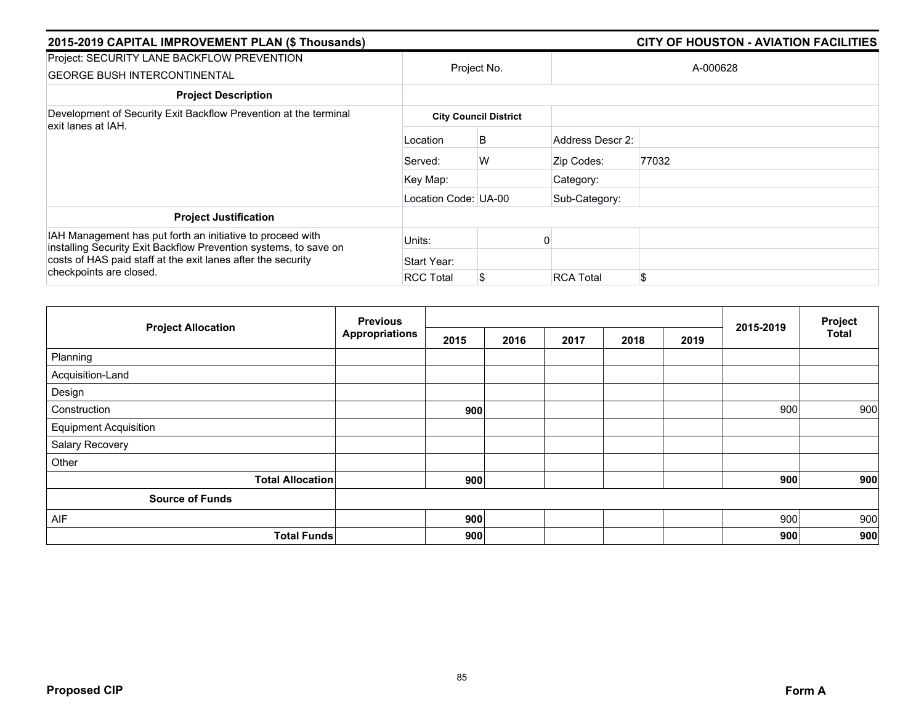| 2015-2019 CAPITAL IMPROVEMENT PLAN (\$ Thousands)                                                                                                                                                                         |                      |                              |                  | <b>CITY OF HOUSTON - AVIATION FACILITIES</b> |  |  |
|---------------------------------------------------------------------------------------------------------------------------------------------------------------------------------------------------------------------------|----------------------|------------------------------|------------------|----------------------------------------------|--|--|
| Project: SECURITY LANE BACKFLOW PREVENTION<br><b>GEORGE BUSH INTERCONTINENTAL</b>                                                                                                                                         | Project No.          |                              | A-000628         |                                              |  |  |
| <b>Project Description</b>                                                                                                                                                                                                |                      |                              |                  |                                              |  |  |
| Development of Security Exit Backflow Prevention at the terminal<br>exit lanes at IAH.                                                                                                                                    |                      | <b>City Council District</b> |                  |                                              |  |  |
|                                                                                                                                                                                                                           | Location             | B                            | Address Descr 2: |                                              |  |  |
|                                                                                                                                                                                                                           | Served:              | W                            | Zip Codes:       | 77032                                        |  |  |
|                                                                                                                                                                                                                           | Key Map:             |                              | Category:        |                                              |  |  |
|                                                                                                                                                                                                                           | Location Code: UA-00 |                              | Sub-Category:    |                                              |  |  |
| <b>Project Justification</b>                                                                                                                                                                                              |                      |                              |                  |                                              |  |  |
| IAH Management has put forth an initiative to proceed with<br>installing Security Exit Backflow Prevention systems, to save on<br>costs of HAS paid staff at the exit lanes after the security<br>checkpoints are closed. | Units:               |                              |                  |                                              |  |  |
|                                                                                                                                                                                                                           | Start Year:          |                              |                  |                                              |  |  |
|                                                                                                                                                                                                                           | <b>RCC Total</b>     | \$                           | <b>RCA Total</b> | \$                                           |  |  |

| <b>Project Allocation</b>    | <b>Previous</b><br><b>Appropriations</b> |      |      |      | Project |      |           |              |
|------------------------------|------------------------------------------|------|------|------|---------|------|-----------|--------------|
|                              |                                          | 2015 | 2016 | 2017 | 2018    | 2019 | 2015-2019 | <b>Total</b> |
| Planning                     |                                          |      |      |      |         |      |           |              |
| Acquisition-Land             |                                          |      |      |      |         |      |           |              |
| Design                       |                                          |      |      |      |         |      |           |              |
| Construction                 |                                          | 900  |      |      |         |      | 900       | 900          |
| <b>Equipment Acquisition</b> |                                          |      |      |      |         |      |           |              |
| Salary Recovery              |                                          |      |      |      |         |      |           |              |
| Other                        |                                          |      |      |      |         |      |           |              |
| <b>Total Allocation</b>      |                                          | 900  |      |      |         |      | 900       | 900          |
| <b>Source of Funds</b>       |                                          |      |      |      |         |      |           |              |
| AIF                          |                                          | 900  |      |      |         |      | 900       | 900          |
| <b>Total Funds</b>           |                                          | 900  |      |      |         |      | 900       | 900          |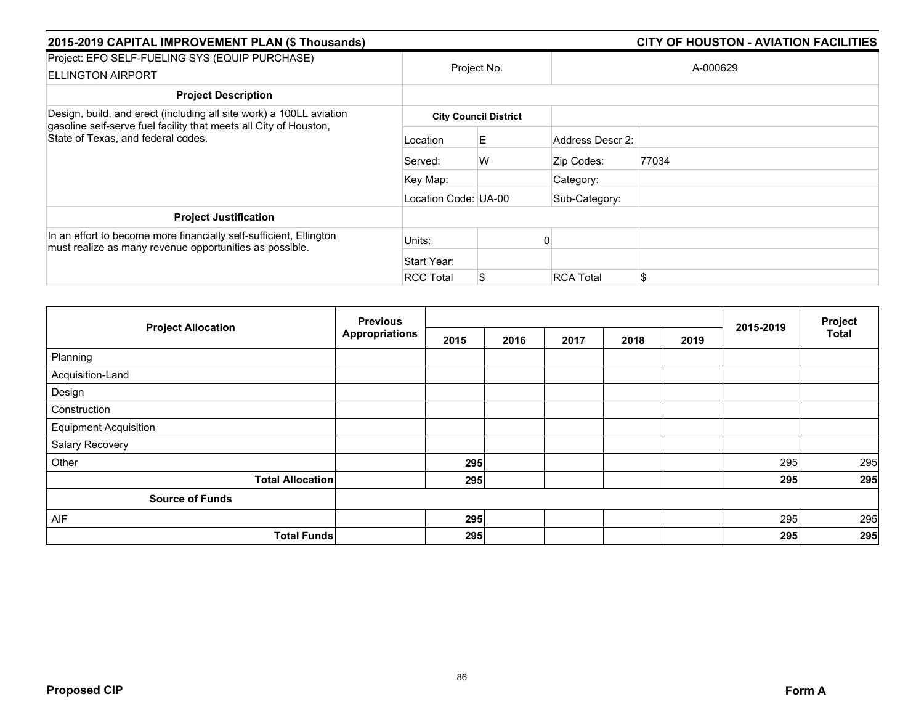| 2015-2019 CAPITAL IMPROVEMENT PLAN (\$ Thousands)                                                                                                                              |                      |                              |                  | <b>CITY OF HOUSTON - AVIATION FACILITIES</b> |  |  |
|--------------------------------------------------------------------------------------------------------------------------------------------------------------------------------|----------------------|------------------------------|------------------|----------------------------------------------|--|--|
| Project: EFO SELF-FUELING SYS (EQUIP PURCHASE)<br><b>ELLINGTON AIRPORT</b>                                                                                                     | Project No.          |                              | A-000629         |                                              |  |  |
| <b>Project Description</b>                                                                                                                                                     |                      |                              |                  |                                              |  |  |
| Design, build, and erect (including all site work) a 100LL aviation<br>gasoline self-serve fuel facility that meets all City of Houston,<br>State of Texas, and federal codes. |                      | <b>City Council District</b> |                  |                                              |  |  |
|                                                                                                                                                                                | Location             | E                            | Address Descr 2: |                                              |  |  |
|                                                                                                                                                                                | Served:              | W                            | Zip Codes:       | 77034                                        |  |  |
|                                                                                                                                                                                | Key Map:             |                              | Category:        |                                              |  |  |
|                                                                                                                                                                                | Location Code: UA-00 |                              | Sub-Category:    |                                              |  |  |
| <b>Project Justification</b>                                                                                                                                                   |                      |                              |                  |                                              |  |  |
| In an effort to become more financially self-sufficient, Ellington<br>must realize as many revenue opportunities as possible.                                                  | Units:               |                              |                  |                                              |  |  |
|                                                                                                                                                                                | Start Year:          |                              |                  |                                              |  |  |
|                                                                                                                                                                                | <b>RCC Total</b>     | \$                           | <b>RCA Total</b> | \$                                           |  |  |

| <b>Project Allocation</b>    | <b>Previous</b><br><b>Appropriations</b> |      |      |      | Project |      |           |              |
|------------------------------|------------------------------------------|------|------|------|---------|------|-----------|--------------|
|                              |                                          | 2015 | 2016 | 2017 | 2018    | 2019 | 2015-2019 | <b>Total</b> |
| Planning                     |                                          |      |      |      |         |      |           |              |
| Acquisition-Land             |                                          |      |      |      |         |      |           |              |
| Design                       |                                          |      |      |      |         |      |           |              |
| Construction                 |                                          |      |      |      |         |      |           |              |
| <b>Equipment Acquisition</b> |                                          |      |      |      |         |      |           |              |
| Salary Recovery              |                                          |      |      |      |         |      |           |              |
| Other                        |                                          | 295  |      |      |         |      | 295       | 295          |
| <b>Total Allocation</b>      |                                          | 295  |      |      |         |      | 295       | 295          |
| <b>Source of Funds</b>       |                                          |      |      |      |         |      |           |              |
| AIF                          |                                          | 295  |      |      |         |      | 295       | 295          |
| <b>Total Funds</b>           |                                          | 295  |      |      |         |      | 295       | 295          |